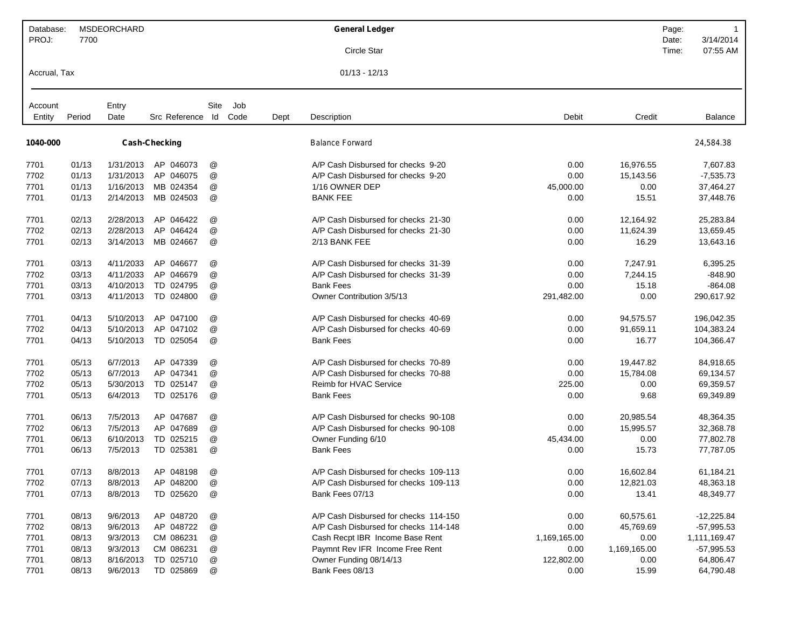| Database:<br>PROJ: | 7700   | <b>MSDEORCHARD</b> |                      |                           |             |      | <b>General Ledger</b>                 |              |              | Page:<br>Date: | 3/14/2014      |
|--------------------|--------|--------------------|----------------------|---------------------------|-------------|------|---------------------------------------|--------------|--------------|----------------|----------------|
|                    |        |                    |                      |                           |             |      | Circle Star                           |              |              | Time:          | 07:55 AM       |
| Accrual, Tax       |        |                    |                      |                           |             |      | $01/13 - 12/13$                       |              |              |                |                |
| Account<br>Entity  | Period | Entry<br>Date      | Src Reference Id     | Site                      | Job<br>Code | Dept | Description                           | Debit        | Credit       |                | <b>Balance</b> |
|                    |        |                    |                      |                           |             |      |                                       |              |              |                |                |
| 1040-000           |        |                    | <b>Cash-Checking</b> |                           |             |      | <b>Balance Forward</b>                |              |              |                | 24,584.38      |
| 7701               | 01/13  | 1/31/2013          | AP 046073            | @                         |             |      | A/P Cash Disbursed for checks 9-20    | 0.00         | 16,976.55    |                | 7,607.83       |
| 7702               | 01/13  | 1/31/2013          | AP 046075            | @                         |             |      | A/P Cash Disbursed for checks 9-20    | 0.00         | 15,143.56    |                | $-7,535.73$    |
| 7701               | 01/13  | 1/16/2013          | MB 024354            | @                         |             |      | 1/16 OWNER DEP                        | 45,000.00    | 0.00         |                | 37,464.27      |
| 7701               | 01/13  | 2/14/2013          | MB 024503            | @                         |             |      | <b>BANK FEE</b>                       | 0.00         | 15.51        |                | 37,448.76      |
| 7701               | 02/13  | 2/28/2013          | AP 046422            | @                         |             |      | A/P Cash Disbursed for checks 21-30   | 0.00         | 12,164.92    |                | 25,283.84      |
| 7702               | 02/13  | 2/28/2013          | AP 046424            | @                         |             |      | A/P Cash Disbursed for checks 21-30   | 0.00         | 11,624.39    |                | 13,659.45      |
| 7701               | 02/13  | 3/14/2013          | MB 024667            | @                         |             |      | 2/13 BANK FEE                         | 0.00         | 16.29        |                | 13,643.16      |
| 7701               | 03/13  | 4/11/2033          | AP 046677            | @                         |             |      | A/P Cash Disbursed for checks 31-39   | 0.00         | 7,247.91     |                | 6,395.25       |
| 7702               | 03/13  | 4/11/2033          | AP 046679            | @                         |             |      | A/P Cash Disbursed for checks 31-39   | 0.00         | 7,244.15     |                | $-848.90$      |
| 7701               | 03/13  | 4/10/2013          | TD 024795            | @                         |             |      | <b>Bank Fees</b>                      | 0.00         | 15.18        |                | $-864.08$      |
| 7701               | 03/13  | 4/11/2013          | TD 024800            | @                         |             |      | Owner Contribution 3/5/13             | 291,482.00   | 0.00         |                | 290,617.92     |
| 7701               | 04/13  | 5/10/2013          | AP 047100            | @                         |             |      | A/P Cash Disbursed for checks 40-69   | 0.00         | 94,575.57    |                | 196,042.35     |
| 7702               | 04/13  | 5/10/2013          | AP 047102            | @                         |             |      | A/P Cash Disbursed for checks 40-69   | 0.00         | 91,659.11    |                | 104,383.24     |
| 7701               | 04/13  | 5/10/2013          | TD 025054            | @                         |             |      | <b>Bank Fees</b>                      | 0.00         | 16.77        |                | 104,366.47     |
| 7701               | 05/13  | 6/7/2013           | AP 047339            | @                         |             |      | A/P Cash Disbursed for checks 70-89   | 0.00         | 19,447.82    |                | 84,918.65      |
| 7702               | 05/13  | 6/7/2013           | AP 047341            | @                         |             |      | A/P Cash Disbursed for checks 70-88   | 0.00         | 15,784.08    |                | 69,134.57      |
| 7702               | 05/13  | 5/30/2013          | TD 025147            | @                         |             |      | Reimb for HVAC Service                | 225.00       | 0.00         |                | 69,359.57      |
| 7701               | 05/13  | 6/4/2013           | TD 025176            | @                         |             |      | <b>Bank Fees</b>                      | 0.00         | 9.68         |                | 69,349.89      |
| 7701               | 06/13  | 7/5/2013           | AP 047687            | @                         |             |      | A/P Cash Disbursed for checks 90-108  | 0.00         | 20,985.54    |                | 48,364.35      |
| 7702               | 06/13  | 7/5/2013           | AP 047689            | @                         |             |      | A/P Cash Disbursed for checks 90-108  | 0.00         | 15,995.57    |                | 32,368.78      |
| 7701               | 06/13  | 6/10/2013          | TD 025215            | @                         |             |      | Owner Funding 6/10                    | 45,434.00    | 0.00         |                | 77,802.78      |
| 7701               | 06/13  | 7/5/2013           | TD 025381            | @                         |             |      | <b>Bank Fees</b>                      | 0.00         | 15.73        |                | 77,787.05      |
| 7701               | 07/13  | 8/8/2013           | AP 048198            | @                         |             |      | A/P Cash Disbursed for checks 109-113 | 0.00         | 16,602.84    |                | 61,184.21      |
| 7702               | 07/13  | 8/8/2013           | AP 048200            | @                         |             |      | A/P Cash Disbursed for checks 109-113 | 0.00         | 12,821.03    |                | 48,363.18      |
| 7701               | 07/13  | 8/8/2013           | TD 025620            | @                         |             |      | Bank Fees 07/13                       | 0.00         | 13.41        |                | 48,349.77      |
| 7701               | 08/13  | 9/6/2013           | AP 048720            | @                         |             |      | A/P Cash Disbursed for checks 114-150 | 0.00         | 60,575.61    |                | $-12,225.84$   |
| 7702               | 08/13  | 9/6/2013           | AP 048722            | $^\text{\textregistered}$ |             |      | A/P Cash Disbursed for checks 114-148 | 0.00         | 45,769.69    |                | $-57,995.53$   |
| 7701               | 08/13  | 9/3/2013           | CM 086231            | @                         |             |      | Cash Recpt IBR Income Base Rent       | 1,169,165.00 | 0.00         |                | 1,111,169.47   |
| 7701               | 08/13  | 9/3/2013           | CM 086231            | @                         |             |      | Paymnt Rev IFR Income Free Rent       | 0.00         | 1,169,165.00 |                | $-57,995.53$   |
| 7701               | 08/13  | 8/16/2013          | TD 025710            | @                         |             |      | Owner Funding 08/14/13                | 122,802.00   | 0.00         |                | 64,806.47      |
| 7701               | 08/13  | 9/6/2013           | TD 025869            | @                         |             |      | Bank Fees 08/13                       | 0.00         | 15.99        |                | 64,790.48      |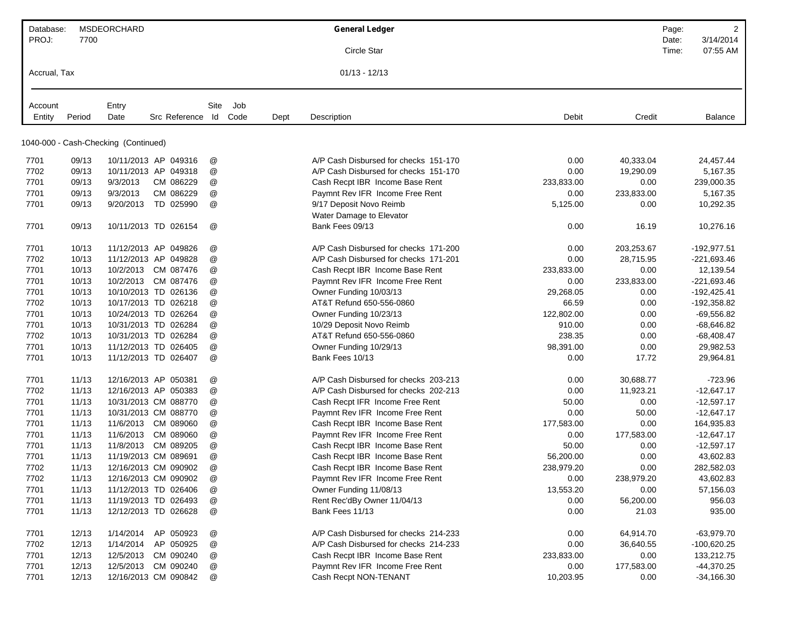| Database:    |        | <b>MSDEORCHARD</b>                   |                       |     |      | <b>General Ledger</b>                 |            |            | Page:          | $\overline{2}$        |
|--------------|--------|--------------------------------------|-----------------------|-----|------|---------------------------------------|------------|------------|----------------|-----------------------|
| PROJ:        | 7700   |                                      |                       |     |      | Circle Star                           |            |            | Date:<br>Time: | 3/14/2014<br>07:55 AM |
|              |        |                                      |                       |     |      |                                       |            |            |                |                       |
| Accrual, Tax |        |                                      |                       |     |      | $01/13 - 12/13$                       |            |            |                |                       |
| Account      |        | Entry                                | Site                  | Job |      |                                       |            |            |                |                       |
| Entity       | Period | Date                                 | Src Reference Id Code |     | Dept | Description                           | Debit      | Credit     |                | <b>Balance</b>        |
|              |        |                                      |                       |     |      |                                       |            |            |                |                       |
|              |        | 1040-000 - Cash-Checking (Continued) |                       |     |      |                                       |            |            |                |                       |
| 7701         | 09/13  | 10/11/2013 AP 049316                 | @                     |     |      | A/P Cash Disbursed for checks 151-170 | 0.00       | 40,333.04  |                | 24,457.44             |
| 7702         | 09/13  | 10/11/2013 AP 049318                 | @                     |     |      | A/P Cash Disbursed for checks 151-170 | 0.00       | 19,290.09  |                | 5,167.35              |
| 7701         | 09/13  | 9/3/2013<br>CM 086229                | @                     |     |      | Cash Recpt IBR Income Base Rent       | 233,833.00 | 0.00       |                | 239,000.35            |
| 7701         | 09/13  | CM 086229<br>9/3/2013                | @                     |     |      | Paymnt Rev IFR Income Free Rent       | 0.00       | 233,833.00 |                | 5,167.35              |
| 7701         | 09/13  | TD 025990<br>9/20/2013               | @                     |     |      | 9/17 Deposit Novo Reimb               | 5,125.00   | 0.00       |                | 10,292.35             |
|              |        |                                      |                       |     |      | Water Damage to Elevator              |            |            |                |                       |
| 7701         | 09/13  | 10/11/2013 TD 026154                 | @                     |     |      | Bank Fees 09/13                       | 0.00       | 16.19      |                | 10,276.16             |
| 7701         | 10/13  | 11/12/2013 AP 049826                 | @                     |     |      | A/P Cash Disbursed for checks 171-200 | 0.00       | 203,253.67 |                | -192,977.51           |
| 7702         | 10/13  | 11/12/2013 AP 049828                 | @                     |     |      | A/P Cash Disbursed for checks 171-201 | 0.00       | 28,715.95  |                | $-221,693.46$         |
| 7701         | 10/13  | 10/2/2013 CM 087476                  | @                     |     |      | Cash Recpt IBR Income Base Rent       | 233,833.00 | 0.00       |                | 12,139.54             |
| 7701         | 10/13  | CM 087476<br>10/2/2013               | @                     |     |      | Paymnt Rev IFR Income Free Rent       | 0.00       | 233,833.00 |                | $-221,693.46$         |
| 7701         | 10/13  | 10/10/2013 TD 026136                 | @                     |     |      | Owner Funding 10/03/13                | 29,268.05  | 0.00       |                | $-192,425.41$         |
| 7702         | 10/13  | 10/17/2013 TD 026218                 | @                     |     |      | AT&T Refund 650-556-0860              | 66.59      | 0.00       |                | $-192,358.82$         |
| 7701         | 10/13  | 10/24/2013 TD 026264                 | @                     |     |      | Owner Funding 10/23/13                | 122,802.00 | 0.00       |                | $-69,556.82$          |
| 7701         | 10/13  | 10/31/2013 TD 026284                 | @                     |     |      | 10/29 Deposit Novo Reimb              | 910.00     | 0.00       |                | $-68,646.82$          |
| 7702         | 10/13  | 10/31/2013 TD 026284                 | @                     |     |      | AT&T Refund 650-556-0860              | 238.35     | 0.00       |                | $-68,408.47$          |
| 7701         | 10/13  | 11/12/2013 TD 026405                 | @                     |     |      | Owner Funding 10/29/13                | 98,391.00  | 0.00       |                | 29,982.53             |
| 7701         | 10/13  | 11/12/2013 TD 026407                 | $^{\copyright}$       |     |      | Bank Fees 10/13                       | 0.00       | 17.72      |                | 29,964.81             |
| 7701         | 11/13  | 12/16/2013 AP 050381                 | @                     |     |      | A/P Cash Disbursed for checks 203-213 | 0.00       | 30,688.77  |                | $-723.96$             |
| 7702         | 11/13  | 12/16/2013 AP 050383                 | @                     |     |      | A/P Cash Disbursed for checks 202-213 | 0.00       | 11,923.21  |                | $-12,647.17$          |
| 7701         | 11/13  | 10/31/2013 CM 088770                 | @                     |     |      | Cash Recpt IFR Income Free Rent       | 50.00      | 0.00       |                | $-12,597.17$          |
| 7701         | 11/13  | 10/31/2013 CM 088770                 | @                     |     |      | Paymnt Rev IFR Income Free Rent       | 0.00       | 50.00      |                | $-12,647.17$          |
| 7701         | 11/13  | 11/6/2013<br>CM 089060               | @                     |     |      | Cash Recpt IBR Income Base Rent       | 177,583.00 | 0.00       |                | 164,935.83            |
| 7701         | 11/13  | 11/6/2013<br>CM 089060               | @                     |     |      | Paymnt Rev IFR Income Free Rent       | 0.00       | 177,583.00 |                | $-12,647.17$          |
| 7701         | 11/13  | 11/8/2013<br>CM 089205               | @                     |     |      | Cash Recpt IBR Income Base Rent       | 50.00      | 0.00       |                | $-12,597.17$          |
| 7701         | 11/13  | 11/19/2013 CM 089691                 | @                     |     |      | Cash Recpt IBR Income Base Rent       | 56,200.00  | 0.00       |                | 43,602.83             |
| 7702         | 11/13  | 12/16/2013 CM 090902                 | @                     |     |      | Cash Recpt IBR Income Base Rent       | 238,979.20 | 0.00       |                | 282,582.03            |
| 7702         | 11/13  | 12/16/2013 CM 090902                 | @                     |     |      | Paymnt Rev IFR Income Free Rent       | 0.00       | 238,979.20 |                | 43,602.83             |
| 7701         | 11/13  | 11/12/2013 TD 026406                 | @                     |     |      | Owner Funding 11/08/13                | 13,553.20  | 0.00       |                | 57,156.03             |
| 7701         | 11/13  | 11/19/2013 TD 026493                 | @                     |     |      | Rent Rec'dBy Owner 11/04/13           | 0.00       | 56,200.00  |                | 956.03                |
| 7701         | 11/13  | 12/12/2013 TD 026628                 | @                     |     |      | Bank Fees 11/13                       | 0.00       | 21.03      |                | 935.00                |
| 7701         | 12/13  | 1/14/2014<br>AP 050923               | @                     |     |      | A/P Cash Disbursed for checks 214-233 | 0.00       | 64,914.70  |                | $-63,979.70$          |
| 7702         | 12/13  | 1/14/2014<br>AP 050925               | @                     |     |      | A/P Cash Disbursed for checks 214-233 | 0.00       | 36,640.55  |                | $-100,620.25$         |
| 7701         | 12/13  | 12/5/2013 CM 090240                  | @                     |     |      | Cash Recpt IBR Income Base Rent       | 233,833.00 | 0.00       |                | 133,212.75            |
| 7701         | 12/13  | 12/5/2013 CM 090240                  | @                     |     |      | Paymnt Rev IFR Income Free Rent       | 0.00       | 177,583.00 |                | $-44,370.25$          |
| 7701         | 12/13  | 12/16/2013 CM 090842                 | @                     |     |      | Cash Recpt NON-TENANT                 | 10,203.95  | 0.00       |                | $-34,166.30$          |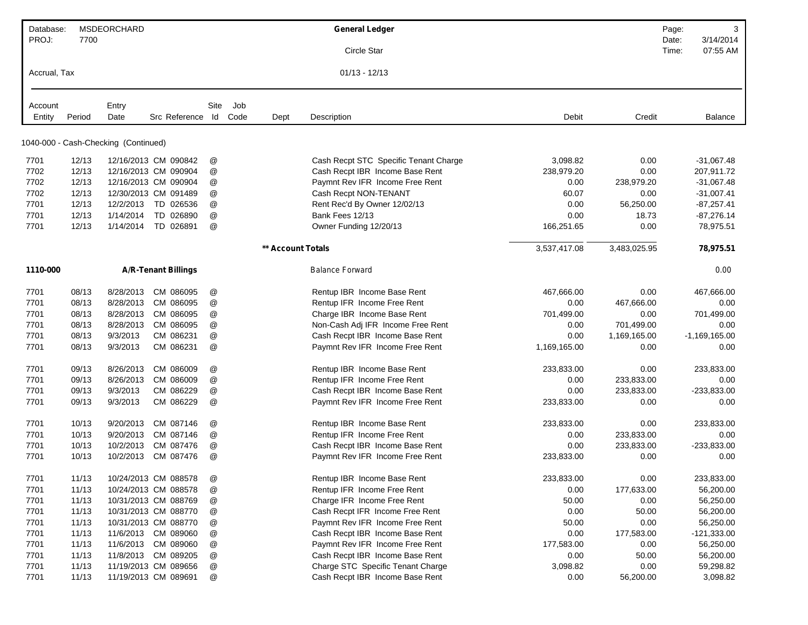| Database:    |        | <b>MSDEORCHARD</b>                   |                            |               |      |                   | <b>General Ledger</b>                 |              |              | Page:          | 3                     |
|--------------|--------|--------------------------------------|----------------------------|---------------|------|-------------------|---------------------------------------|--------------|--------------|----------------|-----------------------|
| PROJ:        | 7700   |                                      |                            |               |      |                   | Circle Star                           |              |              | Date:<br>Time: | 3/14/2014<br>07:55 AM |
| Accrual, Tax |        |                                      |                            |               |      |                   | $01/13 - 12/13$                       |              |              |                |                       |
|              |        |                                      |                            |               |      |                   |                                       |              |              |                |                       |
| Account      |        | Entry                                |                            | Site          | Job  |                   |                                       |              |              |                |                       |
| Entity       | Period | Date                                 | Src Reference Id           |               | Code | Dept              | Description                           | Debit        | Credit       |                | Balance               |
|              |        | 1040-000 - Cash-Checking (Continued) |                            |               |      |                   |                                       |              |              |                |                       |
| 7701         | 12/13  |                                      | 12/16/2013 CM 090842       | @             |      |                   | Cash Recpt STC Specific Tenant Charge | 3,098.82     | 0.00         |                | $-31,067.48$          |
| 7702         | 12/13  |                                      | 12/16/2013 CM 090904       | @             |      |                   | Cash Recpt IBR Income Base Rent       | 238,979.20   | 0.00         |                | 207,911.72            |
| 7702         | 12/13  |                                      | 12/16/2013 CM 090904       | @             |      |                   | Paymnt Rev IFR Income Free Rent       | 0.00         | 238,979.20   |                | $-31,067.48$          |
| 7702         | 12/13  |                                      | 12/30/2013 CM 091489       | @             |      |                   | Cash Recpt NON-TENANT                 | 60.07        | 0.00         |                | $-31,007.41$          |
| 7701         | 12/13  | 12/2/2013                            | TD 026536                  | @             |      |                   | Rent Rec'd By Owner 12/02/13          | 0.00         | 56,250.00    |                | $-87,257.41$          |
| 7701         | 12/13  | 1/14/2014                            | TD 026890                  | @             |      |                   | Bank Fees 12/13                       | 0.00         | 18.73        |                | $-87,276.14$          |
| 7701         | 12/13  | 1/14/2014                            | TD 026891                  | @             |      |                   | Owner Funding 12/20/13                | 166,251.65   | 0.00         |                | 78,975.51             |
|              |        |                                      |                            |               |      | ** Account Totals |                                       | 3,537,417.08 | 3,483,025.95 |                | 78,975.51             |
| 1110-000     |        |                                      | <b>A/R-Tenant Billings</b> |               |      |                   | <b>Balance Forward</b>                |              |              |                | 0.00                  |
| 7701         | 08/13  | 8/28/2013                            | CM 086095                  | @             |      |                   | Rentup IBR Income Base Rent           | 467,666.00   | 0.00         |                | 467,666.00            |
| 7701         | 08/13  | 8/28/2013                            | CM 086095                  | @             |      |                   | Rentup IFR Income Free Rent           | 0.00         | 467,666.00   |                | 0.00                  |
| 7701         | 08/13  | 8/28/2013                            | CM 086095                  | @             |      |                   | Charge IBR Income Base Rent           | 701,499.00   | 0.00         |                | 701,499.00            |
| 7701         | 08/13  | 8/28/2013                            | CM 086095                  | @             |      |                   | Non-Cash Adj IFR Income Free Rent     | 0.00         | 701,499.00   |                | 0.00                  |
| 7701         | 08/13  | 9/3/2013                             | CM 086231                  | @             |      |                   | Cash Recpt IBR Income Base Rent       | 0.00         | 1,169,165.00 |                | $-1,169,165.00$       |
| 7701         | 08/13  | 9/3/2013                             | CM 086231                  | @             |      |                   | Paymnt Rev IFR Income Free Rent       | 1,169,165.00 | 0.00         |                | 0.00                  |
| 7701         | 09/13  | 8/26/2013                            | CM 086009                  | @             |      |                   | Rentup IBR Income Base Rent           | 233,833.00   | 0.00         |                | 233,833.00            |
| 7701         | 09/13  | 8/26/2013                            | CM 086009                  | @             |      |                   | Rentup IFR Income Free Rent           | 0.00         | 233,833.00   |                | 0.00                  |
| 7701         | 09/13  | 9/3/2013                             | CM 086229                  | $^\copyright$ |      |                   | Cash Recpt IBR Income Base Rent       | 0.00         | 233,833.00   |                | $-233,833.00$         |
| 7701         | 09/13  | 9/3/2013                             | CM 086229                  | @             |      |                   | Paymnt Rev IFR Income Free Rent       | 233,833.00   | 0.00         |                | 0.00                  |
| 7701         | 10/13  | 9/20/2013                            | CM 087146                  | @             |      |                   | Rentup IBR Income Base Rent           | 233,833.00   | 0.00         |                | 233,833.00            |
| 7701         | 10/13  | 9/20/2013                            | CM 087146                  | @             |      |                   | Rentup IFR Income Free Rent           | 0.00         | 233,833.00   |                | 0.00                  |
| 7701         | 10/13  | 10/2/2013                            | CM 087476                  | @             |      |                   | Cash Recpt IBR Income Base Rent       | 0.00         | 233,833.00   |                | $-233,833.00$         |
| 7701         | 10/13  | 10/2/2013                            | CM 087476                  | @             |      |                   | Paymnt Rev IFR Income Free Rent       | 233,833.00   | 0.00         |                | 0.00                  |
| 7701         | 11/13  |                                      | 10/24/2013 CM 088578       | @             |      |                   | Rentup IBR Income Base Rent           | 233,833.00   | 0.00         |                | 233,833.00            |
| 7701         | 11/13  |                                      | 10/24/2013 CM 088578       | @             |      |                   | Rentup IFR Income Free Rent           | 0.00         | 177,633.00   |                | 56,200.00             |
| 7701         | 11/13  |                                      | 10/31/2013 CM 088769       | @             |      |                   | Charge IFR Income Free Rent           | 50.00        | 0.00         |                | 56,250.00             |
| 7701         | 11/13  |                                      | 10/31/2013 CM 088770       | @             |      |                   | Cash Recpt IFR Income Free Rent       | 0.00         | 50.00        |                | 56,200.00             |
| 7701         | 11/13  |                                      | 10/31/2013 CM 088770       | $^\copyright$ |      |                   | Paymnt Rev IFR Income Free Rent       | 50.00        | 0.00         |                | 56,250.00             |
| 7701         | 11/13  |                                      | 11/6/2013 CM 089060        | $^\copyright$ |      |                   | Cash Recpt IBR Income Base Rent       | 0.00         | 177,583.00   |                | $-121,333.00$         |
| 7701         | 11/13  |                                      | 11/6/2013 CM 089060        | @             |      |                   | Paymnt Rev IFR Income Free Rent       | 177,583.00   | 0.00         |                | 56,250.00             |
| 7701         | 11/13  |                                      | 11/8/2013 CM 089205        | @             |      |                   | Cash Recpt IBR Income Base Rent       | 0.00         | 50.00        |                | 56,200.00             |
| 7701         | 11/13  |                                      | 11/19/2013 CM 089656       | $^\copyright$ |      |                   | Charge STC Specific Tenant Charge     | 3,098.82     | 0.00         |                | 59,298.82             |
| 7701         | 11/13  |                                      | 11/19/2013 CM 089691       | @             |      |                   | Cash Recpt IBR Income Base Rent       | 0.00         | 56,200.00    |                | 3,098.82              |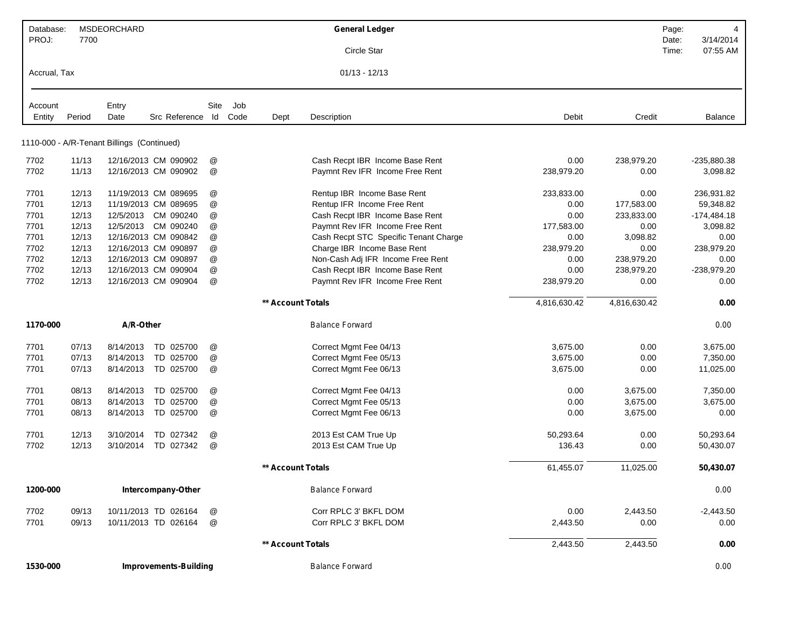| 1530-000     |                |                                            | <b>Improvements-Building</b> |                           |      |                   | <b>Balance Forward</b>                           |              |                      |       | 0.00                 |
|--------------|----------------|--------------------------------------------|------------------------------|---------------------------|------|-------------------|--------------------------------------------------|--------------|----------------------|-------|----------------------|
|              |                |                                            |                              |                           |      | ** Account Totals |                                                  | 2,443.50     | 2,443.50             |       | 0.00                 |
| 7701         | 09/13          |                                            | 10/11/2013 TD 026164         | @                         |      |                   | Corr RPLC 3' BKFL DOM                            | 2,443.50     | 0.00                 |       | 0.00                 |
| 7702         | 09/13          |                                            | 10/11/2013 TD 026164         | @                         |      |                   | Corr RPLC 3' BKFL DOM                            | 0.00         | 2,443.50             |       | $-2,443.50$          |
| 1200-000     |                |                                            | Intercompany-Other           |                           |      |                   | <b>Balance Forward</b>                           |              |                      |       | 0.00                 |
|              |                |                                            |                              |                           |      | ** Account Totals |                                                  | 61,455.07    | 11,025.00            |       | 50,430.07            |
| 7702         | 12/13          | 3/10/2014                                  | TD 027342                    | $^\text{\textregistered}$ |      |                   | 2013 Est CAM True Up                             | 136.43       | 0.00                 |       | 50,430.07            |
| 7701         | 12/13          | 3/10/2014                                  | TD 027342                    | @                         |      |                   | 2013 Est CAM True Up                             | 50,293.64    | 0.00                 |       | 50,293.64            |
|              |                |                                            |                              |                           |      |                   |                                                  |              |                      |       |                      |
| 7701         | 08/13          | 8/14/2013                                  | TD 025700                    | @                         |      |                   | Correct Mgmt Fee 06/13                           | 0.00         | 3,675.00             |       | 0.00                 |
| 7701<br>7701 | 08/13<br>08/13 | 8/14/2013<br>8/14/2013                     | TD 025700                    | @<br>@                    |      |                   | Correct Mgmt Fee 04/13<br>Correct Mgmt Fee 05/13 | 0.00<br>0.00 | 3,675.00<br>3,675.00 |       | 7,350.00<br>3,675.00 |
|              |                |                                            | TD 025700                    |                           |      |                   |                                                  |              |                      |       |                      |
| 7701         | 07/13          | 8/14/2013                                  | TD 025700                    | @                         |      |                   | Correct Mgmt Fee 06/13                           | 3,675.00     | 0.00                 |       | 11,025.00            |
| 7701         | 07/13          | 8/14/2013                                  | TD 025700                    | @                         |      |                   | Correct Mgmt Fee 05/13                           | 3,675.00     | 0.00                 |       | 7,350.00             |
| 7701         | 07/13          | 8/14/2013                                  | TD 025700                    | @                         |      |                   | Correct Mgmt Fee 04/13                           | 3,675.00     | 0.00                 |       | 3,675.00             |
| 1170-000     |                | A/R-Other                                  |                              |                           |      |                   | <b>Balance Forward</b>                           |              |                      |       | 0.00                 |
|              |                |                                            |                              |                           |      | ** Account Totals |                                                  | 4,816,630.42 | 4,816,630.42         |       | 0.00                 |
| 7702         | 12/13          |                                            | 12/16/2013 CM 090904         | @                         |      |                   | Paymnt Rev IFR Income Free Rent                  | 238,979.20   | 0.00                 |       | 0.00                 |
| 7702         | 12/13          |                                            | 12/16/2013 CM 090904         | $^\text{\textregistered}$ |      |                   | Cash Recpt IBR Income Base Rent                  | 0.00         | 238,979.20           |       | $-238,979.20$        |
| 7702         | 12/13          |                                            | 12/16/2013 CM 090897         | @                         |      |                   | Non-Cash Adj IFR Income Free Rent                | 0.00         | 238,979.20           |       | 0.00                 |
| 7702         | 12/13          |                                            | 12/16/2013 CM 090897         | @                         |      |                   | Charge IBR Income Base Rent                      | 238,979.20   | 0.00                 |       | 238,979.20           |
| 7701         | 12/13          |                                            | 12/16/2013 CM 090842         | @                         |      |                   | Cash Recpt STC Specific Tenant Charge            | 0.00         | 3,098.82             |       | 0.00                 |
| 7701         | 12/13          | 12/5/2013                                  | CM 090240                    | @                         |      |                   | Paymnt Rev IFR Income Free Rent                  | 177,583.00   | 0.00                 |       | 3,098.82             |
| 7701         | 12/13          | 12/5/2013                                  | CM 090240                    | @                         |      |                   | Cash Recpt IBR Income Base Rent                  | 0.00         | 233,833.00           |       | $-174,484.18$        |
| 7701         | 12/13          |                                            | 11/19/2013 CM 089695         | @                         |      |                   | Rentup IFR Income Free Rent                      | 0.00         | 177,583.00           |       | 59,348.82            |
| 7701         | 12/13          |                                            | 11/19/2013 CM 089695         | @                         |      |                   | Rentup IBR Income Base Rent                      | 233,833.00   | 0.00                 |       | 236,931.82           |
| 7702         | 11/13          |                                            | 12/16/2013 CM 090902         | @                         |      |                   | Paymnt Rev IFR Income Free Rent                  | 238,979.20   | 0.00                 |       | 3,098.82             |
| 7702         | 11/13          |                                            | 12/16/2013 CM 090902         | @                         |      |                   | Cash Recpt IBR Income Base Rent                  | 0.00         | 238,979.20           |       | -235,880.38          |
|              |                | 1110-000 - A/R-Tenant Billings (Continued) |                              |                           |      |                   |                                                  |              |                      |       |                      |
| Entity       | Period         | Date                                       | Src Reference Id             |                           | Code | Dept              | Description                                      | Debit        | Credit               |       | Balance              |
| Account      |                | Entry                                      |                              | Site                      | Job  |                   |                                                  |              |                      |       |                      |
| Accrual, Tax |                |                                            |                              |                           |      |                   | $01/13 - 12/13$                                  |              |                      |       |                      |
|              |                |                                            |                              |                           |      |                   | Circle Star                                      |              |                      | Time: | 07:55 AM             |
| PROJ:        | 7700           |                                            |                              |                           |      |                   |                                                  |              |                      | Date: | 3/14/2014            |
| Database:    |                | MSDEORCHARD                                |                              |                           |      |                   | <b>General Ledger</b>                            |              |                      | Page: | 4                    |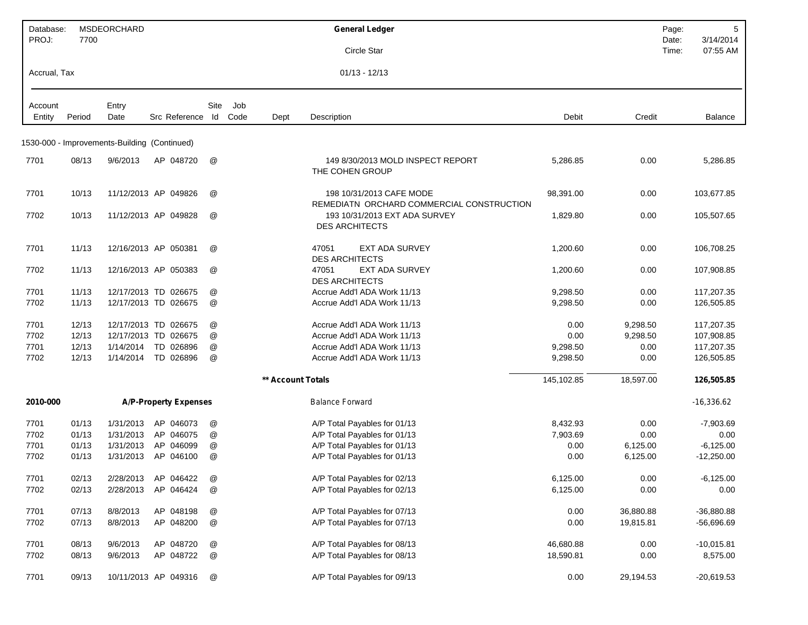| Database:<br>PROJ: | 7700   | MSDEORCHARD                                  |                              |               |      |                   | <b>General Ledger</b>                                                 |            |           | Page:<br>Date: | 5<br>3/14/2014 |
|--------------------|--------|----------------------------------------------|------------------------------|---------------|------|-------------------|-----------------------------------------------------------------------|------------|-----------|----------------|----------------|
|                    |        |                                              |                              |               |      |                   | Circle Star                                                           |            |           | Time:          | 07:55 AM       |
| Accrual, Tax       |        |                                              |                              |               |      |                   | $01/13 - 12/13$                                                       |            |           |                |                |
| Account            |        | Entry                                        |                              | Site          | Job  |                   |                                                                       |            |           |                |                |
| Entity             | Period | Date                                         | Src Reference Id             |               | Code | Dept              | Description                                                           | Debit      | Credit    |                | Balance        |
|                    |        | 1530-000 - Improvements-Building (Continued) |                              |               |      |                   |                                                                       |            |           |                |                |
| 7701               | 08/13  | 9/6/2013                                     | AP 048720                    | @             |      |                   | 149 8/30/2013 MOLD INSPECT REPORT<br>THE COHEN GROUP                  | 5,286.85   | 0.00      |                | 5,286.85       |
| 7701               | 10/13  |                                              | 11/12/2013 AP 049826         | @             |      |                   | 198 10/31/2013 CAFE MODE<br>REMEDIATN ORCHARD COMMERCIAL CONSTRUCTION | 98,391.00  | 0.00      |                | 103,677.85     |
| 7702               | 10/13  |                                              | 11/12/2013 AP 049828         | @             |      |                   | 193 10/31/2013 EXT ADA SURVEY<br><b>DES ARCHITECTS</b>                | 1,829.80   | 0.00      |                | 105,507.65     |
| 7701               | 11/13  |                                              | 12/16/2013 AP 050381         | @             |      |                   | 47051<br><b>EXT ADA SURVEY</b><br><b>DES ARCHITECTS</b>               | 1,200.60   | 0.00      |                | 106,708.25     |
| 7702               | 11/13  |                                              | 12/16/2013 AP 050383         | @             |      |                   | 47051<br>EXT ADA SURVEY<br><b>DES ARCHITECTS</b>                      | 1,200.60   | 0.00      |                | 107,908.85     |
| 7701               | 11/13  |                                              | 12/17/2013 TD 026675         | @             |      |                   | Accrue Add'l ADA Work 11/13                                           | 9,298.50   | 0.00      |                | 117,207.35     |
| 7702               | 11/13  |                                              | 12/17/2013 TD 026675         | @             |      |                   | Accrue Add'l ADA Work 11/13                                           | 9,298.50   | 0.00      |                | 126,505.85     |
| 7701               | 12/13  |                                              | 12/17/2013 TD 026675         | @             |      |                   | Accrue Add'l ADA Work 11/13                                           | 0.00       | 9,298.50  |                | 117,207.35     |
| 7702               | 12/13  |                                              | 12/17/2013 TD 026675         | @             |      |                   | Accrue Add'l ADA Work 11/13                                           | 0.00       | 9,298.50  |                | 107,908.85     |
| 7701               | 12/13  | 1/14/2014                                    | TD 026896                    | @             |      |                   | Accrue Add'l ADA Work 11/13                                           | 9,298.50   | 0.00      |                | 117,207.35     |
| 7702               | 12/13  | 1/14/2014                                    | TD 026896                    | @             |      |                   | Accrue Add'l ADA Work 11/13                                           | 9,298.50   | 0.00      |                | 126,505.85     |
|                    |        |                                              |                              |               |      | ** Account Totals |                                                                       | 145,102.85 | 18,597.00 |                | 126,505.85     |
| 2010-000           |        |                                              | <b>A/P-Property Expenses</b> |               |      |                   | <b>Balance Forward</b>                                                |            |           |                | $-16,336.62$   |
| 7701               | 01/13  | 1/31/2013                                    | AP 046073                    | @             |      |                   | A/P Total Payables for 01/13                                          | 8,432.93   | 0.00      |                | $-7,903.69$    |
| 7702               | 01/13  | 1/31/2013                                    | AP 046075                    | @             |      |                   | A/P Total Payables for 01/13                                          | 7,903.69   | 0.00      |                | 0.00           |
| 7701               | 01/13  | 1/31/2013                                    | AP 046099                    | @             |      |                   | A/P Total Payables for 01/13                                          | 0.00       | 6,125.00  |                | $-6,125.00$    |
| 7702               | 01/13  | 1/31/2013                                    | AP 046100                    | @             |      |                   | A/P Total Payables for 01/13                                          | 0.00       | 6,125.00  |                | $-12,250.00$   |
| 7701               | 02/13  |                                              | 2/28/2013 AP 046422          | @             |      |                   | A/P Total Payables for 02/13                                          | 6,125.00   | 0.00      |                | $-6,125.00$    |
| 7702               | 02/13  | 2/28/2013                                    | AP 046424                    | $^\copyright$ |      |                   | A/P Total Payables for 02/13                                          | 6,125.00   | 0.00      |                | 0.00           |
|                    |        |                                              |                              |               |      |                   |                                                                       |            |           |                |                |
| 7701               | 07/13  | 8/8/2013                                     | AP 048198                    | $^\copyright$ |      |                   | A/P Total Payables for 07/13                                          | 0.00       | 36,880.88 |                | $-36,880.88$   |
| 7702               | 07/13  | 8/8/2013                                     | AP 048200                    | @             |      |                   | A/P Total Payables for 07/13                                          | 0.00       | 19,815.81 |                | -56,696.69     |
| 7701               | 08/13  | 9/6/2013                                     | AP 048720                    | $^\copyright$ |      |                   | A/P Total Payables for 08/13                                          | 46,680.88  | 0.00      |                | $-10,015.81$   |
| 7702               | 08/13  | 9/6/2013                                     | AP 048722                    | @             |      |                   | A/P Total Payables for 08/13                                          | 18,590.81  | 0.00      |                | 8,575.00       |
| 7701               | 09/13  |                                              | 10/11/2013 AP 049316         | $^\copyright$ |      |                   | A/P Total Payables for 09/13                                          | 0.00       | 29,194.53 |                | $-20,619.53$   |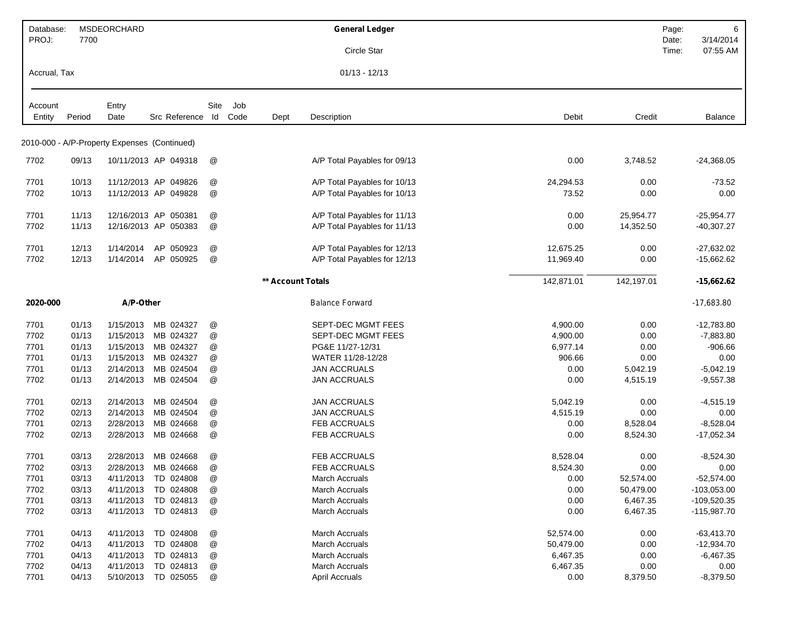| Database:         |        | MSDEORCHARD                                  |                      |                           |      |                   | <b>General Ledger</b>        |            |            | Page:          | 6                     |
|-------------------|--------|----------------------------------------------|----------------------|---------------------------|------|-------------------|------------------------------|------------|------------|----------------|-----------------------|
| PROJ:             | 7700   |                                              |                      |                           |      |                   | Circle Star                  |            |            | Date:<br>Time: | 3/14/2014<br>07:55 AM |
| Accrual, Tax      |        |                                              |                      |                           |      |                   | $01/13 - 12/13$              |            |            |                |                       |
|                   |        | Entry                                        |                      | Site                      | Job  |                   |                              |            |            |                |                       |
| Account<br>Entity | Period | Date                                         | Src Reference Id     |                           | Code | Dept              | Description                  | Debit      | Credit     |                | <b>Balance</b>        |
|                   |        |                                              |                      |                           |      |                   |                              |            |            |                |                       |
|                   |        | 2010-000 - A/P-Property Expenses (Continued) |                      |                           |      |                   |                              |            |            |                |                       |
| 7702              | 09/13  |                                              | 10/11/2013 AP 049318 | @                         |      |                   | A/P Total Payables for 09/13 | 0.00       | 3,748.52   |                | $-24,368.05$          |
| 7701              | 10/13  |                                              | 11/12/2013 AP 049826 | $^\copyright$             |      |                   | A/P Total Payables for 10/13 | 24,294.53  | 0.00       |                | $-73.52$              |
| 7702              | 10/13  |                                              | 11/12/2013 AP 049828 | @                         |      |                   | A/P Total Payables for 10/13 | 73.52      | 0.00       |                | 0.00                  |
| 7701              | 11/13  |                                              | 12/16/2013 AP 050381 | @                         |      |                   | A/P Total Payables for 11/13 | 0.00       | 25,954.77  |                | $-25,954.77$          |
| 7702              | 11/13  |                                              | 12/16/2013 AP 050383 | @                         |      |                   | A/P Total Payables for 11/13 | 0.00       | 14,352.50  |                | $-40,307.27$          |
| 7701              | 12/13  | 1/14/2014                                    | AP 050923            | @                         |      |                   | A/P Total Payables for 12/13 | 12,675.25  | 0.00       |                | $-27,632.02$          |
| 7702              | 12/13  | 1/14/2014                                    | AP 050925            | @                         |      |                   | A/P Total Payables for 12/13 | 11,969.40  | 0.00       |                | $-15,662.62$          |
|                   |        |                                              |                      |                           |      | ** Account Totals |                              | 142,871.01 | 142,197.01 |                | $-15,662.62$          |
|                   |        |                                              |                      |                           |      |                   |                              |            |            |                |                       |
| 2020-000          |        | A/P-Other                                    |                      |                           |      |                   | <b>Balance Forward</b>       |            |            |                | $-17,683.80$          |
| 7701              | 01/13  | 1/15/2013                                    | MB 024327            | @                         |      |                   | SEPT-DEC MGMT FEES           | 4,900.00   | 0.00       |                | $-12,783.80$          |
| 7702              | 01/13  | 1/15/2013                                    | MB 024327            | @                         |      |                   | SEPT-DEC MGMT FEES           | 4,900.00   | 0.00       |                | $-7,883.80$           |
| 7701              | 01/13  | 1/15/2013                                    | MB 024327            | @                         |      |                   | PG&E 11/27-12/31             | 6,977.14   | 0.00       |                | $-906.66$             |
| 7701              | 01/13  | 1/15/2013                                    | MB 024327            | @                         |      |                   | WATER 11/28-12/28            | 906.66     | 0.00       |                | 0.00                  |
| 7701              | 01/13  | 2/14/2013                                    | MB 024504            | $^\text{\textregistered}$ |      |                   | <b>JAN ACCRUALS</b>          | 0.00       | 5,042.19   |                | $-5,042.19$           |
| 7702              | 01/13  | 2/14/2013                                    | MB 024504            | @                         |      |                   | <b>JAN ACCRUALS</b>          | 0.00       | 4,515.19   |                | $-9,557.38$           |
| 7701              | 02/13  | 2/14/2013                                    | MB 024504            | @                         |      |                   | <b>JAN ACCRUALS</b>          | 5,042.19   | 0.00       |                | $-4,515.19$           |
| 7702              | 02/13  | 2/14/2013                                    | MB 024504            | @                         |      |                   | <b>JAN ACCRUALS</b>          | 4,515.19   | 0.00       |                | 0.00                  |
| 7701              | 02/13  | 2/28/2013                                    | MB 024668            | @                         |      |                   | FEB ACCRUALS                 | 0.00       | 8,528.04   |                | $-8,528.04$           |
| 7702              | 02/13  | 2/28/2013                                    | MB 024668            | @                         |      |                   | FEB ACCRUALS                 | 0.00       | 8,524.30   |                | $-17,052.34$          |
| 7701              | 03/13  | 2/28/2013                                    | MB 024668            | @                         |      |                   | FEB ACCRUALS                 | 8,528.04   | 0.00       |                | $-8,524.30$           |
| 7702              | 03/13  | 2/28/2013                                    | MB 024668            | @                         |      |                   | FEB ACCRUALS                 | 8,524.30   | 0.00       |                | 0.00                  |
| 7701              | 03/13  |                                              | 4/11/2013 TD 024808  | @                         |      |                   | March Accruals               | 0.00       | 52,574.00  |                | $-52,574.00$          |
| 7702              | 03/13  | 4/11/2013                                    | TD 024808            | @                         |      |                   | March Accruals               | 0.00       | 50,479.00  |                | $-103,053.00$         |
| 7701              | 03/13  | 4/11/2013                                    | TD 024813            | @                         |      |                   | <b>March Accruals</b>        | 0.00       | 6,467.35   |                | $-109,520.35$         |
| 7702              | 03/13  | 4/11/2013                                    | TD 024813            | $^\copyright$             |      |                   | <b>March Accruals</b>        | 0.00       | 6,467.35   |                | $-115,987.70$         |
| 7701              | 04/13  | 4/11/2013                                    | TD 024808            | $^\copyright$             |      |                   | <b>March Accruals</b>        | 52,574.00  | 0.00       |                | $-63,413.70$          |
| 7702              | 04/13  | 4/11/2013                                    | TD 024808            | @                         |      |                   | <b>March Accruals</b>        | 50,479.00  | 0.00       |                | $-12,934.70$          |
| 7701              | 04/13  | 4/11/2013                                    | TD 024813            | @                         |      |                   | <b>March Accruals</b>        | 6,467.35   | 0.00       |                | $-6,467.35$           |
| 7702              | 04/13  | 4/11/2013                                    | TD 024813            | @                         |      |                   | March Accruals               | 6,467.35   | 0.00       |                | 0.00                  |
| 7701              | 04/13  | 5/10/2013                                    | TD 025055            | @                         |      |                   | <b>April Accruals</b>        | 0.00       | 8,379.50   |                | $-8,379.50$           |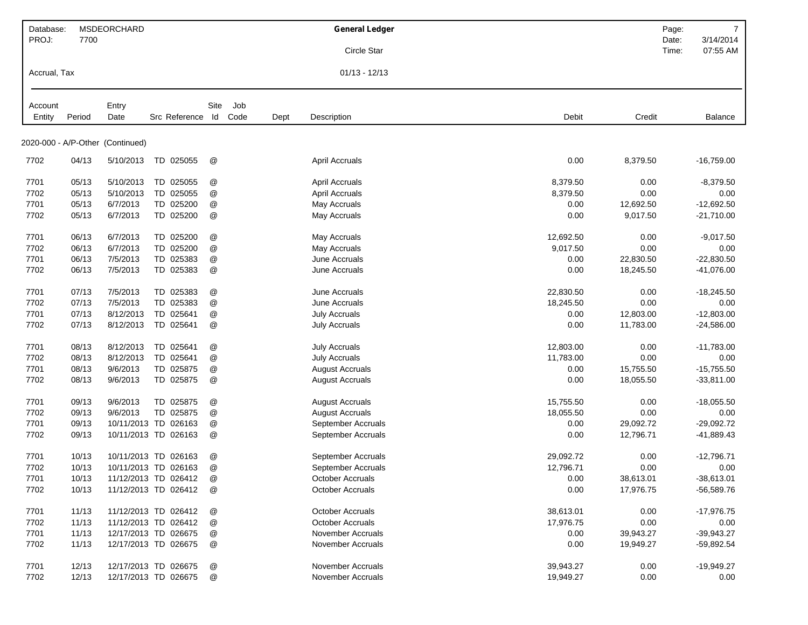| Database:    |        | MSDEORCHARD                      |                      |                           |      |      | <b>General Ledger</b>  |           |           | Page:          | $\overline{7}$        |
|--------------|--------|----------------------------------|----------------------|---------------------------|------|------|------------------------|-----------|-----------|----------------|-----------------------|
| PROJ:        | 7700   |                                  |                      |                           |      |      | Circle Star            |           |           | Date:<br>Time: | 3/14/2014<br>07:55 AM |
|              |        |                                  |                      |                           |      |      |                        |           |           |                |                       |
| Accrual, Tax |        |                                  |                      |                           |      |      | $01/13 - 12/13$        |           |           |                |                       |
| Account      |        | Entry                            |                      | Site                      | Job  |      |                        |           |           |                |                       |
| Entity       | Period | Date                             | Src Reference Id     |                           | Code | Dept | Description            | Debit     | Credit    |                | Balance               |
|              |        | 2020-000 - A/P-Other (Continued) |                      |                           |      |      |                        |           |           |                |                       |
|              |        |                                  |                      |                           |      |      |                        |           |           |                |                       |
| 7702         | 04/13  | 5/10/2013                        | TD 025055            | @                         |      |      | <b>April Accruals</b>  | 0.00      | 8,379.50  |                | -16,759.00            |
| 7701         | 05/13  | 5/10/2013                        | TD 025055            | @                         |      |      | April Accruals         | 8,379.50  | 0.00      |                | $-8,379.50$           |
| 7702         | 05/13  | 5/10/2013                        | TD 025055            | @                         |      |      | <b>April Accruals</b>  | 8,379.50  | 0.00      |                | 0.00                  |
| 7701         | 05/13  | 6/7/2013                         | TD 025200            | @                         |      |      | May Accruals           | 0.00      | 12,692.50 |                | $-12,692.50$          |
| 7702         | 05/13  | 6/7/2013                         | TD 025200            | @                         |      |      | May Accruals           | 0.00      | 9,017.50  |                | $-21,710.00$          |
| 7701         | 06/13  | 6/7/2013                         | TD 025200            | @                         |      |      | May Accruals           | 12,692.50 | 0.00      |                | $-9,017.50$           |
| 7702         | 06/13  | 6/7/2013                         | TD 025200            | @                         |      |      | May Accruals           | 9,017.50  | 0.00      |                | 0.00                  |
| 7701         | 06/13  | 7/5/2013                         | TD 025383            | $^\text{\textregistered}$ |      |      | June Accruals          | 0.00      | 22,830.50 |                | $-22,830.50$          |
| 7702         | 06/13  | 7/5/2013                         | TD 025383            | @                         |      |      | June Accruals          | 0.00      | 18,245.50 |                | $-41,076.00$          |
| 7701         | 07/13  | 7/5/2013                         | TD 025383            | @                         |      |      | June Accruals          | 22,830.50 | 0.00      |                | $-18,245.50$          |
| 7702         | 07/13  | 7/5/2013                         | TD 025383            | $^\copyright$             |      |      | June Accruals          | 18,245.50 | 0.00      |                | 0.00                  |
| 7701         | 07/13  | 8/12/2013                        | TD 025641            | @                         |      |      | <b>July Accruals</b>   | 0.00      | 12,803.00 |                | $-12,803.00$          |
| 7702         | 07/13  | 8/12/2013                        | TD 025641            | $^\copyright$             |      |      | <b>July Accruals</b>   | 0.00      | 11,783.00 |                | -24,586.00            |
| 7701         | 08/13  | 8/12/2013                        | TD 025641            | @                         |      |      | <b>July Accruals</b>   | 12,803.00 | 0.00      |                | $-11,783.00$          |
| 7702         | 08/13  | 8/12/2013                        | TD 025641            | @                         |      |      | <b>July Accruals</b>   | 11,783.00 | 0.00      |                | 0.00                  |
| 7701         | 08/13  | 9/6/2013                         | TD 025875            | $^\text{\textregistered}$ |      |      | <b>August Accruals</b> | 0.00      | 15,755.50 |                | $-15,755.50$          |
| 7702         | 08/13  | 9/6/2013                         | TD 025875            | @                         |      |      | <b>August Accruals</b> | 0.00      | 18,055.50 |                | $-33,811.00$          |
| 7701         | 09/13  | 9/6/2013                         | TD 025875            | @                         |      |      | <b>August Accruals</b> | 15,755.50 | 0.00      |                | $-18,055.50$          |
| 7702         | 09/13  | 9/6/2013                         | TD 025875            | @                         |      |      | <b>August Accruals</b> | 18,055.50 | 0.00      |                | 0.00                  |
| 7701         | 09/13  |                                  | 10/11/2013 TD 026163 | @                         |      |      | September Accruals     | 0.00      | 29,092.72 |                | $-29,092.72$          |
| 7702         | 09/13  |                                  | 10/11/2013 TD 026163 | @                         |      |      | September Accruals     | 0.00      | 12,796.71 |                | -41,889.43            |
| 7701         | 10/13  |                                  | 10/11/2013 TD 026163 | @                         |      |      | September Accruals     | 29,092.72 | 0.00      |                | $-12,796.71$          |
| 7702         | 10/13  |                                  | 10/11/2013 TD 026163 | @                         |      |      | September Accruals     | 12,796.71 | 0.00      |                | 0.00                  |
| 7701         | 10/13  |                                  | 11/12/2013 TD 026412 | @                         |      |      | October Accruals       | 0.00      | 38,613.01 |                | $-38,613.01$          |
| 7702         | 10/13  |                                  | 11/12/2013 TD 026412 | @                         |      |      | October Accruals       | 0.00      | 17,976.75 |                | $-56,589.76$          |
| 7701         | 11/13  |                                  | 11/12/2013 TD 026412 | $^\copyright$             |      |      | October Accruals       | 38,613.01 | 0.00      |                | $-17,976.75$          |
| 7702         | 11/13  |                                  | 11/12/2013 TD 026412 | @                         |      |      | October Accruals       | 17,976.75 | 0.00      |                | 0.00                  |
| 7701         | 11/13  |                                  | 12/17/2013 TD 026675 | @                         |      |      | November Accruals      | 0.00      | 39,943.27 |                | $-39,943.27$          |
| 7702         | 11/13  |                                  | 12/17/2013 TD 026675 | @                         |      |      | November Accruals      | 0.00      | 19,949.27 |                | $-59,892.54$          |
| 7701         | 12/13  |                                  | 12/17/2013 TD 026675 | @                         |      |      | November Accruals      | 39,943.27 | 0.00      |                | $-19,949.27$          |
| 7702         | 12/13  |                                  | 12/17/2013 TD 026675 | @                         |      |      | November Accruals      | 19,949.27 | 0.00      |                | 0.00                  |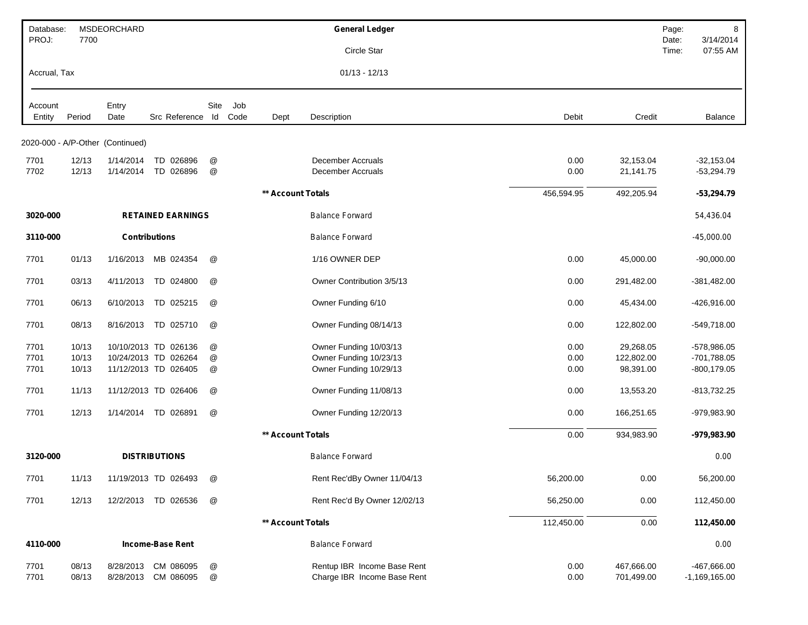| Database:<br>PROJ: | 7700           | <b>MSDEORCHARD</b>               |                                  |                           |      |                   | <b>General Ledger</b>                                      |              |                          | Page:<br>Date: | 8<br>3/14/2014                 |
|--------------------|----------------|----------------------------------|----------------------------------|---------------------------|------|-------------------|------------------------------------------------------------|--------------|--------------------------|----------------|--------------------------------|
|                    |                |                                  |                                  |                           |      |                   | Circle Star                                                |              |                          | Time:          | 07:55 AM                       |
| Accrual, Tax       |                |                                  |                                  |                           |      |                   | $01/13 - 12/13$                                            |              |                          |                |                                |
| Account            |                | Entry                            |                                  | Site                      | Job  |                   |                                                            |              |                          |                |                                |
| Entity             | Period         | Date                             | Src Reference Id                 |                           | Code | Dept              | Description                                                | Debit        | Credit                   |                | Balance                        |
|                    |                | 2020-000 - A/P-Other (Continued) |                                  |                           |      |                   |                                                            |              |                          |                |                                |
| 7701               | 12/13          | 1/14/2014                        | TD 026896                        | @                         |      |                   | December Accruals                                          | 0.00         | 32,153.04                |                | $-32,153.04$                   |
| 7702               | 12/13          | 1/14/2014                        | TD 026896                        | @                         |      |                   | December Accruals                                          | 0.00         | 21,141.75                |                | $-53,294.79$                   |
|                    |                |                                  |                                  |                           |      | ** Account Totals |                                                            | 456,594.95   | 492,205.94               |                | $-53,294.79$                   |
| 3020-000           |                |                                  | <b>RETAINED EARNINGS</b>         |                           |      |                   | <b>Balance Forward</b>                                     |              |                          |                | 54,436.04                      |
| 3110-000           |                | <b>Contributions</b>             |                                  |                           |      |                   | <b>Balance Forward</b>                                     |              |                          |                | $-45,000.00$                   |
| 7701               | 01/13          | 1/16/2013                        | MB 024354                        | @                         |      |                   | 1/16 OWNER DEP                                             | 0.00         | 45,000.00                |                | $-90,000.00$                   |
| 7701               | 03/13          | 4/11/2013                        | TD 024800                        | @                         |      |                   | Owner Contribution 3/5/13                                  | 0.00         | 291,482.00               |                | $-381,482.00$                  |
| 7701               | 06/13          | 6/10/2013                        | TD 025215                        | @                         |      |                   | Owner Funding 6/10                                         | 0.00         | 45,434.00                |                | $-426,916.00$                  |
| 7701               | 08/13          | 8/16/2013                        | TD 025710                        | @                         |      |                   | Owner Funding 08/14/13                                     | 0.00         | 122,802.00               |                | $-549,718.00$                  |
| 7701               | 10/13          |                                  | 10/10/2013 TD 026136             | @                         |      |                   | Owner Funding 10/03/13                                     | 0.00         | 29,268.05                |                | $-578,986.05$                  |
| 7701               | 10/13          |                                  | 10/24/2013 TD 026264             | $^\text{\textregistered}$ |      |                   | Owner Funding 10/23/13                                     | 0.00         | 122,802.00               |                | $-701,788.05$                  |
| 7701               | 10/13          |                                  | 11/12/2013 TD 026405             | @                         |      |                   | Owner Funding 10/29/13                                     | 0.00         | 98,391.00                |                | $-800, 179.05$                 |
| 7701               | 11/13          |                                  | 11/12/2013 TD 026406             | @                         |      |                   | Owner Funding 11/08/13                                     | 0.00         | 13,553.20                |                | $-813,732.25$                  |
| 7701               | 12/13          | 1/14/2014                        | TD 026891                        | @                         |      |                   | Owner Funding 12/20/13                                     | 0.00         | 166,251.65               |                | -979,983.90                    |
|                    |                |                                  |                                  |                           |      | ** Account Totals |                                                            | 0.00         | 934,983.90               |                | -979,983.90                    |
| 3120-000           |                |                                  | <b>DISTRIBUTIONS</b>             |                           |      |                   | <b>Balance Forward</b>                                     |              |                          |                | 0.00                           |
| 7701               | 11/13          |                                  | 11/19/2013 TD 026493             | @                         |      |                   | Rent Rec'dBy Owner 11/04/13                                | 56,200.00    | 0.00                     |                | 56,200.00                      |
| 7701               | 12/13          |                                  | 12/2/2013 TD 026536              | @                         |      |                   | Rent Rec'd By Owner 12/02/13                               | 56,250.00    | 0.00                     |                | 112,450.00                     |
|                    |                |                                  |                                  |                           |      | ** Account Totals |                                                            | 112,450.00   | $0.00\,$                 |                | 112,450.00                     |
| 4110-000           |                |                                  | <b>Income-Base Rent</b>          |                           |      |                   | <b>Balance Forward</b>                                     |              |                          |                | 0.00                           |
| 7701<br>7701       | 08/13<br>08/13 | 8/28/2013                        | CM 086095<br>8/28/2013 CM 086095 | @<br>$^\copyright$        |      |                   | Rentup IBR Income Base Rent<br>Charge IBR Income Base Rent | 0.00<br>0.00 | 467,666.00<br>701,499.00 |                | -467,666.00<br>$-1,169,165.00$ |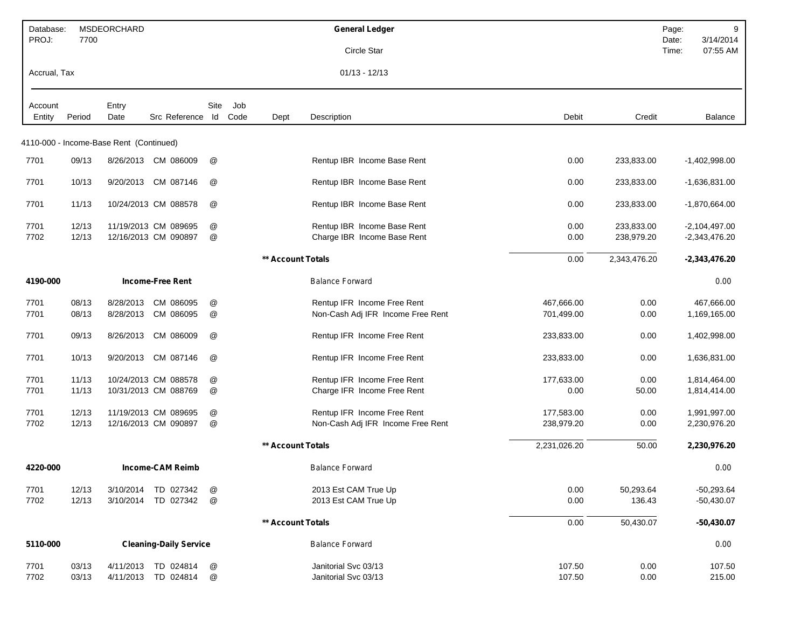| Database:         |        | MSDEORCHARD                             |                               |                           |             |                          | <b>General Ledger</b>             |              |              | Page:<br>9                              |
|-------------------|--------|-----------------------------------------|-------------------------------|---------------------------|-------------|--------------------------|-----------------------------------|--------------|--------------|-----------------------------------------|
| PROJ:             | 7700   |                                         |                               |                           |             |                          | Circle Star                       |              |              | 3/14/2014<br>Date:<br>Time:<br>07:55 AM |
| Accrual, Tax      |        |                                         |                               |                           |             |                          | $01/13 - 12/13$                   |              |              |                                         |
|                   |        |                                         |                               |                           |             |                          |                                   |              |              |                                         |
| Account<br>Entity | Period | Entry<br>Date                           | Src Reference Id              | Site                      | Job<br>Code | Dept                     | Description                       | Debit        | Credit       | Balance                                 |
|                   |        |                                         |                               |                           |             |                          |                                   |              |              |                                         |
|                   |        | 4110-000 - Income-Base Rent (Continued) |                               |                           |             |                          |                                   |              |              |                                         |
| 7701              | 09/13  |                                         | 8/26/2013 CM 086009           | @                         |             |                          | Rentup IBR Income Base Rent       | 0.00         | 233,833.00   | $-1,402,998.00$                         |
| 7701              | 10/13  | 9/20/2013                               | CM 087146                     | @                         |             |                          | Rentup IBR Income Base Rent       | 0.00         | 233,833.00   | $-1,636,831.00$                         |
| 7701              | 11/13  |                                         | 10/24/2013 CM 088578          | @                         |             |                          | Rentup IBR Income Base Rent       | 0.00         | 233,833.00   | $-1,870,664.00$                         |
| 7701              | 12/13  |                                         | 11/19/2013 CM 089695          | @                         |             |                          | Rentup IBR Income Base Rent       | 0.00         | 233,833.00   | $-2,104,497.00$                         |
| 7702              | 12/13  |                                         | 12/16/2013 CM 090897          | @                         |             |                          | Charge IBR Income Base Rent       | 0.00         | 238,979.20   | $-2,343,476.20$                         |
|                   |        |                                         |                               |                           |             | <b>** Account Totals</b> |                                   | 0.00         | 2,343,476.20 | $-2,343,476.20$                         |
| 4190-000          |        |                                         | <b>Income-Free Rent</b>       |                           |             |                          | <b>Balance Forward</b>            |              |              | 0.00                                    |
| 7701              | 08/13  | 8/28/2013                               | CM 086095                     | @                         |             |                          | Rentup IFR Income Free Rent       | 467,666.00   | 0.00         | 467,666.00                              |
| 7701              | 08/13  | 8/28/2013                               | CM 086095                     | @                         |             |                          | Non-Cash Adj IFR Income Free Rent | 701,499.00   | 0.00         | 1,169,165.00                            |
| 7701              | 09/13  | 8/26/2013                               | CM 086009                     | @                         |             |                          | Rentup IFR Income Free Rent       | 233,833.00   | 0.00         | 1,402,998.00                            |
| 7701              | 10/13  | 9/20/2013                               | CM 087146                     | @                         |             |                          | Rentup IFR Income Free Rent       | 233,833.00   | 0.00         | 1,636,831.00                            |
| 7701              | 11/13  |                                         | 10/24/2013 CM 088578          | @                         |             |                          | Rentup IFR Income Free Rent       | 177,633.00   | 0.00         | 1,814,464.00                            |
| 7701              | 11/13  |                                         | 10/31/2013 CM 088769          | @                         |             |                          | Charge IFR Income Free Rent       | 0.00         | 50.00        | 1,814,414.00                            |
| 7701              | 12/13  |                                         | 11/19/2013 CM 089695          | @                         |             |                          | Rentup IFR Income Free Rent       | 177,583.00   | 0.00         | 1,991,997.00                            |
| 7702              | 12/13  |                                         | 12/16/2013 CM 090897          | @                         |             |                          | Non-Cash Adj IFR Income Free Rent | 238,979.20   | 0.00         | 2,230,976.20                            |
|                   |        |                                         |                               |                           |             | ** Account Totals        |                                   | 2,231,026.20 | 50.00        | 2,230,976.20                            |
| 4220-000          |        |                                         | <b>Income-CAM Reimb</b>       |                           |             |                          | <b>Balance Forward</b>            |              |              | 0.00                                    |
| 7701              | 12/13  | 3/10/2014                               | TD 027342                     | @                         |             |                          | 2013 Est CAM True Up              | 0.00         | 50,293.64    | $-50,293.64$                            |
| 7702              | 12/13  | 3/10/2014                               | TD 027342                     | @                         |             |                          | 2013 Est CAM True Up              | 0.00         | 136.43       | $-50,430.07$                            |
|                   |        |                                         |                               |                           |             | <b>** Account Totals</b> |                                   | 0.00         | 50,430.07    | $-50,430.07$                            |
| 5110-000          |        |                                         | <b>Cleaning-Daily Service</b> |                           |             |                          | <b>Balance Forward</b>            |              |              | 0.00                                    |
| 7701              | 03/13  |                                         | 4/11/2013 TD 024814           | $^\copyright$             |             |                          | Janitorial Svc 03/13              | 107.50       | 0.00         | 107.50                                  |
| 7702              | 03/13  |                                         | 4/11/2013 TD 024814           | $^\text{\textregistered}$ |             |                          | Janitorial Svc 03/13              | 107.50       | 0.00         | 215.00                                  |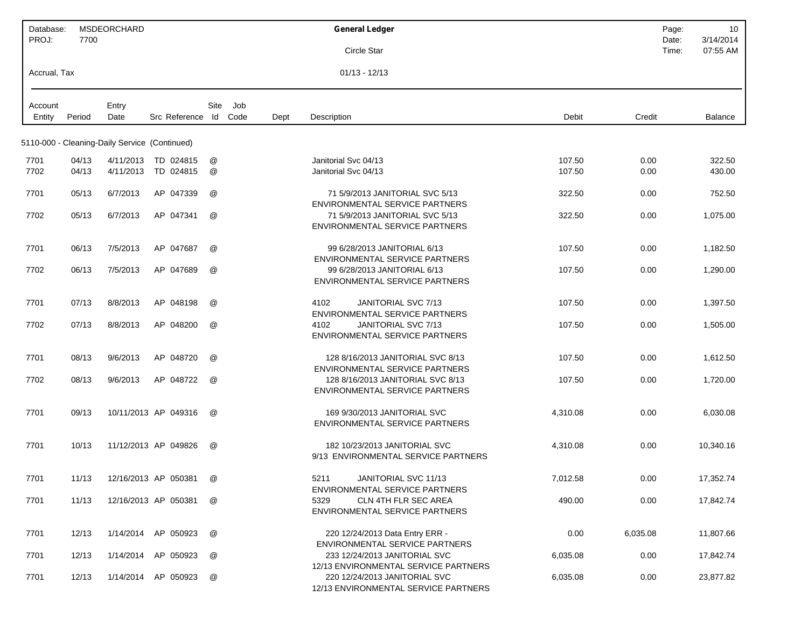| Database:<br>PROJ: | 7700   | MSDEORCHARD                                   |                      |      |             |      | <b>General Ledger</b>                                                                 | Page:<br>Date: | 10<br>3/14/2014 |
|--------------------|--------|-----------------------------------------------|----------------------|------|-------------|------|---------------------------------------------------------------------------------------|----------------|-----------------|
|                    |        |                                               |                      |      |             |      | Circle Star                                                                           | Time:          | 07:55 AM        |
| Accrual, Tax       |        |                                               |                      |      |             |      | $01/13 - 12/13$                                                                       |                |                 |
| Account<br>Entity  | Period | Entry<br>Date                                 | Src Reference Id     | Site | Job<br>Code | Dept | Debit<br>Description                                                                  | Credit         | <b>Balance</b>  |
|                    |        | 5110-000 - Cleaning-Daily Service (Continued) |                      |      |             |      |                                                                                       |                |                 |
| 7701               | 04/13  |                                               | 4/11/2013 TD 024815  | @    |             |      | Janitorial Svc 04/13<br>107.50                                                        | 0.00           | 322.50          |
| 7702               | 04/13  | 4/11/2013                                     | TD 024815            | @    |             |      | Janitorial Svc 04/13<br>107.50                                                        | 0.00           | 430.00          |
| 7701               | 05/13  | 6/7/2013                                      | AP 047339            | @    |             |      | 71 5/9/2013 JANITORIAL SVC 5/13<br>322.50<br>ENVIRONMENTAL SERVICE PARTNERS           | 0.00           | 752.50          |
| 7702               | 05/13  | 6/7/2013                                      | AP 047341            | @    |             |      | 71 5/9/2013 JANITORIAL SVC 5/13<br>322.50<br>ENVIRONMENTAL SERVICE PARTNERS           | 0.00           | 1,075.00        |
| 7701               | 06/13  | 7/5/2013                                      | AP 047687            | @    |             |      | 99 6/28/2013 JANITORIAL 6/13<br>107.50<br><b>ENVIRONMENTAL SERVICE PARTNERS</b>       | 0.00           | 1,182.50        |
| 7702               | 06/13  | 7/5/2013                                      | AP 047689            | @    |             |      | 99 6/28/2013 JANITORIAL 6/13<br>107.50<br>ENVIRONMENTAL SERVICE PARTNERS              | 0.00           | 1,290.00        |
| 7701               | 07/13  | 8/8/2013                                      | AP 048198            | @    |             |      | JANITORIAL SVC 7/13<br>107.50<br>4102<br>ENVIRONMENTAL SERVICE PARTNERS               | 0.00           | 1,397.50        |
| 7702               | 07/13  | 8/8/2013                                      | AP 048200            | @    |             |      | 4102<br>JANITORIAL SVC 7/13<br>107.50<br><b>ENVIRONMENTAL SERVICE PARTNERS</b>        | 0.00           | 1,505.00        |
| 7701               | 08/13  | 9/6/2013                                      | AP 048720            | @    |             |      | 128 8/16/2013 JANITORIAL SVC 8/13<br>107.50<br><b>ENVIRONMENTAL SERVICE PARTNERS</b>  | 0.00           | 1,612.50        |
| 7702               | 08/13  | 9/6/2013                                      | AP 048722            | @    |             |      | 128 8/16/2013 JANITORIAL SVC 8/13<br>107.50<br><b>ENVIRONMENTAL SERVICE PARTNERS</b>  | 0.00           | 1,720.00        |
| 7701               | 09/13  |                                               | 10/11/2013 AP 049316 | @    |             |      | 169 9/30/2013 JANITORIAL SVC<br>4,310.08<br><b>ENVIRONMENTAL SERVICE PARTNERS</b>     | 0.00           | 6,030.08        |
| 7701               | 10/13  |                                               | 11/12/2013 AP 049826 | @    |             |      | 182 10/23/2013 JANITORIAL SVC<br>4,310.08<br>9/13 ENVIRONMENTAL SERVICE PARTNERS      | 0.00           | 10,340.16       |
| 7701               | 11/13  |                                               | 12/16/2013 AP 050381 |      |             |      | JANITORIAL SVC 11/13<br>7,012.58<br>5211<br>ENVIRONMENTAL SERVICE PARTNERS            | 0.00           | 17,352.74       |
| 7701               | 11/13  |                                               | 12/16/2013 AP 050381 | @    |             |      | 5329<br><b>CLN 4TH FLR SEC AREA</b><br>490.00<br>ENVIRONMENTAL SERVICE PARTNERS       | 0.00           | 17,842.74       |
| 7701               | 12/13  |                                               | 1/14/2014 AP 050923  | @    |             |      | 220 12/24/2013 Data Entry ERR -<br>0.00<br>6,035.08<br>ENVIRONMENTAL SERVICE PARTNERS |                | 11,807.66       |
| 7701               | 12/13  |                                               | 1/14/2014 AP 050923  | @    |             |      | 233 12/24/2013 JANITORIAL SVC<br>6,035.08<br>12/13 ENVIRONMENTAL SERVICE PARTNERS     | 0.00           | 17,842.74       |
| 7701               | 12/13  |                                               | 1/14/2014 AP 050923  | @    |             |      | 220 12/24/2013 JANITORIAL SVC<br>6,035.08<br>12/13 ENVIRONMENTAL SERVICE PARTNERS     | 0.00           | 23,877.82       |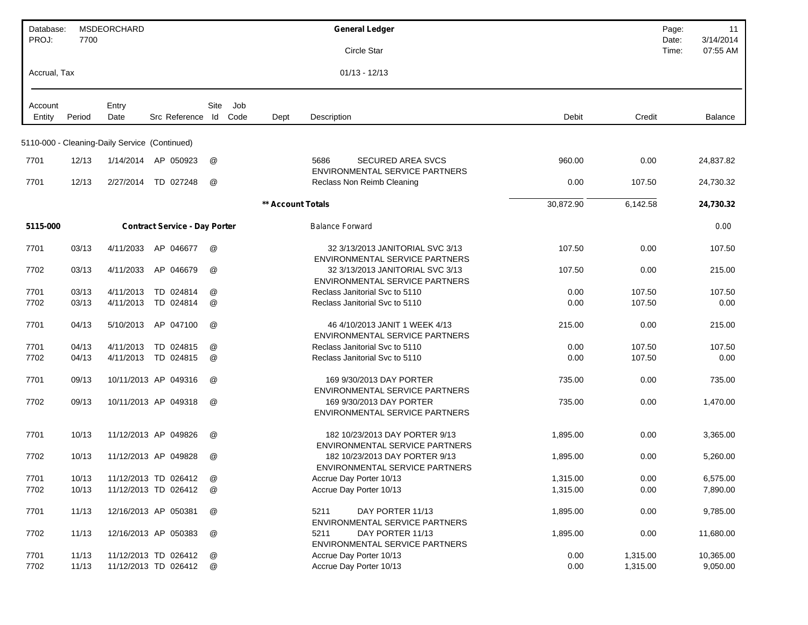| Database:<br>PROJ: | 7700   | <b>MSDEORCHARD</b>                            |                                      |                      |             |                   | <b>General Ledger</b>                                                                               |           |          | Page:<br>Date: | 11<br>3/14/2014 |
|--------------------|--------|-----------------------------------------------|--------------------------------------|----------------------|-------------|-------------------|-----------------------------------------------------------------------------------------------------|-----------|----------|----------------|-----------------|
|                    |        |                                               |                                      |                      |             |                   | Circle Star                                                                                         |           |          | Time:          | 07:55 AM        |
| Accrual, Tax       |        |                                               |                                      |                      |             |                   | $01/13 - 12/13$                                                                                     |           |          |                |                 |
| Account<br>Entity  | Period | Entry<br>Date                                 | Src Reference Id                     | Site                 | Job<br>Code | Dept              | Description                                                                                         | Debit     | Credit   |                | Balance         |
|                    |        |                                               |                                      |                      |             |                   |                                                                                                     |           |          |                |                 |
|                    |        | 5110-000 - Cleaning-Daily Service (Continued) |                                      |                      |             |                   |                                                                                                     |           |          |                |                 |
| 7701               | 12/13  | 1/14/2014                                     | AP 050923                            | @                    |             |                   | <b>SECURED AREA SVCS</b><br>5686<br><b>ENVIRONMENTAL SERVICE PARTNERS</b>                           | 960.00    | 0.00     |                | 24,837.82       |
| 7701               | 12/13  | 2/27/2014                                     | TD 027248                            | @                    |             |                   | Reclass Non Reimb Cleaning                                                                          | 0.00      | 107.50   |                | 24,730.32       |
|                    |        |                                               |                                      |                      |             | ** Account Totals |                                                                                                     | 30,872.90 | 6,142.58 |                | 24,730.32       |
| 5115-000           |        |                                               | <b>Contract Service - Day Porter</b> |                      |             |                   | <b>Balance Forward</b>                                                                              |           |          |                | 0.00            |
| 7701               | 03/13  | 4/11/2033                                     | AP 046677                            | $^{\textregistered}$ |             |                   | 32 3/13/2013 JANITORIAL SVC 3/13<br><b>ENVIRONMENTAL SERVICE PARTNERS</b>                           | 107.50    | 0.00     |                | 107.50          |
| 7702               | 03/13  | 4/11/2033                                     | AP 046679                            | @                    |             |                   | 32 3/13/2013 JANITORIAL SVC 3/13<br>ENVIRONMENTAL SERVICE PARTNERS                                  | 107.50    | 0.00     |                | 215.00          |
| 7701               | 03/13  | 4/11/2013                                     | TD 024814                            | @                    |             |                   | Reclass Janitorial Svc to 5110                                                                      | 0.00      | 107.50   |                | 107.50          |
| 7702               | 03/13  | 4/11/2013                                     | TD 024814                            | @                    |             |                   | Reclass Janitorial Svc to 5110                                                                      | 0.00      | 107.50   |                | 0.00            |
| 7701               | 04/13  | 5/10/2013                                     | AP 047100                            | @                    |             |                   | 46 4/10/2013 JANIT 1 WEEK 4/13<br><b>ENVIRONMENTAL SERVICE PARTNERS</b>                             | 215.00    | 0.00     |                | 215.00          |
| 7701               | 04/13  | 4/11/2013                                     | TD 024815                            | @                    |             |                   | Reclass Janitorial Svc to 5110                                                                      | 0.00      | 107.50   |                | 107.50          |
| 7702               | 04/13  | 4/11/2013                                     | TD 024815                            | @                    |             |                   | Reclass Janitorial Svc to 5110                                                                      | 0.00      | 107.50   |                | 0.00            |
| 7701               | 09/13  |                                               | 10/11/2013 AP 049316                 | @                    |             |                   | 169 9/30/2013 DAY PORTER                                                                            | 735.00    | 0.00     |                | 735.00          |
| 7702               | 09/13  |                                               | 10/11/2013 AP 049318                 | $^{\textregistered}$ |             |                   | <b>ENVIRONMENTAL SERVICE PARTNERS</b><br>169 9/30/2013 DAY PORTER<br>ENVIRONMENTAL SERVICE PARTNERS | 735.00    | 0.00     |                | 1,470.00        |
| 7701               | 10/13  |                                               | 11/12/2013 AP 049826                 | @                    |             |                   | 182 10/23/2013 DAY PORTER 9/13<br><b>ENVIRONMENTAL SERVICE PARTNERS</b>                             | 1,895.00  | 0.00     |                | 3,365.00        |
| 7702               | 10/13  |                                               | 11/12/2013 AP 049828                 | $^{\textregistered}$ |             |                   | 182 10/23/2013 DAY PORTER 9/13<br><b>ENVIRONMENTAL SERVICE PARTNERS</b>                             | 1,895.00  | 0.00     |                | 5,260.00        |
| 7701               | 10/13  |                                               | 11/12/2013 TD 026412                 | @                    |             |                   | Accrue Day Porter 10/13                                                                             | 1,315.00  | 0.00     |                | 6,575.00        |
| 7702               | 10/13  |                                               | 11/12/2013 TD 026412                 | @                    |             |                   | Accrue Day Porter 10/13                                                                             | 1,315.00  | 0.00     |                | 7,890.00        |
| 7701               | 11/13  |                                               | 12/16/2013 AP 050381                 | @                    |             |                   | 5211<br>DAY PORTER 11/13<br>ENVIRONMENTAL SERVICE PARTNERS                                          | 1,895.00  | 0.00     |                | 9,785.00        |
| 7702               | 11/13  |                                               | 12/16/2013 AP 050383                 | @                    |             |                   | 5211<br>DAY PORTER 11/13<br>ENVIRONMENTAL SERVICE PARTNERS                                          | 1,895.00  | 0.00     |                | 11,680.00       |
| 7701               | 11/13  |                                               | 11/12/2013 TD 026412                 | @                    |             |                   | Accrue Day Porter 10/13                                                                             | 0.00      | 1,315.00 |                | 10,365.00       |
| 7702               | 11/13  |                                               | 11/12/2013 TD 026412                 | @                    |             |                   | Accrue Day Porter 10/13                                                                             | 0.00      | 1,315.00 |                | 9,050.00        |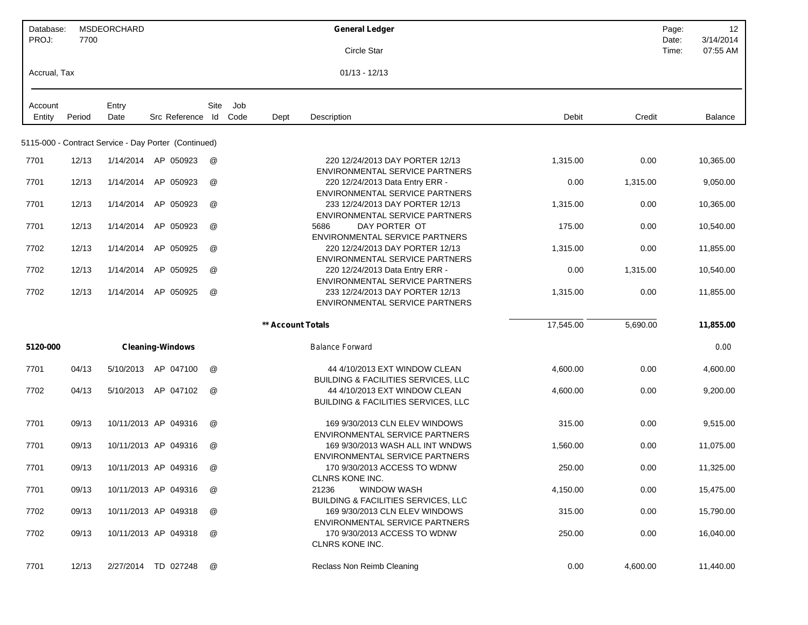| Database:<br>PROJ: | 7700   | MSDEORCHARD |                                                      |      |      |                   | <b>General Ledger</b>                                                           |           |          | 12<br>Page:<br>3/14/2014<br>Date: |
|--------------------|--------|-------------|------------------------------------------------------|------|------|-------------------|---------------------------------------------------------------------------------|-----------|----------|-----------------------------------|
|                    |        |             |                                                      |      |      |                   | Circle Star                                                                     |           |          | 07:55 AM<br>Time:                 |
| Accrual, Tax       |        |             |                                                      |      |      |                   | $01/13 - 12/13$                                                                 |           |          |                                   |
| Account            |        | Entry       |                                                      | Site | Job  |                   |                                                                                 |           |          |                                   |
| Entity             | Period | Date        | Src Reference Id                                     |      | Code | Dept              | Description                                                                     | Debit     | Credit   | Balance                           |
|                    |        |             | 5115-000 - Contract Service - Day Porter (Continued) |      |      |                   |                                                                                 |           |          |                                   |
| 7701               | 12/13  |             | 1/14/2014 AP 050923                                  | @    |      |                   | 220 12/24/2013 DAY PORTER 12/13<br>ENVIRONMENTAL SERVICE PARTNERS               | 1,315.00  | 0.00     | 10,365.00                         |
| 7701               | 12/13  | 1/14/2014   | AP 050923                                            | @    |      |                   | 220 12/24/2013 Data Entry ERR -<br><b>ENVIRONMENTAL SERVICE PARTNERS</b>        | 0.00      | 1,315.00 | 9,050.00                          |
| 7701               | 12/13  | 1/14/2014   | AP 050923                                            | @    |      |                   | 233 12/24/2013 DAY PORTER 12/13<br><b>ENVIRONMENTAL SERVICE PARTNERS</b>        | 1,315.00  | 0.00     | 10,365.00                         |
| 7701               | 12/13  | 1/14/2014   | AP 050923                                            | @    |      |                   | DAY PORTER OT<br>5686<br><b>ENVIRONMENTAL SERVICE PARTNERS</b>                  | 175.00    | 0.00     | 10,540.00                         |
| 7702               | 12/13  | 1/14/2014   | AP 050925                                            | @    |      |                   | 220 12/24/2013 DAY PORTER 12/13<br><b>ENVIRONMENTAL SERVICE PARTNERS</b>        | 1,315.00  | 0.00     | 11,855.00                         |
| 7702               | 12/13  | 1/14/2014   | AP 050925                                            | @    |      |                   | 220 12/24/2013 Data Entry ERR -<br><b>ENVIRONMENTAL SERVICE PARTNERS</b>        | 0.00      | 1,315.00 | 10,540.00                         |
| 7702               | 12/13  | 1/14/2014   | AP 050925                                            | @    |      |                   | 233 12/24/2013 DAY PORTER 12/13<br>ENVIRONMENTAL SERVICE PARTNERS               | 1,315.00  | 0.00     | 11,855.00                         |
|                    |        |             |                                                      |      |      | ** Account Totals |                                                                                 | 17,545.00 | 5,690.00 | 11,855.00                         |
| 5120-000           |        |             | <b>Cleaning-Windows</b>                              |      |      |                   | <b>Balance Forward</b>                                                          |           |          | 0.00                              |
| 7701               | 04/13  | 5/10/2013   | AP 047100                                            | @    |      |                   | 44 4/10/2013 EXT WINDOW CLEAN<br><b>BUILDING &amp; FACILITIES SERVICES, LLC</b> | 4,600.00  | 0.00     | 4,600.00                          |
| 7702               | 04/13  | 5/10/2013   | AP 047102                                            | @    |      |                   | 44 4/10/2013 EXT WINDOW CLEAN<br><b>BUILDING &amp; FACILITIES SERVICES, LLC</b> | 4,600.00  | 0.00     | 9,200.00                          |
| 7701               | 09/13  |             | 10/11/2013 AP 049316                                 | @    |      |                   | 169 9/30/2013 CLN ELEV WINDOWS<br><b>ENVIRONMENTAL SERVICE PARTNERS</b>         | 315.00    | 0.00     | 9,515.00                          |
| 7701               | 09/13  |             | 10/11/2013 AP 049316                                 | @    |      |                   | 169 9/30/2013 WASH ALL INT WNDWS<br><b>ENVIRONMENTAL SERVICE PARTNERS</b>       | 1,560.00  | 0.00     | 11,075.00                         |
| 7701               | 09/13  |             | 10/11/2013 AP 049316                                 | @    |      |                   | 170 9/30/2013 ACCESS TO WDNW<br>CLNRS KONE INC.                                 | 250.00    | 0.00     | 11,325.00                         |
| 7701               | 09/13  |             | 10/11/2013 AP 049316                                 | @    |      |                   | 21236<br><b>WINDOW WASH</b><br><b>BUILDING &amp; FACILITIES SERVICES, LLC</b>   | 4,150.00  | 0.00     | 15,475.00                         |
| 7702               | 09/13  |             | 10/11/2013 AP 049318                                 | @    |      |                   | 169 9/30/2013 CLN ELEV WINDOWS<br>ENVIRONMENTAL SERVICE PARTNERS                | 315.00    | 0.00     | 15,790.00                         |
| 7702               | 09/13  |             | 10/11/2013 AP 049318                                 | @    |      |                   | 170 9/30/2013 ACCESS TO WDNW<br><b>CLNRS KONE INC.</b>                          | 250.00    | 0.00     | 16,040.00                         |
| 7701               | 12/13  |             | 2/27/2014 TD 027248                                  | @    |      |                   | Reclass Non Reimb Cleaning                                                      | 0.00      | 4,600.00 | 11,440.00                         |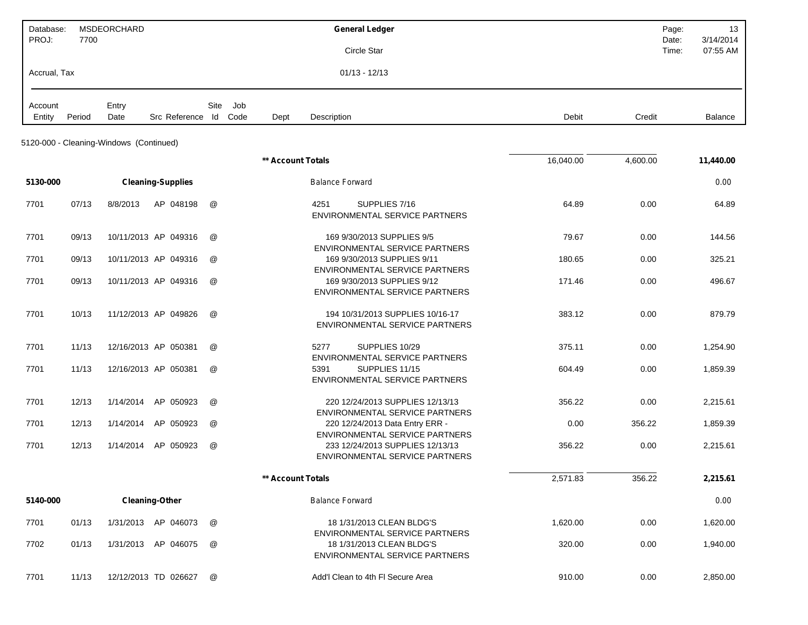| Database:<br>PROJ: | 7700   | MSDEORCHARD                             |                          |      |     |                   |                        | <b>General Ledger</b><br>Circle Star                                                                               |           |          | Page:<br>Date:<br>Time: | 13<br>3/14/2014<br>07:55 AM |
|--------------------|--------|-----------------------------------------|--------------------------|------|-----|-------------------|------------------------|--------------------------------------------------------------------------------------------------------------------|-----------|----------|-------------------------|-----------------------------|
| Accrual, Tax       |        |                                         |                          |      |     |                   |                        | $01/13 - 12/13$                                                                                                    |           |          |                         |                             |
| Account<br>Entity  | Period | Entry<br>Date                           | Src Reference Id Code    | Site | Job | Dept              | Description            |                                                                                                                    | Debit     | Credit   |                         | Balance                     |
|                    |        | 5120-000 - Cleaning-Windows (Continued) |                          |      |     |                   |                        |                                                                                                                    |           |          |                         |                             |
|                    |        |                                         |                          |      |     | ** Account Totals |                        |                                                                                                                    | 16,040.00 | 4,600.00 |                         | 11,440.00                   |
| 5130-000           |        |                                         | <b>Cleaning-Supplies</b> |      |     |                   | <b>Balance Forward</b> |                                                                                                                    |           |          |                         | 0.00                        |
| 7701               | 07/13  | 8/8/2013                                | AP 048198                | @    |     |                   | 4251                   | SUPPLIES 7/16<br><b>ENVIRONMENTAL SERVICE PARTNERS</b>                                                             | 64.89     | 0.00     |                         | 64.89                       |
| 7701               | 09/13  |                                         | 10/11/2013 AP 049316     | @    |     |                   |                        | 169 9/30/2013 SUPPLIES 9/5<br>ENVIRONMENTAL SERVICE PARTNERS                                                       | 79.67     | 0.00     |                         | 144.56                      |
| 7701               | 09/13  |                                         | 10/11/2013 AP 049316     | @    |     |                   |                        | 169 9/30/2013 SUPPLIES 9/11                                                                                        | 180.65    | 0.00     |                         | 325.21                      |
| 7701               | 09/13  |                                         | 10/11/2013 AP 049316     | @    |     |                   |                        | ENVIRONMENTAL SERVICE PARTNERS<br>169 9/30/2013 SUPPLIES 9/12<br>ENVIRONMENTAL SERVICE PARTNERS                    | 171.46    | 0.00     |                         | 496.67                      |
| 7701               | 10/13  |                                         | 11/12/2013 AP 049826     | @    |     |                   |                        | 194 10/31/2013 SUPPLIES 10/16-17<br><b>ENVIRONMENTAL SERVICE PARTNERS</b>                                          | 383.12    | 0.00     |                         | 879.79                      |
| 7701               | 11/13  |                                         | 12/16/2013 AP 050381     | @    |     |                   | 5277                   | SUPPLIES 10/29<br>ENVIRONMENTAL SERVICE PARTNERS                                                                   | 375.11    | 0.00     |                         | 1,254.90                    |
| 7701               | 11/13  |                                         | 12/16/2013 AP 050381     | @    |     |                   | 5391                   | SUPPLIES 11/15<br>ENVIRONMENTAL SERVICE PARTNERS                                                                   | 604.49    | 0.00     |                         | 1,859.39                    |
| 7701               | 12/13  | 1/14/2014                               | AP 050923                | @    |     |                   |                        | 220 12/24/2013 SUPPLIES 12/13/13<br>ENVIRONMENTAL SERVICE PARTNERS                                                 | 356.22    | 0.00     |                         | 2,215.61                    |
| 7701               | 12/13  | 1/14/2014                               | AP 050923                | @    |     |                   |                        | 220 12/24/2013 Data Entry ERR -                                                                                    | 0.00      | 356.22   |                         | 1,859.39                    |
| 7701               | 12/13  |                                         | 1/14/2014 AP 050923      | @    |     |                   |                        | <b>ENVIRONMENTAL SERVICE PARTNERS</b><br>233 12/24/2013 SUPPLIES 12/13/13<br><b>ENVIRONMENTAL SERVICE PARTNERS</b> | 356.22    | 0.00     |                         | 2,215.61                    |
|                    |        |                                         |                          |      |     | ** Account Totals |                        |                                                                                                                    | 2,571.83  | 356.22   |                         | 2,215.61                    |
| 5140-000           |        |                                         | <b>Cleaning-Other</b>    |      |     |                   | <b>Balance Forward</b> |                                                                                                                    |           |          |                         | 0.00                        |
| 7701               | 01/13  |                                         | 1/31/2013 AP 046073      | @    |     |                   |                        | 18 1/31/2013 CLEAN BLDG'S<br><b>ENVIRONMENTAL SERVICE PARTNERS</b>                                                 | 1,620.00  | 0.00     |                         | 1,620.00                    |
| 7702               | 01/13  |                                         | 1/31/2013 AP 046075      | @    |     |                   |                        | 18 1/31/2013 CLEAN BLDG'S<br>ENVIRONMENTAL SERVICE PARTNERS                                                        | 320.00    | 0.00     |                         | 1,940.00                    |
| 7701               | 11/13  |                                         | 12/12/2013 TD 026627     | @    |     |                   |                        | Add'l Clean to 4th FI Secure Area                                                                                  | 910.00    | 0.00     |                         | 2,850.00                    |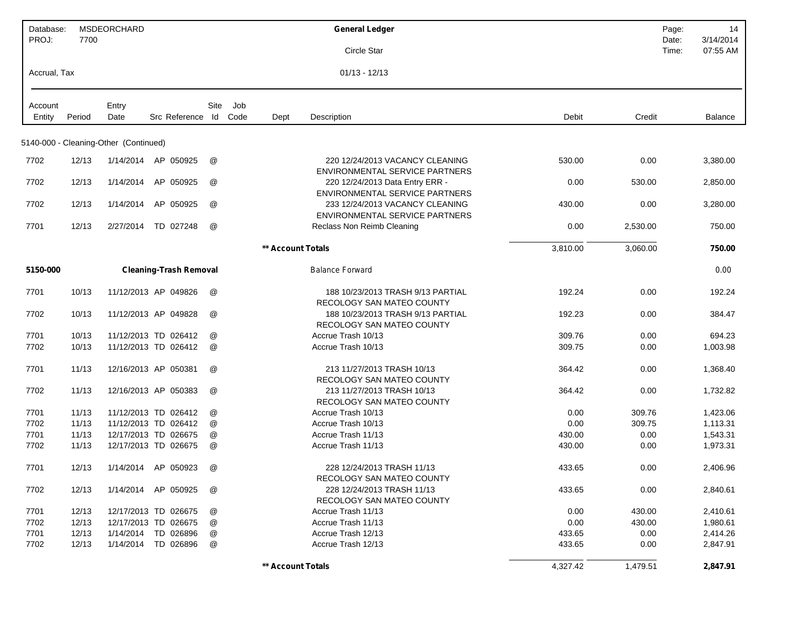| Database:    |        | MSDEORCHARD                           |                               |      |      |                          | <b>General Ledger</b>                                                    |          |          | Page:          | 14                    |
|--------------|--------|---------------------------------------|-------------------------------|------|------|--------------------------|--------------------------------------------------------------------------|----------|----------|----------------|-----------------------|
| PROJ:        | 7700   |                                       |                               |      |      |                          | Circle Star                                                              |          |          | Date:<br>Time: | 3/14/2014<br>07:55 AM |
| Accrual, Tax |        |                                       |                               |      |      |                          | $01/13 - 12/13$                                                          |          |          |                |                       |
| Account      |        | Entry                                 |                               | Site | Job  |                          |                                                                          |          |          |                |                       |
| Entity       | Period | Date                                  | Src Reference Id              |      | Code | Dept                     | Description                                                              | Debit    | Credit   |                | Balance               |
|              |        | 5140-000 - Cleaning-Other (Continued) |                               |      |      |                          |                                                                          |          |          |                |                       |
| 7702         | 12/13  | 1/14/2014                             | AP 050925                     | @    |      |                          | 220 12/24/2013 VACANCY CLEANING<br><b>ENVIRONMENTAL SERVICE PARTNERS</b> | 530.00   | 0.00     |                | 3,380.00              |
| 7702         | 12/13  | 1/14/2014                             | AP 050925                     | @    |      |                          | 220 12/24/2013 Data Entry ERR -<br><b>ENVIRONMENTAL SERVICE PARTNERS</b> | 0.00     | 530.00   |                | 2,850.00              |
| 7702         | 12/13  | 1/14/2014                             | AP 050925                     | @    |      |                          | 233 12/24/2013 VACANCY CLEANING<br><b>ENVIRONMENTAL SERVICE PARTNERS</b> | 430.00   | 0.00     |                | 3,280.00              |
| 7701         | 12/13  | 2/27/2014                             | TD 027248                     | @    |      |                          | Reclass Non Reimb Cleaning                                               | 0.00     | 2,530.00 |                | 750.00                |
|              |        |                                       |                               |      |      | <b>** Account Totals</b> |                                                                          | 3,810.00 | 3,060.00 |                | 750.00                |
| 5150-000     |        |                                       | <b>Cleaning-Trash Removal</b> |      |      |                          | <b>Balance Forward</b>                                                   |          |          |                | 0.00                  |
| 7701         | 10/13  |                                       | 11/12/2013 AP 049826          | @    |      |                          | 188 10/23/2013 TRASH 9/13 PARTIAL<br>RECOLOGY SAN MATEO COUNTY           | 192.24   | 0.00     |                | 192.24                |
| 7702         | 10/13  |                                       | 11/12/2013 AP 049828          | @    |      |                          | 188 10/23/2013 TRASH 9/13 PARTIAL<br>RECOLOGY SAN MATEO COUNTY           | 192.23   | 0.00     |                | 384.47                |
| 7701         | 10/13  |                                       | 11/12/2013 TD 026412          | @    |      |                          | Accrue Trash 10/13                                                       | 309.76   | 0.00     |                | 694.23                |
| 7702         | 10/13  |                                       | 11/12/2013 TD 026412          | @    |      |                          | Accrue Trash 10/13                                                       | 309.75   | 0.00     |                | 1,003.98              |
| 7701         | 11/13  |                                       | 12/16/2013 AP 050381          | @    |      |                          | 213 11/27/2013 TRASH 10/13<br>RECOLOGY SAN MATEO COUNTY                  | 364.42   | 0.00     |                | 1,368.40              |
| 7702         | 11/13  |                                       | 12/16/2013 AP 050383          | @    |      |                          | 213 11/27/2013 TRASH 10/13<br>RECOLOGY SAN MATEO COUNTY                  | 364.42   | 0.00     |                | 1,732.82              |
| 7701         | 11/13  |                                       | 11/12/2013 TD 026412          | @    |      |                          | Accrue Trash 10/13                                                       | 0.00     | 309.76   |                | 1,423.06              |
| 7702         | 11/13  |                                       | 11/12/2013 TD 026412          | @    |      |                          | Accrue Trash 10/13                                                       | 0.00     | 309.75   |                | 1,113.31              |
| 7701         | 11/13  |                                       | 12/17/2013 TD 026675          | @    |      |                          | Accrue Trash 11/13                                                       | 430.00   | 0.00     |                | 1,543.31              |
| 7702         | 11/13  |                                       | 12/17/2013 TD 026675          | @    |      |                          | Accrue Trash 11/13                                                       | 430.00   | 0.00     |                | 1,973.31              |
| 7701         | 12/13  | 1/14/2014                             | AP 050923                     | @    |      |                          | 228 12/24/2013 TRASH 11/13<br>RECOLOGY SAN MATEO COUNTY                  | 433.65   | 0.00     |                | 2,406.96              |
| 7702         | 12/13  |                                       | 1/14/2014 AP 050925           | @    |      |                          | 228 12/24/2013 TRASH 11/13<br>RECOLOGY SAN MATEO COUNTY                  | 433.65   | 0.00     |                | 2,840.61              |
| 7701         | 12/13  |                                       | 12/17/2013 TD 026675          | @    |      |                          | Accrue Trash 11/13                                                       | 0.00     | 430.00   |                | 2,410.61              |
| 7702         | 12/13  |                                       | 12/17/2013 TD 026675          | @    |      |                          | Accrue Trash 11/13                                                       | 0.00     | 430.00   |                | 1,980.61              |
| 7701         | 12/13  | 1/14/2014                             | TD 026896                     | @    |      |                          | Accrue Trash 12/13                                                       | 433.65   | 0.00     |                | 2,414.26              |
| 7702         | 12/13  | 1/14/2014                             | TD 026896                     | @    |      |                          | Accrue Trash 12/13                                                       | 433.65   | 0.00     |                | 2,847.91              |
|              |        |                                       |                               |      |      | ** Account Totals        |                                                                          | 4,327.42 | 1,479.51 |                | 2,847.91              |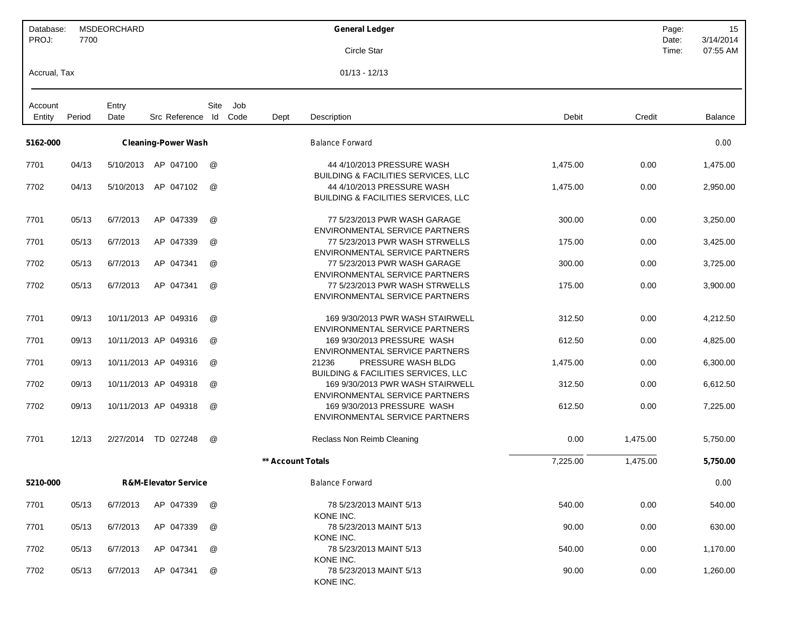| Database:<br>PROJ: | 7700   | MSDEORCHARD   |                                 |                 |             |                   | <b>General Ledger</b>                                                         |          |          | Page:<br>Date: | 15<br>3/14/2014 |
|--------------------|--------|---------------|---------------------------------|-----------------|-------------|-------------------|-------------------------------------------------------------------------------|----------|----------|----------------|-----------------|
|                    |        |               |                                 |                 |             |                   | Circle Star                                                                   |          |          | Time:          | 07:55 AM        |
| Accrual, Tax       |        |               |                                 |                 |             |                   | $01/13 - 12/13$                                                               |          |          |                |                 |
| Account<br>Entity  | Period | Entry<br>Date | Src Reference Id                | Site            | Job<br>Code | Dept              | Description                                                                   | Debit    | Credit   |                | <b>Balance</b>  |
|                    |        |               |                                 |                 |             |                   |                                                                               |          |          |                |                 |
| 5162-000           |        |               | <b>Cleaning-Power Wash</b>      |                 |             |                   | <b>Balance Forward</b>                                                        |          |          |                | 0.00            |
| 7701               | 04/13  | 5/10/2013     | AP 047100                       | @               |             |                   | 44 4/10/2013 PRESSURE WASH<br><b>BUILDING &amp; FACILITIES SERVICES, LLC</b>  | 1,475.00 | 0.00     |                | 1,475.00        |
| 7702               | 04/13  | 5/10/2013     | AP 047102                       | @               |             |                   | 44 4/10/2013 PRESSURE WASH<br><b>BUILDING &amp; FACILITIES SERVICES, LLC</b>  | 1,475.00 | 0.00     |                | 2,950.00        |
| 7701               | 05/13  | 6/7/2013      | AP 047339                       | @               |             |                   | 77 5/23/2013 PWR WASH GARAGE<br>ENVIRONMENTAL SERVICE PARTNERS                | 300.00   | 0.00     |                | 3,250.00        |
| 7701               | 05/13  | 6/7/2013      | AP 047339                       | $^{\copyright}$ |             |                   | 77 5/23/2013 PWR WASH STRWELLS<br>ENVIRONMENTAL SERVICE PARTNERS              | 175.00   | 0.00     |                | 3,425.00        |
| 7702               | 05/13  | 6/7/2013      | AP 047341                       | @               |             |                   | 77 5/23/2013 PWR WASH GARAGE<br>ENVIRONMENTAL SERVICE PARTNERS                | 300.00   | 0.00     |                | 3,725.00        |
| 7702               | 05/13  | 6/7/2013      | AP 047341                       | @               |             |                   | 77 5/23/2013 PWR WASH STRWELLS<br><b>ENVIRONMENTAL SERVICE PARTNERS</b>       | 175.00   | 0.00     |                | 3,900.00        |
| 7701               | 09/13  |               | 10/11/2013 AP 049316            | @               |             |                   | 169 9/30/2013 PWR WASH STAIRWELL<br>ENVIRONMENTAL SERVICE PARTNERS            | 312.50   | 0.00     |                | 4,212.50        |
| 7701               | 09/13  |               | 10/11/2013 AP 049316            | $^{\copyright}$ |             |                   | 169 9/30/2013 PRESSURE WASH<br>ENVIRONMENTAL SERVICE PARTNERS                 | 612.50   | 0.00     |                | 4,825.00        |
| 7701               | 09/13  |               | 10/11/2013 AP 049316            | @               |             |                   | 21236<br>PRESSURE WASH BLDG<br><b>BUILDING &amp; FACILITIES SERVICES, LLC</b> | 1,475.00 | 0.00     |                | 6,300.00        |
| 7702               | 09/13  |               | 10/11/2013 AP 049318            | @               |             |                   | 169 9/30/2013 PWR WASH STAIRWELL<br><b>ENVIRONMENTAL SERVICE PARTNERS</b>     | 312.50   | 0.00     |                | 6,612.50        |
| 7702               | 09/13  |               | 10/11/2013 AP 049318            | @               |             |                   | 169 9/30/2013 PRESSURE WASH<br>ENVIRONMENTAL SERVICE PARTNERS                 | 612.50   | 0.00     |                | 7,225.00        |
| 7701               | 12/13  | 2/27/2014     | TD 027248                       | @               |             |                   | Reclass Non Reimb Cleaning                                                    | 0.00     | 1,475.00 |                | 5,750.00        |
|                    |        |               |                                 |                 |             | ** Account Totals |                                                                               | 7,225.00 | 1,475.00 |                | 5,750.00        |
| 5210-000           |        |               | <b>R&amp;M-Elevator Service</b> |                 |             |                   | <b>Balance Forward</b>                                                        |          |          |                | 0.00            |
| 7701               | 05/13  | 6/7/2013      | AP 047339                       | @               |             |                   | 78 5/23/2013 MAINT 5/13<br>KONE INC.                                          | 540.00   | 0.00     |                | 540.00          |
| 7701               | 05/13  | 6/7/2013      | AP 047339                       | @               |             |                   | 78 5/23/2013 MAINT 5/13<br>KONE INC.                                          | 90.00    | 0.00     |                | 630.00          |
| 7702               | 05/13  | 6/7/2013      | AP 047341                       | @               |             |                   | 78 5/23/2013 MAINT 5/13<br>KONE INC.                                          | 540.00   | 0.00     |                | 1,170.00        |
| 7702               | 05/13  | 6/7/2013      | AP 047341                       | @               |             |                   | 78 5/23/2013 MAINT 5/13<br>KONE INC.                                          | 90.00    | 0.00     |                | 1,260.00        |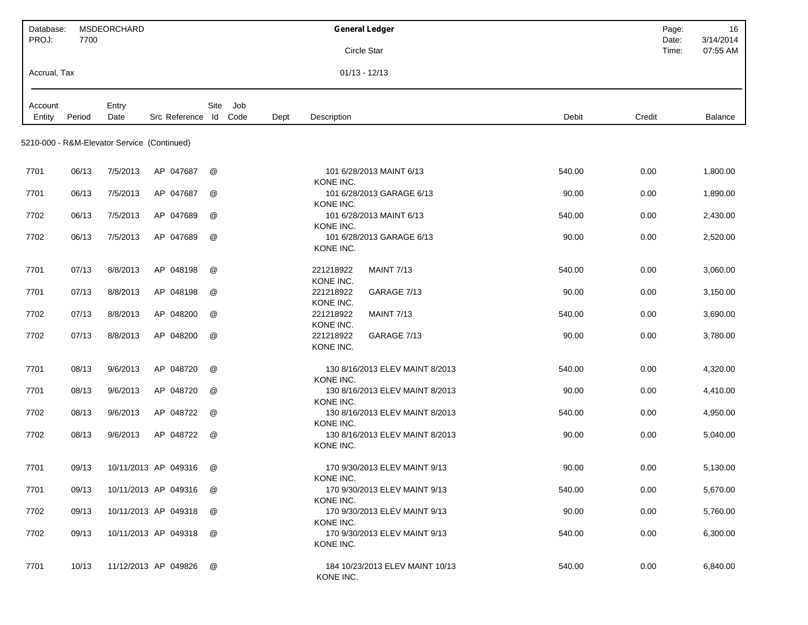| Database:<br>PROJ: | 7700   | MSDEORCHARD                                 |                       |             |      | <b>General Ledger</b><br>Circle Star                    |        | Page:<br>Date:<br>Time: | 16<br>3/14/2014<br>07:55 AM |
|--------------------|--------|---------------------------------------------|-----------------------|-------------|------|---------------------------------------------------------|--------|-------------------------|-----------------------------|
| Accrual, Tax       |        |                                             |                       |             |      | $01/13 - 12/13$                                         |        |                         |                             |
|                    |        |                                             |                       |             |      |                                                         |        |                         |                             |
| Account<br>Entity  | Period | Entry<br>Date                               | Src Reference Id Code | Site<br>Job | Dept | Description                                             | Debit  | Credit                  | <b>Balance</b>              |
|                    |        | 5210-000 - R&M-Elevator Service (Continued) |                       |             |      |                                                         |        |                         |                             |
| 7701               | 06/13  | 7/5/2013                                    | AP 047687             | @           |      | 101 6/28/2013 MAINT 6/13<br>KONE INC.                   | 540.00 | 0.00                    | 1,800.00                    |
| 7701               | 06/13  | 7/5/2013                                    | AP 047687             | @           |      | 101 6/28/2013 GARAGE 6/13<br>KONE INC.                  | 90.00  | 0.00                    | 1,890.00                    |
| 7702               | 06/13  | 7/5/2013                                    | AP 047689             | @           |      | 101 6/28/2013 MAINT 6/13<br>KONE INC.                   | 540.00 | 0.00                    | 2,430.00                    |
| 7702               | 06/13  | 7/5/2013                                    | AP 047689             | @           |      | 101 6/28/2013 GARAGE 6/13<br>KONE INC.                  | 90.00  | 0.00                    | 2,520.00                    |
| 7701               | 07/13  | 8/8/2013                                    | AP 048198             | @           |      | 221218922<br><b>MAINT 7/13</b><br>KONE INC.             | 540.00 | 0.00                    | 3,060.00                    |
| 7701               | 07/13  | 8/8/2013                                    | AP 048198             | @           |      | 221218922<br>GARAGE 7/13<br>KONE INC.                   | 90.00  | 0.00                    | 3,150.00                    |
| 7702               | 07/13  | 8/8/2013                                    | AP 048200             | @           |      | 221218922<br><b>MAINT 7/13</b><br>KONE INC.             | 540.00 | 0.00                    | 3,690.00                    |
| 7702               | 07/13  | 8/8/2013                                    | AP 048200             | @           |      | 221218922<br>GARAGE 7/13<br>KONE INC.                   | 90.00  | 0.00                    | 3,780.00                    |
| 7701               | 08/13  | 9/6/2013                                    | AP 048720             | @           |      | 130 8/16/2013 ELEV MAINT 8/2013<br>KONE INC.            | 540.00 | 0.00                    | 4,320.00                    |
| 7701               | 08/13  | 9/6/2013                                    | AP 048720             | @           |      | 130 8/16/2013 ELEV MAINT 8/2013<br>KONE INC.            | 90.00  | 0.00                    | 4,410.00                    |
| 7702               | 08/13  | 9/6/2013                                    | AP 048722             | @           |      | 130 8/16/2013 ELEV MAINT 8/2013<br>KONE INC.            | 540.00 | 0.00                    | 4,950.00                    |
| 7702               | 08/13  | 9/6/2013                                    | AP 048722             | @           |      | 130 8/16/2013 ELEV MAINT 8/2013<br>KONE INC.            | 90.00  | 0.00                    | 5,040.00                    |
| 7701               | 09/13  |                                             | 10/11/2013 AP 049316  | @           |      | 170 9/30/2013 ELEV MAINT 9/13                           | 90.00  | 0.00                    | 5,130.00                    |
| 7701               | 09/13  |                                             | 10/11/2013 AP 049316  | @           |      | KONE INC.<br>170 9/30/2013 ELEV MAINT 9/13              | 540.00 | 0.00                    | 5,670.00                    |
| 7702               | 09/13  |                                             | 10/11/2013 AP 049318  | @           |      | KONE INC.<br>170 9/30/2013 ELEV MAINT 9/13              | 90.00  | 0.00                    | 5,760.00                    |
| 7702               | 09/13  |                                             | 10/11/2013 AP 049318  | @           |      | KONE INC.<br>170 9/30/2013 ELEV MAINT 9/13<br>KONE INC. | 540.00 | 0.00                    | 6,300.00                    |
| 7701               | 10/13  |                                             | 11/12/2013 AP 049826  | @           |      | 184 10/23/2013 ELEV MAINT 10/13<br>KONE INC.            | 540.00 | 0.00                    | 6,840.00                    |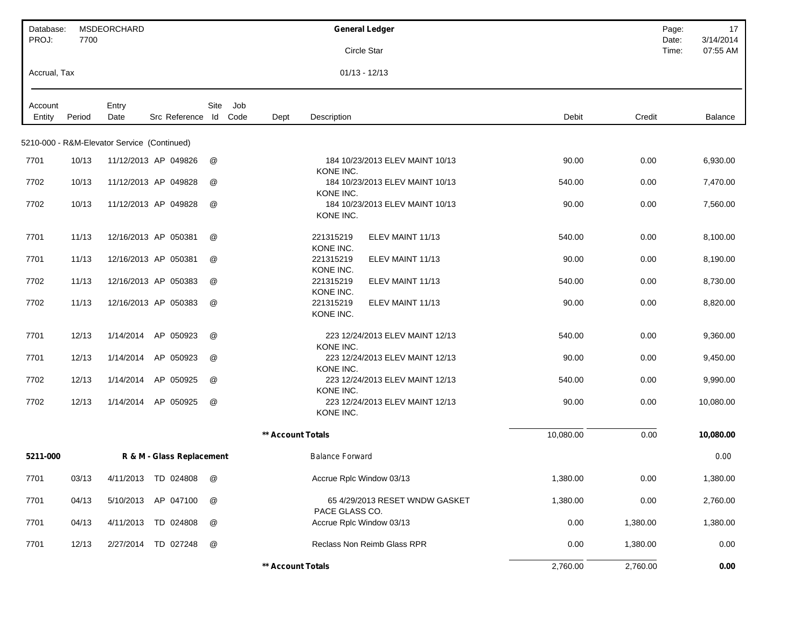| Database:<br>PROJ: | 7700   | MSDEORCHARD                                 |                           |             |                   | <b>General Ledger</b>                      |                                 |           | Page:<br>Date: | 17<br>3/14/2014 |
|--------------------|--------|---------------------------------------------|---------------------------|-------------|-------------------|--------------------------------------------|---------------------------------|-----------|----------------|-----------------|
|                    |        |                                             |                           |             |                   | Circle Star                                |                                 |           | Time:          | 07:55 AM        |
| Accrual, Tax       |        |                                             |                           |             |                   | $01/13 - 12/13$                            |                                 |           |                |                 |
| Account            |        | Entry                                       |                           | Site<br>Job |                   |                                            |                                 |           |                |                 |
| Entity             | Period | Date                                        | Src Reference Id Code     |             | Dept              | Description                                |                                 | Debit     | Credit         | <b>Balance</b>  |
|                    |        | 5210-000 - R&M-Elevator Service (Continued) |                           |             |                   |                                            |                                 |           |                |                 |
| 7701               | 10/13  |                                             | 11/12/2013 AP 049826      | @           |                   | KONE INC.                                  | 184 10/23/2013 ELEV MAINT 10/13 | 90.00     | 0.00           | 6,930.00        |
| 7702               | 10/13  |                                             | 11/12/2013 AP 049828      | @           |                   | KONE INC.                                  | 184 10/23/2013 ELEV MAINT 10/13 | 540.00    | 0.00           | 7,470.00        |
| 7702               | 10/13  |                                             | 11/12/2013 AP 049828      | @           |                   | KONE INC.                                  | 184 10/23/2013 ELEV MAINT 10/13 | 90.00     | 0.00           | 7,560.00        |
| 7701               | 11/13  |                                             | 12/16/2013 AP 050381      | @           |                   | 221315219<br>KONE INC.                     | ELEV MAINT 11/13                | 540.00    | 0.00           | 8,100.00        |
| 7701               | 11/13  |                                             | 12/16/2013 AP 050381      | @           |                   | 221315219<br>KONE INC.                     | ELEV MAINT 11/13                | 90.00     | 0.00           | 8,190.00        |
| 7702               | 11/13  |                                             | 12/16/2013 AP 050383      | @           |                   | 221315219<br>KONE INC.                     | ELEV MAINT 11/13                | 540.00    | 0.00           | 8,730.00        |
| 7702               | 11/13  |                                             | 12/16/2013 AP 050383      | @           |                   | 221315219<br>KONE INC.                     | ELEV MAINT 11/13                | 90.00     | 0.00           | 8,820.00        |
| 7701               | 12/13  | 1/14/2014                                   | AP 050923                 | @           |                   | KONE INC.                                  | 223 12/24/2013 ELEV MAINT 12/13 | 540.00    | 0.00           | 9,360.00        |
| 7701               | 12/13  | 1/14/2014                                   | AP 050923                 | @           |                   | KONE INC.                                  | 223 12/24/2013 ELEV MAINT 12/13 | 90.00     | 0.00           | 9,450.00        |
| 7702               | 12/13  | 1/14/2014                                   | AP 050925                 | @           |                   | KONE INC.                                  | 223 12/24/2013 ELEV MAINT 12/13 | 540.00    | 0.00           | 9,990.00        |
| 7702               | 12/13  | 1/14/2014                                   | AP 050925                 | @           |                   | KONE INC.                                  | 223 12/24/2013 ELEV MAINT 12/13 | 90.00     | 0.00           | 10,080.00       |
|                    |        |                                             |                           |             | ** Account Totals |                                            |                                 | 10,080.00 | 0.00           | 10,080.00       |
| 5211-000           |        |                                             | R & M - Glass Replacement |             |                   | <b>Balance Forward</b>                     |                                 |           |                | 0.00            |
| 7701               | 03/13  |                                             | 4/11/2013 TD 024808 @     |             |                   | Accrue Rplc Window 03/13                   |                                 | 1,380.00  | 0.00           | 1,380.00        |
| 7701               | 04/13  |                                             | 5/10/2013 AP 047100       | @           |                   |                                            | 65 4/29/2013 RESET WNDW GASKET  | 1,380.00  | 0.00           | 2,760.00        |
| 7701               | 04/13  |                                             | 4/11/2013 TD 024808       | @           |                   | PACE GLASS CO.<br>Accrue Rplc Window 03/13 |                                 | 0.00      | 1,380.00       | 1,380.00        |
| 7701               | 12/13  |                                             | 2/27/2014 TD 027248       | @           |                   | Reclass Non Reimb Glass RPR                |                                 | 0.00      | 1,380.00       | 0.00            |
|                    |        |                                             |                           |             | ** Account Totals |                                            |                                 | 2,760.00  | 2,760.00       | 0.00            |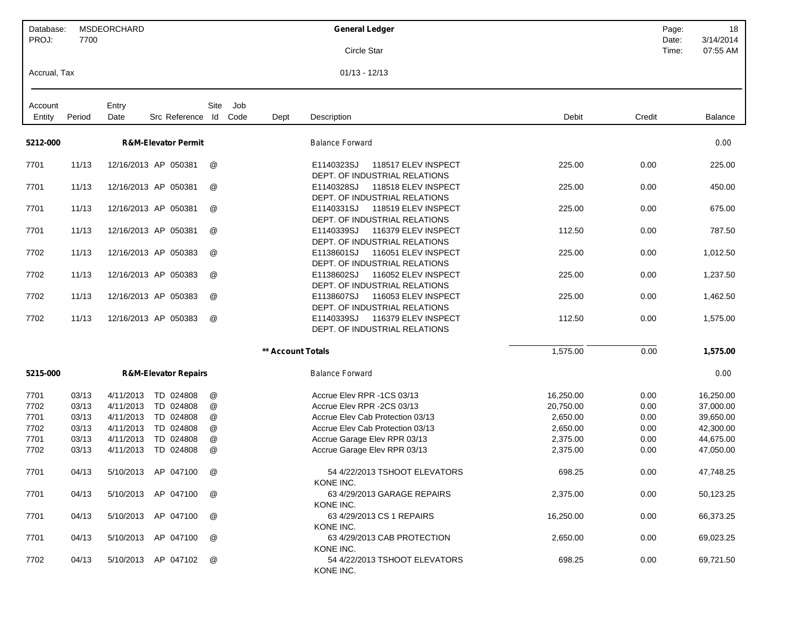| Database:<br>PROJ: | 7700           | MSDEORCHARD            |                                 |        |             |                   | <b>General Ledger</b>                                                                   | Page:<br>Date: | 18<br>3/14/2014        |
|--------------------|----------------|------------------------|---------------------------------|--------|-------------|-------------------|-----------------------------------------------------------------------------------------|----------------|------------------------|
|                    |                |                        |                                 |        |             |                   | Circle Star                                                                             | Time:          | 07:55 AM               |
| Accrual, Tax       |                |                        |                                 |        |             |                   | $01/13 - 12/13$                                                                         |                |                        |
| Account<br>Entity  | Period         | Entry<br>Date          | Src Reference Id                | Site   | Job<br>Code | Dept              | Debit<br>Description                                                                    | Credit         | Balance                |
| 5212-000           |                |                        |                                 |        |             |                   |                                                                                         |                |                        |
|                    |                |                        | <b>R&amp;M-Elevator Permit</b>  |        |             |                   | <b>Balance Forward</b>                                                                  |                | 0.00                   |
| 7701               | 11/13          |                        | 12/16/2013 AP 050381            | @      |             |                   | E1140323SJ<br>118517 ELEV INSPECT<br>225.00<br>DEPT. OF INDUSTRIAL RELATIONS            | 0.00           | 225.00                 |
| 7701               | 11/13          |                        | 12/16/2013 AP 050381            | @      |             |                   | E1140328SJ<br>118518 ELEV INSPECT<br>225.00<br>DEPT. OF INDUSTRIAL RELATIONS            | 0.00           | 450.00                 |
| 7701               | 11/13          |                        | 12/16/2013 AP 050381            | @      |             |                   | 118519 ELEV INSPECT<br>E1140331SJ<br>225.00<br>DEPT. OF INDUSTRIAL RELATIONS            | 0.00           | 675.00                 |
| 7701               | 11/13          |                        | 12/16/2013 AP 050381            | @      |             |                   | E1140339SJ<br>116379 ELEV INSPECT<br>112.50<br>DEPT. OF INDUSTRIAL RELATIONS            | 0.00           | 787.50                 |
| 7702               | 11/13          |                        | 12/16/2013 AP 050383            | @      |             |                   | E1138601SJ<br>116051 ELEV INSPECT<br>225.00<br>DEPT. OF INDUSTRIAL RELATIONS            | 0.00           | 1,012.50               |
| 7702               | 11/13          |                        | 12/16/2013 AP 050383            | @      |             |                   | 116052 ELEV INSPECT<br>E1138602SJ<br>225.00<br>DEPT. OF INDUSTRIAL RELATIONS            | 0.00           | 1,237.50               |
| 7702               | 11/13          |                        | 12/16/2013 AP 050383            | @      |             |                   | E1138607SJ<br>116053 ELEV INSPECT<br>225.00<br>DEPT. OF INDUSTRIAL RELATIONS            | 0.00           | 1,462.50               |
| 7702               | 11/13          |                        | 12/16/2013 AP 050383            | @      |             |                   | E1140339SJ<br>116379 ELEV INSPECT<br>112.50<br>DEPT. OF INDUSTRIAL RELATIONS            | 0.00           | 1,575.00               |
|                    |                |                        |                                 |        |             | ** Account Totals | 1,575.00                                                                                | 0.00           | 1,575.00               |
| 5215-000           |                |                        | <b>R&amp;M-Elevator Repairs</b> |        |             |                   | <b>Balance Forward</b>                                                                  |                | 0.00                   |
| 7701               | 03/13          | 4/11/2013              | TD 024808                       | @      |             |                   | Accrue Elev RPR -1CS 03/13<br>16,250.00                                                 | 0.00           | 16,250.00              |
| 7702<br>7701       | 03/13<br>03/13 | 4/11/2013<br>4/11/2013 | TD 024808<br>TD 024808          | @      |             |                   | Accrue Elev RPR -2CS 03/13<br>20,750.00<br>Accrue Elev Cab Protection 03/13<br>2,650.00 | 0.00<br>0.00   | 37,000.00<br>39,650.00 |
| 7702               | 03/13          | 4/11/2013              | TD 024808                       | @<br>@ |             |                   | Accrue Elev Cab Protection 03/13<br>2,650.00                                            | 0.00           | 42,300.00              |
| 7701               | 03/13          | 4/11/2013              | TD 024808                       | @      |             |                   | 2,375.00<br>Accrue Garage Elev RPR 03/13                                                | 0.00           | 44,675.00              |
| 7702               | 03/13          | 4/11/2013              | TD 024808                       | @      |             |                   | Accrue Garage Elev RPR 03/13<br>2,375.00                                                | 0.00           | 47,050.00              |
| 7701               | 04/13          | 5/10/2013              | AP 047100                       | @      |             |                   | 54 4/22/2013 TSHOOT ELEVATORS<br>698.25<br>KONE INC.                                    | 0.00           | 47,748.25              |
| 7701               | 04/13          |                        | 5/10/2013 AP 047100             | @      |             |                   | 63 4/29/2013 GARAGE REPAIRS<br>2,375.00<br>KONE INC.                                    | 0.00           | 50,123.25              |
| 7701               | 04/13          | 5/10/2013              | AP 047100                       | @      |             |                   | 63 4/29/2013 CS 1 REPAIRS<br>16,250.00<br>KONE INC.                                     | 0.00           | 66,373.25              |
| 7701               | 04/13          | 5/10/2013              | AP 047100                       | @      |             |                   | 63 4/29/2013 CAB PROTECTION<br>2,650.00<br>KONE INC.                                    | 0.00           | 69,023.25              |
| 7702               | 04/13          |                        | 5/10/2013 AP 047102             | @      |             |                   | 54 4/22/2013 TSHOOT ELEVATORS<br>698.25<br>KONE INC.                                    | 0.00           | 69,721.50              |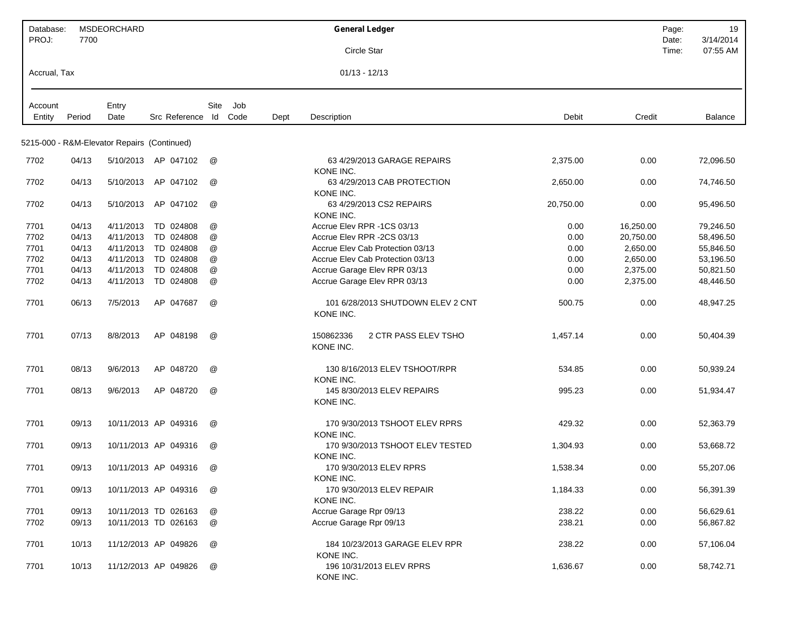| Database:<br>PROJ: | 7700   | MSDEORCHARD                                 |                      |      |      |      | <b>General Ledger</b>                          |           |           | Page:<br>Date: | 19<br>3/14/2014 |
|--------------------|--------|---------------------------------------------|----------------------|------|------|------|------------------------------------------------|-----------|-----------|----------------|-----------------|
|                    |        |                                             |                      |      |      |      | Circle Star                                    |           |           | Time:          | 07:55 AM        |
| Accrual, Tax       |        |                                             |                      |      |      |      | $01/13 - 12/13$                                |           |           |                |                 |
| Account            |        | Entry                                       |                      | Site | Job  |      |                                                |           |           |                |                 |
| Entity             | Period | Date                                        | Src Reference Id     |      | Code | Dept | Description                                    | Debit     | Credit    |                | Balance         |
|                    |        |                                             |                      |      |      |      |                                                |           |           |                |                 |
|                    |        | 5215-000 - R&M-Elevator Repairs (Continued) |                      |      |      |      |                                                |           |           |                |                 |
| 7702               | 04/13  |                                             | 5/10/2013 AP 047102  | @    |      |      | 63 4/29/2013 GARAGE REPAIRS<br>KONE INC.       | 2,375.00  | 0.00      |                | 72,096.50       |
| 7702               | 04/13  | 5/10/2013                                   | AP 047102            | @    |      |      | 63 4/29/2013 CAB PROTECTION<br>KONE INC.       | 2,650.00  | 0.00      |                | 74,746.50       |
| 7702               | 04/13  | 5/10/2013                                   | AP 047102            | @    |      |      | 63 4/29/2013 CS2 REPAIRS<br>KONE INC.          | 20,750.00 | 0.00      |                | 95,496.50       |
| 7701               | 04/13  | 4/11/2013                                   | TD 024808            | @    |      |      | Accrue Elev RPR -1CS 03/13                     | 0.00      | 16,250.00 |                | 79,246.50       |
| 7702               | 04/13  | 4/11/2013                                   | TD 024808            | @    |      |      | Accrue Elev RPR -2CS 03/13                     | 0.00      | 20,750.00 |                | 58,496.50       |
| 7701               | 04/13  | 4/11/2013                                   | TD 024808            | @    |      |      | Accrue Elev Cab Protection 03/13               | 0.00      | 2,650.00  |                | 55,846.50       |
| 7702               | 04/13  | 4/11/2013                                   | TD 024808            | @    |      |      | Accrue Elev Cab Protection 03/13               | 0.00      | 2,650.00  |                | 53,196.50       |
| 7701               | 04/13  | 4/11/2013                                   | TD 024808            | @    |      |      | Accrue Garage Elev RPR 03/13                   | 0.00      | 2,375.00  |                | 50,821.50       |
| 7702               | 04/13  | 4/11/2013                                   | TD 024808            | @    |      |      | Accrue Garage Elev RPR 03/13                   | 0.00      | 2,375.00  |                | 48,446.50       |
| 7701               | 06/13  | 7/5/2013                                    | AP 047687            | @    |      |      | 101 6/28/2013 SHUTDOWN ELEV 2 CNT<br>KONE INC. | 500.75    | 0.00      |                | 48,947.25       |
| 7701               | 07/13  | 8/8/2013                                    | AP 048198            | @    |      |      | 150862336<br>2 CTR PASS ELEV TSHO<br>KONE INC. | 1,457.14  | 0.00      |                | 50,404.39       |
| 7701               | 08/13  | 9/6/2013                                    | AP 048720            | @    |      |      | 130 8/16/2013 ELEV TSHOOT/RPR<br>KONE INC.     | 534.85    | 0.00      |                | 50,939.24       |
| 7701               | 08/13  | 9/6/2013                                    | AP 048720            | @    |      |      | 145 8/30/2013 ELEV REPAIRS<br>KONE INC.        | 995.23    | 0.00      |                | 51,934.47       |
| 7701               | 09/13  |                                             | 10/11/2013 AP 049316 | @    |      |      | 170 9/30/2013 TSHOOT ELEV RPRS<br>KONE INC.    | 429.32    | 0.00      |                | 52,363.79       |
| 7701               | 09/13  |                                             | 10/11/2013 AP 049316 | @    |      |      | 170 9/30/2013 TSHOOT ELEV TESTED<br>KONE INC.  | 1,304.93  | 0.00      |                | 53,668.72       |
| 7701               | 09/13  |                                             | 10/11/2013 AP 049316 | @    |      |      | 170 9/30/2013 ELEV RPRS<br>KONE INC.           | 1,538.34  | 0.00      |                | 55,207.06       |
| 7701               | 09/13  |                                             | 10/11/2013 AP 049316 | @    |      |      | 170 9/30/2013 ELEV REPAIR<br>KONE INC.         | 1,184.33  | 0.00      |                | 56,391.39       |
| 7701               | 09/13  |                                             | 10/11/2013 TD 026163 | @    |      |      | Accrue Garage Rpr 09/13                        | 238.22    | 0.00      |                | 56,629.61       |
| 7702               | 09/13  |                                             | 10/11/2013 TD 026163 | @    |      |      | Accrue Garage Rpr 09/13                        | 238.21    | 0.00      |                | 56,867.82       |
| 7701               | 10/13  |                                             | 11/12/2013 AP 049826 | @    |      |      | 184 10/23/2013 GARAGE ELEV RPR<br>KONE INC.    | 238.22    | 0.00      |                | 57,106.04       |
| 7701               | 10/13  |                                             | 11/12/2013 AP 049826 | @    |      |      | 196 10/31/2013 ELEV RPRS<br>KONE INC.          | 1,636.67  | 0.00      |                | 58,742.71       |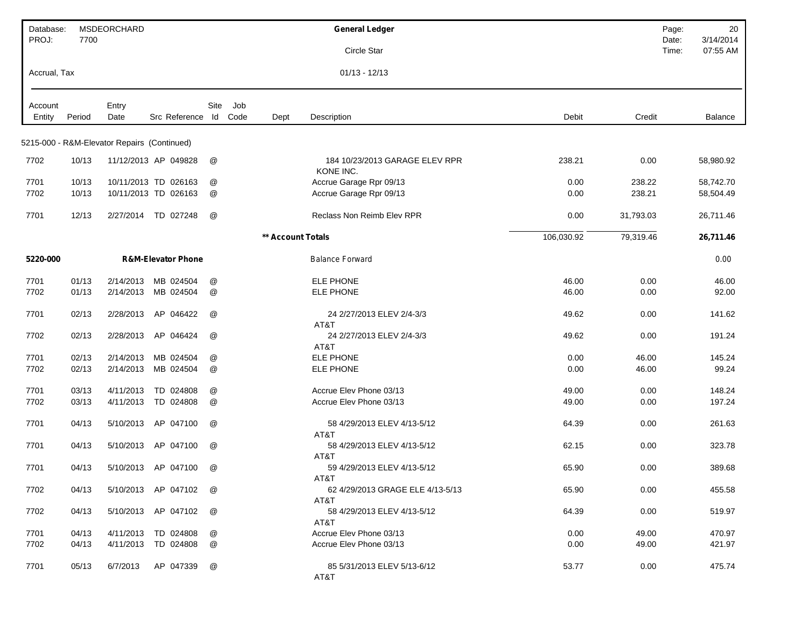| Database:<br>PROJ: | 7700   | <b>MSDEORCHARD</b>                          |                               |            |             |                          | <b>General Ledger</b>                       |            |           | Page:<br>Date: | 20<br>3/14/2014 |
|--------------------|--------|---------------------------------------------|-------------------------------|------------|-------------|--------------------------|---------------------------------------------|------------|-----------|----------------|-----------------|
|                    |        |                                             |                               |            |             |                          | Circle Star                                 |            |           | Time:          | 07:55 AM        |
| Accrual, Tax       |        |                                             |                               |            |             |                          | $01/13 - 12/13$                             |            |           |                |                 |
| Account<br>Entity  | Period | Entry<br>Date                               | Src Reference                 | Site<br>ld | Job<br>Code | Dept                     | Description                                 | Debit      | Credit    |                | Balance         |
|                    |        |                                             |                               |            |             |                          |                                             |            |           |                |                 |
|                    |        | 5215-000 - R&M-Elevator Repairs (Continued) |                               |            |             |                          |                                             |            |           |                |                 |
| 7702               | 10/13  |                                             | 11/12/2013 AP 049828          | @          |             |                          | 184 10/23/2013 GARAGE ELEV RPR<br>KONE INC. | 238.21     | 0.00      |                | 58,980.92       |
| 7701               | 10/13  |                                             | 10/11/2013 TD 026163          | @          |             |                          | Accrue Garage Rpr 09/13                     | 0.00       | 238.22    |                | 58,742.70       |
| 7702               | 10/13  |                                             | 10/11/2013 TD 026163          | @          |             |                          | Accrue Garage Rpr 09/13                     | 0.00       | 238.21    |                | 58,504.49       |
| 7701               | 12/13  | 2/27/2014                                   | TD 027248                     | @          |             |                          | Reclass Non Reimb Elev RPR                  | 0.00       | 31,793.03 |                | 26,711.46       |
|                    |        |                                             |                               |            |             | <b>** Account Totals</b> |                                             | 106,030.92 | 79,319.46 |                | 26,711.46       |
| 5220-000           |        |                                             | <b>R&amp;M-Elevator Phone</b> |            |             |                          | <b>Balance Forward</b>                      |            |           |                | 0.00            |
| 7701               | 01/13  | 2/14/2013                                   | MB 024504                     | @          |             |                          | <b>ELE PHONE</b>                            | 46.00      | 0.00      |                | 46.00           |
| 7702               | 01/13  | 2/14/2013                                   | MB 024504                     | @          |             |                          | <b>ELE PHONE</b>                            | 46.00      | 0.00      |                | 92.00           |
| 7701               | 02/13  | 2/28/2013                                   | AP 046422                     | @          |             |                          | 24 2/27/2013 ELEV 2/4-3/3<br>AT&T           | 49.62      | 0.00      |                | 141.62          |
| 7702               | 02/13  | 2/28/2013                                   | AP 046424                     | @          |             |                          | 24 2/27/2013 ELEV 2/4-3/3<br>AT&T           | 49.62      | 0.00      |                | 191.24          |
| 7701               | 02/13  | 2/14/2013                                   | MB 024504                     | @          |             |                          | <b>ELE PHONE</b>                            | 0.00       | 46.00     |                | 145.24          |
| 7702               | 02/13  | 2/14/2013                                   | MB 024504                     | @          |             |                          | ELE PHONE                                   | 0.00       | 46.00     |                | 99.24           |
|                    |        |                                             |                               |            |             |                          |                                             |            |           |                |                 |
| 7701               | 03/13  | 4/11/2013                                   | TD 024808                     | @          |             |                          | Accrue Elev Phone 03/13                     | 49.00      | 0.00      |                | 148.24          |
| 7702               | 03/13  | 4/11/2013                                   | TD 024808                     | @          |             |                          | Accrue Elev Phone 03/13                     | 49.00      | 0.00      |                | 197.24          |
| 7701               | 04/13  | 5/10/2013                                   | AP 047100                     | @          |             |                          | 58 4/29/2013 ELEV 4/13-5/12<br>AT&T         | 64.39      | 0.00      |                | 261.63          |
| 7701               | 04/13  | 5/10/2013                                   | AP 047100                     | @          |             |                          | 58 4/29/2013 ELEV 4/13-5/12<br>AT&T         | 62.15      | 0.00      |                | 323.78          |
| 7701               | 04/13  | 5/10/2013                                   | AP 047100                     | @          |             |                          | 59 4/29/2013 ELEV 4/13-5/12<br>AT&T         | 65.90      | 0.00      |                | 389.68          |
| 7702               | 04/13  |                                             | 5/10/2013 AP 047102           | @          |             |                          | 62 4/29/2013 GRAGE ELE 4/13-5/13<br>AT&T    | 65.90      | 0.00      |                | 455.58          |
| 7702               | 04/13  |                                             | 5/10/2013 AP 047102           | @          |             |                          | 58 4/29/2013 ELEV 4/13-5/12<br>AT&T         | 64.39      | 0.00      |                | 519.97          |
| 7701               | 04/13  | 4/11/2013                                   | TD 024808                     | @          |             |                          | Accrue Elev Phone 03/13                     | 0.00       | 49.00     |                | 470.97          |
| 7702               | 04/13  |                                             | 4/11/2013 TD 024808           | @          |             |                          | Accrue Elev Phone 03/13                     | 0.00       | 49.00     |                | 421.97          |
| 7701               | 05/13  | 6/7/2013                                    | AP 047339                     | @          |             |                          | 85 5/31/2013 ELEV 5/13-6/12<br>AT&T         | 53.77      | 0.00      |                | 475.74          |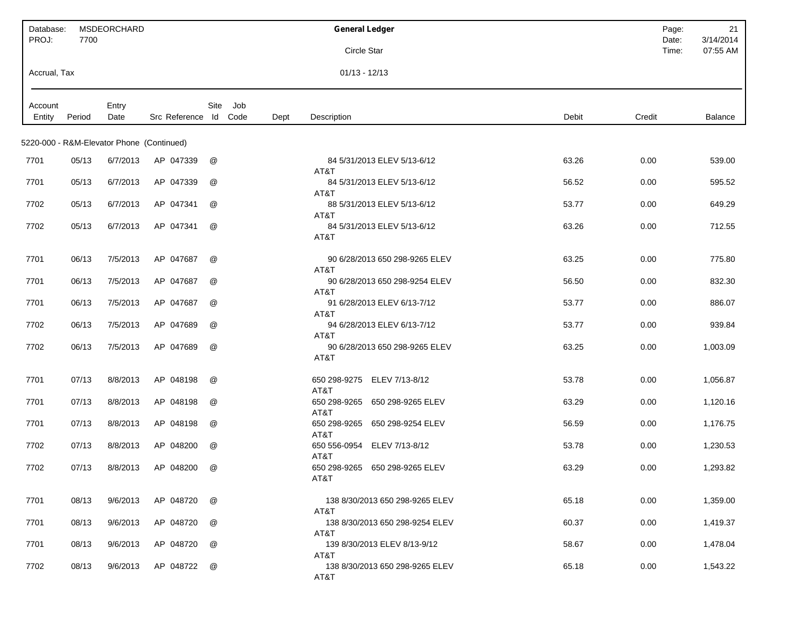| Database:<br>PROJ: | 7700   | <b>MSDEORCHARD</b>                        |                       |      |             | <b>General Ledger</b>                     |                 | Page:<br>Date: | 21<br>3/14/2014 |
|--------------------|--------|-------------------------------------------|-----------------------|------|-------------|-------------------------------------------|-----------------|----------------|-----------------|
|                    |        |                                           |                       |      |             | Circle Star                               |                 | Time:          | 07:55 AM        |
| Accrual, Tax       |        |                                           |                       |      |             | $01/13 - 12/13$                           |                 |                |                 |
| Account<br>Entity  | Period | Entry<br>Date                             | Src Reference Id Code | Site | Job<br>Dept | Description                               | Debit<br>Credit |                | Balance         |
|                    |        | 5220-000 - R&M-Elevator Phone (Continued) |                       |      |             |                                           |                 |                |                 |
| 7701               | 05/13  | 6/7/2013                                  | AP 047339             | @    |             | 84 5/31/2013 ELEV 5/13-6/12<br>AT&T       | 63.26<br>0.00   |                | 539.00          |
| 7701               | 05/13  | 6/7/2013                                  | AP 047339             | @    |             | 84 5/31/2013 ELEV 5/13-6/12<br>AT&T       | 56.52<br>0.00   |                | 595.52          |
| 7702               | 05/13  | 6/7/2013                                  | AP 047341             | @    |             | 88 5/31/2013 ELEV 5/13-6/12<br>AT&T       | 53.77<br>0.00   |                | 649.29          |
| 7702               | 05/13  | 6/7/2013                                  | AP 047341             | @    |             | 84 5/31/2013 ELEV 5/13-6/12<br>AT&T       | 63.26<br>0.00   |                | 712.55          |
| 7701               | 06/13  | 7/5/2013                                  | AP 047687             | @    |             | 90 6/28/2013 650 298-9265 ELEV<br>AT&T    | 0.00<br>63.25   |                | 775.80          |
| 7701               | 06/13  | 7/5/2013                                  | AP 047687             | @    |             | 90 6/28/2013 650 298-9254 ELEV<br>AT&T    | 56.50<br>0.00   |                | 832.30          |
| 7701               | 06/13  | 7/5/2013                                  | AP 047687             | @    |             | 91 6/28/2013 ELEV 6/13-7/12<br>AT&T       | 53.77<br>0.00   |                | 886.07          |
| 7702               | 06/13  | 7/5/2013                                  | AP 047689             | @    |             | 94 6/28/2013 ELEV 6/13-7/12<br>AT&T       | 53.77<br>0.00   |                | 939.84          |
| 7702               | 06/13  | 7/5/2013                                  | AP 047689             | @    |             | 90 6/28/2013 650 298-9265 ELEV<br>AT&T    | 63.25<br>0.00   |                | 1,003.09        |
| 7701               | 07/13  | 8/8/2013                                  | AP 048198             | @    |             | ELEV 7/13-8/12<br>650 298-9275<br>AT&T    | 53.78<br>0.00   |                | 1,056.87        |
| 7701               | 07/13  | 8/8/2013                                  | AP 048198             | @    |             | 650 298-9265<br>650 298-9265 ELEV<br>AT&T | 63.29<br>0.00   |                | 1,120.16        |
| 7701               | 07/13  | 8/8/2013                                  | AP 048198             | @    |             | 650 298-9265<br>650 298-9254 ELEV<br>AT&T | 56.59<br>0.00   |                | 1,176.75        |
| 7702               | 07/13  | 8/8/2013                                  | AP 048200             | @    |             | 650 556-0954 ELEV 7/13-8/12<br>AT&T       | 53.78<br>0.00   |                | 1,230.53        |
| 7702               | 07/13  | 8/8/2013                                  | AP 048200             | @    |             | 650 298-9265 650 298-9265 ELEV<br>AT&T    | 63.29<br>0.00   |                | 1,293.82        |
| 7701               | 08/13  | 9/6/2013                                  | AP 048720             | @    |             | 138 8/30/2013 650 298-9265 ELEV<br>AT&T   | 0.00<br>65.18   |                | 1,359.00        |
| 7701               | 08/13  | 9/6/2013                                  | AP 048720             | @    |             | 138 8/30/2013 650 298-9254 ELEV<br>AT&T   | 60.37<br>0.00   |                | 1,419.37        |
| 7701               | 08/13  | 9/6/2013                                  | AP 048720             | @    |             | 139 8/30/2013 ELEV 8/13-9/12<br>AT&T      | 58.67<br>0.00   |                | 1,478.04        |
| 7702               | 08/13  | 9/6/2013                                  | AP 048722             | @    |             | 138 8/30/2013 650 298-9265 ELEV<br>AT&T   | 0.00<br>65.18   |                | 1,543.22        |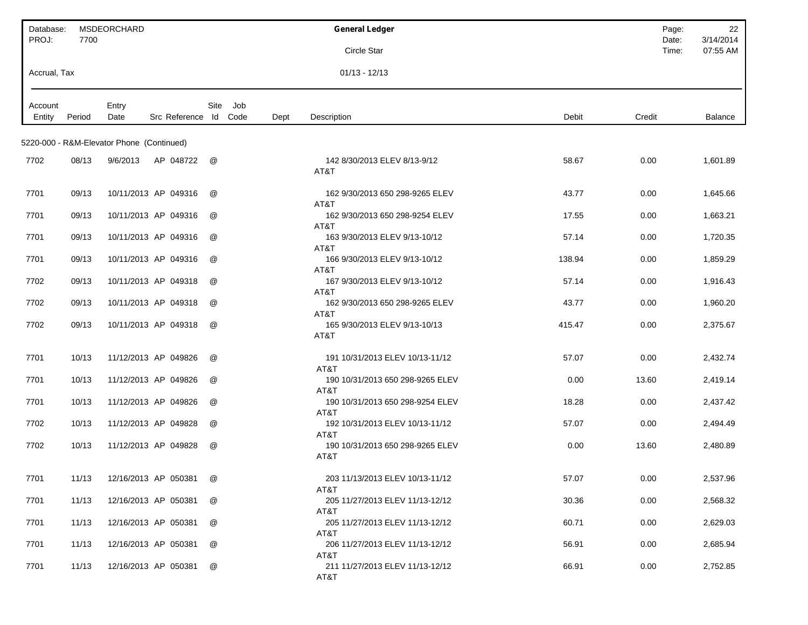| Database:<br>PROJ: | 7700   | <b>MSDEORCHARD</b>                        |                                      |      | <b>General Ledger</b>                    |        | Page:<br>Date: | 22<br>3/14/2014 |
|--------------------|--------|-------------------------------------------|--------------------------------------|------|------------------------------------------|--------|----------------|-----------------|
|                    |        |                                           |                                      |      | Circle Star                              |        | Time:          | 07:55 AM        |
| Accrual, Tax       |        |                                           |                                      |      | $01/13 - 12/13$                          |        |                |                 |
| Account<br>Entity  | Period | Entry<br>Date                             | Site<br>Job<br>Src Reference Id Code | Dept | Description                              | Debit  | Credit         | Balance         |
|                    |        | 5220-000 - R&M-Elevator Phone (Continued) |                                      |      |                                          |        |                |                 |
| 7702               | 08/13  | 9/6/2013<br>AP 048722                     | @                                    |      | 142 8/30/2013 ELEV 8/13-9/12<br>AT&T     | 58.67  | 0.00           | 1,601.89        |
| 7701               | 09/13  | 10/11/2013 AP 049316                      | $^{\textregistered}$                 |      | 162 9/30/2013 650 298-9265 ELEV<br>AT&T  | 43.77  | 0.00           | 1,645.66        |
| 7701               | 09/13  | 10/11/2013 AP 049316                      | @                                    |      | 162 9/30/2013 650 298-9254 ELEV<br>AT&T  | 17.55  | 0.00           | 1,663.21        |
| 7701               | 09/13  | 10/11/2013 AP 049316                      | @                                    |      | 163 9/30/2013 ELEV 9/13-10/12<br>AT&T    | 57.14  | 0.00           | 1,720.35        |
| 7701               | 09/13  | 10/11/2013 AP 049316                      | @                                    |      | 166 9/30/2013 ELEV 9/13-10/12<br>AT&T    | 138.94 | 0.00           | 1,859.29        |
| 7702               | 09/13  | 10/11/2013 AP 049318                      | @                                    |      | 167 9/30/2013 ELEV 9/13-10/12<br>AT&T    | 57.14  | 0.00           | 1,916.43        |
| 7702               | 09/13  | 10/11/2013 AP 049318                      | @                                    |      | 162 9/30/2013 650 298-9265 ELEV<br>AT&T  | 43.77  | 0.00           | 1,960.20        |
| 7702               | 09/13  | 10/11/2013 AP 049318                      | @                                    |      | 165 9/30/2013 ELEV 9/13-10/13<br>AT&T    | 415.47 | 0.00           | 2,375.67        |
| 7701               | 10/13  | 11/12/2013 AP 049826                      | @                                    |      | 191 10/31/2013 ELEV 10/13-11/12<br>AT&T  | 57.07  | 0.00           | 2,432.74        |
| 7701               | 10/13  | 11/12/2013 AP 049826                      | @                                    |      | 190 10/31/2013 650 298-9265 ELEV<br>AT&T | 0.00   | 13.60          | 2,419.14        |
| 7701               | 10/13  | 11/12/2013 AP 049826                      | @                                    |      | 190 10/31/2013 650 298-9254 ELEV<br>AT&T | 18.28  | 0.00           | 2,437.42        |
| 7702               | 10/13  | 11/12/2013 AP 049828                      | @                                    |      | 192 10/31/2013 ELEV 10/13-11/12<br>AT&T  | 57.07  | 0.00           | 2,494.49        |
| 7702               | 10/13  | 11/12/2013 AP 049828                      | @                                    |      | 190 10/31/2013 650 298-9265 ELEV<br>AT&T | 0.00   | 13.60          | 2,480.89        |
| 7701               | 11/13  | 12/16/2013 AP 050381                      | @                                    |      | 203 11/13/2013 ELEV 10/13-11/12<br>AT&T  | 57.07  | 0.00           | 2,537.96        |
| 7701               | 11/13  | 12/16/2013 AP 050381                      | @                                    |      | 205 11/27/2013 ELEV 11/13-12/12<br>AT&T  | 30.36  | 0.00           | 2,568.32        |
| 7701               | 11/13  | 12/16/2013 AP 050381                      | @                                    |      | 205 11/27/2013 ELEV 11/13-12/12<br>AT&T  | 60.71  | 0.00           | 2,629.03        |
| 7701               | 11/13  | 12/16/2013 AP 050381                      | @                                    |      | 206 11/27/2013 ELEV 11/13-12/12<br>AT&T  | 56.91  | 0.00           | 2,685.94        |
| 7701               | 11/13  | 12/16/2013 AP 050381                      | @                                    |      | 211 11/27/2013 ELEV 11/13-12/12<br>AT&T  | 66.91  | 0.00           | 2,752.85        |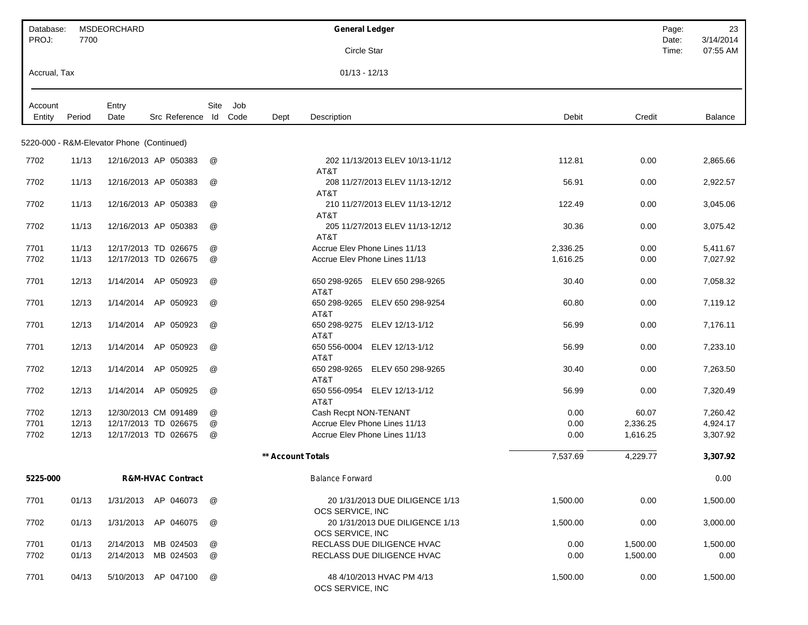| Database:         |        | MSDEORCHARD                               |                              |      |     |                          | <b>General Ledger</b>                               |          |          | Page:          | 23                    |
|-------------------|--------|-------------------------------------------|------------------------------|------|-----|--------------------------|-----------------------------------------------------|----------|----------|----------------|-----------------------|
| PROJ:             | 7700   |                                           |                              |      |     |                          | Circle Star                                         |          |          | Date:<br>Time: | 3/14/2014<br>07:55 AM |
| Accrual, Tax      |        |                                           |                              |      |     |                          | $01/13 - 12/13$                                     |          |          |                |                       |
|                   |        |                                           |                              | Site | Job |                          |                                                     |          |          |                |                       |
| Account<br>Entity | Period | Entry<br>Date                             | Src Reference Id Code        |      |     | Dept                     | Description                                         | Debit    | Credit   |                | Balance               |
|                   |        | 5220-000 - R&M-Elevator Phone (Continued) |                              |      |     |                          |                                                     |          |          |                |                       |
| 7702              | 11/13  |                                           | 12/16/2013 AP 050383         | @    |     |                          | 202 11/13/2013 ELEV 10/13-11/12<br>AT&T             | 112.81   | 0.00     |                | 2,865.66              |
| 7702              | 11/13  |                                           | 12/16/2013 AP 050383         | @    |     |                          | 208 11/27/2013 ELEV 11/13-12/12<br>AT&T             | 56.91    | 0.00     |                | 2,922.57              |
| 7702              | 11/13  |                                           | 12/16/2013 AP 050383         | @    |     |                          | 210 11/27/2013 ELEV 11/13-12/12<br>AT&T             | 122.49   | 0.00     |                | 3,045.06              |
| 7702              | 11/13  |                                           | 12/16/2013 AP 050383         | @    |     |                          | 205 11/27/2013 ELEV 11/13-12/12<br>AT&T             | 30.36    | 0.00     |                | 3,075.42              |
| 7701              | 11/13  |                                           | 12/17/2013 TD 026675         | @    |     |                          | Accrue Elev Phone Lines 11/13                       | 2,336.25 | 0.00     |                | 5,411.67              |
| 7702              | 11/13  |                                           | 12/17/2013 TD 026675         | @    |     |                          | Accrue Elev Phone Lines 11/13                       | 1,616.25 | 0.00     |                | 7,027.92              |
| 7701              | 12/13  | 1/14/2014                                 | AP 050923                    | @    |     |                          | 650 298-9265 ELEV 650 298-9265<br>AT&T              | 30.40    | 0.00     |                | 7,058.32              |
| 7701              | 12/13  | 1/14/2014                                 | AP 050923                    | @    |     |                          | 650 298-9265<br>ELEV 650 298-9254<br>AT&T           | 60.80    | 0.00     |                | 7,119.12              |
| 7701              | 12/13  | 1/14/2014                                 | AP 050923                    | @    |     |                          | 650 298-9275 ELEV 12/13-1/12<br>AT&T                | 56.99    | 0.00     |                | 7,176.11              |
| 7701              | 12/13  | 1/14/2014                                 | AP 050923                    | @    |     |                          | 650 556-0004 ELEV 12/13-1/12<br>AT&T                | 56.99    | 0.00     |                | 7,233.10              |
| 7702              | 12/13  | 1/14/2014                                 | AP 050925                    | @    |     |                          | 650 298-9265 ELEV 650 298-9265<br>AT&T              | 30.40    | 0.00     |                | 7,263.50              |
| 7702              | 12/13  | 1/14/2014                                 | AP 050925                    | @    |     |                          | 650 556-0954 ELEV 12/13-1/12<br>AT&T                | 56.99    | 0.00     |                | 7,320.49              |
| 7702              | 12/13  |                                           | 12/30/2013 CM 091489         | @    |     |                          | Cash Recpt NON-TENANT                               | 0.00     | 60.07    |                | 7,260.42              |
| 7701              | 12/13  |                                           | 12/17/2013 TD 026675         | @    |     |                          | Accrue Elev Phone Lines 11/13                       | 0.00     | 2,336.25 |                | 4,924.17              |
| 7702              | 12/13  |                                           | 12/17/2013 TD 026675         | @    |     |                          | Accrue Elev Phone Lines 11/13                       | 0.00     | 1,616.25 |                | 3,307.92              |
|                   |        |                                           |                              |      |     | <b>** Account Totals</b> |                                                     | 7,537.69 | 4,229.77 |                | 3,307.92              |
| 5225-000          |        |                                           | <b>R&amp;M-HVAC Contract</b> |      |     |                          | <b>Balance Forward</b>                              |          |          |                | 0.00                  |
| 7701              | 01/13  |                                           | 1/31/2013 AP 046073          | @    |     |                          | 20 1/31/2013 DUE DILIGENCE 1/13<br>OCS SERVICE, INC | 1,500.00 | 0.00     |                | 1,500.00              |
| 7702              | 01/13  |                                           | 1/31/2013 AP 046075          | @    |     |                          | 20 1/31/2013 DUE DILIGENCE 1/13<br>OCS SERVICE, INC | 1,500.00 | 0.00     |                | 3,000.00              |
| 7701              | 01/13  | 2/14/2013                                 | MB 024503                    | @    |     |                          | RECLASS DUE DILIGENCE HVAC                          | 0.00     | 1,500.00 |                | 1,500.00              |
| 7702              | 01/13  | 2/14/2013                                 | MB 024503                    | @    |     |                          | RECLASS DUE DILIGENCE HVAC                          | 0.00     | 1,500.00 |                | 0.00                  |
| 7701              | 04/13  | 5/10/2013                                 | AP 047100                    | @    |     |                          | 48 4/10/2013 HVAC PM 4/13<br>OCS SERVICE, INC       | 1,500.00 | 0.00     |                | 1,500.00              |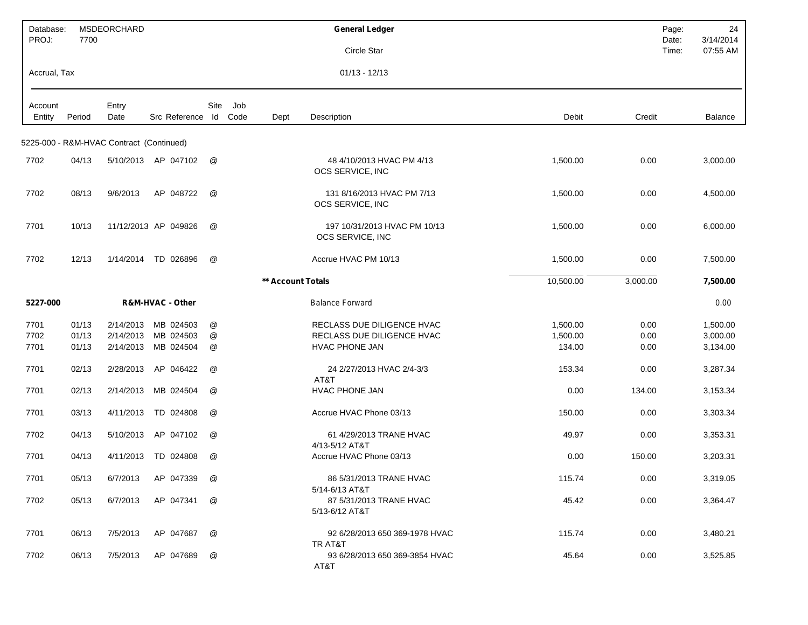| Database:<br>PROJ: | 7700   | <b>MSDEORCHARD</b>                       |                      |      |      |                   | <b>General Ledger</b>                                       |           |          | Page:<br>Date: | 24<br>3/14/2014 |
|--------------------|--------|------------------------------------------|----------------------|------|------|-------------------|-------------------------------------------------------------|-----------|----------|----------------|-----------------|
|                    |        |                                          |                      |      |      |                   | Circle Star                                                 |           |          | Time:          | 07:55 AM        |
| Accrual, Tax       |        |                                          |                      |      |      |                   | $01/13 - 12/13$                                             |           |          |                |                 |
| Account            |        | Entry                                    |                      | Site | Job  |                   |                                                             |           |          |                |                 |
| Entity             | Period | Date                                     | Src Reference Id     |      | Code | Dept              | Description                                                 | Debit     | Credit   |                | <b>Balance</b>  |
|                    |        | 5225-000 - R&M-HVAC Contract (Continued) |                      |      |      |                   |                                                             |           |          |                |                 |
| 7702               | 04/13  |                                          | 5/10/2013 AP 047102  | @    |      |                   | 48 4/10/2013 HVAC PM 4/13<br>OCS SERVICE, INC               | 1,500.00  | 0.00     |                | 3,000.00        |
| 7702               | 08/13  | 9/6/2013                                 | AP 048722            | @    |      |                   | 131 8/16/2013 HVAC PM 7/13<br>OCS SERVICE, INC              | 1,500.00  | 0.00     |                | 4,500.00        |
| 7701               | 10/13  |                                          | 11/12/2013 AP 049826 | @    |      |                   | 197 10/31/2013 HVAC PM 10/13<br>OCS SERVICE, INC            | 1,500.00  | 0.00     |                | 6,000.00        |
| 7702               | 12/13  | 1/14/2014                                | TD 026896            | @    |      |                   | Accrue HVAC PM 10/13                                        | 1,500.00  | 0.00     |                | 7,500.00        |
|                    |        |                                          |                      |      |      | ** Account Totals |                                                             | 10,500.00 | 3,000.00 |                | 7,500.00        |
| 5227-000           |        |                                          | R&M-HVAC - Other     |      |      |                   | <b>Balance Forward</b>                                      |           |          |                | 0.00            |
| 7701               | 01/13  | 2/14/2013                                | MB 024503            | @    |      |                   | RECLASS DUE DILIGENCE HVAC                                  | 1,500.00  | 0.00     |                | 1,500.00        |
| 7702               | 01/13  | 2/14/2013                                | MB 024503            | @    |      |                   | RECLASS DUE DILIGENCE HVAC                                  | 1,500.00  | 0.00     |                | 3,000.00        |
| 7701               | 01/13  | 2/14/2013                                | MB 024504            | @    |      |                   | <b>HVAC PHONE JAN</b>                                       | 134.00    | 0.00     |                | 3,134.00        |
| 7701               | 02/13  | 2/28/2013                                | AP 046422            | @    |      |                   | 24 2/27/2013 HVAC 2/4-3/3<br>AT&T                           | 153.34    | 0.00     |                | 3,287.34        |
| 7701               | 02/13  | 2/14/2013                                | MB 024504            | @    |      |                   | <b>HVAC PHONE JAN</b>                                       | 0.00      | 134.00   |                | 3,153.34        |
| 7701               | 03/13  | 4/11/2013                                | TD 024808            | @    |      |                   | Accrue HVAC Phone 03/13                                     | 150.00    | 0.00     |                | 3,303.34        |
| 7702               | 04/13  | 5/10/2013                                | AP 047102            | @    |      |                   | 61 4/29/2013 TRANE HVAC<br>4/13-5/12 AT&T                   | 49.97     | 0.00     |                | 3,353.31        |
| 7701               | 04/13  | 4/11/2013                                | TD 024808            | @    |      |                   | Accrue HVAC Phone 03/13                                     | 0.00      | 150.00   |                | 3,203.31        |
| 7701               | 05/13  | 6/7/2013                                 | AP 047339            | @    |      |                   | 86 5/31/2013 TRANE HVAC                                     | 115.74    | 0.00     |                | 3,319.05        |
| 7702               | 05/13  | 6/7/2013                                 | AP 047341            | @    |      |                   | 5/14-6/13 AT&T<br>87 5/31/2013 TRANE HVAC<br>5/13-6/12 AT&T | 45.42     | 0.00     |                | 3,364.47        |
| 7701               | 06/13  | 7/5/2013                                 | AP 047687            | @    |      |                   | 92 6/28/2013 650 369-1978 HVAC<br>TR AT&T                   | 115.74    | 0.00     |                | 3,480.21        |
| 7702               | 06/13  | 7/5/2013                                 | AP 047689            | @    |      |                   | 93 6/28/2013 650 369-3854 HVAC<br>AT&T                      | 45.64     | 0.00     |                | 3,525.85        |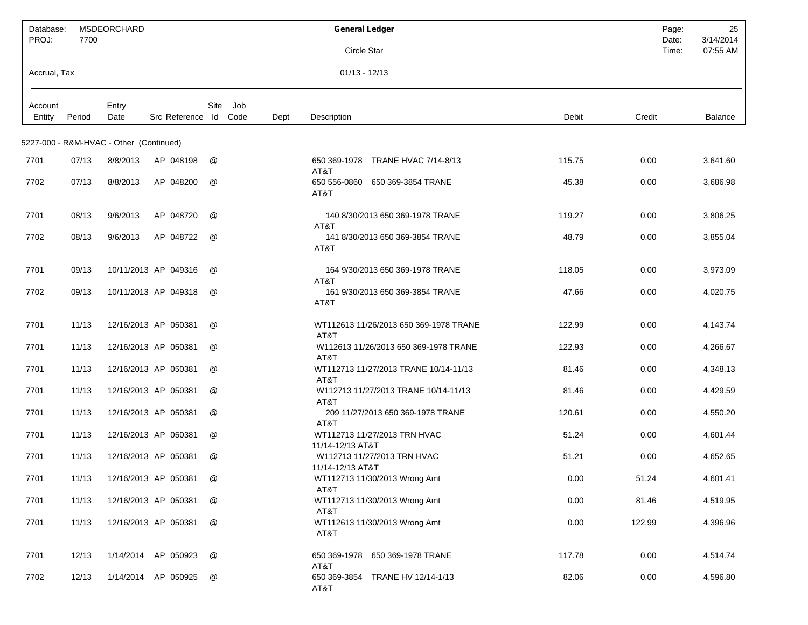| Database:<br>PROJ: | 7700   | MSDEORCHARD                             |                       |      |     |      | <b>General Ledger</b>                                     | Page:<br>Date: | 25<br>3/14/2014 |
|--------------------|--------|-----------------------------------------|-----------------------|------|-----|------|-----------------------------------------------------------|----------------|-----------------|
|                    |        |                                         |                       |      |     |      | Circle Star                                               | Time:          | 07:55 AM        |
| Accrual, Tax       |        |                                         |                       |      |     |      | $01/13 - 12/13$                                           |                |                 |
| Account<br>Entity  | Period | Entry<br>Date                           | Src Reference Id Code | Site | Job | Dept | Description<br>Debit                                      | Credit         | <b>Balance</b>  |
|                    |        | 5227-000 - R&M-HVAC - Other (Continued) |                       |      |     |      |                                                           |                |                 |
| 7701               | 07/13  | 8/8/2013                                | AP 048198             | @    |     |      | 650 369-1978 TRANE HVAC 7/14-8/13<br>115.75<br>AT&T       | 0.00           | 3,641.60        |
| 7702               | 07/13  | 8/8/2013                                | AP 048200             | @    |     |      | 650 556-0860 650 369-3854 TRANE<br>45.38<br>AT&T          | 0.00           | 3,686.98        |
| 7701               | 08/13  | 9/6/2013                                | AP 048720             | @    |     |      | 140 8/30/2013 650 369-1978 TRANE<br>119.27<br>AT&T        | 0.00           | 3,806.25        |
| 7702               | 08/13  | 9/6/2013                                | AP 048722             | @    |     |      | 141 8/30/2013 650 369-3854 TRANE<br>48.79<br>AT&T         | 0.00           | 3,855.04        |
| 7701               | 09/13  |                                         | 10/11/2013 AP 049316  | @    |     |      | 164 9/30/2013 650 369-1978 TRANE<br>118.05<br>AT&T        | 0.00           | 3,973.09        |
| 7702               | 09/13  |                                         | 10/11/2013 AP 049318  | @    |     |      | 161 9/30/2013 650 369-3854 TRANE<br>47.66<br>AT&T         | 0.00           | 4,020.75        |
| 7701               | 11/13  |                                         | 12/16/2013 AP 050381  | @    |     |      | WT112613 11/26/2013 650 369-1978 TRANE<br>122.99<br>AT&T  | 0.00           | 4,143.74        |
| 7701               | 11/13  |                                         | 12/16/2013 AP 050381  | @    |     |      | 122.93<br>W112613 11/26/2013 650 369-1978 TRANE<br>AT&T   | 0.00           | 4,266.67        |
| 7701               | 11/13  |                                         | 12/16/2013 AP 050381  | @    |     |      | WT112713 11/27/2013 TRANE 10/14-11/13<br>81.46<br>AT&T    | 0.00           | 4,348.13        |
| 7701               | 11/13  |                                         | 12/16/2013 AP 050381  | @    |     |      | W112713 11/27/2013 TRANE 10/14-11/13<br>81.46<br>AT&T     | 0.00           | 4,429.59        |
| 7701               | 11/13  |                                         | 12/16/2013 AP 050381  | @    |     |      | 120.61<br>209 11/27/2013 650 369-1978 TRANE<br>AT&T       | 0.00           | 4,550.20        |
| 7701               | 11/13  |                                         | 12/16/2013 AP 050381  | @    |     |      | WT112713 11/27/2013 TRN HVAC<br>51.24<br>11/14-12/13 AT&T | 0.00           | 4,601.44        |
| 7701               | 11/13  |                                         | 12/16/2013 AP 050381  | @    |     |      | W112713 11/27/2013 TRN HVAC<br>51.21<br>11/14-12/13 AT&T  | 0.00           | 4,652.65        |
| 7701               | 11/13  |                                         | 12/16/2013 AP 050381  | @    |     |      | 0.00<br>WT112713 11/30/2013 Wrong Amt<br>AT&T             | 51.24          | 4,601.41        |
| 7701               | 11/13  |                                         | 12/16/2013 AP 050381  | @    |     |      | 0.00<br>WT112713 11/30/2013 Wrong Amt<br>AT&T             | 81.46          | 4,519.95        |
| 7701               | 11/13  |                                         | 12/16/2013 AP 050381  | @    |     |      | 0.00<br>WT112613 11/30/2013 Wrong Amt<br>AT&T             | 122.99         | 4,396.96        |
| 7701               | 12/13  |                                         | 1/14/2014 AP 050923   | @    |     |      | 117.78<br>650 369-1978 650 369-1978 TRANE<br>AT&T         | 0.00           | 4,514.74        |
| 7702               | 12/13  |                                         | 1/14/2014 AP 050925   | @    |     |      | 650 369-3854 TRANE HV 12/14-1/13<br>82.06<br>AT&T         | 0.00           | 4,596.80        |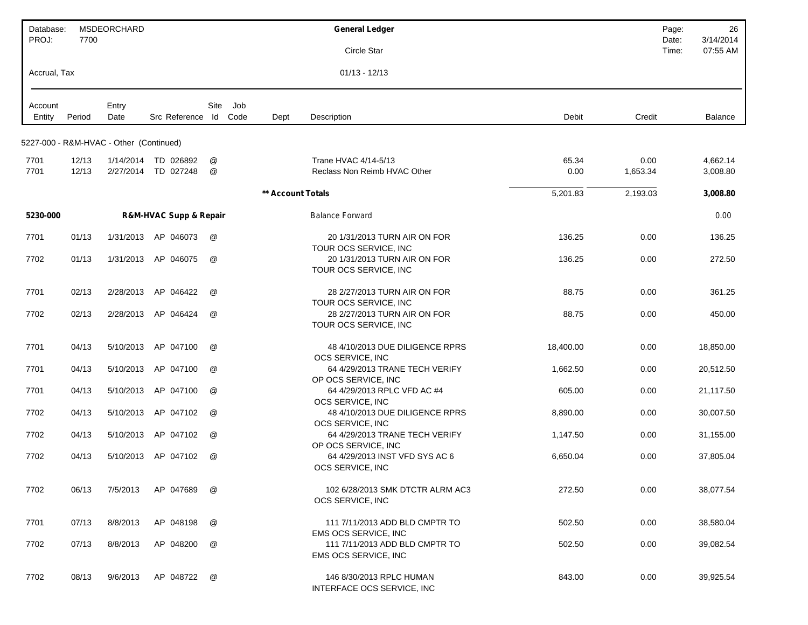| Database:<br>PROJ: | 7700   | <b>MSDEORCHARD</b>                      |                                       |                      |             |                   | <b>General Ledger</b>                                                   |           |          | Page:<br>Date: | 26<br>3/14/2014 |
|--------------------|--------|-----------------------------------------|---------------------------------------|----------------------|-------------|-------------------|-------------------------------------------------------------------------|-----------|----------|----------------|-----------------|
|                    |        |                                         |                                       |                      |             |                   | Circle Star                                                             |           |          | Time:          | 07:55 AM        |
| Accrual, Tax       |        |                                         |                                       |                      |             |                   | $01/13 - 12/13$                                                         |           |          |                |                 |
| Account<br>Entity  | Period | Entry<br>Date                           | Src Reference Id                      | Site                 | Job<br>Code | Dept              | Description                                                             | Debit     | Credit   |                | Balance         |
|                    |        | 5227-000 - R&M-HVAC - Other (Continued) |                                       |                      |             |                   |                                                                         |           |          |                |                 |
| 7701               | 12/13  | 1/14/2014                               | TD 026892                             | @                    |             |                   | Trane HVAC 4/14-5/13                                                    | 65.34     | 0.00     |                | 4,662.14        |
| 7701               | 12/13  |                                         | 2/27/2014 TD 027248                   | $^{\textregistered}$ |             |                   | Reclass Non Reimb HVAC Other                                            | 0.00      | 1,653.34 |                | 3,008.80        |
|                    |        |                                         |                                       |                      |             | ** Account Totals |                                                                         | 5,201.83  | 2,193.03 |                | 3,008.80        |
| 5230-000           |        |                                         | <b>R&amp;M-HVAC Supp &amp; Repair</b> |                      |             |                   | <b>Balance Forward</b>                                                  |           |          |                | 0.00            |
| 7701               | 01/13  | 1/31/2013                               | AP 046073                             | @                    |             |                   | 20 1/31/2013 TURN AIR ON FOR<br>TOUR OCS SERVICE, INC                   | 136.25    | 0.00     |                | 136.25          |
| 7702               | 01/13  | 1/31/2013                               | AP 046075                             | @                    |             |                   | 20 1/31/2013 TURN AIR ON FOR<br>TOUR OCS SERVICE. INC                   | 136.25    | 0.00     |                | 272.50          |
| 7701               | 02/13  | 2/28/2013                               | AP 046422                             | @                    |             |                   | 28 2/27/2013 TURN AIR ON FOR<br>TOUR OCS SERVICE, INC                   | 88.75     | 0.00     |                | 361.25          |
| 7702               | 02/13  | 2/28/2013                               | AP 046424                             | @                    |             |                   | 28 2/27/2013 TURN AIR ON FOR<br>TOUR OCS SERVICE, INC                   | 88.75     | 0.00     |                | 450.00          |
| 7701               | 04/13  | 5/10/2013                               | AP 047100                             | @                    |             |                   | 48 4/10/2013 DUE DILIGENCE RPRS<br>OCS SERVICE, INC                     | 18,400.00 | 0.00     |                | 18,850.00       |
| 7701               | 04/13  | 5/10/2013                               | AP 047100                             | @                    |             |                   | 64 4/29/2013 TRANE TECH VERIFY<br>OP OCS SERVICE, INC                   | 1,662.50  | 0.00     |                | 20,512.50       |
| 7701               | 04/13  | 5/10/2013                               | AP 047100                             | @                    |             |                   | 64 4/29/2013 RPLC VFD AC #4                                             | 605.00    | 0.00     |                | 21,117.50       |
| 7702               | 04/13  | 5/10/2013                               | AP 047102                             | @                    |             |                   | OCS SERVICE, INC<br>48 4/10/2013 DUE DILIGENCE RPRS<br>OCS SERVICE, INC | 8,890.00  | 0.00     |                | 30,007.50       |
| 7702               | 04/13  | 5/10/2013                               | AP 047102                             | @                    |             |                   | 64 4/29/2013 TRANE TECH VERIFY<br>OP OCS SERVICE, INC                   | 1,147.50  | 0.00     |                | 31,155.00       |
| 7702               | 04/13  | 5/10/2013                               | AP 047102                             | @                    |             |                   | 64 4/29/2013 INST VFD SYS AC 6<br>OCS SERVICE, INC                      | 6,650.04  | 0.00     |                | 37,805.04       |
| 7702               | 06/13  | 7/5/2013                                | AP 047689                             | @                    |             |                   | 102 6/28/2013 SMK DTCTR ALRM AC3<br>OCS SERVICE, INC                    | 272.50    | 0.00     |                | 38,077.54       |
| 7701               | 07/13  | 8/8/2013                                | AP 048198                             | @                    |             |                   | 111 7/11/2013 ADD BLD CMPTR TO<br>EMS OCS SERVICE, INC                  | 502.50    | 0.00     |                | 38,580.04       |
| 7702               | 07/13  | 8/8/2013                                | AP 048200                             | @                    |             |                   | 111 7/11/2013 ADD BLD CMPTR TO<br>EMS OCS SERVICE, INC                  | 502.50    | 0.00     |                | 39,082.54       |
| 7702               | 08/13  | 9/6/2013                                | AP 048722                             | @                    |             |                   | 146 8/30/2013 RPLC HUMAN<br>INTERFACE OCS SERVICE, INC                  | 843.00    | 0.00     |                | 39,925.54       |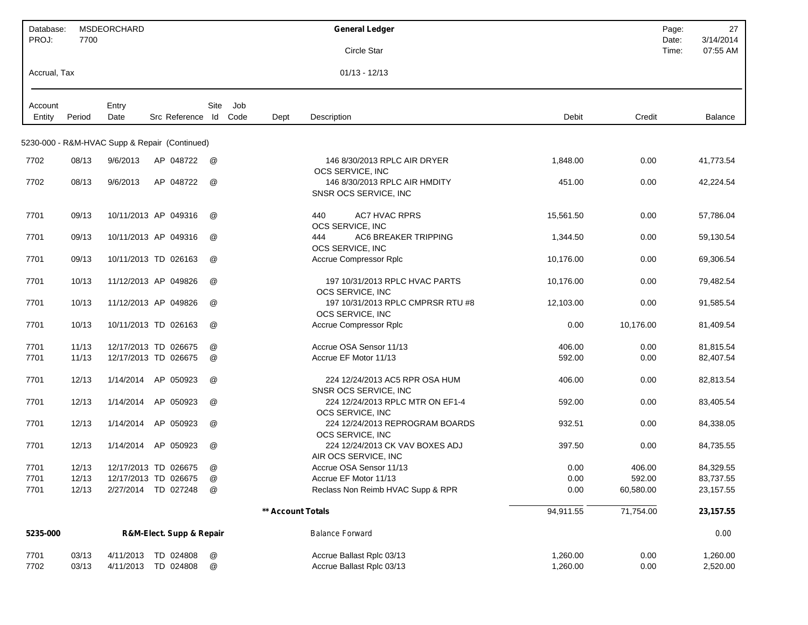| Database:<br>PROJ: | 7700           | <b>MSDEORCHARD</b> |                                               |                      |      |                   | <b>General Ledger</b>                                   |                      |              | Page:<br>Date: | 27<br>3/14/2014      |
|--------------------|----------------|--------------------|-----------------------------------------------|----------------------|------|-------------------|---------------------------------------------------------|----------------------|--------------|----------------|----------------------|
|                    |                |                    |                                               |                      |      |                   | Circle Star                                             |                      |              | Time:          | 07:55 AM             |
| Accrual, Tax       |                |                    |                                               |                      |      |                   | $01/13 - 12/13$                                         |                      |              |                |                      |
| Account            |                | Entry              |                                               | Site                 | Job  |                   |                                                         |                      |              |                |                      |
| Entity             | Period         | Date               | Src Reference Id                              |                      | Code | Dept              | Description                                             | Debit                | Credit       |                | Balance              |
|                    |                |                    | 5230-000 - R&M-HVAC Supp & Repair (Continued) |                      |      |                   |                                                         |                      |              |                |                      |
| 7702               | 08/13          | 9/6/2013           | AP 048722                                     | @                    |      |                   | 146 8/30/2013 RPLC AIR DRYER<br>OCS SERVICE, INC        | 1,848.00             | 0.00         |                | 41,773.54            |
| 7702               | 08/13          | 9/6/2013           | AP 048722                                     | @                    |      |                   | 146 8/30/2013 RPLC AIR HMDITY<br>SNSR OCS SERVICE, INC  | 451.00               | 0.00         |                | 42,224.54            |
| 7701               | 09/13          |                    | 10/11/2013 AP 049316                          | $^{\textregistered}$ |      |                   | 440<br><b>AC7 HVAC RPRS</b><br>OCS SERVICE, INC         | 15,561.50            | 0.00         |                | 57,786.04            |
| 7701               | 09/13          |                    | 10/11/2013 AP 049316                          | @                    |      |                   | <b>AC6 BREAKER TRIPPING</b><br>444<br>OCS SERVICE, INC  | 1,344.50             | 0.00         |                | 59,130.54            |
| 7701               | 09/13          |                    | 10/11/2013 TD 026163                          | @                    |      |                   | <b>Accrue Compressor Rplc</b>                           | 10,176.00            | 0.00         |                | 69,306.54            |
| 7701               | 10/13          |                    | 11/12/2013 AP 049826                          | @                    |      |                   | 197 10/31/2013 RPLC HVAC PARTS<br>OCS SERVICE, INC      | 10,176.00            | 0.00         |                | 79,482.54            |
| 7701               | 10/13          |                    | 11/12/2013 AP 049826                          | $^{\textregistered}$ |      |                   | 197 10/31/2013 RPLC CMPRSR RTU #8<br>OCS SERVICE, INC   | 12,103.00            | 0.00         |                | 91,585.54            |
| 7701               | 10/13          |                    | 10/11/2013 TD 026163                          | @                    |      |                   | <b>Accrue Compressor Rplc</b>                           | 0.00                 | 10,176.00    |                | 81,409.54            |
| 7701               | 11/13          |                    | 12/17/2013 TD 026675                          | @                    |      |                   | Accrue OSA Sensor 11/13                                 | 406.00               | 0.00         |                | 81,815.54            |
| 7701               | 11/13          |                    | 12/17/2013 TD 026675                          | @                    |      |                   | Accrue EF Motor 11/13                                   | 592.00               | 0.00         |                | 82,407.54            |
| 7701               | 12/13          | 1/14/2014          | AP 050923                                     | @                    |      |                   | 224 12/24/2013 AC5 RPR OSA HUM<br>SNSR OCS SERVICE, INC | 406.00               | 0.00         |                | 82,813.54            |
| 7701               | 12/13          | 1/14/2014          | AP 050923                                     | @                    |      |                   | 224 12/24/2013 RPLC MTR ON EF1-4<br>OCS SERVICE, INC    | 592.00               | 0.00         |                | 83,405.54            |
| 7701               | 12/13          | 1/14/2014          | AP 050923                                     | @                    |      |                   | 224 12/24/2013 REPROGRAM BOARDS<br>OCS SERVICE, INC     | 932.51               | 0.00         |                | 84,338.05            |
| 7701               | 12/13          | 1/14/2014          | AP 050923                                     | @                    |      |                   | 224 12/24/2013 CK VAV BOXES ADJ<br>AIR OCS SERVICE, INC | 397.50               | 0.00         |                | 84,735.55            |
| 7701               | 12/13          |                    | 12/17/2013 TD 026675                          | @                    |      |                   | Accrue OSA Sensor 11/13                                 | 0.00                 | 406.00       |                | 84,329.55            |
| 7701               | 12/13          |                    | 12/17/2013 TD 026675                          | @                    |      |                   | Accrue EF Motor 11/13                                   | 0.00                 | 592.00       |                | 83,737.55            |
| 7701               | 12/13          |                    | 2/27/2014 TD 027248                           | @                    |      |                   | Reclass Non Reimb HVAC Supp & RPR                       | 0.00                 | 60,580.00    |                | 23, 157.55           |
|                    |                |                    |                                               |                      |      | ** Account Totals |                                                         | 94,911.55            | 71,754.00    |                | 23, 157.55           |
| 5235-000           |                |                    | R&M-Elect. Supp & Repair                      |                      |      |                   | <b>Balance Forward</b>                                  |                      |              |                | 0.00                 |
| 7701<br>7702       | 03/13<br>03/13 |                    | 4/11/2013 TD 024808<br>4/11/2013 TD 024808    | $^\copyright$<br>@   |      |                   | Accrue Ballast Rplc 03/13<br>Accrue Ballast Rplc 03/13  | 1,260.00<br>1,260.00 | 0.00<br>0.00 |                | 1,260.00<br>2,520.00 |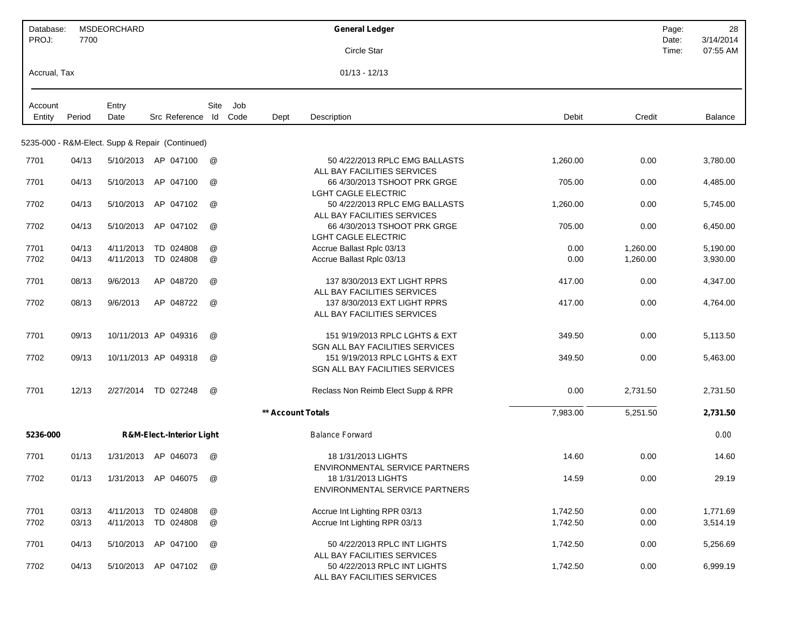| Database:<br>PROJ: | 7700   | MSDEORCHARD |                                                 |                      |      |                   | <b>General Ledger</b>                                             |          |          | Page:<br>Date: | 28<br>3/14/2014 |
|--------------------|--------|-------------|-------------------------------------------------|----------------------|------|-------------------|-------------------------------------------------------------------|----------|----------|----------------|-----------------|
|                    |        |             |                                                 |                      |      |                   | Circle Star                                                       |          |          | Time:          | 07:55 AM        |
| Accrual, Tax       |        |             |                                                 |                      |      |                   | $01/13 - 12/13$                                                   |          |          |                |                 |
| Account            |        | Entry       |                                                 | Site                 | Job  |                   |                                                                   |          |          |                |                 |
| Entity             | Period | Date        | Src Reference Id                                |                      | Code | Dept              | Description                                                       | Debit    | Credit   |                | Balance         |
|                    |        |             | 5235-000 - R&M-Elect. Supp & Repair (Continued) |                      |      |                   |                                                                   |          |          |                |                 |
| 7701               | 04/13  |             | 5/10/2013 AP 047100                             | @                    |      |                   | 50 4/22/2013 RPLC EMG BALLASTS<br>ALL BAY FACILITIES SERVICES     | 1,260.00 | 0.00     |                | 3,780.00        |
| 7701               | 04/13  | 5/10/2013   | AP 047100                                       | @                    |      |                   | 66 4/30/2013 TSHOOT PRK GRGE<br><b>LGHT CAGLE ELECTRIC</b>        | 705.00   | 0.00     |                | 4,485.00        |
| 7702               | 04/13  | 5/10/2013   | AP 047102                                       | @                    |      |                   | 50 4/22/2013 RPLC EMG BALLASTS<br>ALL BAY FACILITIES SERVICES     | 1,260.00 | 0.00     |                | 5,745.00        |
| 7702               | 04/13  | 5/10/2013   | AP 047102                                       | @                    |      |                   | 66 4/30/2013 TSHOOT PRK GRGE<br><b>LGHT CAGLE ELECTRIC</b>        | 705.00   | 0.00     |                | 6,450.00        |
| 7701               | 04/13  | 4/11/2013   | TD 024808                                       | @                    |      |                   | Accrue Ballast Rplc 03/13                                         | 0.00     | 1,260.00 |                | 5,190.00        |
| 7702               | 04/13  | 4/11/2013   | TD 024808                                       | @                    |      |                   | Accrue Ballast Rplc 03/13                                         | 0.00     | 1,260.00 |                | 3,930.00        |
| 7701               | 08/13  | 9/6/2013    | AP 048720                                       | @                    |      |                   | 137 8/30/2013 EXT LIGHT RPRS<br>ALL BAY FACILITIES SERVICES       | 417.00   | 0.00     |                | 4,347.00        |
| 7702               | 08/13  | 9/6/2013    | AP 048722                                       | @                    |      |                   | 137 8/30/2013 EXT LIGHT RPRS<br>ALL BAY FACILITIES SERVICES       | 417.00   | 0.00     |                | 4,764.00        |
| 7701               | 09/13  |             | 10/11/2013 AP 049316                            | @                    |      |                   | 151 9/19/2013 RPLC LGHTS & EXT<br>SGN ALL BAY FACILITIES SERVICES | 349.50   | 0.00     |                | 5,113.50        |
| 7702               | 09/13  |             | 10/11/2013 AP 049318                            | $^{\textregistered}$ |      |                   | 151 9/19/2013 RPLC LGHTS & EXT<br>SGN ALL BAY FACILITIES SERVICES | 349.50   | 0.00     |                | 5,463.00        |
| 7701               | 12/13  | 2/27/2014   | TD 027248                                       | @                    |      |                   | Reclass Non Reimb Elect Supp & RPR                                | 0.00     | 2,731.50 |                | 2,731.50        |
|                    |        |             |                                                 |                      |      | ** Account Totals |                                                                   | 7,983.00 | 5,251.50 |                | 2,731.50        |
| 5236-000           |        |             | <b>R&amp;M-Elect.-Interior Light</b>            |                      |      |                   | <b>Balance Forward</b>                                            |          |          |                | 0.00            |
| 7701               | 01/13  |             | 1/31/2013 AP 046073                             | @                    |      |                   | 18 1/31/2013 LIGHTS<br><b>ENVIRONMENTAL SERVICE PARTNERS</b>      | 14.60    | 0.00     |                | 14.60           |
| 7702               | 01/13  |             | 1/31/2013 AP 046075                             | @                    |      |                   | 18 1/31/2013 LIGHTS<br>ENVIRONMENTAL SERVICE PARTNERS             | 14.59    | 0.00     |                | 29.19           |
| 7701               | 03/13  |             | 4/11/2013 TD 024808                             | @                    |      |                   | Accrue Int Lighting RPR 03/13                                     | 1,742.50 | 0.00     |                | 1,771.69        |
| 7702               | 03/13  |             | 4/11/2013 TD 024808                             | @                    |      |                   | Accrue Int Lighting RPR 03/13                                     | 1,742.50 | 0.00     |                | 3,514.19        |
| 7701               | 04/13  |             | 5/10/2013 AP 047100                             | @                    |      |                   | 50 4/22/2013 RPLC INT LIGHTS<br>ALL BAY FACILITIES SERVICES       | 1,742.50 | 0.00     |                | 5,256.69        |
| 7702               | 04/13  |             | 5/10/2013 AP 047102                             | @                    |      |                   | 50 4/22/2013 RPLC INT LIGHTS<br>ALL BAY FACILITIES SERVICES       | 1,742.50 | 0.00     |                | 6,999.19        |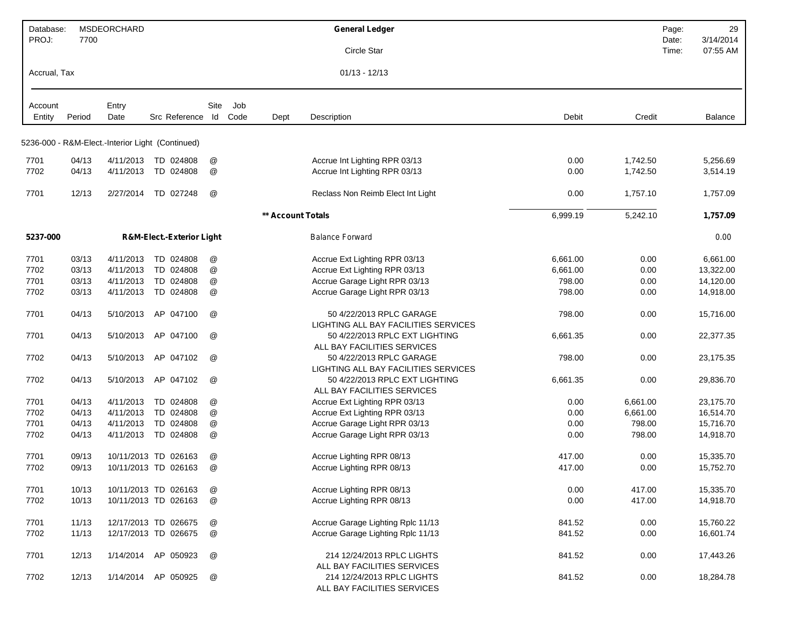| Database:<br>PROJ: | 7700   | <b>MSDEORCHARD</b> |                                                  |                           |      |                   | <b>General Ledger</b>                                            |          |          | Page:<br>Date: | 29<br>3/14/2014 |
|--------------------|--------|--------------------|--------------------------------------------------|---------------------------|------|-------------------|------------------------------------------------------------------|----------|----------|----------------|-----------------|
|                    |        |                    |                                                  |                           |      |                   | Circle Star                                                      |          |          | Time:          | 07:55 AM        |
| Accrual, Tax       |        |                    |                                                  |                           |      |                   | $01/13 - 12/13$                                                  |          |          |                |                 |
| Account            |        | Entry              |                                                  | Site                      | Job  |                   |                                                                  |          |          |                |                 |
| Entity             | Period | Date               | Src Reference                                    | ld                        | Code | Dept              | Description                                                      | Debit    | Credit   |                | Balance         |
|                    |        |                    | 5236-000 - R&M-Elect.-Interior Light (Continued) |                           |      |                   |                                                                  |          |          |                |                 |
| 7701               | 04/13  |                    | 4/11/2013 TD 024808                              | @                         |      |                   | Accrue Int Lighting RPR 03/13                                    | 0.00     | 1,742.50 |                | 5,256.69        |
| 7702               | 04/13  | 4/11/2013          | TD 024808                                        | @                         |      |                   | Accrue Int Lighting RPR 03/13                                    | 0.00     | 1,742.50 |                | 3,514.19        |
| 7701               | 12/13  | 2/27/2014          | TD 027248                                        | @                         |      |                   | Reclass Non Reimb Elect Int Light                                | 0.00     | 1,757.10 |                | 1,757.09        |
|                    |        |                    |                                                  |                           |      | ** Account Totals |                                                                  | 6,999.19 | 5,242.10 |                | 1,757.09        |
| 5237-000           |        |                    | <b>R&amp;M-Elect.-Exterior Light</b>             |                           |      |                   | <b>Balance Forward</b>                                           |          |          |                | 0.00            |
| 7701               | 03/13  | 4/11/2013          | TD 024808                                        | @                         |      |                   | Accrue Ext Lighting RPR 03/13                                    | 6,661.00 | 0.00     |                | 6,661.00        |
| 7702               | 03/13  | 4/11/2013          | TD 024808                                        | @                         |      |                   | Accrue Ext Lighting RPR 03/13                                    | 6,661.00 | 0.00     |                | 13,322.00       |
| 7701               | 03/13  | 4/11/2013          | TD 024808                                        | @                         |      |                   | Accrue Garage Light RPR 03/13                                    | 798.00   | 0.00     |                | 14,120.00       |
| 7702               | 03/13  | 4/11/2013          | TD 024808                                        | @                         |      |                   | Accrue Garage Light RPR 03/13                                    | 798.00   | 0.00     |                | 14,918.00       |
| 7701               | 04/13  | 5/10/2013          | AP 047100                                        | @                         |      |                   | 50 4/22/2013 RPLC GARAGE<br>LIGHTING ALL BAY FACILITIES SERVICES | 798.00   | 0.00     |                | 15,716.00       |
| 7701               | 04/13  | 5/10/2013          | AP 047100                                        | @                         |      |                   | 50 4/22/2013 RPLC EXT LIGHTING<br>ALL BAY FACILITIES SERVICES    | 6,661.35 | 0.00     |                | 22,377.35       |
| 7702               | 04/13  | 5/10/2013          | AP 047102                                        | @                         |      |                   | 50 4/22/2013 RPLC GARAGE<br>LIGHTING ALL BAY FACILITIES SERVICES | 798.00   | 0.00     |                | 23,175.35       |
| 7702               | 04/13  | 5/10/2013          | AP 047102                                        | @                         |      |                   | 50 4/22/2013 RPLC EXT LIGHTING<br>ALL BAY FACILITIES SERVICES    | 6,661.35 | 0.00     |                | 29,836.70       |
| 7701               | 04/13  | 4/11/2013          | TD 024808                                        | @                         |      |                   | Accrue Ext Lighting RPR 03/13                                    | 0.00     | 6,661.00 |                | 23,175.70       |
| 7702               | 04/13  | 4/11/2013          | TD 024808                                        | @                         |      |                   | Accrue Ext Lighting RPR 03/13                                    | 0.00     | 6,661.00 |                | 16,514.70       |
| 7701               | 04/13  | 4/11/2013          | TD 024808                                        | @                         |      |                   | Accrue Garage Light RPR 03/13                                    | 0.00     | 798.00   |                | 15,716.70       |
| 7702               | 04/13  | 4/11/2013          | TD 024808                                        | @                         |      |                   | Accrue Garage Light RPR 03/13                                    | 0.00     | 798.00   |                | 14,918.70       |
| 7701               | 09/13  |                    | 10/11/2013 TD 026163                             | @                         |      |                   | Accrue Lighting RPR 08/13                                        | 417.00   | 0.00     |                | 15,335.70       |
| 7702               | 09/13  |                    | 10/11/2013 TD 026163                             | @                         |      |                   | Accrue Lighting RPR 08/13                                        | 417.00   | 0.00     |                | 15,752.70       |
| 7701               | 10/13  |                    | 10/11/2013 TD 026163                             | @                         |      |                   | Accrue Lighting RPR 08/13                                        | 0.00     | 417.00   |                | 15,335.70       |
| 7702               | 10/13  |                    | 10/11/2013 TD 026163                             | $^\text{\textregistered}$ |      |                   | Accrue Lighting RPR 08/13                                        | 0.00     | 417.00   |                | 14,918.70       |
| 7701               | 11/13  |                    | 12/17/2013 TD 026675                             | @                         |      |                   | Accrue Garage Lighting Rplc 11/13                                | 841.52   | 0.00     |                | 15,760.22       |
| 7702               | 11/13  |                    | 12/17/2013 TD 026675                             | $^\copyright$             |      |                   | Accrue Garage Lighting Rplc 11/13                                | 841.52   | 0.00     |                | 16,601.74       |
| 7701               | 12/13  |                    | 1/14/2014 AP 050923                              | $^\text{\textregistered}$ |      |                   | 214 12/24/2013 RPLC LIGHTS<br>ALL BAY FACILITIES SERVICES        | 841.52   | 0.00     |                | 17,443.26       |
| 7702               | 12/13  |                    | 1/14/2014 AP 050925                              | @                         |      |                   | 214 12/24/2013 RPLC LIGHTS<br>ALL BAY FACILITIES SERVICES        | 841.52   | 0.00     |                | 18,284.78       |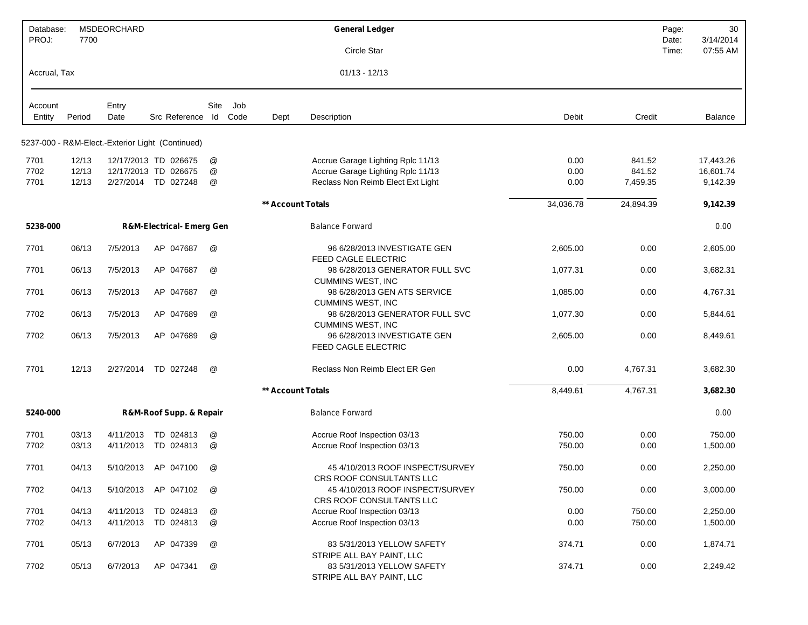| Database:<br>PROJ: | 7700   | <b>MSDEORCHARD</b> |                                                  |                      |      |                   | <b>General Ledger</b>                                                                   |           |           | Page:<br>Date: | 30<br>3/14/2014 |
|--------------------|--------|--------------------|--------------------------------------------------|----------------------|------|-------------------|-----------------------------------------------------------------------------------------|-----------|-----------|----------------|-----------------|
|                    |        |                    |                                                  |                      |      |                   | Circle Star                                                                             |           |           | Time:          | 07:55 AM        |
| Accrual, Tax       |        |                    |                                                  |                      |      |                   | $01/13 - 12/13$                                                                         |           |           |                |                 |
| Account            |        | Entry              |                                                  | Site                 | Job  |                   |                                                                                         |           |           |                |                 |
| Entity             | Period | Date               | Src Reference Id                                 |                      | Code | Dept              | Description                                                                             | Debit     | Credit    |                | Balance         |
|                    |        |                    | 5237-000 - R&M-Elect.-Exterior Light (Continued) |                      |      |                   |                                                                                         |           |           |                |                 |
| 7701               | 12/13  |                    | 12/17/2013 TD 026675                             | @                    |      |                   | Accrue Garage Lighting Rplc 11/13                                                       | 0.00      | 841.52    |                | 17,443.26       |
| 7702               | 12/13  |                    | 12/17/2013 TD 026675                             | @                    |      |                   | Accrue Garage Lighting Rplc 11/13                                                       | 0.00      | 841.52    |                | 16,601.74       |
| 7701               | 12/13  |                    | 2/27/2014 TD 027248                              | @                    |      |                   | Reclass Non Reimb Elect Ext Light                                                       | 0.00      | 7,459.35  |                | 9,142.39        |
|                    |        |                    |                                                  |                      |      | ** Account Totals |                                                                                         | 34,036.78 | 24,894.39 |                | 9,142.39        |
| 5238-000           |        |                    | <b>R&amp;M-Electrical- Emerg Gen</b>             |                      |      |                   | <b>Balance Forward</b>                                                                  |           |           |                | 0.00            |
| 7701               | 06/13  | 7/5/2013           | AP 047687                                        | $^{\textregistered}$ |      |                   | 96 6/28/2013 INVESTIGATE GEN<br><b>FEED CAGLE ELECTRIC</b>                              | 2,605.00  | 0.00      |                | 2,605.00        |
| 7701               | 06/13  | 7/5/2013           | AP 047687                                        | @                    |      |                   | 98 6/28/2013 GENERATOR FULL SVC<br><b>CUMMINS WEST, INC</b>                             | 1,077.31  | 0.00      |                | 3,682.31        |
| 7701               | 06/13  | 7/5/2013           | AP 047687                                        | @                    |      |                   | 98 6/28/2013 GEN ATS SERVICE                                                            | 1,085.00  | 0.00      |                | 4,767.31        |
| 7702               | 06/13  | 7/5/2013           | AP 047689                                        | @                    |      |                   | <b>CUMMINS WEST, INC</b><br>98 6/28/2013 GENERATOR FULL SVC<br><b>CUMMINS WEST, INC</b> | 1,077.30  | 0.00      |                | 5,844.61        |
| 7702               | 06/13  | 7/5/2013           | AP 047689                                        | @                    |      |                   | 96 6/28/2013 INVESTIGATE GEN<br>FEED CAGLE ELECTRIC                                     | 2,605.00  | 0.00      |                | 8,449.61        |
| 7701               | 12/13  | 2/27/2014          | TD 027248                                        | @                    |      |                   | Reclass Non Reimb Elect ER Gen                                                          | 0.00      | 4,767.31  |                | 3,682.30        |
|                    |        |                    |                                                  |                      |      | ** Account Totals |                                                                                         | 8,449.61  | 4,767.31  |                | 3,682.30        |
| 5240-000           |        |                    | R&M-Roof Supp. & Repair                          |                      |      |                   | <b>Balance Forward</b>                                                                  |           |           |                | 0.00            |
| 7701               | 03/13  | 4/11/2013          | TD 024813                                        | @                    |      |                   | Accrue Roof Inspection 03/13                                                            | 750.00    | 0.00      |                | 750.00          |
| 7702               | 03/13  | 4/11/2013          | TD 024813                                        | @                    |      |                   | Accrue Roof Inspection 03/13                                                            | 750.00    | 0.00      |                | 1,500.00        |
| 7701               | 04/13  | 5/10/2013          | AP 047100                                        | @                    |      |                   | 45 4/10/2013 ROOF INSPECT/SURVEY<br>CRS ROOF CONSULTANTS LLC                            | 750.00    | 0.00      |                | 2,250.00        |
| 7702               | 04/13  |                    | 5/10/2013 AP 047102                              | @                    |      |                   | 45 4/10/2013 ROOF INSPECT/SURVEY<br>CRS ROOF CONSULTANTS LLC                            | 750.00    | 0.00      |                | 3,000.00        |
| 7701               | 04/13  |                    | 4/11/2013 TD 024813                              | @                    |      |                   | Accrue Roof Inspection 03/13                                                            | 0.00      | 750.00    |                | 2,250.00        |
| 7702               | 04/13  | 4/11/2013          | TD 024813                                        | @                    |      |                   | Accrue Roof Inspection 03/13                                                            | 0.00      | 750.00    |                | 1,500.00        |
| 7701               | 05/13  | 6/7/2013           | AP 047339                                        | @                    |      |                   | 83 5/31/2013 YELLOW SAFETY<br>STRIPE ALL BAY PAINT, LLC                                 | 374.71    | 0.00      |                | 1,874.71        |
| 7702               | 05/13  | 6/7/2013           | AP 047341                                        | @                    |      |                   | 83 5/31/2013 YELLOW SAFETY<br>STRIPE ALL BAY PAINT, LLC                                 | 374.71    | 0.00      |                | 2,249.42        |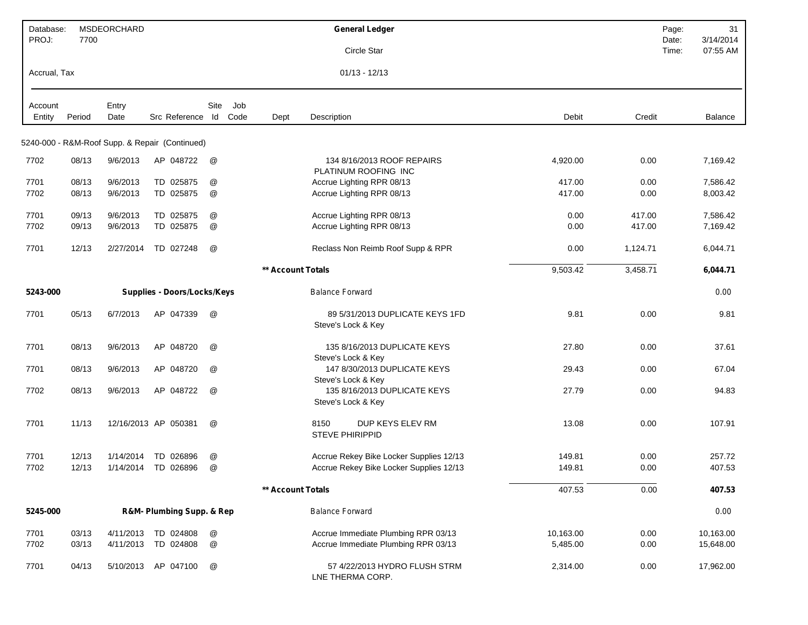| Database:<br>PROJ: | 7700   | MSDEORCHARD |                                                |      |      |                   | <b>General Ledger</b>                                 |           |          | Page:<br>Date: | 31<br>3/14/2014 |
|--------------------|--------|-------------|------------------------------------------------|------|------|-------------------|-------------------------------------------------------|-----------|----------|----------------|-----------------|
|                    |        |             |                                                |      |      |                   | <b>Circle Star</b>                                    |           |          | Time:          | 07:55 AM        |
| Accrual, Tax       |        |             |                                                |      |      |                   | $01/13 - 12/13$                                       |           |          |                |                 |
| Account            |        | Entry       |                                                | Site | Job  |                   |                                                       |           |          |                |                 |
| Entity             | Period | Date        | Src Reference Id                               |      | Code | Dept              | Description                                           | Debit     | Credit   |                | Balance         |
|                    |        |             | 5240-000 - R&M-Roof Supp. & Repair (Continued) |      |      |                   |                                                       |           |          |                |                 |
| 7702               | 08/13  | 9/6/2013    | AP 048722                                      | @    |      |                   | 134 8/16/2013 ROOF REPAIRS<br>PLATINUM ROOFING INC    | 4,920.00  | 0.00     |                | 7,169.42        |
| 7701               | 08/13  | 9/6/2013    | TD 025875                                      | @    |      |                   | Accrue Lighting RPR 08/13                             | 417.00    | 0.00     |                | 7,586.42        |
| 7702               | 08/13  | 9/6/2013    | TD 025875                                      | @    |      |                   | Accrue Lighting RPR 08/13                             | 417.00    | 0.00     |                | 8,003.42        |
| 7701               | 09/13  | 9/6/2013    | TD 025875                                      | @    |      |                   | Accrue Lighting RPR 08/13                             | 0.00      | 417.00   |                | 7,586.42        |
| 7702               | 09/13  | 9/6/2013    | TD 025875                                      | @    |      |                   | Accrue Lighting RPR 08/13                             | 0.00      | 417.00   |                | 7,169.42        |
| 7701               | 12/13  | 2/27/2014   | TD 027248                                      | @    |      |                   | Reclass Non Reimb Roof Supp & RPR                     | 0.00      | 1,124.71 |                | 6,044.71        |
|                    |        |             |                                                |      |      | ** Account Totals |                                                       | 9,503.42  | 3,458.71 |                | 6,044.71        |
| 5243-000           |        |             | <b>Supplies - Doors/Locks/Keys</b>             |      |      |                   | <b>Balance Forward</b>                                |           |          |                | 0.00            |
| 7701               | 05/13  | 6/7/2013    | AP 047339                                      | @    |      |                   | 89 5/31/2013 DUPLICATE KEYS 1FD<br>Steve's Lock & Key | 9.81      | 0.00     |                | 9.81            |
| 7701               | 08/13  | 9/6/2013    | AP 048720                                      | @    |      |                   | 135 8/16/2013 DUPLICATE KEYS<br>Steve's Lock & Key    | 27.80     | 0.00     |                | 37.61           |
| 7701               | 08/13  | 9/6/2013    | AP 048720                                      | @    |      |                   | 147 8/30/2013 DUPLICATE KEYS<br>Steve's Lock & Key    | 29.43     | 0.00     |                | 67.04           |
| 7702               | 08/13  | 9/6/2013    | AP 048722                                      | @    |      |                   | 135 8/16/2013 DUPLICATE KEYS<br>Steve's Lock & Key    | 27.79     | 0.00     |                | 94.83           |
| 7701               | 11/13  |             | 12/16/2013 AP 050381                           | @    |      |                   | 8150<br>DUP KEYS ELEV RM<br>STEVE PHIRIPPID           | 13.08     | 0.00     |                | 107.91          |
| 7701               | 12/13  | 1/14/2014   | TD 026896                                      | @    |      |                   | Accrue Rekey Bike Locker Supplies 12/13               | 149.81    | 0.00     |                | 257.72          |
| 7702               | 12/13  | 1/14/2014   | TD 026896                                      | @    |      |                   | Accrue Rekey Bike Locker Supplies 12/13               | 149.81    | 0.00     |                | 407.53          |
|                    |        |             |                                                |      |      | ** Account Totals |                                                       | 407.53    | 0.00     |                | 407.53          |
| 5245-000           |        |             | R&M- Plumbing Supp. & Rep                      |      |      |                   | <b>Balance Forward</b>                                |           |          |                | 0.00            |
| 7701               | 03/13  | 4/11/2013   | TD 024808                                      | @    |      |                   | Accrue Immediate Plumbing RPR 03/13                   | 10,163.00 | 0.00     |                | 10,163.00       |
| 7702               | 03/13  | 4/11/2013   | TD 024808                                      | @    |      |                   | Accrue Immediate Plumbing RPR 03/13                   | 5,485.00  | 0.00     |                | 15,648.00       |
| 7701               | 04/13  | 5/10/2013   | AP 047100                                      | @    |      |                   | 57 4/22/2013 HYDRO FLUSH STRM<br>LNE THERMA CORP.     | 2,314.00  | 0.00     |                | 17,962.00       |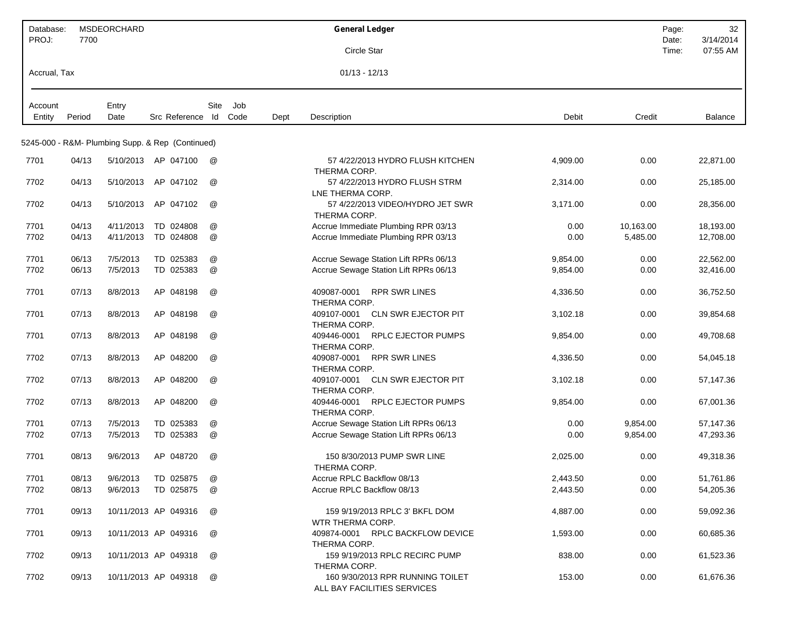| Database:         |        | <b>MSDEORCHARD</b> |                                                  |      |     |      | <b>General Ledger</b>                                           |          |           | Page:          | 32                    |
|-------------------|--------|--------------------|--------------------------------------------------|------|-----|------|-----------------------------------------------------------------|----------|-----------|----------------|-----------------------|
| PROJ:             | 7700   |                    |                                                  |      |     |      | Circle Star                                                     |          |           | Date:<br>Time: | 3/14/2014<br>07:55 AM |
| Accrual, Tax      |        |                    |                                                  |      |     |      | $01/13 - 12/13$                                                 |          |           |                |                       |
|                   |        |                    |                                                  |      |     |      |                                                                 |          |           |                |                       |
| Account<br>Entity | Period | Entry<br>Date      | Src Reference Id Code                            | Site | Job | Dept | Description                                                     | Debit    | Credit    |                | Balance               |
|                   |        |                    | 5245-000 - R&M- Plumbing Supp. & Rep (Continued) |      |     |      |                                                                 |          |           |                |                       |
| 7701              | 04/13  |                    | 5/10/2013 AP 047100                              | @    |     |      | 57 4/22/2013 HYDRO FLUSH KITCHEN<br>THERMA CORP.                | 4,909.00 | 0.00      |                | 22,871.00             |
| 7702              | 04/13  | 5/10/2013          | AP 047102                                        | @    |     |      | 57 4/22/2013 HYDRO FLUSH STRM<br>LNE THERMA CORP.               | 2,314.00 | 0.00      |                | 25,185.00             |
| 7702              | 04/13  | 5/10/2013          | AP 047102                                        | @    |     |      | 57 4/22/2013 VIDEO/HYDRO JET SWR<br>THERMA CORP.                | 3,171.00 | 0.00      |                | 28,356.00             |
| 7701              | 04/13  | 4/11/2013          | TD 024808                                        | @    |     |      | Accrue Immediate Plumbing RPR 03/13                             | 0.00     | 10,163.00 |                | 18,193.00             |
| 7702              | 04/13  | 4/11/2013          | TD 024808                                        | @    |     |      | Accrue Immediate Plumbing RPR 03/13                             | 0.00     | 5,485.00  |                | 12,708.00             |
| 7701              | 06/13  | 7/5/2013           | TD 025383                                        | @    |     |      | Accrue Sewage Station Lift RPRs 06/13                           | 9,854.00 | 0.00      |                | 22,562.00             |
| 7702              | 06/13  | 7/5/2013           | TD 025383                                        | @    |     |      | Accrue Sewage Station Lift RPRs 06/13                           | 9,854.00 | 0.00      |                | 32,416.00             |
| 7701              | 07/13  | 8/8/2013           | AP 048198                                        | @    |     |      | <b>RPR SWR LINES</b><br>409087-0001<br>THERMA CORP.             | 4,336.50 | 0.00      |                | 36,752.50             |
| 7701              | 07/13  | 8/8/2013           | AP 048198                                        | @    |     |      | 409107-0001 CLN SWR EJECTOR PIT<br>THERMA CORP.                 | 3,102.18 | 0.00      |                | 39,854.68             |
| 7701              | 07/13  | 8/8/2013           | AP 048198                                        | @    |     |      | <b>RPLC EJECTOR PUMPS</b><br>409446-0001<br>THERMA CORP.        | 9,854.00 | 0.00      |                | 49,708.68             |
| 7702              | 07/13  | 8/8/2013           | AP 048200                                        | @    |     |      | 409087-0001<br><b>RPR SWR LINES</b><br>THERMA CORP.             | 4,336.50 | 0.00      |                | 54,045.18             |
| 7702              | 07/13  | 8/8/2013           | AP 048200                                        | @    |     |      | <b>CLN SWR EJECTOR PIT</b><br>409107-0001<br>THERMA CORP.       | 3,102.18 | 0.00      |                | 57,147.36             |
| 7702              | 07/13  | 8/8/2013           | AP 048200                                        | @    |     |      | <b>RPLC EJECTOR PUMPS</b><br>409446-0001<br>THERMA CORP.        | 9,854.00 | 0.00      |                | 67,001.36             |
| 7701              | 07/13  | 7/5/2013           | TD 025383                                        | @    |     |      | Accrue Sewage Station Lift RPRs 06/13                           | 0.00     | 9,854.00  |                | 57,147.36             |
| 7702              | 07/13  | 7/5/2013           | TD 025383                                        | @    |     |      | Accrue Sewage Station Lift RPRs 06/13                           | 0.00     | 9,854.00  |                | 47,293.36             |
| 7701              | 08/13  | 9/6/2013           | AP 048720                                        | @    |     |      | 150 8/30/2013 PUMP SWR LINE<br>THERMA CORP.                     | 2,025.00 | 0.00      |                | 49,318.36             |
| 7701              | 08/13  | 9/6/2013           | TD 025875                                        | @    |     |      | Accrue RPLC Backflow 08/13                                      | 2,443.50 | 0.00      |                | 51,761.86             |
| 7702              | 08/13  | 9/6/2013           | TD 025875                                        | @    |     |      | Accrue RPLC Backflow 08/13                                      | 2,443.50 | 0.00      |                | 54,205.36             |
| 7701              | 09/13  |                    | 10/11/2013 AP 049316                             | @    |     |      | 159 9/19/2013 RPLC 3' BKFL DOM<br>WTR THERMA CORP.              | 4,887.00 | 0.00      |                | 59,092.36             |
| 7701              | 09/13  |                    | 10/11/2013 AP 049316                             | @    |     |      | 409874-0001 RPLC BACKFLOW DEVICE<br>THERMA CORP.                | 1,593.00 | 0.00      |                | 60,685.36             |
| 7702              | 09/13  |                    | 10/11/2013 AP 049318                             | @    |     |      | 159 9/19/2013 RPLC RECIRC PUMP<br>THERMA CORP.                  | 838.00   | 0.00      |                | 61,523.36             |
| 7702              | 09/13  |                    | 10/11/2013 AP 049318                             | @    |     |      | 160 9/30/2013 RPR RUNNING TOILET<br>ALL BAY FACILITIES SERVICES | 153.00   | 0.00      |                | 61,676.36             |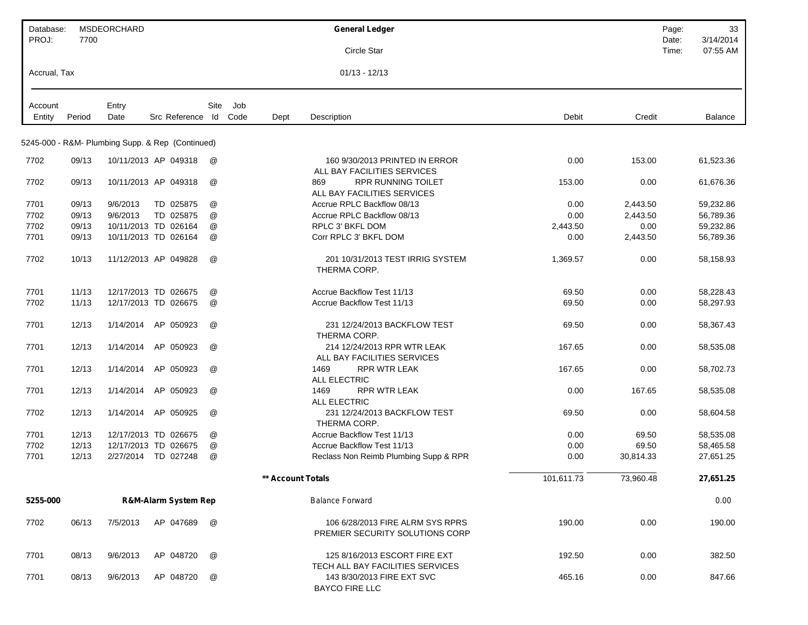| Database:<br>PROJ: | 7700   | MSDEORCHARD |                                                  |      |      |                   | <b>General Ledger</b>                                               |            |           | Page:<br>Date: | 33<br>3/14/2014 |
|--------------------|--------|-------------|--------------------------------------------------|------|------|-------------------|---------------------------------------------------------------------|------------|-----------|----------------|-----------------|
|                    |        |             |                                                  |      |      |                   | Circle Star                                                         |            |           | Time:          | 07:55 AM        |
| Accrual, Tax       |        |             |                                                  |      |      |                   | $01/13 - 12/13$                                                     |            |           |                |                 |
| Account            |        | Entry       |                                                  | Site | Job  |                   |                                                                     |            |           |                |                 |
| Entity             | Period | Date        | Src Reference Id                                 |      | Code | Dept              | Description                                                         | Debit      | Credit    |                | Balance         |
|                    |        |             | 5245-000 - R&M- Plumbing Supp. & Rep (Continued) |      |      |                   |                                                                     |            |           |                |                 |
| 7702               | 09/13  |             | 10/11/2013 AP 049318                             | @    |      |                   | 160 9/30/2013 PRINTED IN ERROR<br>ALL BAY FACILITIES SERVICES       | 0.00       | 153.00    |                | 61,523.36       |
| 7702               | 09/13  |             | 10/11/2013 AP 049318                             | @    |      |                   | <b>RPR RUNNING TOILET</b><br>869<br>ALL BAY FACILITIES SERVICES     | 153.00     | 0.00      |                | 61,676.36       |
| 7701               | 09/13  | 9/6/2013    | TD 025875                                        | @    |      |                   | Accrue RPLC Backflow 08/13                                          | 0.00       | 2,443.50  |                | 59,232.86       |
| 7702               | 09/13  | 9/6/2013    | TD 025875                                        | @    |      |                   | Accrue RPLC Backflow 08/13                                          | 0.00       | 2,443.50  |                | 56,789.36       |
| 7702               | 09/13  |             | 10/11/2013 TD 026164                             | @    |      |                   | RPLC 3' BKFL DOM                                                    | 2,443.50   | 0.00      |                | 59,232.86       |
| 7701               | 09/13  |             | 10/11/2013 TD 026164                             | @    |      |                   | Corr RPLC 3' BKFL DOM                                               | 0.00       | 2,443.50  |                | 56,789.36       |
| 7702               | 10/13  |             | 11/12/2013 AP 049828                             | @    |      |                   | 201 10/31/2013 TEST IRRIG SYSTEM<br>THERMA CORP.                    | 1,369.57   | 0.00      |                | 58,158.93       |
| 7701               | 11/13  |             | 12/17/2013 TD 026675                             | @    |      |                   | <b>Accrue Backflow Test 11/13</b>                                   | 69.50      | 0.00      |                | 58,228.43       |
| 7702               | 11/13  |             | 12/17/2013 TD 026675                             | @    |      |                   | Accrue Backflow Test 11/13                                          | 69.50      | 0.00      |                | 58,297.93       |
| 7701               | 12/13  | 1/14/2014   | AP 050923                                        | @    |      |                   | 231 12/24/2013 BACKFLOW TEST<br>THERMA CORP.                        | 69.50      | 0.00      |                | 58,367.43       |
| 7701               | 12/13  | 1/14/2014   | AP 050923                                        | @    |      |                   | 214 12/24/2013 RPR WTR LEAK<br>ALL BAY FACILITIES SERVICES          | 167.65     | 0.00      |                | 58,535.08       |
| 7701               | 12/13  | 1/14/2014   | AP 050923                                        | @    |      |                   | 1469<br><b>RPR WTR LEAK</b><br><b>ALL ELECTRIC</b>                  | 167.65     | 0.00      |                | 58,702.73       |
| 7701               | 12/13  | 1/14/2014   | AP 050923                                        | @    |      |                   | <b>RPR WTR LEAK</b><br>1469<br><b>ALL ELECTRIC</b>                  | 0.00       | 167.65    |                | 58,535.08       |
| 7702               | 12/13  | 1/14/2014   | AP 050925                                        | @    |      |                   | 231 12/24/2013 BACKFLOW TEST<br>THERMA CORP.                        | 69.50      | 0.00      |                | 58,604.58       |
| 7701               | 12/13  |             | 12/17/2013 TD 026675                             | @    |      |                   | Accrue Backflow Test 11/13                                          | 0.00       | 69.50     |                | 58,535.08       |
| 7702               | 12/13  |             | 12/17/2013 TD 026675                             | @    |      |                   | Accrue Backflow Test 11/13                                          | 0.00       | 69.50     |                | 58,465.58       |
| 7701               | 12/13  |             | 2/27/2014 TD 027248                              | @    |      |                   | Reclass Non Reimb Plumbing Supp & RPR                               | 0.00       | 30,814.33 |                | 27,651.25       |
|                    |        |             |                                                  |      |      | ** Account Totals |                                                                     | 101,611.73 | 73,960.48 |                | 27,651.25       |
| 5255-000           |        |             | <b>R&amp;M-Alarm System Rep</b>                  |      |      |                   | <b>Balance Forward</b>                                              |            |           |                | 0.00            |
| 7702               | 06/13  | 7/5/2013    | AP 047689                                        | @    |      |                   | 106 6/28/2013 FIRE ALRM SYS RPRS<br>PREMIER SECURITY SOLUTIONS CORP | 190.00     | 0.00      |                | 190.00          |
| 7701               | 08/13  | 9/6/2013    | AP 048720                                        | @    |      |                   | 125 8/16/2013 ESCORT FIRE EXT<br>TECH ALL BAY FACILITIES SERVICES   | 192.50     | 0.00      |                | 382.50          |
| 7701               | 08/13  | 9/6/2013    | AP 048720                                        | @    |      |                   | 143 8/30/2013 FIRE EXT SVC<br><b>BAYCO FIRE LLC</b>                 | 465.16     | 0.00      |                | 847.66          |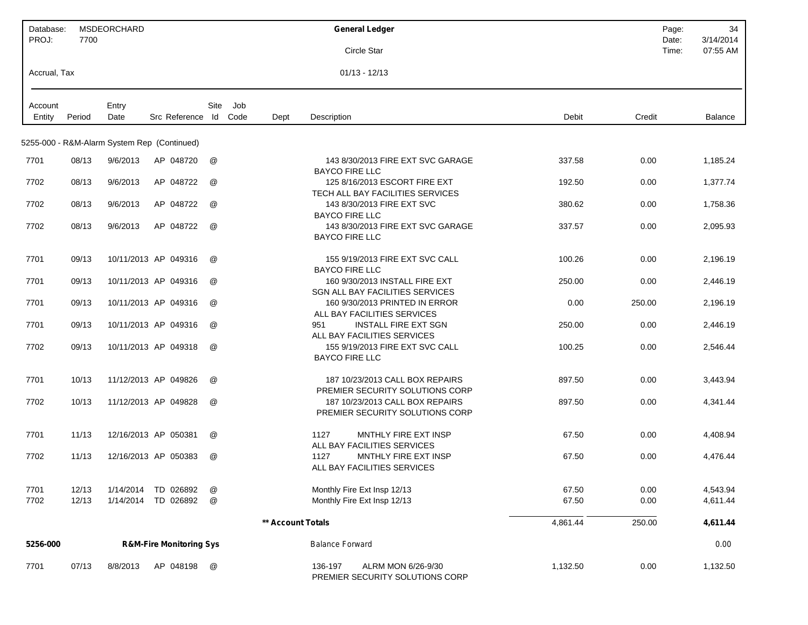| Database:<br>PROJ: | 7700   | MSDEORCHARD |                                             |                      |     |                   | <b>General Ledger</b>                                                        | Page:<br>Date: | 34<br>3/14/2014 |
|--------------------|--------|-------------|---------------------------------------------|----------------------|-----|-------------------|------------------------------------------------------------------------------|----------------|-----------------|
|                    |        |             |                                             |                      |     |                   | Circle Star                                                                  | Time:          | 07:55 AM        |
| Accrual, Tax       |        |             |                                             |                      |     |                   | $01/13 - 12/13$                                                              |                |                 |
| Account            |        | Entry       |                                             | Site                 | Job |                   |                                                                              |                |                 |
| Entity             | Period | Date        | Src Reference Id Code                       |                      |     | Dept              | Description<br>Debit                                                         | Credit         | <b>Balance</b>  |
|                    |        |             | 5255-000 - R&M-Alarm System Rep (Continued) |                      |     |                   |                                                                              |                |                 |
| 7701               | 08/13  | 9/6/2013    | AP 048720                                   | @                    |     |                   | 143 8/30/2013 FIRE EXT SVC GARAGE<br>337.58<br><b>BAYCO FIRE LLC</b>         | 0.00           | 1,185.24        |
| 7702               | 08/13  | 9/6/2013    | AP 048722                                   | @                    |     |                   | 125 8/16/2013 ESCORT FIRE EXT<br>192.50<br>TECH ALL BAY FACILITIES SERVICES  | 0.00           | 1,377.74        |
| 7702               | 08/13  | 9/6/2013    | AP 048722                                   | @                    |     |                   | 143 8/30/2013 FIRE EXT SVC<br>380.62<br><b>BAYCO FIRE LLC</b>                | 0.00           | 1,758.36        |
| 7702               | 08/13  | 9/6/2013    | AP 048722                                   | @                    |     |                   | 143 8/30/2013 FIRE EXT SVC GARAGE<br>337.57<br><b>BAYCO FIRE LLC</b>         | 0.00           | 2,095.93        |
| 7701               | 09/13  |             | 10/11/2013 AP 049316                        | @                    |     |                   | 155 9/19/2013 FIRE EXT SVC CALL<br>100.26<br><b>BAYCO FIRE LLC</b>           | 0.00           | 2,196.19        |
| 7701               | 09/13  |             | 10/11/2013 AP 049316                        | @                    |     |                   | 160 9/30/2013 INSTALL FIRE EXT<br>250.00<br>SGN ALL BAY FACILITIES SERVICES  | 0.00           | 2,446.19        |
| 7701               | 09/13  |             | 10/11/2013 AP 049316                        | $^{\textregistered}$ |     |                   | 160 9/30/2013 PRINTED IN ERROR<br>0.00<br>ALL BAY FACILITIES SERVICES        | 250.00         | 2,196.19        |
| 7701               | 09/13  |             | 10/11/2013 AP 049316                        | @                    |     |                   | <b>INSTALL FIRE EXT SGN</b><br>951<br>250.00<br>ALL BAY FACILITIES SERVICES  | 0.00           | 2,446.19        |
| 7702               | 09/13  |             | 10/11/2013 AP 049318                        | @                    |     |                   | 155 9/19/2013 FIRE EXT SVC CALL<br>100.25<br><b>BAYCO FIRE LLC</b>           | 0.00           | 2,546.44        |
| 7701               | 10/13  |             | 11/12/2013 AP 049826                        | @                    |     |                   | 187 10/23/2013 CALL BOX REPAIRS<br>897.50<br>PREMIER SECURITY SOLUTIONS CORP | 0.00           | 3,443.94        |
| 7702               | 10/13  |             | 11/12/2013 AP 049828                        | @                    |     |                   | 187 10/23/2013 CALL BOX REPAIRS<br>897.50<br>PREMIER SECURITY SOLUTIONS CORP | 0.00           | 4,341.44        |
| 7701               | 11/13  |             | 12/16/2013 AP 050381                        | @                    |     |                   | MNTHLY FIRE EXT INSP<br>1127<br>67.50<br>ALL BAY FACILITIES SERVICES         | 0.00           | 4,408.94        |
| 7702               | 11/13  |             | 12/16/2013 AP 050383                        | @                    |     |                   | MNTHLY FIRE EXT INSP<br>67.50<br>1127<br>ALL BAY FACILITIES SERVICES         | 0.00           | 4,476.44        |
| 7701               | 12/13  | 1/14/2014   | TD 026892                                   | @                    |     |                   | 67.50<br>Monthly Fire Ext Insp 12/13                                         | 0.00           | 4,543.94        |
| 7702               | 12/13  | 1/14/2014   | TD 026892                                   | @                    |     |                   | Monthly Fire Ext Insp 12/13<br>67.50                                         | 0.00           | 4,611.44        |
|                    |        |             |                                             |                      |     | ** Account Totals | 4,861.44                                                                     | 250.00         | 4,611.44        |
| 5256-000           |        |             | <b>R&amp;M-Fire Monitoring Sys</b>          |                      |     |                   | <b>Balance Forward</b>                                                       |                | 0.00            |
| 7701               | 07/13  | 8/8/2013    | AP 048198                                   | @                    |     |                   | ALRM MON 6/26-9/30<br>1,132.50<br>136-197<br>PREMIER SECURITY SOLUTIONS CORP | 0.00           | 1,132.50        |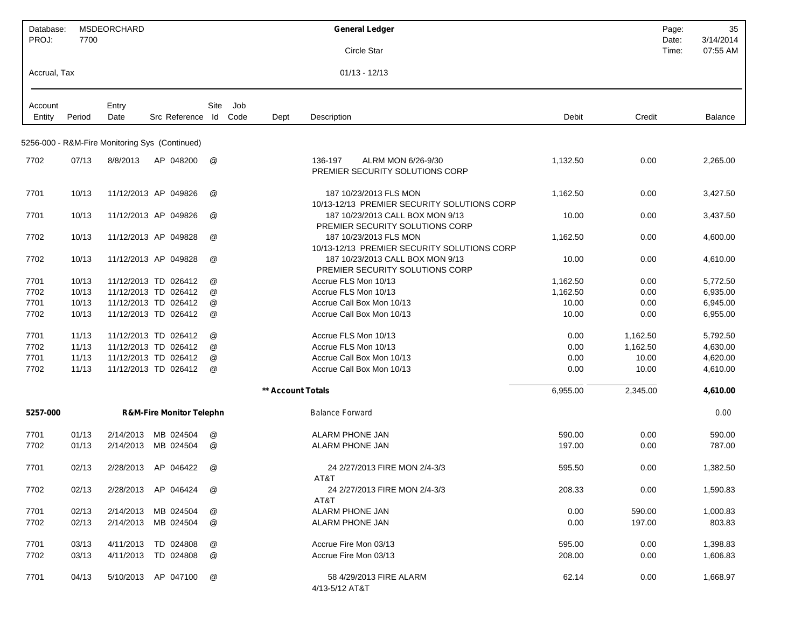| Database:<br>PROJ: | 7700   | MSDEORCHARD |                                                |      |                   | <b>General Ledger</b>                                                 |          |          | Page:<br>Date: | 35<br>3/14/2014 |
|--------------------|--------|-------------|------------------------------------------------|------|-------------------|-----------------------------------------------------------------------|----------|----------|----------------|-----------------|
|                    |        |             |                                                |      |                   | Circle Star                                                           |          |          | Time:          | 07:55 AM        |
| Accrual, Tax       |        |             |                                                |      |                   | $01/13 - 12/13$                                                       |          |          |                |                 |
| Account            |        | Entry       |                                                | Site | Job               |                                                                       |          |          |                |                 |
| Entity             | Period | Date        | Src Reference Id                               |      | Code<br>Dept      | Description                                                           | Debit    | Credit   |                | Balance         |
|                    |        |             | 5256-000 - R&M-Fire Monitoring Sys (Continued) |      |                   |                                                                       |          |          |                |                 |
|                    |        |             |                                                |      |                   |                                                                       |          |          |                |                 |
| 7702               | 07/13  | 8/8/2013    | AP 048200                                      | @    |                   | ALRM MON 6/26-9/30<br>136-197<br>PREMIER SECURITY SOLUTIONS CORP      | 1,132.50 | 0.00     |                | 2,265.00        |
| 7701               | 10/13  |             | 11/12/2013 AP 049826                           | @    |                   | 187 10/23/2013 FLS MON<br>10/13-12/13 PREMIER SECURITY SOLUTIONS CORP | 1,162.50 | 0.00     |                | 3,427.50        |
| 7701               | 10/13  |             | 11/12/2013 AP 049826                           | @    |                   | 187 10/23/2013 CALL BOX MON 9/13<br>PREMIER SECURITY SOLUTIONS CORP   | 10.00    | 0.00     |                | 3,437.50        |
| 7702               | 10/13  |             | 11/12/2013 AP 049828                           | @    |                   | 187 10/23/2013 FLS MON<br>10/13-12/13 PREMIER SECURITY SOLUTIONS CORP | 1,162.50 | 0.00     |                | 4,600.00        |
| 7702               | 10/13  |             | 11/12/2013 AP 049828                           | @    |                   | 187 10/23/2013 CALL BOX MON 9/13<br>PREMIER SECURITY SOLUTIONS CORP   | 10.00    | 0.00     |                | 4,610.00        |
| 7701               | 10/13  |             | 11/12/2013 TD 026412                           | @    |                   | Accrue FLS Mon 10/13                                                  | 1,162.50 | 0.00     |                | 5,772.50        |
| 7702               | 10/13  |             | 11/12/2013 TD 026412                           | @    |                   | Accrue FLS Mon 10/13                                                  | 1,162.50 | 0.00     |                | 6,935.00        |
| 7701               | 10/13  |             | 11/12/2013 TD 026412                           | @    |                   | Accrue Call Box Mon 10/13                                             | 10.00    | 0.00     |                | 6,945.00        |
| 7702               | 10/13  |             | 11/12/2013 TD 026412                           | @    |                   | Accrue Call Box Mon 10/13                                             | 10.00    | 0.00     |                | 6,955.00        |
| 7701               | 11/13  |             | 11/12/2013 TD 026412                           | @    |                   | Accrue FLS Mon 10/13                                                  | 0.00     | 1,162.50 |                | 5,792.50        |
| 7702               | 11/13  |             | 11/12/2013 TD 026412                           | @    |                   | Accrue FLS Mon 10/13                                                  | 0.00     | 1,162.50 |                | 4,630.00        |
| 7701               | 11/13  |             | 11/12/2013 TD 026412                           | @    |                   | Accrue Call Box Mon 10/13                                             | 0.00     | 10.00    |                | 4,620.00        |
| 7702               | 11/13  |             | 11/12/2013 TD 026412                           | @    |                   | Accrue Call Box Mon 10/13                                             | 0.00     | 10.00    |                | 4,610.00        |
|                    |        |             |                                                |      | ** Account Totals |                                                                       | 6,955.00 | 2,345.00 |                | 4,610.00        |
| 5257-000           |        |             | <b>R&amp;M-Fire Monitor Telephn</b>            |      |                   | <b>Balance Forward</b>                                                |          |          |                | 0.00            |
| 7701               | 01/13  | 2/14/2013   | MB 024504                                      | @    |                   | <b>ALARM PHONE JAN</b>                                                | 590.00   | 0.00     |                | 590.00          |
| 7702               | 01/13  | 2/14/2013   | MB 024504                                      | @    |                   | ALARM PHONE JAN                                                       | 197.00   | 0.00     |                | 787.00          |
| 7701               | 02/13  | 2/28/2013   | AP 046422                                      | @    |                   | 24 2/27/2013 FIRE MON 2/4-3/3<br>AT&T                                 | 595.50   | 0.00     |                | 1,382.50        |
| 7702               | 02/13  |             | 2/28/2013 AP 046424                            | @    |                   | 24 2/27/2013 FIRE MON 2/4-3/3<br>AT&T                                 | 208.33   | 0.00     |                | 1,590.83        |
| 7701               | 02/13  | 2/14/2013   | MB 024504                                      | @    |                   | ALARM PHONE JAN                                                       | 0.00     | 590.00   |                | 1,000.83        |
| 7702               | 02/13  | 2/14/2013   | MB 024504                                      | @    |                   | ALARM PHONE JAN                                                       | 0.00     | 197.00   |                | 803.83          |
| 7701               | 03/13  | 4/11/2013   | TD 024808                                      | @    |                   | Accrue Fire Mon 03/13                                                 | 595.00   | 0.00     |                | 1,398.83        |
| 7702               | 03/13  | 4/11/2013   | TD 024808                                      | @    |                   | Accrue Fire Mon 03/13                                                 | 208.00   | 0.00     |                | 1,606.83        |
| 7701               | 04/13  |             | 5/10/2013 AP 047100                            | @    |                   | 58 4/29/2013 FIRE ALARM<br>4/13-5/12 AT&T                             | 62.14    | 0.00     |                | 1,668.97        |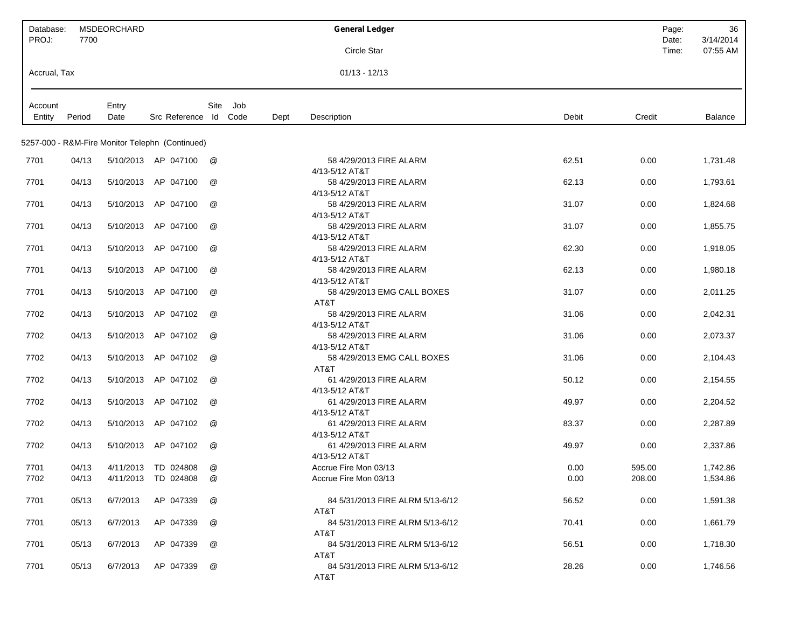| Database:         |        | <b>MSDEORCHARD</b> |                                                 |             |      | <b>General Ledger</b>                         |       | Page:          | 36                    |
|-------------------|--------|--------------------|-------------------------------------------------|-------------|------|-----------------------------------------------|-------|----------------|-----------------------|
| PROJ:             | 7700   |                    |                                                 |             |      | Circle Star                                   |       | Date:<br>Time: | 3/14/2014<br>07:55 AM |
| Accrual, Tax      |        |                    |                                                 |             |      | $01/13 - 12/13$                               |       |                |                       |
|                   |        |                    |                                                 |             |      |                                               |       |                |                       |
| Account<br>Entity | Period | Entry<br>Date      | Src Reference Id Code                           | Site<br>Job | Dept | Description                                   | Debit | Credit         | Balance               |
|                   |        |                    |                                                 |             |      |                                               |       |                |                       |
|                   |        |                    | 5257-000 - R&M-Fire Monitor Telephn (Continued) |             |      |                                               |       |                |                       |
| 7701              | 04/13  |                    | 5/10/2013 AP 047100                             | @           |      | 58 4/29/2013 FIRE ALARM                       | 62.51 | 0.00           | 1,731.48              |
| 7701              | 04/13  | 5/10/2013          | AP 047100                                       | @           |      | 4/13-5/12 AT&T<br>58 4/29/2013 FIRE ALARM     | 62.13 | 0.00           | 1,793.61              |
|                   |        |                    |                                                 |             |      | 4/13-5/12 AT&T                                |       |                |                       |
| 7701              | 04/13  | 5/10/2013          | AP 047100                                       | @           |      | 58 4/29/2013 FIRE ALARM                       | 31.07 | 0.00           | 1,824.68              |
|                   |        |                    | AP 047100                                       |             |      | 4/13-5/12 AT&T<br>58 4/29/2013 FIRE ALARM     |       |                |                       |
| 7701              | 04/13  | 5/10/2013          |                                                 | @           |      | 4/13-5/12 AT&T                                | 31.07 | 0.00           | 1,855.75              |
| 7701              | 04/13  | 5/10/2013          | AP 047100                                       | @           |      | 58 4/29/2013 FIRE ALARM                       | 62.30 | 0.00           | 1,918.05              |
|                   |        |                    |                                                 |             |      | 4/13-5/12 AT&T                                |       |                |                       |
| 7701              | 04/13  | 5/10/2013          | AP 047100                                       | @           |      | 58 4/29/2013 FIRE ALARM                       | 62.13 | 0.00           | 1,980.18              |
| 7701              | 04/13  | 5/10/2013          | AP 047100                                       | @           |      | 4/13-5/12 AT&T<br>58 4/29/2013 EMG CALL BOXES | 31.07 | 0.00           | 2,011.25              |
|                   |        |                    |                                                 |             |      | AT&T                                          |       |                |                       |
| 7702              | 04/13  | 5/10/2013          | AP 047102                                       | @           |      | 58 4/29/2013 FIRE ALARM                       | 31.06 | 0.00           | 2,042.31              |
|                   |        |                    |                                                 |             |      | 4/13-5/12 AT&T                                |       |                |                       |
| 7702              | 04/13  | 5/10/2013          | AP 047102                                       | @           |      | 58 4/29/2013 FIRE ALARM<br>4/13-5/12 AT&T     | 31.06 | 0.00           | 2,073.37              |
| 7702              | 04/13  | 5/10/2013          | AP 047102                                       | @           |      | 58 4/29/2013 EMG CALL BOXES                   | 31.06 | 0.00           | 2,104.43              |
|                   |        |                    |                                                 |             |      | AT&T                                          |       |                |                       |
| 7702              | 04/13  | 5/10/2013          | AP 047102                                       | @           |      | 61 4/29/2013 FIRE ALARM                       | 50.12 | 0.00           | 2,154.55              |
| 7702              | 04/13  | 5/10/2013          | AP 047102                                       | @           |      | 4/13-5/12 AT&T<br>61 4/29/2013 FIRE ALARM     | 49.97 | 0.00           | 2,204.52              |
|                   |        |                    |                                                 |             |      | 4/13-5/12 AT&T                                |       |                |                       |
| 7702              | 04/13  | 5/10/2013          | AP 047102                                       | @           |      | 61 4/29/2013 FIRE ALARM                       | 83.37 | 0.00           | 2,287.89              |
|                   |        |                    |                                                 |             |      | 4/13-5/12 AT&T                                |       |                |                       |
| 7702              | 04/13  |                    | 5/10/2013 AP 047102                             | @           |      | 61 4/29/2013 FIRE ALARM<br>4/13-5/12 AT&T     | 49.97 | 0.00           | 2,337.86              |
| 7701              | 04/13  |                    | 4/11/2013 TD 024808                             | @           |      | Accrue Fire Mon 03/13                         | 0.00  | 595.00         | 1,742.86              |
| 7702              | 04/13  |                    | 4/11/2013 TD 024808                             | @           |      | Accrue Fire Mon 03/13                         | 0.00  | 208.00         | 1,534.86              |
|                   |        |                    |                                                 |             |      |                                               |       |                |                       |
| 7701              | 05/13  | 6/7/2013           | AP 047339                                       | @           |      | 84 5/31/2013 FIRE ALRM 5/13-6/12<br>AT&T      | 56.52 | 0.00           | 1,591.38              |
| 7701              | 05/13  | 6/7/2013           | AP 047339                                       | @           |      | 84 5/31/2013 FIRE ALRM 5/13-6/12              | 70.41 | 0.00           | 1,661.79              |
|                   |        |                    |                                                 |             |      | AT&T                                          |       |                |                       |
| 7701              | 05/13  | 6/7/2013           | AP 047339                                       | @           |      | 84 5/31/2013 FIRE ALRM 5/13-6/12<br>AT&T      | 56.51 | 0.00           | 1,718.30              |
| 7701              | 05/13  | 6/7/2013           | AP 047339                                       | @           |      | 84 5/31/2013 FIRE ALRM 5/13-6/12              | 28.26 | 0.00           | 1,746.56              |
|                   |        |                    |                                                 |             |      | AT&T                                          |       |                |                       |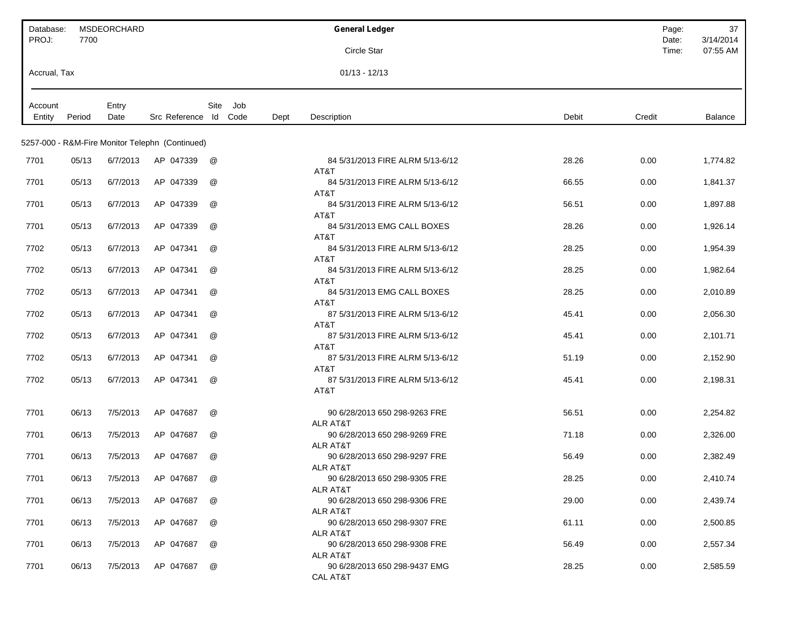| Database:<br>PROJ: | 7700   | <b>MSDEORCHARD</b> |                                                 |                      |      | <b>General Ledger</b>                                         |        | Page:<br>Date: | 37<br>3/14/2014 |
|--------------------|--------|--------------------|-------------------------------------------------|----------------------|------|---------------------------------------------------------------|--------|----------------|-----------------|
|                    |        |                    |                                                 |                      |      | Circle Star                                                   |        | Time:          | 07:55 AM        |
| Accrual, Tax       |        |                    |                                                 |                      |      | $01/13 - 12/13$                                               |        |                |                 |
| Account<br>Entity  | Period | Entry<br>Date      | Src Reference Id Code                           | Site<br>Job          | Dept | Debit<br>Description                                          | Credit |                | Balance         |
|                    |        |                    | 5257-000 - R&M-Fire Monitor Telephn (Continued) |                      |      |                                                               |        |                |                 |
| 7701               | 05/13  | 6/7/2013           | AP 047339                                       | @                    |      | 84 5/31/2013 FIRE ALRM 5/13-6/12<br>28.26                     | 0.00   |                | 1,774.82        |
| 7701               | 05/13  | 6/7/2013           | AP 047339                                       | @                    |      | AT&T<br>84 5/31/2013 FIRE ALRM 5/13-6/12<br>66.55             | 0.00   |                | 1,841.37        |
|                    |        |                    |                                                 |                      |      | AT&T                                                          |        |                |                 |
| 7701               | 05/13  | 6/7/2013           | AP 047339                                       | @                    |      | 84 5/31/2013 FIRE ALRM 5/13-6/12<br>56.51<br>AT&T             | 0.00   |                | 1,897.88        |
| 7701               | 05/13  | 6/7/2013           | AP 047339                                       | @                    |      | 84 5/31/2013 EMG CALL BOXES<br>28.26<br>AT&T                  | 0.00   |                | 1,926.14        |
| 7702               | 05/13  | 6/7/2013           | AP 047341                                       | @                    |      | 84 5/31/2013 FIRE ALRM 5/13-6/12<br>28.25                     | 0.00   |                | 1,954.39        |
| 7702               | 05/13  | 6/7/2013           | AP 047341                                       | @                    |      | AT&T<br>84 5/31/2013 FIRE ALRM 5/13-6/12<br>28.25             | 0.00   |                | 1,982.64        |
| 7702               | 05/13  | 6/7/2013           | AP 047341                                       | @                    |      | AT&T<br>84 5/31/2013 EMG CALL BOXES<br>28.25                  | 0.00   |                | 2,010.89        |
| 7702               | 05/13  | 6/7/2013           | AP 047341                                       | @                    |      | AT&T<br>87 5/31/2013 FIRE ALRM 5/13-6/12<br>45.41             | 0.00   |                | 2,056.30        |
|                    |        |                    |                                                 |                      |      | AT&T                                                          |        |                |                 |
| 7702               | 05/13  | 6/7/2013           | AP 047341                                       | @                    |      | 87 5/31/2013 FIRE ALRM 5/13-6/12<br>45.41<br>AT&T             | 0.00   |                | 2,101.71        |
| 7702               | 05/13  | 6/7/2013           | AP 047341                                       | @                    |      | 87 5/31/2013 FIRE ALRM 5/13-6/12<br>51.19<br>AT&T             | 0.00   |                | 2,152.90        |
| 7702               | 05/13  | 6/7/2013           | AP 047341                                       | @                    |      | 87 5/31/2013 FIRE ALRM 5/13-6/12<br>45.41<br>AT&T             | 0.00   |                | 2,198.31        |
| 7701               | 06/13  | 7/5/2013           | AP 047687                                       | @                    |      | 90 6/28/2013 650 298-9263 FRE<br>56.51                        | 0.00   |                | 2,254.82        |
| 7701               | 06/13  | 7/5/2013           | AP 047687                                       | @                    |      | <b>ALR AT&amp;T</b><br>90 6/28/2013 650 298-9269 FRE<br>71.18 | 0.00   |                | 2,326.00        |
| 7701               | 06/13  | 7/5/2013           | AP 047687                                       | $^{\textregistered}$ |      | <b>ALR AT&amp;T</b><br>90 6/28/2013 650 298-9297 FRE<br>56.49 | 0.00   |                | 2,382.49        |
| 7701               | 06/13  | 7/5/2013           | AP 047687                                       | @                    |      | <b>ALR AT&amp;T</b><br>28.25<br>90 6/28/2013 650 298-9305 FRE | 0.00   |                | 2,410.74        |
| 7701               | 06/13  | 7/5/2013           | AP 047687                                       | @                    |      | <b>ALR AT&amp;T</b><br>29.00<br>90 6/28/2013 650 298-9306 FRE | 0.00   |                | 2,439.74        |
|                    |        |                    |                                                 |                      |      | <b>ALR AT&amp;T</b>                                           |        |                |                 |
| 7701               | 06/13  | 7/5/2013           | AP 047687                                       | @                    |      | 61.11<br>90 6/28/2013 650 298-9307 FRE<br><b>ALR AT&amp;T</b> | 0.00   |                | 2,500.85        |
| 7701               | 06/13  | 7/5/2013           | AP 047687                                       | @                    |      | 90 6/28/2013 650 298-9308 FRE<br>56.49<br><b>ALR AT&amp;T</b> | 0.00   |                | 2,557.34        |
| 7701               | 06/13  | 7/5/2013           | AP 047687                                       | @                    |      | 90 6/28/2013 650 298-9437 EMG<br>28.25<br><b>CAL AT&amp;T</b> | 0.00   |                | 2,585.59        |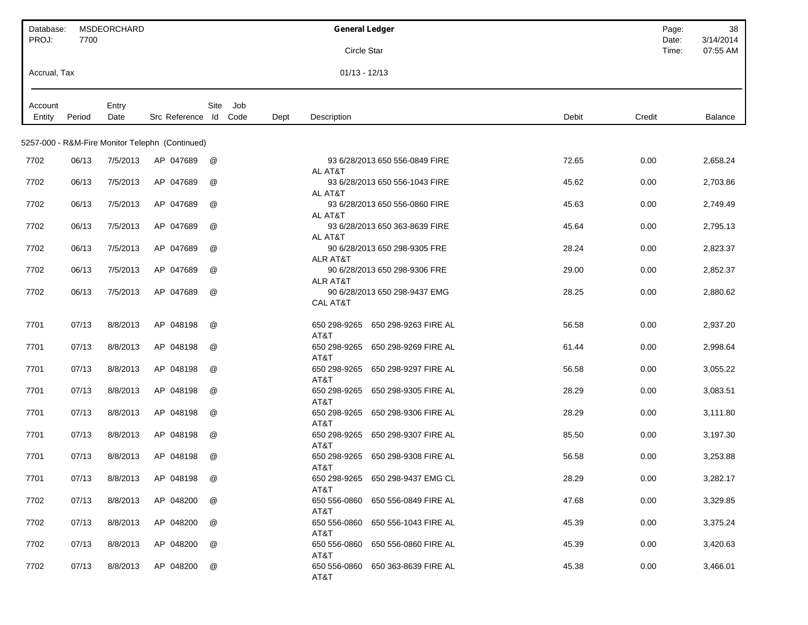| Database:<br>PROJ: | 7700   | MSDEORCHARD |                                                 |                      |      | <b>General Ledger</b>                                |                      |       | Page:<br>Date: | 38<br>3/14/2014 |
|--------------------|--------|-------------|-------------------------------------------------|----------------------|------|------------------------------------------------------|----------------------|-------|----------------|-----------------|
|                    |        |             |                                                 |                      |      | Circle Star                                          |                      |       | Time:          | 07:55 AM        |
| Accrual, Tax       |        |             |                                                 |                      |      | $01/13 - 12/13$                                      |                      |       |                |                 |
| Account            |        | Entry       |                                                 | Site<br>Job          |      |                                                      |                      |       |                |                 |
| Entity             | Period | Date        | Src Reference Id                                | Code                 | Dept | Description                                          |                      | Debit | Credit         | Balance         |
|                    |        |             | 5257-000 - R&M-Fire Monitor Telephn (Continued) |                      |      |                                                      |                      |       |                |                 |
| 7702               | 06/13  | 7/5/2013    | AP 047689                                       | @                    |      | 93 6/28/2013 650 556-0849 FIRE                       |                      | 72.65 | 0.00           | 2,658.24        |
| 7702               | 06/13  | 7/5/2013    | AP 047689                                       | @                    |      | AL AT&T<br>93 6/28/2013 650 556-1043 FIRE            |                      | 45.62 | 0.00           | 2,703.86        |
| 7702               | 06/13  | 7/5/2013    | AP 047689                                       | @                    |      | AL AT&T<br>93 6/28/2013 650 556-0860 FIRE            |                      | 45.63 | 0.00           | 2,749.49        |
| 7702               | 06/13  | 7/5/2013    | AP 047689                                       | @                    |      | AL AT&T<br>93 6/28/2013 650 363-8639 FIRE            |                      | 45.64 | 0.00           | 2,795.13        |
| 7702               | 06/13  | 7/5/2013    | AP 047689                                       | @                    |      | AL AT&T<br>90 6/28/2013 650 298-9305 FRE             |                      | 28.24 | 0.00           | 2,823.37        |
|                    |        |             |                                                 |                      |      | <b>ALR AT&amp;T</b>                                  |                      |       |                |                 |
| 7702               | 06/13  | 7/5/2013    | AP 047689                                       | @                    |      | 90 6/28/2013 650 298-9306 FRE<br><b>ALR AT&amp;T</b> |                      | 29.00 | 0.00           | 2,852.37        |
| 7702               | 06/13  | 7/5/2013    | AP 047689                                       | @                    |      | 90 6/28/2013 650 298-9437 EMG<br><b>CAL AT&amp;T</b> |                      | 28.25 | 0.00           | 2,880.62        |
| 7701               | 07/13  | 8/8/2013    | AP 048198                                       | @                    |      | 650 298-9265                                         | 650 298-9263 FIRE AL | 56.58 | 0.00           | 2,937.20        |
| 7701               | 07/13  | 8/8/2013    | AP 048198                                       | @                    |      | AT&T<br>650 298-9265 650 298-9269 FIRE AL            |                      | 61.44 | 0.00           | 2,998.64        |
| 7701               | 07/13  | 8/8/2013    | AP 048198                                       | @                    |      | AT&T<br>650 298-9265                                 | 650 298-9297 FIRE AL | 56.58 | 0.00           | 3,055.22        |
| 7701               | 07/13  | 8/8/2013    | AP 048198                                       | @                    |      | AT&T<br>650 298-9265                                 | 650 298-9305 FIRE AL | 28.29 | 0.00           | 3,083.51        |
| 7701               | 07/13  | 8/8/2013    | AP 048198                                       | @                    |      | AT&T<br>650 298-9265                                 | 650 298-9306 FIRE AL | 28.29 | 0.00           | 3,111.80        |
| 7701               | 07/13  | 8/8/2013    | AP 048198                                       | @                    |      | AT&T<br>650 298-9265                                 | 650 298-9307 FIRE AL | 85.50 | 0.00           | 3,197.30        |
| 7701               | 07/13  | 8/8/2013    | AP 048198                                       | $^{\textregistered}$ |      | AT&T<br>650 298-9265    650 298-9308 FIRE AL         |                      | 56.58 | 0.00           | 3,253.88        |
| 7701               | 07/13  | 8/8/2013    | AP 048198                                       | @                    |      | AT&T<br>650 298-9265 650 298-9437 EMG CL             |                      | 28.29 | 0.00           | 3,282.17        |
|                    |        |             |                                                 |                      |      | AT&T                                                 |                      |       |                |                 |
| 7702               | 07/13  | 8/8/2013    | AP 048200                                       | @                    |      | 650 556-0860 650 556-0849 FIRE AL<br>AT&T            |                      | 47.68 | 0.00           | 3,329.85        |
| 7702               | 07/13  | 8/8/2013    | AP 048200                                       | @                    |      | 650 556-0860 650 556-1043 FIRE AL<br>AT&T            |                      | 45.39 | 0.00           | 3,375.24        |
| 7702               | 07/13  | 8/8/2013    | AP 048200                                       | @                    |      | 650 556-0860<br>AT&T                                 | 650 556-0860 FIRE AL | 45.39 | 0.00           | 3,420.63        |
| 7702               | 07/13  | 8/8/2013    | AP 048200                                       | @                    |      | 650 556-0860<br>AT&T                                 | 650 363-8639 FIRE AL | 45.38 | 0.00           | 3,466.01        |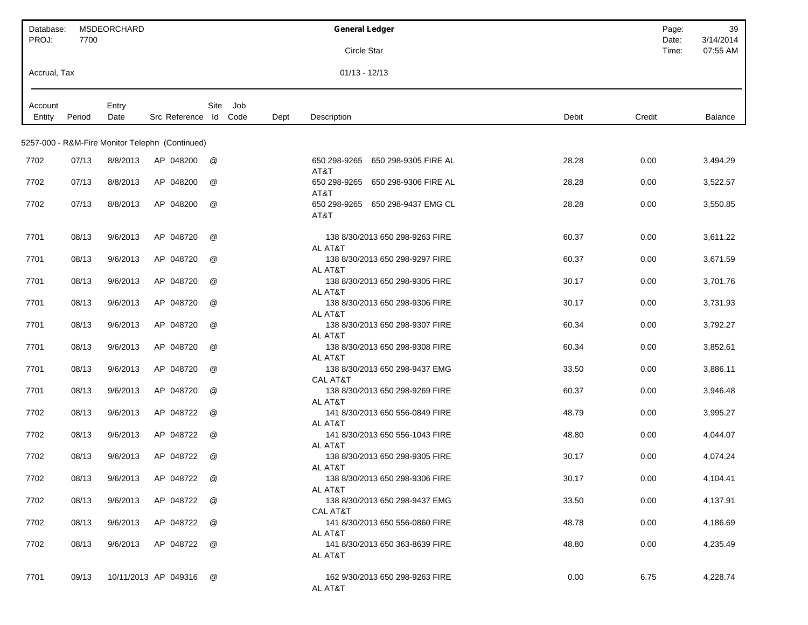| Database:<br>PROJ: | 7700   | MSDEORCHARD   |                                                 |          |     |      | <b>General Ledger</b>                                          | Page:<br>Date: | 39<br>3/14/2014 |
|--------------------|--------|---------------|-------------------------------------------------|----------|-----|------|----------------------------------------------------------------|----------------|-----------------|
|                    |        |               |                                                 |          |     |      | Circle Star                                                    | Time:          | 07:55 AM        |
| Accrual, Tax       |        |               |                                                 |          |     |      | $01/13 - 12/13$                                                |                |                 |
| Account<br>Entity  | Period | Entry<br>Date | Src Reference Id Code                           | Site     | Job | Dept | Description<br>Debit                                           | Credit         | Balance         |
|                    |        |               | 5257-000 - R&M-Fire Monitor Telephn (Continued) |          |     |      |                                                                |                |                 |
| 7702               | 07/13  | 8/8/2013      | AP 048200                                       | @        |     |      | 650 298-9265<br>650 298-9305 FIRE AL<br>28.28<br>AT&T          | 0.00           | 3,494.29        |
| 7702               | 07/13  | 8/8/2013      | AP 048200                                       | @        |     |      | 650 298-9265<br>650 298-9306 FIRE AL<br>28.28<br>AT&T          | 0.00           | 3,522.57        |
| 7702               | 07/13  | 8/8/2013      | AP 048200                                       | @        |     |      | 650 298-9265<br>650 298-9437 EMG CL<br>28.28<br>AT&T           | 0.00           | 3,550.85        |
| 7701               | 08/13  | 9/6/2013      | AP 048720                                       | @        |     |      | 138 8/30/2013 650 298-9263 FIRE<br>60.37<br>AL AT&T            | 0.00           | 3,611.22        |
| 7701               | 08/13  | 9/6/2013      | AP 048720                                       | @        |     |      | 138 8/30/2013 650 298-9297 FIRE<br>60.37<br>AL AT&T            | 0.00           | 3,671.59        |
| 7701               | 08/13  | 9/6/2013      | AP 048720                                       | @        |     |      | 138 8/30/2013 650 298-9305 FIRE<br>30.17<br>AL AT&T            | 0.00           | 3,701.76        |
| 7701               | 08/13  | 9/6/2013      | AP 048720                                       | @        |     |      | 138 8/30/2013 650 298-9306 FIRE<br>30.17<br>AL AT&T            | 0.00           | 3,731.93        |
| 7701               | 08/13  | 9/6/2013      | AP 048720                                       | @        |     |      | 138 8/30/2013 650 298-9307 FIRE<br>60.34<br>AL AT&T            | 0.00           | 3,792.27        |
| 7701               | 08/13  | 9/6/2013      | AP 048720                                       | @        |     |      | 138 8/30/2013 650 298-9308 FIRE<br>60.34<br>AL AT&T            | 0.00           | 3,852.61        |
| 7701               | 08/13  | 9/6/2013      | AP 048720                                       | @        |     |      | 138 8/30/2013 650 298-9437 EMG<br>33.50<br><b>CAL AT&amp;T</b> | 0.00           | 3,886.11        |
| 7701               | 08/13  | 9/6/2013      | AP 048720                                       | @        |     |      | 138 8/30/2013 650 298-9269 FIRE<br>60.37<br>AL AT&T            | 0.00           | 3,946.48        |
| 7702               | 08/13  | 9/6/2013      | AP 048722                                       | @        |     |      | 141 8/30/2013 650 556-0849 FIRE<br>48.79<br>AL AT&T            | 0.00           | 3,995.27        |
| 7702               | 08/13  | 9/6/2013      | AP 048722                                       | @        |     |      | 141 8/30/2013 650 556-1043 FIRE<br>48.80<br>AL AT&T            | 0.00           | 4,044.07        |
| 7702               | 08/13  | 9/6/2013      | AP 048722                                       | @        |     |      | 138 8/30/2013 650 298-9305 FIRE<br>30.17<br>AL AT&T            | 0.00           | 4,074.24        |
| 7702               | 08/13  | 9/6/2013      | AP 048722                                       | $\omega$ |     |      | 138 8/30/2013 650 298-9306 FIRE<br>30.17<br>AL AT&T            | 0.00           | 4,104.41        |
| 7702               | 08/13  | 9/6/2013      | AP 048722                                       | @        |     |      | 138 8/30/2013 650 298-9437 EMG<br>33.50<br>CAL AT&T            | 0.00           | 4,137.91        |
| 7702               | 08/13  | 9/6/2013      | AP 048722                                       | @        |     |      | 48.78<br>141 8/30/2013 650 556-0860 FIRE<br>AL AT&T            | 0.00           | 4,186.69        |
| 7702               | 08/13  | 9/6/2013      | AP 048722                                       | @        |     |      | 48.80<br>141 8/30/2013 650 363-8639 FIRE<br>AL AT&T            | 0.00           | 4,235.49        |
| 7701               | 09/13  |               | 10/11/2013 AP 049316                            | @        |     |      | 162 9/30/2013 650 298-9263 FIRE<br>0.00<br>AL AT&T             | 6.75           | 4,228.74        |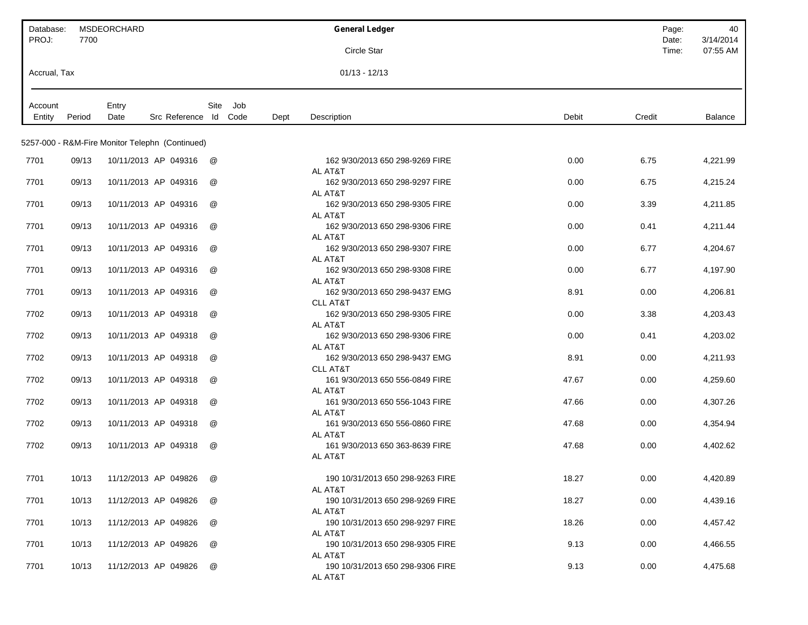| Database:<br>PROJ: | 7700   | <b>MSDEORCHARD</b>                              |                      |      | <b>General Ledger</b>                                  |       | Page:<br>Date: | 40<br>3/14/2014 |
|--------------------|--------|-------------------------------------------------|----------------------|------|--------------------------------------------------------|-------|----------------|-----------------|
|                    |        |                                                 |                      |      | <b>Circle Star</b>                                     |       | Time:          | 07:55 AM        |
| Accrual, Tax       |        |                                                 |                      |      | $01/13 - 12/13$                                        |       |                |                 |
| Account<br>Entity  | Period | Entry<br>Src Reference Id Code<br>Date          | Site<br>Job          | Dept | Description                                            | Debit | Credit         | <b>Balance</b>  |
|                    |        |                                                 |                      |      |                                                        |       |                |                 |
|                    |        | 5257-000 - R&M-Fire Monitor Telephn (Continued) |                      |      |                                                        |       |                |                 |
| 7701               | 09/13  | 10/11/2013 AP 049316                            | @                    |      | 162 9/30/2013 650 298-9269 FIRE<br>AL AT&T             | 0.00  | 6.75           | 4,221.99        |
| 7701               | 09/13  | 10/11/2013 AP 049316                            | @                    |      | 162 9/30/2013 650 298-9297 FIRE                        | 0.00  | 6.75           | 4,215.24        |
| 7701               | 09/13  | 10/11/2013 AP 049316                            | $^{\textregistered}$ |      | AL AT&T<br>162 9/30/2013 650 298-9305 FIRE             | 0.00  | 3.39           | 4,211.85        |
| 7701               | 09/13  | 10/11/2013 AP 049316                            | @                    |      | AL AT&T<br>162 9/30/2013 650 298-9306 FIRE             | 0.00  | 0.41           | 4,211.44        |
| 7701               | 09/13  | 10/11/2013 AP 049316                            | $^{\textregistered}$ |      | AL AT&T<br>162 9/30/2013 650 298-9307 FIRE             | 0.00  | 6.77           | 4,204.67        |
| 7701               | 09/13  | 10/11/2013 AP 049316                            | @                    |      | AL AT&T<br>162 9/30/2013 650 298-9308 FIRE             | 0.00  | 6.77           | 4,197.90        |
| 7701               | 09/13  | 10/11/2013 AP 049316                            | @                    |      | AL AT&T<br>162 9/30/2013 650 298-9437 EMG              | 8.91  | 0.00           | 4,206.81        |
| 7702               | 09/13  | 10/11/2013 AP 049318                            | @                    |      | <b>CLL AT&amp;T</b><br>162 9/30/2013 650 298-9305 FIRE | 0.00  | 3.38           | 4,203.43        |
|                    |        |                                                 |                      |      | AL AT&T                                                |       |                |                 |
| 7702               | 09/13  | 10/11/2013 AP 049318                            | $^{\textregistered}$ |      | 162 9/30/2013 650 298-9306 FIRE<br>AL AT&T             | 0.00  | 0.41           | 4,203.02        |
| 7702               | 09/13  | 10/11/2013 AP 049318                            | $^{\textregistered}$ |      | 162 9/30/2013 650 298-9437 EMG<br><b>CLL AT&amp;T</b>  | 8.91  | 0.00           | 4,211.93        |
| 7702               | 09/13  | 10/11/2013 AP 049318                            | @                    |      | 161 9/30/2013 650 556-0849 FIRE<br>AL AT&T             | 47.67 | 0.00           | 4,259.60        |
| 7702               | 09/13  | 10/11/2013 AP 049318                            | $^{\textregistered}$ |      | 161 9/30/2013 650 556-1043 FIRE<br>AL AT&T             | 47.66 | 0.00           | 4,307.26        |
| 7702               | 09/13  | 10/11/2013 AP 049318                            | @                    |      | 161 9/30/2013 650 556-0860 FIRE                        | 47.68 | 0.00           | 4,354.94        |
| 7702               | 09/13  | 10/11/2013 AP 049318                            | @                    |      | AL AT&T<br>161 9/30/2013 650 363-8639 FIRE             | 47.68 | 0.00           | 4,402.62        |
|                    |        |                                                 |                      |      | AL AT&T                                                |       |                |                 |
| 7701               | 10/13  | 11/12/2013 AP 049826                            | @                    |      | 190 10/31/2013 650 298-9263 FIRE<br>AL AT&T            | 18.27 | 0.00           | 4,420.89        |
| 7701               | 10/13  | 11/12/2013 AP 049826                            | @                    |      | 190 10/31/2013 650 298-9269 FIRE<br>AL AT&T            | 18.27 | 0.00           | 4,439.16        |
| 7701               | 10/13  | 11/12/2013 AP 049826                            | @                    |      | 190 10/31/2013 650 298-9297 FIRE                       | 18.26 | 0.00           | 4,457.42        |
| 7701               | 10/13  | 11/12/2013 AP 049826                            | @                    |      | AL AT&T<br>190 10/31/2013 650 298-9305 FIRE            | 9.13  | 0.00           | 4,466.55        |
| 7701               | 10/13  | 11/12/2013 AP 049826                            | @                    |      | AL AT&T<br>190 10/31/2013 650 298-9306 FIRE<br>AL AT&T | 9.13  | 0.00           | 4,475.68        |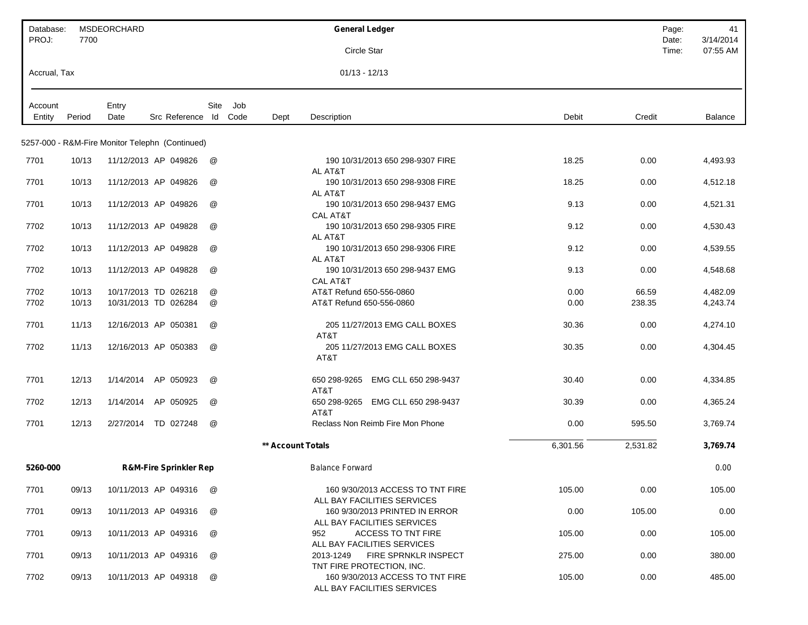| Database:    |        | MSDEORCHARD                                     |                                   |      |      |                   | <b>General Ledger</b>                                           |          |          | Page:          | 41                    |
|--------------|--------|-------------------------------------------------|-----------------------------------|------|------|-------------------|-----------------------------------------------------------------|----------|----------|----------------|-----------------------|
| PROJ:        | 7700   |                                                 |                                   |      |      |                   | Circle Star                                                     |          |          | Date:<br>Time: | 3/14/2014<br>07:55 AM |
|              |        |                                                 |                                   |      |      |                   |                                                                 |          |          |                |                       |
| Accrual, Tax |        |                                                 |                                   |      |      |                   | $01/13 - 12/13$                                                 |          |          |                |                       |
| Account      |        | Entry                                           |                                   | Site | Job  |                   |                                                                 |          |          |                |                       |
| Entity       | Period | Date                                            | Src Reference Id                  |      | Code | Dept              | Description                                                     | Debit    | Credit   |                | Balance               |
|              |        | 5257-000 - R&M-Fire Monitor Telephn (Continued) |                                   |      |      |                   |                                                                 |          |          |                |                       |
| 7701         | 10/13  |                                                 | 11/12/2013 AP 049826              | @    |      |                   | 190 10/31/2013 650 298-9307 FIRE                                | 18.25    | 0.00     |                | 4,493.93              |
|              |        |                                                 |                                   |      |      |                   | AL AT&T                                                         |          |          |                |                       |
| 7701         | 10/13  | 11/12/2013 AP 049826                            |                                   | @    |      |                   | 190 10/31/2013 650 298-9308 FIRE                                | 18.25    | 0.00     |                | 4,512.18              |
| 7701         | 10/13  | 11/12/2013 AP 049826                            |                                   | @    |      |                   | AL AT&T<br>190 10/31/2013 650 298-9437 EMG                      | 9.13     | 0.00     |                | 4,521.31              |
|              |        |                                                 |                                   |      |      |                   | <b>CAL AT&amp;T</b>                                             |          |          |                |                       |
| 7702         | 10/13  | 11/12/2013 AP 049828                            |                                   | @    |      |                   | 190 10/31/2013 650 298-9305 FIRE                                | 9.12     | 0.00     |                | 4,530.43              |
| 7702         | 10/13  |                                                 | 11/12/2013 AP 049828              | @    |      |                   | AL AT&T<br>190 10/31/2013 650 298-9306 FIRE                     | 9.12     | 0.00     |                | 4,539.55              |
|              |        |                                                 |                                   |      |      |                   | AL AT&T                                                         |          |          |                |                       |
| 7702         | 10/13  |                                                 | 11/12/2013 AP 049828              | @    |      |                   | 190 10/31/2013 650 298-9437 EMG                                 | 9.13     | 0.00     |                | 4,548.68              |
| 7702         | 10/13  |                                                 | 10/17/2013 TD 026218              | @    |      |                   | CAL AT&T<br>AT&T Refund 650-556-0860                            | 0.00     | 66.59    |                | 4,482.09              |
| 7702         | 10/13  |                                                 | 10/31/2013 TD 026284              | @    |      |                   | AT&T Refund 650-556-0860                                        | 0.00     | 238.35   |                | 4,243.74              |
|              |        |                                                 |                                   |      |      |                   |                                                                 |          |          |                |                       |
| 7701         | 11/13  |                                                 | 12/16/2013 AP 050381              | @    |      |                   | 205 11/27/2013 EMG CALL BOXES                                   | 30.36    | 0.00     |                | 4,274.10              |
| 7702         | 11/13  |                                                 | 12/16/2013 AP 050383              | @    |      |                   | AT&T<br>205 11/27/2013 EMG CALL BOXES                           | 30.35    | 0.00     |                | 4,304.45              |
|              |        |                                                 |                                   |      |      |                   | AT&T                                                            |          |          |                |                       |
| 7701         | 12/13  | 1/14/2014                                       | AP 050923                         | @    |      |                   | EMG CLL 650 298-9437<br>650 298-9265                            | 30.40    | 0.00     |                | 4,334.85              |
|              |        |                                                 |                                   |      |      |                   | AT&T                                                            |          |          |                |                       |
| 7702         | 12/13  | 1/14/2014                                       | AP 050925                         | @    |      |                   | 650 298-9265 EMG CLL 650 298-9437<br>AT&T                       | 30.39    | 0.00     |                | 4,365.24              |
| 7701         | 12/13  | 2/27/2014                                       | TD 027248                         | @    |      |                   | Reclass Non Reimb Fire Mon Phone                                | 0.00     | 595.50   |                | 3,769.74              |
|              |        |                                                 |                                   |      |      | ** Account Totals |                                                                 | 6,301.56 | 2,531.82 |                | 3,769.74              |
| 5260-000     |        |                                                 | <b>R&amp;M-Fire Sprinkler Rep</b> |      |      |                   | <b>Balance Forward</b>                                          |          |          |                | 0.00                  |
|              |        |                                                 |                                   |      |      |                   |                                                                 |          |          |                |                       |
| 7701         | 09/13  |                                                 | 10/11/2013 AP 049316              | @    |      |                   | 160 9/30/2013 ACCESS TO TNT FIRE<br>ALL BAY FACILITIES SERVICES | 105.00   | 0.00     |                | 105.00                |
| 7701         | 09/13  |                                                 | 10/11/2013 AP 049316              | @    |      |                   | 160 9/30/2013 PRINTED IN ERROR                                  | 0.00     | 105.00   |                | 0.00                  |
|              |        |                                                 |                                   |      |      |                   | ALL BAY FACILITIES SERVICES                                     |          |          |                |                       |
| 7701         | 09/13  |                                                 | 10/11/2013 AP 049316              | @    |      |                   | 952<br><b>ACCESS TO TNT FIRE</b><br>ALL BAY FACILITIES SERVICES | 105.00   | 0.00     |                | 105.00                |
| 7701         | 09/13  |                                                 | 10/11/2013 AP 049316              | @    |      |                   | <b>FIRE SPRNKLR INSPECT</b><br>2013-1249                        | 275.00   | 0.00     |                | 380.00                |
|              |        |                                                 |                                   |      |      |                   | TNT FIRE PROTECTION, INC.                                       |          |          |                |                       |
| 7702         | 09/13  |                                                 | 10/11/2013 AP 049318              | @    |      |                   | 160 9/30/2013 ACCESS TO TNT FIRE<br>ALL BAY FACILITIES SERVICES | 105.00   | 0.00     |                | 485.00                |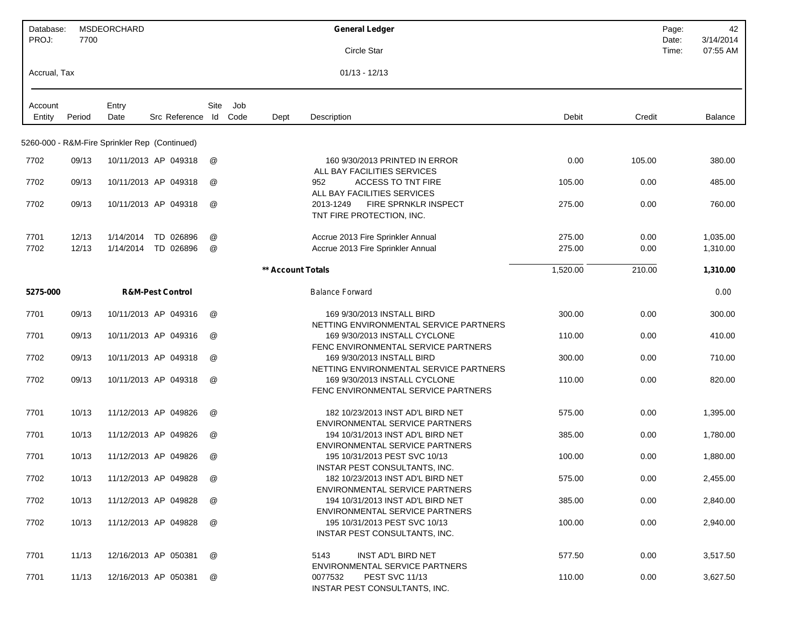| Database:<br>PROJ: | 7700           | <b>MSDEORCHARD</b>                            |                                  |                      |             |                   | <b>General Ledger</b>                                                                                                 | Page:          | 42                    |
|--------------------|----------------|-----------------------------------------------|----------------------------------|----------------------|-------------|-------------------|-----------------------------------------------------------------------------------------------------------------------|----------------|-----------------------|
|                    |                |                                               |                                  |                      |             |                   | Circle Star                                                                                                           | Date:<br>Time: | 3/14/2014<br>07:55 AM |
| Accrual, Tax       |                |                                               |                                  |                      |             |                   | $01/13 - 12/13$                                                                                                       |                |                       |
|                    |                |                                               |                                  |                      |             |                   |                                                                                                                       |                |                       |
| Account<br>Entity  | Period         | Entry<br>Date                                 | Src Reference Id                 | Site                 | Job<br>Code | Dept              | Debit<br>Description                                                                                                  | Credit         | <b>Balance</b>        |
|                    |                | 5260-000 - R&M-Fire Sprinkler Rep (Continued) |                                  |                      |             |                   |                                                                                                                       |                |                       |
| 7702               | 09/13          |                                               | 10/11/2013 AP 049318             | @                    |             |                   | 160 9/30/2013 PRINTED IN ERROR<br>0.00<br>ALL BAY FACILITIES SERVICES                                                 | 105.00         | 380.00                |
| 7702               | 09/13          |                                               | 10/11/2013 AP 049318             | @                    |             |                   | <b>ACCESS TO TNT FIRE</b><br>952<br>105.00<br>ALL BAY FACILITIES SERVICES                                             | 0.00           | 485.00                |
| 7702               | 09/13          |                                               | 10/11/2013 AP 049318             | @                    |             |                   | 2013-1249<br><b>FIRE SPRNKLR INSPECT</b><br>275.00<br>TNT FIRE PROTECTION, INC.                                       | 0.00           | 760.00                |
| 7701<br>7702       | 12/13<br>12/13 | 1/14/2014                                     | TD 026896<br>1/14/2014 TD 026896 | @<br>@               |             |                   | Accrue 2013 Fire Sprinkler Annual<br>275.00<br>Accrue 2013 Fire Sprinkler Annual<br>275.00                            | 0.00<br>0.00   | 1,035.00<br>1,310.00  |
|                    |                |                                               |                                  |                      |             | ** Account Totals | 1,520.00                                                                                                              | 210.00         | 1,310.00              |
| 5275-000           |                |                                               | <b>R&amp;M-Pest Control</b>      |                      |             |                   | <b>Balance Forward</b>                                                                                                |                | 0.00                  |
|                    |                |                                               | 10/11/2013 AP 049316             |                      |             |                   |                                                                                                                       |                |                       |
| 7701               | 09/13          |                                               |                                  | @                    |             |                   | 169 9/30/2013 INSTALL BIRD<br>300.00<br>NETTING ENVIRONMENTAL SERVICE PARTNERS                                        | 0.00           | 300.00                |
| 7701               | 09/13          |                                               | 10/11/2013 AP 049316             | @                    |             |                   | 169 9/30/2013 INSTALL CYCLONE<br>110.00<br>FENC ENVIRONMENTAL SERVICE PARTNERS                                        | 0.00           | 410.00                |
| 7702               | 09/13          |                                               | 10/11/2013 AP 049318             | @                    |             |                   | 169 9/30/2013 INSTALL BIRD<br>300.00<br>NETTING ENVIRONMENTAL SERVICE PARTNERS                                        | 0.00           | 710.00                |
| 7702               | 09/13          |                                               | 10/11/2013 AP 049318             | @                    |             |                   | 169 9/30/2013 INSTALL CYCLONE<br>110.00<br>FENC ENVIRONMENTAL SERVICE PARTNERS                                        | 0.00           | 820.00                |
| 7701               | 10/13          |                                               | 11/12/2013 AP 049826             | @                    |             |                   | 182 10/23/2013 INST AD'L BIRD NET<br>575.00<br>ENVIRONMENTAL SERVICE PARTNERS                                         | 0.00           | 1,395.00              |
| 7701               | 10/13          |                                               | 11/12/2013 AP 049826             | @                    |             |                   | 194 10/31/2013 INST AD'L BIRD NET<br>385.00<br><b>ENVIRONMENTAL SERVICE PARTNERS</b>                                  | 0.00           | 1,780.00              |
| 7701               | 10/13          |                                               | 11/12/2013 AP 049826             | $^{\textregistered}$ |             |                   | 195 10/31/2013 PEST SVC 10/13<br>100.00                                                                               | 0.00           | 1,880.00              |
| 7702               | 10/13          |                                               | 11/12/2013 AP 049828             | @                    |             |                   | INSTAR PEST CONSULTANTS, INC.<br>575.00<br>182 10/23/2013 INST AD'L BIRD NET<br><b>ENVIRONMENTAL SERVICE PARTNERS</b> | 0.00           | 2,455.00              |
| 7702               | 10/13          |                                               | 11/12/2013 AP 049828             | @                    |             |                   | 194 10/31/2013 INST AD'L BIRD NET<br>385.00                                                                           | 0.00           | 2,840.00              |
| 7702               | 10/13          |                                               | 11/12/2013 AP 049828             | @                    |             |                   | <b>ENVIRONMENTAL SERVICE PARTNERS</b><br>195 10/31/2013 PEST SVC 10/13<br>100.00<br>INSTAR PEST CONSULTANTS, INC.     | 0.00           | 2,940.00              |
| 7701               | 11/13          |                                               | 12/16/2013 AP 050381             | @                    |             |                   | 5143<br>INST AD'L BIRD NET<br>577.50                                                                                  | 0.00           | 3,517.50              |
| 7701               | 11/13          |                                               | 12/16/2013 AP 050381             | @                    |             |                   | ENVIRONMENTAL SERVICE PARTNERS<br>0077532<br><b>PEST SVC 11/13</b><br>110.00<br>INSTAR PEST CONSULTANTS, INC.         | 0.00           | 3,627.50              |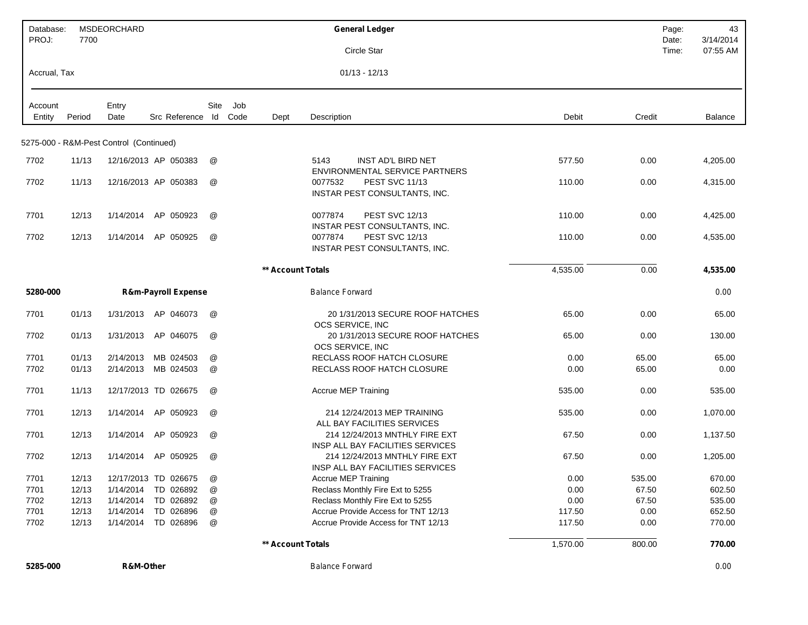| Database:<br>PROJ: | 7700   | <b>MSDEORCHARD</b>                      |                                |                      |      |                   | <b>General Ledger</b><br>Circle Star                                          | Page:<br>Date:<br>Time: | 43<br>3/14/2014<br>07:55 AM |
|--------------------|--------|-----------------------------------------|--------------------------------|----------------------|------|-------------------|-------------------------------------------------------------------------------|-------------------------|-----------------------------|
| Accrual, Tax       |        |                                         |                                |                      |      |                   | $01/13 - 12/13$                                                               |                         |                             |
| Account            |        | Entry                                   |                                | Site                 | Job  |                   |                                                                               |                         |                             |
| Entity             | Period | Date                                    | Src Reference Id               |                      | Code | Dept              | Description<br>Debit                                                          | Credit                  | <b>Balance</b>              |
|                    |        | 5275-000 - R&M-Pest Control (Continued) |                                |                      |      |                   |                                                                               |                         |                             |
| 7702               | 11/13  |                                         | 12/16/2013 AP 050383           | @                    |      |                   | 5143<br>INST AD'L BIRD NET<br>577.50<br><b>ENVIRONMENTAL SERVICE PARTNERS</b> | 0.00                    | 4,205.00                    |
| 7702               | 11/13  |                                         | 12/16/2013 AP 050383           | @                    |      |                   | <b>PEST SVC 11/13</b><br>0077532<br>110.00<br>INSTAR PEST CONSULTANTS, INC.   | 0.00                    | 4,315.00                    |
| 7701               | 12/13  | 1/14/2014                               | AP 050923                      | @                    |      |                   | 0077874<br><b>PEST SVC 12/13</b><br>110.00<br>INSTAR PEST CONSULTANTS, INC.   | 0.00                    | 4,425.00                    |
| 7702               | 12/13  | 1/14/2014                               | AP 050925                      | @                    |      |                   | <b>PEST SVC 12/13</b><br>0077874<br>110.00<br>INSTAR PEST CONSULTANTS, INC.   | 0.00                    | 4,535.00                    |
|                    |        |                                         |                                |                      |      | ** Account Totals | 4,535.00                                                                      | 0.00                    | 4,535.00                    |
| 5280-000           |        |                                         | <b>R&amp;m-Payroll Expense</b> |                      |      |                   | <b>Balance Forward</b>                                                        |                         | 0.00                        |
| 7701               | 01/13  | 1/31/2013                               | AP 046073                      | @                    |      |                   | 20 1/31/2013 SECURE ROOF HATCHES<br>65.00<br>OCS SERVICE, INC                 | 0.00                    | 65.00                       |
| 7702               | 01/13  | 1/31/2013                               | AP 046075                      | @                    |      |                   | 20 1/31/2013 SECURE ROOF HATCHES<br>65.00<br>OCS SERVICE, INC                 | 0.00                    | 130.00                      |
| 7701               | 01/13  | 2/14/2013                               | MB 024503                      | @                    |      |                   | RECLASS ROOF HATCH CLOSURE<br>0.00                                            | 65.00                   | 65.00                       |
| 7702               | 01/13  | 2/14/2013                               | MB 024503                      | @                    |      |                   | RECLASS ROOF HATCH CLOSURE<br>0.00                                            | 65.00                   | 0.00                        |
| 7701               | 11/13  |                                         | 12/17/2013 TD 026675           | @                    |      |                   | <b>Accrue MEP Training</b><br>535.00                                          | 0.00                    | 535.00                      |
| 7701               | 12/13  | 1/14/2014                               | AP 050923                      | @                    |      |                   | 214 12/24/2013 MEP TRAINING<br>535.00<br>ALL BAY FACILITIES SERVICES          | 0.00                    | 1,070.00                    |
| 7701               | 12/13  | 1/14/2014                               | AP 050923                      | @                    |      |                   | 214 12/24/2013 MNTHLY FIRE EXT<br>67.50<br>INSP ALL BAY FACILITIES SERVICES   | 0.00                    | 1,137.50                    |
| 7702               | 12/13  | 1/14/2014                               | AP 050925                      | $^{\textregistered}$ |      |                   | 214 12/24/2013 MNTHLY FIRE EXT<br>67.50<br>INSP ALL BAY FACILITIES SERVICES   | 0.00                    | 1,205.00                    |
| 7701               | 12/13  |                                         | 12/17/2013 TD 026675           | @                    |      |                   | Accrue MEP Training<br>0.00                                                   | 535.00                  | 670.00                      |
| 7701               | 12/13  | 1/14/2014                               | TD 026892                      | @                    |      |                   | Reclass Monthly Fire Ext to 5255<br>0.00                                      | 67.50                   | 602.50                      |
| 7702               | 12/13  | 1/14/2014                               | TD 026892                      | @                    |      |                   | Reclass Monthly Fire Ext to 5255<br>0.00                                      | 67.50                   | 535.00                      |
| 7701               | 12/13  | 1/14/2014                               | TD 026896                      | @                    |      |                   | Accrue Provide Access for TNT 12/13<br>117.50                                 | 0.00                    | 652.50                      |
| 7702               | 12/13  | 1/14/2014                               | TD 026896                      | @                    |      |                   | Accrue Provide Access for TNT 12/13<br>117.50                                 | 0.00                    | 770.00                      |
|                    |        |                                         |                                |                      |      | ** Account Totals | 1,570.00                                                                      | 800.00                  | 770.00                      |

**5285-000 R&M-Other** *Balance Forward 0.00*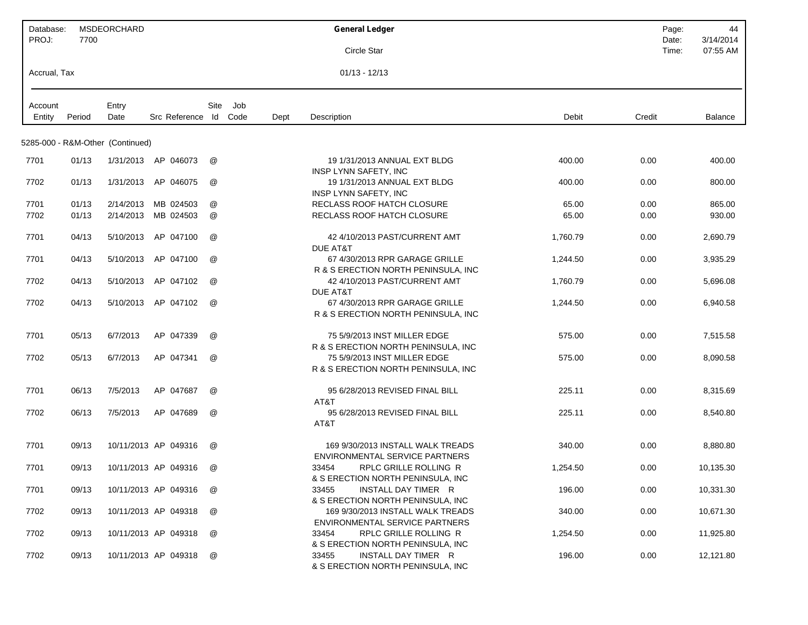| Database:<br>PROJ: | 7700   | MSDEORCHARD                      |                      |      |      |      | <b>General Ledger</b>                                                      |          | Page:<br>Date: | 44<br>3/14/2014 |
|--------------------|--------|----------------------------------|----------------------|------|------|------|----------------------------------------------------------------------------|----------|----------------|-----------------|
|                    |        |                                  |                      |      |      |      | Circle Star                                                                |          | Time:          | 07:55 AM        |
| Accrual, Tax       |        |                                  |                      |      |      |      | $01/13 - 12/13$                                                            |          |                |                 |
| Account            |        | Entry                            |                      | Site | Job  |      |                                                                            |          |                |                 |
| Entity             | Period | Date                             | Src Reference Id     |      | Code | Dept | Description                                                                | Debit    | Credit         | <b>Balance</b>  |
|                    |        | 5285-000 - R&M-Other (Continued) |                      |      |      |      |                                                                            |          |                |                 |
| 7701               | 01/13  |                                  | 1/31/2013 AP 046073  | @    |      |      | 19 1/31/2013 ANNUAL EXT BLDG<br>INSP LYNN SAFETY, INC                      | 400.00   | 0.00           | 400.00          |
| 7702               | 01/13  | 1/31/2013                        | AP 046075            | @    |      |      | 19 1/31/2013 ANNUAL EXT BLDG<br>INSP LYNN SAFETY, INC                      | 400.00   | 0.00           | 800.00          |
| 7701               | 01/13  | 2/14/2013                        | MB 024503            | @    |      |      | RECLASS ROOF HATCH CLOSURE                                                 | 65.00    | 0.00           | 865.00          |
| 7702               | 01/13  | 2/14/2013                        | MB 024503            | @    |      |      | RECLASS ROOF HATCH CLOSURE                                                 | 65.00    | 0.00           | 930.00          |
| 7701               | 04/13  | 5/10/2013                        | AP 047100            | @    |      |      | 42 4/10/2013 PAST/CURRENT AMT<br>DUE AT&T                                  | 1,760.79 | 0.00           | 2,690.79        |
| 7701               | 04/13  | 5/10/2013                        | AP 047100            | @    |      |      | 67 4/30/2013 RPR GARAGE GRILLE<br>R & S ERECTION NORTH PENINSULA, INC.     | 1,244.50 | 0.00           | 3,935.29        |
| 7702               | 04/13  | 5/10/2013                        | AP 047102            | @    |      |      | 42 4/10/2013 PAST/CURRENT AMT<br><b>DUE AT&amp;T</b>                       | 1,760.79 | 0.00           | 5,696.08        |
| 7702               | 04/13  | 5/10/2013                        | AP 047102            | @    |      |      | 67 4/30/2013 RPR GARAGE GRILLE<br>R & S ERECTION NORTH PENINSULA, INC      | 1,244.50 | 0.00           | 6,940.58        |
| 7701               | 05/13  | 6/7/2013                         | AP 047339            | @    |      |      | 75 5/9/2013 INST MILLER EDGE<br>R & S ERECTION NORTH PENINSULA, INC        | 575.00   | 0.00           | 7,515.58        |
| 7702               | 05/13  | 6/7/2013                         | AP 047341            | @    |      |      | 75 5/9/2013 INST MILLER EDGE<br>R & S ERECTION NORTH PENINSULA, INC        | 575.00   | 0.00           | 8,090.58        |
| 7701               | 06/13  | 7/5/2013                         | AP 047687            | @    |      |      | 95 6/28/2013 REVISED FINAL BILL<br>AT&T                                    | 225.11   | 0.00           | 8,315.69        |
| 7702               | 06/13  | 7/5/2013                         | AP 047689            | @    |      |      | 95 6/28/2013 REVISED FINAL BILL<br>AT&T                                    | 225.11   | 0.00           | 8,540.80        |
| 7701               | 09/13  |                                  | 10/11/2013 AP 049316 | @    |      |      | 169 9/30/2013 INSTALL WALK TREADS<br>ENVIRONMENTAL SERVICE PARTNERS        | 340.00   | 0.00           | 8,880.80        |
| 7701               | 09/13  |                                  | 10/11/2013 AP 049316 | @    |      |      | RPLC GRILLE ROLLING R<br>33454<br>& S ERECTION NORTH PENINSULA, INC        | 1,254.50 | 0.00           | 10,135.30       |
| 7701               | 09/13  |                                  | 10/11/2013 AP 049316 | @    |      |      | 33455<br>INSTALL DAY TIMER R<br>& S ERECTION NORTH PENINSULA, INC          | 196.00   | 0.00           | 10,331.30       |
| 7702               | 09/13  |                                  | 10/11/2013 AP 049318 | @    |      |      | 169 9/30/2013 INSTALL WALK TREADS<br>ENVIRONMENTAL SERVICE PARTNERS        | 340.00   | 0.00           | 10,671.30       |
| 7702               | 09/13  |                                  | 10/11/2013 AP 049318 | @    |      |      | 33454<br><b>RPLC GRILLE ROLLING R</b><br>& S ERECTION NORTH PENINSULA, INC | 1,254.50 | 0.00           | 11,925.80       |
| 7702               | 09/13  |                                  | 10/11/2013 AP 049318 | @    |      |      | 33455<br>INSTALL DAY TIMER R<br>& S ERECTION NORTH PENINSULA, INC          | 196.00   | 0.00           | 12,121.80       |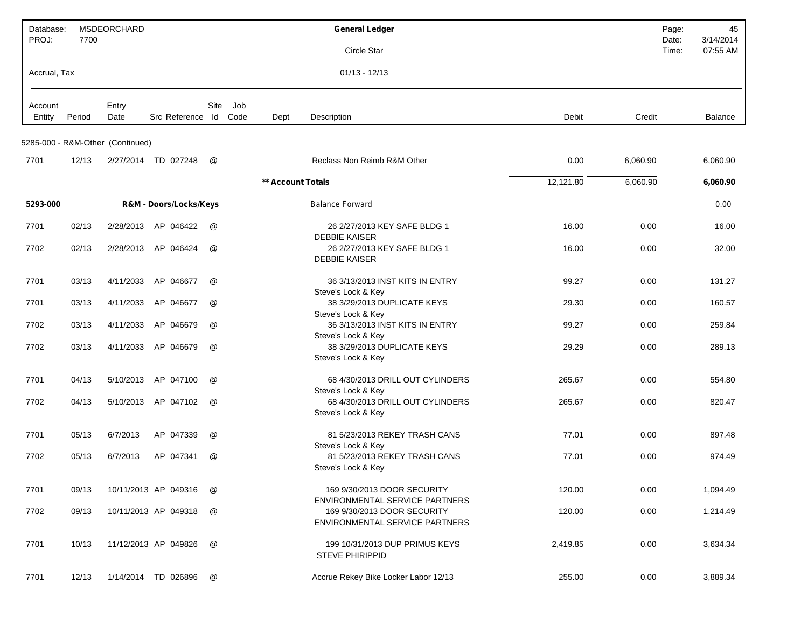| Database:<br>PROJ: | 7700   | MSDEORCHARD                      |                        |      |     |                   | <b>General Ledger</b>                                                                           |           |          | Page:<br>Date: | 45<br>3/14/2014 |
|--------------------|--------|----------------------------------|------------------------|------|-----|-------------------|-------------------------------------------------------------------------------------------------|-----------|----------|----------------|-----------------|
|                    |        |                                  |                        |      |     |                   | Circle Star                                                                                     |           |          | Time:          | 07:55 AM        |
| Accrual, Tax       |        |                                  |                        |      |     |                   | $01/13 - 12/13$                                                                                 |           |          |                |                 |
| Account<br>Entity  | Period | Entry<br>Date                    | Src Reference Id Code  | Site | Job | Dept              | Description                                                                                     | Debit     | Credit   |                | Balance         |
|                    |        | 5285-000 - R&M-Other (Continued) |                        |      |     |                   |                                                                                                 |           |          |                |                 |
| 7701               | 12/13  | 2/27/2014                        | TD 027248              | @    |     |                   | Reclass Non Reimb R&M Other                                                                     | 0.00      | 6,060.90 |                | 6,060.90        |
|                    |        |                                  |                        |      |     | ** Account Totals |                                                                                                 | 12,121.80 | 6,060.90 |                | 6,060.90        |
| 5293-000           |        |                                  | R&M - Doors/Locks/Keys |      |     |                   | <b>Balance Forward</b>                                                                          |           |          |                | 0.00            |
| 7701               | 02/13  | 2/28/2013                        | AP 046422              | @    |     |                   | 26 2/27/2013 KEY SAFE BLDG 1                                                                    | 16.00     | 0.00     |                | 16.00           |
| 7702               | 02/13  | 2/28/2013                        | AP 046424              | @    |     |                   | <b>DEBBIE KAISER</b><br>26 2/27/2013 KEY SAFE BLDG 1<br><b>DEBBIE KAISER</b>                    | 16.00     | 0.00     |                | 32.00           |
| 7701               | 03/13  | 4/11/2033                        | AP 046677              | @    |     |                   | 36 3/13/2013 INST KITS IN ENTRY                                                                 | 99.27     | 0.00     |                | 131.27          |
| 7701               | 03/13  | 4/11/2033                        | AP 046677              | @    |     |                   | Steve's Lock & Key<br>38 3/29/2013 DUPLICATE KEYS                                               | 29.30     | 0.00     |                | 160.57          |
| 7702               | 03/13  | 4/11/2033                        | AP 046679              | @    |     |                   | Steve's Lock & Key<br>36 3/13/2013 INST KITS IN ENTRY                                           | 99.27     | 0.00     |                | 259.84          |
| 7702               | 03/13  | 4/11/2033                        | AP 046679              | @    |     |                   | Steve's Lock & Key<br>38 3/29/2013 DUPLICATE KEYS<br>Steve's Lock & Key                         | 29.29     | 0.00     |                | 289.13          |
| 7701               | 04/13  | 5/10/2013                        | AP 047100              | @    |     |                   | 68 4/30/2013 DRILL OUT CYLINDERS                                                                | 265.67    | 0.00     |                | 554.80          |
| 7702               | 04/13  | 5/10/2013                        | AP 047102              | @    |     |                   | Steve's Lock & Key<br>68 4/30/2013 DRILL OUT CYLINDERS<br>Steve's Lock & Key                    | 265.67    | 0.00     |                | 820.47          |
| 7701               | 05/13  | 6/7/2013                         | AP 047339              | @    |     |                   | 81 5/23/2013 REKEY TRASH CANS                                                                   | 77.01     | 0.00     |                | 897.48          |
| 7702               | 05/13  | 6/7/2013                         | AP 047341              | @    |     |                   | Steve's Lock & Key<br>81 5/23/2013 REKEY TRASH CANS<br>Steve's Lock & Key                       | 77.01     | 0.00     |                | 974.49          |
| 7701               | 09/13  |                                  | 10/11/2013 AP 049316   | @    |     |                   | 169 9/30/2013 DOOR SECURITY                                                                     | 120.00    | 0.00     |                | 1,094.49        |
| 7702               | 09/13  |                                  | 10/11/2013 AP 049318   | @    |     |                   | ENVIRONMENTAL SERVICE PARTNERS<br>169 9/30/2013 DOOR SECURITY<br>ENVIRONMENTAL SERVICE PARTNERS | 120.00    | 0.00     |                | 1,214.49        |
| 7701               | 10/13  |                                  | 11/12/2013 AP 049826   | @    |     |                   | 199 10/31/2013 DUP PRIMUS KEYS<br><b>STEVE PHIRIPPID</b>                                        | 2,419.85  | 0.00     |                | 3,634.34        |
| 7701               | 12/13  |                                  | 1/14/2014 TD 026896    | @    |     |                   | Accrue Rekey Bike Locker Labor 12/13                                                            | 255.00    | 0.00     |                | 3,889.34        |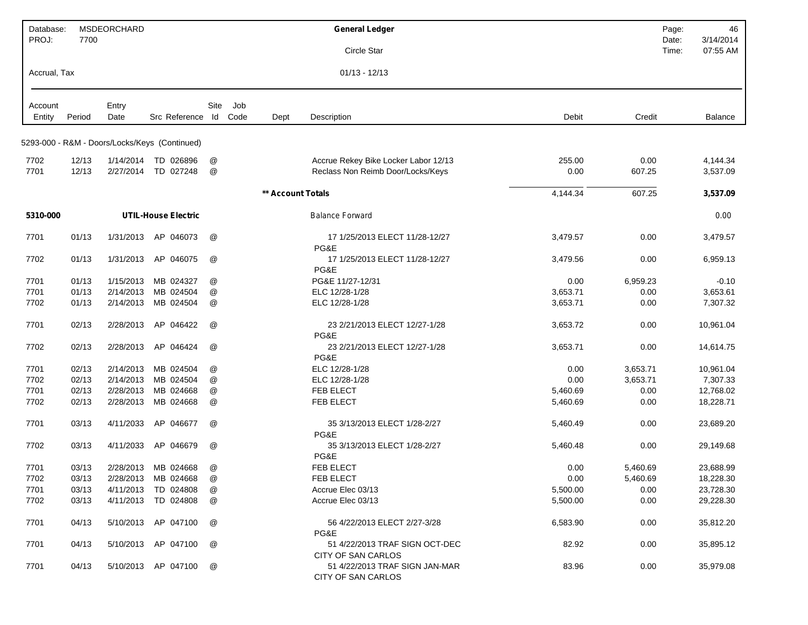| Database:<br>PROJ: | 7700   | MSDEORCHARD   |                                               |                      |     |                   | <b>General Ledger</b>                                       |                    | Page:<br>Date: | 46<br>3/14/2014 |
|--------------------|--------|---------------|-----------------------------------------------|----------------------|-----|-------------------|-------------------------------------------------------------|--------------------|----------------|-----------------|
|                    |        |               |                                               |                      |     |                   | Circle Star                                                 |                    | Time:          | 07:55 AM        |
| Accrual, Tax       |        |               |                                               |                      |     |                   | $01/13 - 12/13$                                             |                    |                |                 |
| Account<br>Entity  | Period | Entry<br>Date | Src Reference Id Code                         | Site                 | Job | Dept              | Description                                                 | Debit<br>Credit    |                | Balance         |
|                    |        |               | 5293-000 - R&M - Doors/Locks/Keys (Continued) |                      |     |                   |                                                             |                    |                |                 |
| 7702               | 12/13  | 1/14/2014     | TD 026896                                     | @                    |     |                   | Accrue Rekey Bike Locker Labor 12/13                        | 255.00             | 0.00           | 4,144.34        |
| 7701               | 12/13  | 2/27/2014     | TD 027248                                     | @                    |     |                   | Reclass Non Reimb Door/Locks/Keys                           | 0.00<br>607.25     |                | 3,537.09        |
|                    |        |               |                                               |                      |     | ** Account Totals |                                                             | 4,144.34<br>607.25 |                | 3,537.09        |
| 5310-000           |        |               | <b>UTIL-House Electric</b>                    |                      |     |                   | <b>Balance Forward</b>                                      |                    |                | 0.00            |
| 7701               | 01/13  | 1/31/2013     | AP 046073                                     | @                    |     |                   | 17 1/25/2013 ELECT 11/28-12/27<br>PG&E                      | 3,479.57           | 0.00           | 3,479.57        |
| 7702               | 01/13  | 1/31/2013     | AP 046075                                     | @                    |     |                   | 17 1/25/2013 ELECT 11/28-12/27<br>PG&E                      | 3,479.56           | 0.00           | 6,959.13        |
| 7701               | 01/13  | 1/15/2013     | MB 024327                                     | @                    |     |                   | PG&E 11/27-12/31                                            | 6,959.23<br>0.00   |                | $-0.10$         |
| 7701               | 01/13  | 2/14/2013     | MB 024504                                     | @                    |     |                   | ELC 12/28-1/28                                              | 3,653.71           | 0.00           | 3,653.61        |
| 7702               | 01/13  | 2/14/2013     | MB 024504                                     | @                    |     |                   | ELC 12/28-1/28                                              | 3,653.71           | 0.00           | 7,307.32        |
| 7701               | 02/13  | 2/28/2013     | AP 046422                                     | @                    |     |                   | 23 2/21/2013 ELECT 12/27-1/28<br>PG&E                       | 3,653.72           | 0.00           | 10,961.04       |
| 7702               | 02/13  | 2/28/2013     | AP 046424                                     | @                    |     |                   | 23 2/21/2013 ELECT 12/27-1/28<br>PG&E                       | 3,653.71           | 0.00           | 14,614.75       |
| 7701               | 02/13  | 2/14/2013     | MB 024504                                     | @                    |     |                   | ELC 12/28-1/28                                              | 0.00<br>3,653.71   |                | 10,961.04       |
| 7702               | 02/13  | 2/14/2013     | MB 024504                                     | @                    |     |                   | ELC 12/28-1/28                                              | 3,653.71<br>0.00   |                | 7,307.33        |
| 7701               | 02/13  | 2/28/2013     | MB 024668                                     | @                    |     |                   | FEB ELECT                                                   | 5,460.69           | 0.00           | 12,768.02       |
| 7702               | 02/13  | 2/28/2013     | MB 024668                                     | @                    |     |                   | FEB ELECT                                                   | 5,460.69           | 0.00           | 18,228.71       |
| 7701               | 03/13  | 4/11/2033     | AP 046677                                     | @                    |     |                   | 35 3/13/2013 ELECT 1/28-2/27<br>PG&E                        | 5,460.49           | 0.00           | 23,689.20       |
| 7702               | 03/13  | 4/11/2033     | AP 046679                                     | @                    |     |                   | 35 3/13/2013 ELECT 1/28-2/27<br>PG&E                        | 5,460.48           | 0.00           | 29,149.68       |
| 7701               | 03/13  |               | 2/28/2013 MB 024668                           | @                    |     |                   | <b>FEB ELECT</b>                                            | 0.00<br>5,460.69   |                | 23,688.99       |
| 7702               | 03/13  |               | 2/28/2013 MB 024668                           | $^{\textregistered}$ |     |                   | FEB ELECT                                                   | 0.00<br>5,460.69   |                | 18,228.30       |
| 7701               | 03/13  |               | 4/11/2013 TD 024808                           | @                    |     |                   | Accrue Elec 03/13                                           | 5,500.00           | 0.00           | 23,728.30       |
| 7702               | 03/13  |               | 4/11/2013 TD 024808                           | @                    |     |                   | Accrue Elec 03/13                                           | 5,500.00           | 0.00           | 29,228.30       |
| 7701               | 04/13  |               | 5/10/2013 AP 047100                           | @                    |     |                   | 56 4/22/2013 ELECT 2/27-3/28<br>PG&E                        | 6,583.90           | 0.00           | 35,812.20       |
| 7701               | 04/13  |               | 5/10/2013 AP 047100                           | @                    |     |                   | 51 4/22/2013 TRAF SIGN OCT-DEC<br>CITY OF SAN CARLOS        | 82.92              | 0.00           | 35,895.12       |
| 7701               | 04/13  |               | 5/10/2013 AP 047100                           | @                    |     |                   | 51 4/22/2013 TRAF SIGN JAN-MAR<br><b>CITY OF SAN CARLOS</b> | 83.96              | 0.00           | 35,979.08       |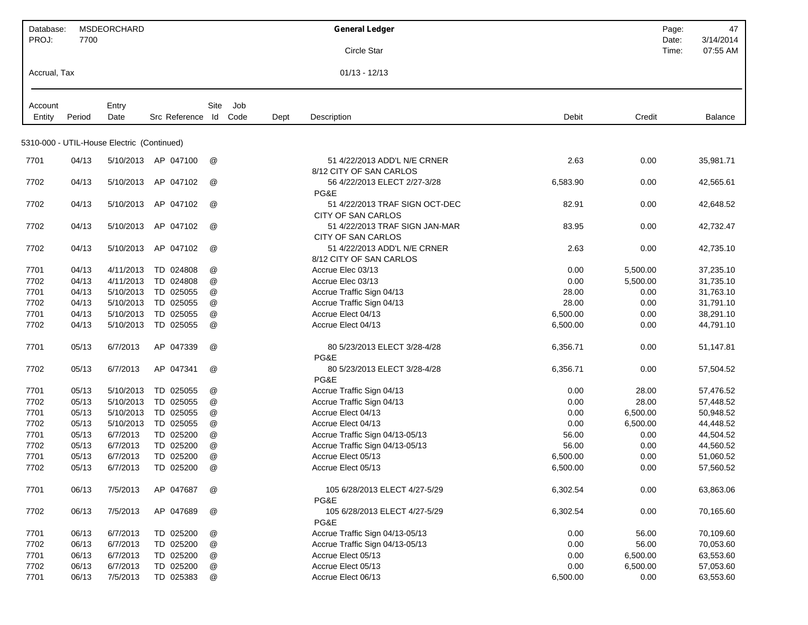| Database:         |        | <b>MSDEORCHARD</b>                         |                     |                           |             |      | <b>General Ledger</b>                                |          |          | Page: | 47        |
|-------------------|--------|--------------------------------------------|---------------------|---------------------------|-------------|------|------------------------------------------------------|----------|----------|-------|-----------|
| PROJ:             | 7700   |                                            |                     |                           |             |      |                                                      |          |          | Date: | 3/14/2014 |
|                   |        |                                            |                     |                           |             |      | Circle Star                                          |          |          | Time: | 07:55 AM  |
| Accrual, Tax      |        |                                            |                     |                           |             |      | $01/13 - 12/13$                                      |          |          |       |           |
|                   |        |                                            |                     |                           |             |      |                                                      |          |          |       |           |
| Account<br>Entity | Period | Entry<br>Date                              | Src Reference Id    | Site                      | Job<br>Code | Dept | Description                                          | Debit    | Credit   |       |           |
|                   |        |                                            |                     |                           |             |      |                                                      |          |          |       | Balance   |
|                   |        | 5310-000 - UTIL-House Electric (Continued) |                     |                           |             |      |                                                      |          |          |       |           |
| 7701              | 04/13  |                                            | 5/10/2013 AP 047100 | @                         |             |      | 51 4/22/2013 ADD'L N/E CRNER                         | 2.63     | 0.00     |       | 35,981.71 |
|                   |        |                                            |                     |                           |             |      | 8/12 CITY OF SAN CARLOS                              |          |          |       |           |
| 7702              | 04/13  | 5/10/2013                                  | AP 047102           | @                         |             |      | 56 4/22/2013 ELECT 2/27-3/28                         | 6,583.90 | 0.00     |       | 42,565.61 |
|                   |        |                                            |                     |                           |             |      | PG&E                                                 |          |          |       |           |
| 7702              | 04/13  | 5/10/2013                                  | AP 047102           | @                         |             |      | 51 4/22/2013 TRAF SIGN OCT-DEC                       | 82.91    | 0.00     |       | 42,648.52 |
| 7702              | 04/13  | 5/10/2013                                  | AP 047102           | @                         |             |      | CITY OF SAN CARLOS<br>51 4/22/2013 TRAF SIGN JAN-MAR | 83.95    | 0.00     |       | 42,732.47 |
|                   |        |                                            |                     |                           |             |      | <b>CITY OF SAN CARLOS</b>                            |          |          |       |           |
| 7702              | 04/13  | 5/10/2013                                  | AP 047102           | @                         |             |      | 51 4/22/2013 ADD'L N/E CRNER                         | 2.63     | 0.00     |       | 42,735.10 |
|                   |        |                                            |                     |                           |             |      | 8/12 CITY OF SAN CARLOS                              |          |          |       |           |
| 7701              | 04/13  | 4/11/2013                                  | TD 024808           | @                         |             |      | Accrue Elec 03/13                                    | 0.00     | 5,500.00 |       | 37,235.10 |
| 7702              | 04/13  | 4/11/2013                                  | TD 024808           | @                         |             |      | Accrue Elec 03/13                                    | 0.00     | 5,500.00 |       | 31,735.10 |
| 7701              | 04/13  | 5/10/2013                                  | TD 025055           | @                         |             |      | Accrue Traffic Sign 04/13                            | 28.00    | 0.00     |       | 31,763.10 |
| 7702              | 04/13  | 5/10/2013                                  | TD 025055           | @                         |             |      | Accrue Traffic Sign 04/13                            | 28.00    | 0.00     |       | 31,791.10 |
| 7701              | 04/13  | 5/10/2013                                  | TD 025055           | $^\text{\textregistered}$ |             |      | Accrue Elect 04/13                                   | 6,500.00 | 0.00     |       | 38,291.10 |
| 7702              | 04/13  | 5/10/2013                                  | TD 025055           | $^\copyright$             |             |      | Accrue Elect 04/13                                   | 6,500.00 | 0.00     |       | 44,791.10 |
| 7701              | 05/13  | 6/7/2013                                   | AP 047339           | @                         |             |      | 80 5/23/2013 ELECT 3/28-4/28                         | 6,356.71 | 0.00     |       | 51,147.81 |
|                   |        |                                            |                     |                           |             |      | PG&E                                                 |          |          |       |           |
| 7702              | 05/13  | 6/7/2013                                   | AP 047341           | @                         |             |      | 80 5/23/2013 ELECT 3/28-4/28<br>PG&E                 | 6,356.71 | 0.00     |       | 57,504.52 |
| 7701              | 05/13  | 5/10/2013                                  | TD 025055           | @                         |             |      | Accrue Traffic Sign 04/13                            | 0.00     | 28.00    |       | 57,476.52 |
| 7702              | 05/13  | 5/10/2013                                  | TD 025055           | @                         |             |      | Accrue Traffic Sign 04/13                            | 0.00     | 28.00    |       | 57,448.52 |
| 7701              | 05/13  | 5/10/2013                                  | TD 025055           | $^\text{\textregistered}$ |             |      | Accrue Elect 04/13                                   | 0.00     | 6,500.00 |       | 50,948.52 |
| 7702              | 05/13  | 5/10/2013                                  | TD 025055           | $^\text{\textregistered}$ |             |      | Accrue Elect 04/13                                   | 0.00     | 6,500.00 |       | 44,448.52 |
| 7701              | 05/13  | 6/7/2013                                   | TD 025200           | @                         |             |      | Accrue Traffic Sign 04/13-05/13                      | 56.00    | 0.00     |       | 44,504.52 |
| 7702              | 05/13  | 6/7/2013                                   | TD 025200           | @                         |             |      | Accrue Traffic Sign 04/13-05/13                      | 56.00    | 0.00     |       | 44,560.52 |
| 7701              | 05/13  | 6/7/2013                                   | TD 025200           | @                         |             |      | Accrue Elect 05/13                                   | 6,500.00 | 0.00     |       | 51,060.52 |
| 7702              | 05/13  | 6/7/2013                                   | TD 025200           | $^\circledR$              |             |      | Accrue Elect 05/13                                   | 6,500.00 | 0.00     |       | 57,560.52 |
| 7701              | 06/13  | 7/5/2013                                   | AP 047687           | @                         |             |      | 105 6/28/2013 ELECT 4/27-5/29<br>PG&E                | 6,302.54 | 0.00     |       | 63,863.06 |
| 7702              | 06/13  | 7/5/2013                                   | AP 047689           | @                         |             |      | 105 6/28/2013 ELECT 4/27-5/29<br>PG&E                | 6,302.54 | 0.00     |       | 70,165.60 |
| 7701              | 06/13  | 6/7/2013                                   | TD 025200           | @                         |             |      | Accrue Traffic Sign 04/13-05/13                      | 0.00     | 56.00    |       | 70,109.60 |
| 7702              | 06/13  | 6/7/2013                                   | TD 025200           | @                         |             |      | Accrue Traffic Sign 04/13-05/13                      | 0.00     | 56.00    |       | 70,053.60 |
| 7701              | 06/13  | 6/7/2013                                   | TD 025200           | @                         |             |      | Accrue Elect 05/13                                   | 0.00     | 6,500.00 |       | 63,553.60 |
| 7702              | 06/13  | 6/7/2013                                   | TD 025200           | $^\copyright$             |             |      | Accrue Elect 05/13                                   | 0.00     | 6,500.00 |       | 57,053.60 |
| 7701              | 06/13  | 7/5/2013                                   | TD 025383           | $^\copyright$             |             |      | Accrue Elect 06/13                                   | 6,500.00 | 0.00     |       | 63,553.60 |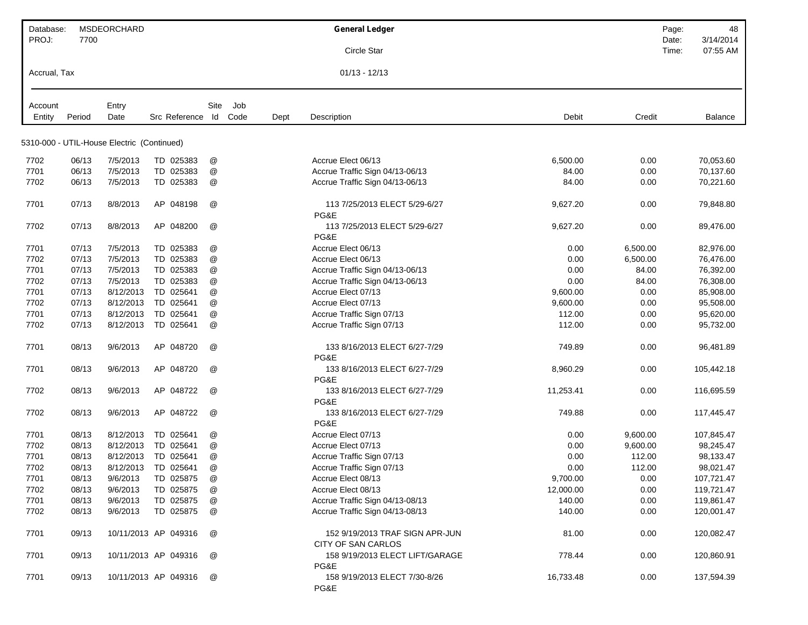| Database:         |        | MSDEORCHARD                                |                      |              |             |      | <b>General Ledger</b>                                 |           |          | Page:<br>48        |
|-------------------|--------|--------------------------------------------|----------------------|--------------|-------------|------|-------------------------------------------------------|-----------|----------|--------------------|
| PROJ:             | 7700   |                                            |                      |              |             |      |                                                       |           |          | 3/14/2014<br>Date: |
|                   |        |                                            |                      |              |             |      | Circle Star                                           |           |          | 07:55 AM<br>Time:  |
| Accrual, Tax      |        |                                            |                      |              |             |      | $01/13 - 12/13$                                       |           |          |                    |
|                   |        |                                            |                      |              |             |      |                                                       |           |          |                    |
| Account<br>Entity | Period | Entry<br>Date                              | Src Reference        | Site<br>ld   | Job<br>Code | Dept | Description                                           | Debit     | Credit   | Balance            |
|                   |        |                                            |                      |              |             |      |                                                       |           |          |                    |
|                   |        | 5310-000 - UTIL-House Electric (Continued) |                      |              |             |      |                                                       |           |          |                    |
| 7702              | 06/13  | 7/5/2013                                   | TD 025383            | @            |             |      | Accrue Elect 06/13                                    | 6,500.00  | 0.00     | 70,053.60          |
| 7701              | 06/13  | 7/5/2013                                   | TD 025383            | @            |             |      | Accrue Traffic Sign 04/13-06/13                       | 84.00     | 0.00     | 70.137.60          |
| 7702              | 06/13  | 7/5/2013                                   | TD 025383            | @            |             |      | Accrue Traffic Sign 04/13-06/13                       | 84.00     | 0.00     | 70,221.60          |
| 7701              | 07/13  | 8/8/2013                                   | AP 048198            | @            |             |      | 113 7/25/2013 ELECT 5/29-6/27<br>PG&E                 | 9,627.20  | 0.00     | 79,848.80          |
| 7702              | 07/13  | 8/8/2013                                   | AP 048200            | @            |             |      | 113 7/25/2013 ELECT 5/29-6/27<br>PG&E                 | 9,627.20  | 0.00     | 89,476.00          |
| 7701              | 07/13  | 7/5/2013                                   | TD 025383            | @            |             |      | Accrue Elect 06/13                                    | 0.00      | 6,500.00 | 82,976.00          |
| 7702              | 07/13  | 7/5/2013                                   | TD 025383            | @            |             |      | Accrue Elect 06/13                                    | 0.00      | 6,500.00 | 76,476.00          |
| 7701              | 07/13  | 7/5/2013                                   | TD 025383            | @            |             |      | Accrue Traffic Sign 04/13-06/13                       | 0.00      | 84.00    | 76,392.00          |
| 7702              | 07/13  | 7/5/2013                                   | TD 025383            | @            |             |      | Accrue Traffic Sign 04/13-06/13                       | 0.00      | 84.00    | 76,308.00          |
| 7701              | 07/13  | 8/12/2013                                  | TD 025641            | @            |             |      | Accrue Elect 07/13                                    | 9,600.00  | 0.00     | 85,908.00          |
| 7702              | 07/13  | 8/12/2013                                  | TD 025641            | $^\circledR$ |             |      | Accrue Elect 07/13                                    | 9,600.00  | 0.00     | 95,508.00          |
| 7701              | 07/13  | 8/12/2013                                  | TD 025641            | @            |             |      | Accrue Traffic Sign 07/13                             | 112.00    | 0.00     | 95,620.00          |
| 7702              | 07/13  | 8/12/2013                                  | TD 025641            | @            |             |      | Accrue Traffic Sign 07/13                             | 112.00    | 0.00     | 95,732.00          |
| 7701              | 08/13  | 9/6/2013                                   | AP 048720            | @            |             |      | 133 8/16/2013 ELECT 6/27-7/29<br>PG&E                 | 749.89    | 0.00     | 96,481.89          |
| 7701              | 08/13  | 9/6/2013                                   | AP 048720            | @            |             |      | 133 8/16/2013 ELECT 6/27-7/29<br>PG&E                 | 8,960.29  | 0.00     | 105,442.18         |
| 7702              | 08/13  | 9/6/2013                                   | AP 048722            | @            |             |      | 133 8/16/2013 ELECT 6/27-7/29<br>PG&E                 | 11,253.41 | 0.00     | 116,695.59         |
| 7702              | 08/13  | 9/6/2013                                   | AP 048722            | @            |             |      | 133 8/16/2013 ELECT 6/27-7/29<br>PG&E                 | 749.88    | 0.00     | 117,445.47         |
| 7701              | 08/13  | 8/12/2013                                  | TD 025641            | @            |             |      | Accrue Elect 07/13                                    | 0.00      | 9,600.00 | 107,845.47         |
| 7702              | 08/13  | 8/12/2013                                  | TD 025641            | @            |             |      | Accrue Elect 07/13                                    | 0.00      | 9,600.00 | 98,245.47          |
| 7701              | 08/13  | 8/12/2013                                  | TD 025641            | @            |             |      | Accrue Traffic Sign 07/13                             | 0.00      | 112.00   | 98,133.47          |
| 7702              | 08/13  | 8/12/2013                                  | TD 025641            | @            |             |      | Accrue Traffic Sign 07/13                             | 0.00      | 112.00   | 98,021.47          |
| 7701              | 08/13  | 9/6/2013                                   | TD 025875            | @            |             |      | Accrue Elect 08/13                                    | 9,700.00  | 0.00     | 107,721.47         |
| 7702              | 08/13  | 9/6/2013                                   | TD 025875            | @            |             |      | Accrue Elect 08/13                                    | 12,000.00 | 0.00     | 119,721.47         |
| 7701              | 08/13  | 9/6/2013                                   | TD 025875            | @            |             |      | Accrue Traffic Sign 04/13-08/13                       | 140.00    | 0.00     | 119,861.47         |
| 7702              | 08/13  | 9/6/2013                                   | TD 025875            | @            |             |      | Accrue Traffic Sign 04/13-08/13                       | 140.00    | 0.00     | 120,001.47         |
| 7701              | 09/13  |                                            | 10/11/2013 AP 049316 | @            |             |      | 152 9/19/2013 TRAF SIGN APR-JUN<br>CITY OF SAN CARLOS | 81.00     | 0.00     | 120,082.47         |
| 7701              | 09/13  |                                            | 10/11/2013 AP 049316 | @            |             |      | 158 9/19/2013 ELECT LIFT/GARAGE<br>PG&E               | 778.44    | 0.00     | 120,860.91         |
| 7701              | 09/13  |                                            | 10/11/2013 AP 049316 | @            |             |      | 158 9/19/2013 ELECT 7/30-8/26<br>PG&E                 | 16,733.48 | 0.00     | 137,594.39         |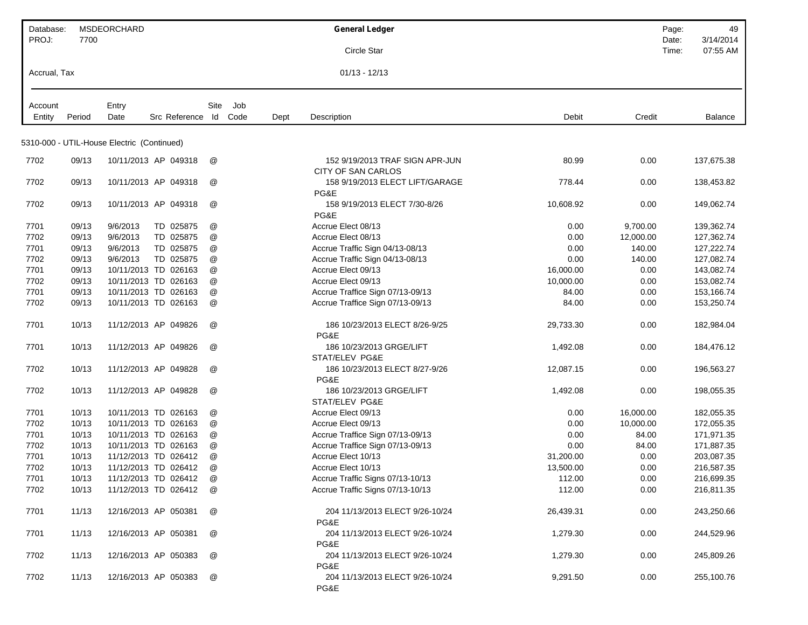| Database:         |        | <b>MSDEORCHARD</b>                         |                       |                 |     |      | <b>General Ledger</b>                      |           |           | Page:          | 49                    |
|-------------------|--------|--------------------------------------------|-----------------------|-----------------|-----|------|--------------------------------------------|-----------|-----------|----------------|-----------------------|
| PROJ:             | 7700   |                                            |                       |                 |     |      | Circle Star                                |           |           | Date:<br>Time: | 3/14/2014<br>07:55 AM |
|                   |        |                                            |                       |                 |     |      |                                            |           |           |                |                       |
| Accrual, Tax      |        |                                            |                       |                 |     |      | $01/13 - 12/13$                            |           |           |                |                       |
|                   |        |                                            |                       |                 |     |      |                                            |           |           |                |                       |
| Account<br>Entity | Period | Entry<br>Date                              | Src Reference Id Code | Site            | Job | Dept | Description                                | Debit     | Credit    |                | Balance               |
|                   |        |                                            |                       |                 |     |      |                                            |           |           |                |                       |
|                   |        | 5310-000 - UTIL-House Electric (Continued) |                       |                 |     |      |                                            |           |           |                |                       |
| 7702              | 09/13  |                                            | 10/11/2013 AP 049318  | @               |     |      | 152 9/19/2013 TRAF SIGN APR-JUN            | 80.99     | 0.00      |                | 137,675.38            |
|                   |        |                                            |                       |                 |     |      | <b>CITY OF SAN CARLOS</b>                  |           |           |                |                       |
| 7702              | 09/13  |                                            | 10/11/2013 AP 049318  | @               |     |      | 158 9/19/2013 ELECT LIFT/GARAGE<br>PG&E    | 778.44    | 0.00      |                | 138,453.82            |
| 7702              | 09/13  |                                            | 10/11/2013 AP 049318  | @               |     |      | 158 9/19/2013 ELECT 7/30-8/26              | 10,608.92 | 0.00      |                | 149,062.74            |
|                   |        |                                            |                       |                 |     |      | PG&E                                       |           |           |                |                       |
| 7701              | 09/13  | 9/6/2013                                   | TD 025875             | @               |     |      | Accrue Elect 08/13                         | 0.00      | 9,700.00  |                | 139,362.74            |
| 7702              | 09/13  | 9/6/2013                                   | TD 025875             | @               |     |      | Accrue Elect 08/13                         | 0.00      | 12,000.00 |                | 127,362.74            |
| 7701              | 09/13  | 9/6/2013                                   | TD 025875             | @               |     |      | Accrue Traffic Sign 04/13-08/13            | 0.00      | 140.00    |                | 127,222.74            |
| 7702              | 09/13  | 9/6/2013                                   | TD 025875             | @               |     |      | Accrue Traffic Sign 04/13-08/13            | 0.00      | 140.00    |                | 127,082.74            |
| 7701              | 09/13  | 10/11/2013 TD 026163                       |                       | @               |     |      | Accrue Elect 09/13                         | 16,000.00 | 0.00      |                | 143,082.74            |
| 7702              | 09/13  | 10/11/2013 TD 026163                       |                       | @               |     |      | Accrue Elect 09/13                         | 10,000.00 | 0.00      |                | 153,082.74            |
| 7701              | 09/13  |                                            | 10/11/2013 TD 026163  | @               |     |      | Accrue Traffice Sign 07/13-09/13           | 84.00     | 0.00      |                | 153,166.74            |
| 7702              | 09/13  |                                            | 10/11/2013 TD 026163  | @               |     |      | Accrue Traffice Sign 07/13-09/13           | 84.00     | 0.00      |                | 153,250.74            |
| 7701              | 10/13  | 11/12/2013 AP 049826                       |                       | @               |     |      | 186 10/23/2013 ELECT 8/26-9/25<br>PG&E     | 29,733.30 | 0.00      |                | 182,984.04            |
| 7701              | 10/13  |                                            | 11/12/2013 AP 049826  | @               |     |      | 186 10/23/2013 GRGE/LIFT<br>STAT/ELEV PG&E | 1,492.08  | 0.00      |                | 184,476.12            |
| 7702              | 10/13  |                                            | 11/12/2013 AP 049828  | @               |     |      | 186 10/23/2013 ELECT 8/27-9/26<br>PG&E     | 12,087.15 | 0.00      |                | 196,563.27            |
| 7702              | 10/13  | 11/12/2013 AP 049828                       |                       | @               |     |      | 186 10/23/2013 GRGE/LIFT                   | 1,492.08  | 0.00      |                | 198,055.35            |
|                   |        |                                            |                       |                 |     |      | STAT/ELEV PG&E                             |           |           |                |                       |
| 7701              | 10/13  |                                            | 10/11/2013 TD 026163  | @               |     |      | Accrue Elect 09/13                         | 0.00      | 16,000.00 |                | 182,055.35            |
| 7702              | 10/13  | 10/11/2013 TD 026163                       |                       | @               |     |      | Accrue Elect 09/13                         | 0.00      | 10,000.00 |                | 172,055.35            |
| 7701              | 10/13  |                                            | 10/11/2013 TD 026163  | @               |     |      | Accrue Traffice Sign 07/13-09/13           | 0.00      | 84.00     |                | 171,971.35            |
| 7702              | 10/13  |                                            | 10/11/2013 TD 026163  | @               |     |      | Accrue Traffice Sign 07/13-09/13           | 0.00      | 84.00     |                | 171,887.35            |
| 7701              | 10/13  |                                            | 11/12/2013 TD 026412  | $^{\copyright}$ |     |      | Accrue Elect 10/13                         | 31,200.00 | 0.00      |                | 203,087.35            |
| 7702              | 10/13  |                                            | 11/12/2013 TD 026412  | @               |     |      | Accrue Elect 10/13                         | 13,500.00 | 0.00      |                | 216,587.35            |
| 7701              | 10/13  |                                            | 11/12/2013 TD 026412  | @               |     |      | Accrue Traffic Signs 07/13-10/13           | 112.00    | 0.00      |                | 216,699.35            |
| 7702              | 10/13  |                                            | 11/12/2013 TD 026412  | @               |     |      | Accrue Traffic Signs 07/13-10/13           | 112.00    | 0.00      |                | 216,811.35            |
| 7701              | 11/13  | 12/16/2013 AP 050381                       |                       | @               |     |      | 204 11/13/2013 ELECT 9/26-10/24<br>PG&E    | 26,439.31 | 0.00      |                | 243,250.66            |
| 7701              | 11/13  | 12/16/2013 AP 050381                       |                       | @               |     |      | 204 11/13/2013 ELECT 9/26-10/24<br>PG&E    | 1,279.30  | 0.00      |                | 244,529.96            |
| 7702              | 11/13  |                                            | 12/16/2013 AP 050383  | @               |     |      | 204 11/13/2013 ELECT 9/26-10/24<br>PG&E    | 1,279.30  | 0.00      |                | 245,809.26            |
| 7702              | 11/13  |                                            | 12/16/2013 AP 050383  | @               |     |      | 204 11/13/2013 ELECT 9/26-10/24<br>PG&E    | 9,291.50  | 0.00      |                | 255,100.76            |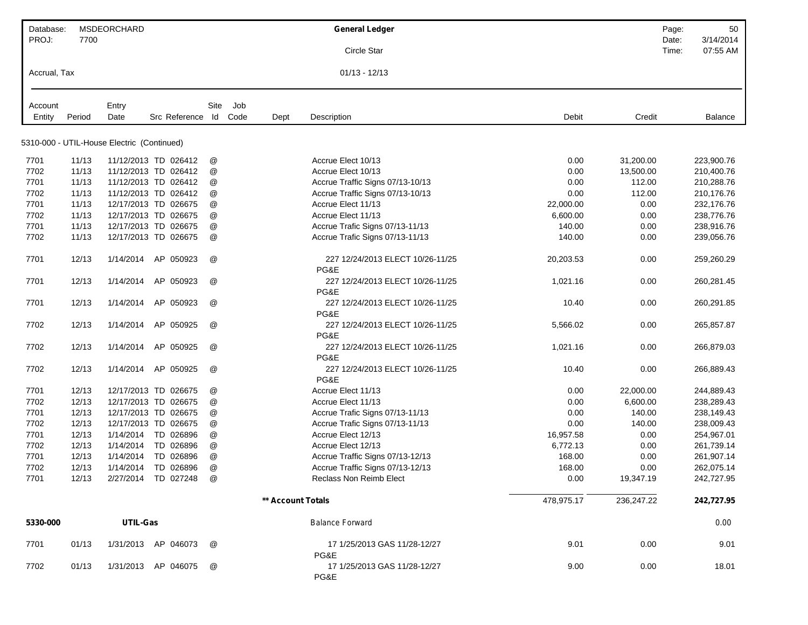| Database:    |        | <b>MSDEORCHARD</b>                         |                       |                 |     |                   | <b>General Ledger</b>                    |            |            | Page:          | 50                    |
|--------------|--------|--------------------------------------------|-----------------------|-----------------|-----|-------------------|------------------------------------------|------------|------------|----------------|-----------------------|
| PROJ:        | 7700   |                                            |                       |                 |     |                   | Circle Star                              |            |            | Date:<br>Time: | 3/14/2014<br>07:55 AM |
| Accrual, Tax |        |                                            |                       |                 |     |                   | $01/13 - 12/13$                          |            |            |                |                       |
| Account      |        | Entry                                      |                       | Site            | Job |                   |                                          |            |            |                |                       |
| Entity       | Period | Date                                       | Src Reference Id Code |                 |     | Dept              | Description                              | Debit      | Credit     |                | <b>Balance</b>        |
|              |        | 5310-000 - UTIL-House Electric (Continued) |                       |                 |     |                   |                                          |            |            |                |                       |
| 7701         | 11/13  |                                            | 11/12/2013 TD 026412  | @               |     |                   | Accrue Elect 10/13                       | 0.00       | 31,200.00  |                | 223,900.76            |
| 7702         | 11/13  |                                            | 11/12/2013 TD 026412  | @               |     |                   | Accrue Elect 10/13                       | 0.00       | 13,500.00  |                | 210,400.76            |
| 7701         | 11/13  |                                            | 11/12/2013 TD 026412  | @               |     |                   | Accrue Traffic Signs 07/13-10/13         | 0.00       | 112.00     |                | 210,288.76            |
| 7702         | 11/13  |                                            | 11/12/2013 TD 026412  | @               |     |                   | Accrue Traffic Signs 07/13-10/13         | 0.00       | 112.00     |                | 210,176.76            |
| 7701         | 11/13  |                                            | 12/17/2013 TD 026675  | @               |     |                   | Accrue Elect 11/13                       | 22,000.00  | 0.00       |                | 232,176.76            |
| 7702         | 11/13  |                                            | 12/17/2013 TD 026675  | @               |     |                   | Accrue Elect 11/13                       | 6,600.00   | 0.00       |                | 238,776.76            |
| 7701         | 11/13  |                                            | 12/17/2013 TD 026675  | @               |     |                   | Accrue Trafic Signs 07/13-11/13          | 140.00     | 0.00       |                | 238,916.76            |
| 7702         | 11/13  |                                            | 12/17/2013 TD 026675  | @               |     |                   | Accrue Trafic Signs 07/13-11/13          | 140.00     | 0.00       |                | 239,056.76            |
| 7701         | 12/13  | 1/14/2014                                  | AP 050923             | @               |     |                   | 227 12/24/2013 ELECT 10/26-11/25<br>PG&E | 20,203.53  | 0.00       |                | 259,260.29            |
| 7701         | 12/13  | 1/14/2014                                  | AP 050923             | @               |     |                   | 227 12/24/2013 ELECT 10/26-11/25<br>PG&E | 1,021.16   | 0.00       |                | 260,281.45            |
| 7701         | 12/13  | 1/14/2014                                  | AP 050923             | @               |     |                   | 227 12/24/2013 ELECT 10/26-11/25<br>PG&E | 10.40      | 0.00       |                | 260,291.85            |
| 7702         | 12/13  | 1/14/2014                                  | AP 050925             | @               |     |                   | 227 12/24/2013 ELECT 10/26-11/25<br>PG&E | 5,566.02   | 0.00       |                | 265,857.87            |
| 7702         | 12/13  | 1/14/2014                                  | AP 050925             | @               |     |                   | 227 12/24/2013 ELECT 10/26-11/25<br>PG&E | 1,021.16   | 0.00       |                | 266,879.03            |
| 7702         | 12/13  | 1/14/2014                                  | AP 050925             | @               |     |                   | 227 12/24/2013 ELECT 10/26-11/25<br>PG&E | 10.40      | 0.00       |                | 266,889.43            |
| 7701         | 12/13  |                                            | 12/17/2013 TD 026675  | @               |     |                   | Accrue Elect 11/13                       | 0.00       | 22,000.00  |                | 244,889.43            |
| 7702         | 12/13  |                                            | 12/17/2013 TD 026675  | @               |     |                   | Accrue Elect 11/13                       | 0.00       | 6,600.00   |                | 238,289.43            |
| 7701         | 12/13  |                                            | 12/17/2013 TD 026675  | @               |     |                   | Accrue Trafic Signs 07/13-11/13          | 0.00       | 140.00     |                | 238,149.43            |
| 7702         | 12/13  |                                            | 12/17/2013 TD 026675  | @               |     |                   | Accrue Trafic Signs 07/13-11/13          | 0.00       | 140.00     |                | 238,009.43            |
| 7701         | 12/13  | 1/14/2014                                  | TD 026896             | @               |     |                   | Accrue Elect 12/13                       | 16,957.58  | 0.00       |                | 254,967.01            |
| 7702         | 12/13  | 1/14/2014                                  | TD 026896             | @               |     |                   | Accrue Elect 12/13                       | 6,772.13   | 0.00       |                | 261,739.14            |
| 7701         | 12/13  | 1/14/2014                                  | TD 026896             | $^{\copyright}$ |     |                   | Accrue Traffic Signs 07/13-12/13         | 168.00     | 0.00       |                | 261,907.14            |
| 7702         | 12/13  |                                            | 1/14/2014 TD 026896   | @               |     |                   | Accrue Traffic Signs 07/13-12/13         | 168.00     | 0.00       |                | 262,075.14            |
| 7701         | 12/13  |                                            | 2/27/2014 TD 027248   | @               |     |                   | Reclass Non Reimb Elect                  | 0.00       | 19,347.19  |                | 242,727.95            |
|              |        |                                            |                       |                 |     | ** Account Totals |                                          | 478,975.17 | 236,247.22 |                | 242.727.95            |
| 5330-000     |        | UTIL-Gas                                   |                       |                 |     |                   | <b>Balance Forward</b>                   |            |            |                | 0.00                  |
| 7701         | 01/13  |                                            | 1/31/2013 AP 046073   | @               |     |                   | 17 1/25/2013 GAS 11/28-12/27<br>PG&E     | 9.01       | 0.00       |                | 9.01                  |
| 7702         | 01/13  |                                            | 1/31/2013 AP 046075   | @               |     |                   | 17 1/25/2013 GAS 11/28-12/27<br>PG&E     | 9.00       | 0.00       |                | 18.01                 |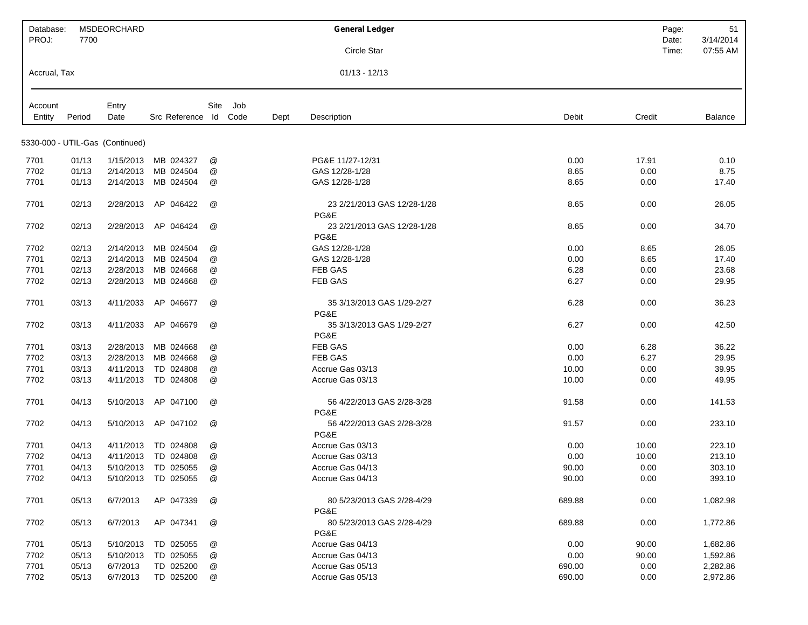| Database:    |        | MSDEORCHARD                     |                       |      |     |      | <b>General Ledger</b>               |        |        | Page: | 51        |
|--------------|--------|---------------------------------|-----------------------|------|-----|------|-------------------------------------|--------|--------|-------|-----------|
| PROJ:        | 7700   |                                 |                       |      |     |      |                                     |        |        | Date: | 3/14/2014 |
|              |        |                                 |                       |      |     |      | Circle Star                         |        |        | Time: | 07:55 AM  |
| Accrual, Tax |        |                                 |                       |      |     |      | $01/13 - 12/13$                     |        |        |       |           |
| Account      |        | Entry                           |                       | Site | Job |      |                                     |        |        |       |           |
| Entity       | Period | Date                            | Src Reference Id Code |      |     | Dept | Description                         | Debit  | Credit |       | Balance   |
|              |        |                                 |                       |      |     |      |                                     |        |        |       |           |
|              |        | 5330-000 - UTIL-Gas (Continued) |                       |      |     |      |                                     |        |        |       |           |
| 7701         | 01/13  | 1/15/2013                       | MB 024327             | @    |     |      | PG&E 11/27-12/31                    | 0.00   | 17.91  |       | 0.10      |
| 7702         | 01/13  | 2/14/2013                       | MB 024504             | @    |     |      | GAS 12/28-1/28                      | 8.65   | 0.00   |       | 8.75      |
| 7701         | 01/13  | 2/14/2013                       | MB 024504             | @    |     |      | GAS 12/28-1/28                      | 8.65   | 0.00   |       | 17.40     |
| 7701         | 02/13  | 2/28/2013                       | AP 046422             | @    |     |      | 23 2/21/2013 GAS 12/28-1/28         | 8.65   | 0.00   |       | 26.05     |
|              |        |                                 |                       |      |     |      | PG&E                                |        |        |       |           |
| 7702         | 02/13  | 2/28/2013                       | AP 046424             | @    |     |      | 23 2/21/2013 GAS 12/28-1/28<br>PG&E | 8.65   | 0.00   |       | 34.70     |
| 7702         | 02/13  | 2/14/2013                       | MB 024504             | @    |     |      | GAS 12/28-1/28                      | 0.00   | 8.65   |       | 26.05     |
| 7701         | 02/13  | 2/14/2013                       | MB 024504             | @    |     |      | GAS 12/28-1/28                      | 0.00   | 8.65   |       | 17.40     |
| 7701         | 02/13  | 2/28/2013                       | MB 024668             | @    |     |      | FEB GAS                             | 6.28   | 0.00   |       | 23.68     |
| 7702         | 02/13  | 2/28/2013                       | MB 024668             | @    |     |      | FEB GAS                             | 6.27   | 0.00   |       | 29.95     |
|              |        |                                 |                       |      |     |      |                                     |        |        |       |           |
| 7701         | 03/13  | 4/11/2033                       | AP 046677             | @    |     |      | 35 3/13/2013 GAS 1/29-2/27<br>PG&E  | 6.28   | 0.00   |       | 36.23     |
| 7702         | 03/13  | 4/11/2033                       | AP 046679             | @    |     |      | 35 3/13/2013 GAS 1/29-2/27          | 6.27   | 0.00   |       | 42.50     |
|              |        |                                 |                       |      |     |      | PG&E                                |        |        |       |           |
| 7701         | 03/13  | 2/28/2013                       | MB 024668             | @    |     |      | FEB GAS                             | 0.00   | 6.28   |       | 36.22     |
| 7702         | 03/13  | 2/28/2013                       | MB 024668             | @    |     |      | <b>FEB GAS</b>                      | 0.00   | 6.27   |       | 29.95     |
| 7701         | 03/13  | 4/11/2013                       | TD 024808             | @    |     |      | Accrue Gas 03/13                    | 10.00  | 0.00   |       | 39.95     |
| 7702         | 03/13  | 4/11/2013                       | TD 024808             | @    |     |      | Accrue Gas 03/13                    | 10.00  | 0.00   |       | 49.95     |
| 7701         | 04/13  | 5/10/2013                       | AP 047100             | @    |     |      | 56 4/22/2013 GAS 2/28-3/28          | 91.58  | 0.00   |       | 141.53    |
| 7702         | 04/13  | 5/10/2013                       | AP 047102             | @    |     |      | PG&E<br>56 4/22/2013 GAS 2/28-3/28  | 91.57  | 0.00   |       | 233.10    |
|              |        |                                 |                       |      |     |      | PG&E                                |        |        |       |           |
| 7701         | 04/13  | 4/11/2013                       | TD 024808             | @    |     |      | Accrue Gas 03/13                    | 0.00   | 10.00  |       | 223.10    |
| 7702         | 04/13  | 4/11/2013                       | TD 024808             | @    |     |      | Accrue Gas 03/13                    | 0.00   | 10.00  |       | 213.10    |
| 7701         | 04/13  |                                 | 5/10/2013 TD 025055   | @    |     |      | Accrue Gas 04/13                    | 90.00  | 0.00   |       | 303.10    |
| 7702         | 04/13  |                                 | 5/10/2013 TD 025055   | @    |     |      | Accrue Gas 04/13                    | 90.00  | 0.00   |       | 393.10    |
| 7701         | 05/13  | 6/7/2013                        | AP 047339             | @    |     |      | 80 5/23/2013 GAS 2/28-4/29<br>PG&E  | 689.88 | 0.00   |       | 1,082.98  |
| 7702         | 05/13  | 6/7/2013                        | AP 047341             | @    |     |      | 80 5/23/2013 GAS 2/28-4/29<br>PG&E  | 689.88 | 0.00   |       | 1,772.86  |
| 7701         | 05/13  | 5/10/2013                       | TD 025055             | @    |     |      | Accrue Gas 04/13                    | 0.00   | 90.00  |       | 1,682.86  |
| 7702         | 05/13  | 5/10/2013                       | TD 025055             | @    |     |      | Accrue Gas 04/13                    | 0.00   | 90.00  |       | 1,592.86  |
| 7701         | 05/13  | 6/7/2013                        | TD 025200             | @    |     |      | Accrue Gas 05/13                    | 690.00 | 0.00   |       | 2,282.86  |
| 7702         | 05/13  | 6/7/2013                        | TD 025200             | @    |     |      | Accrue Gas 05/13                    | 690.00 | 0.00   |       | 2,972.86  |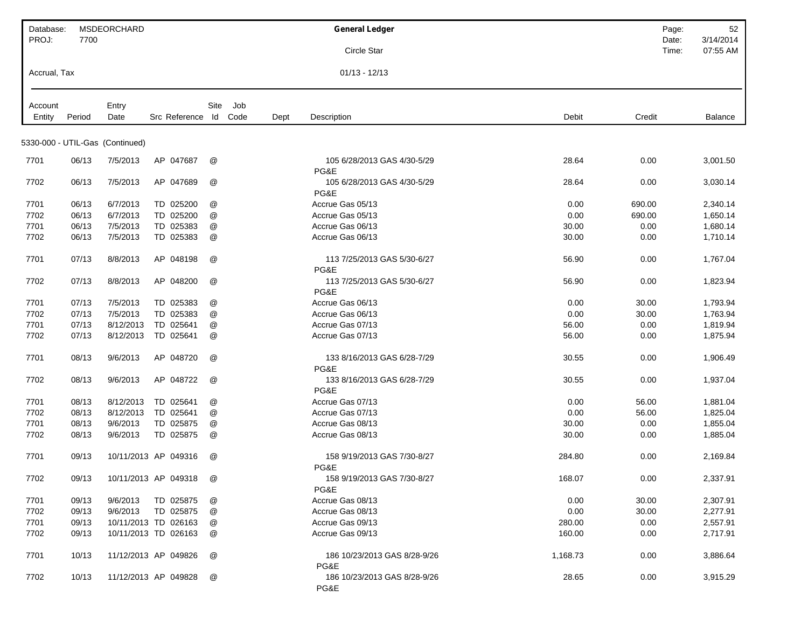| Database:    |                | <b>MSDEORCHARD</b>              |                        |                      |     |      | <b>General Ledger</b>                        |                                | Page:          | 52                    |
|--------------|----------------|---------------------------------|------------------------|----------------------|-----|------|----------------------------------------------|--------------------------------|----------------|-----------------------|
| PROJ:        | 7700           |                                 |                        |                      |     |      | Circle Star                                  |                                | Date:<br>Time: | 3/14/2014<br>07:55 AM |
|              |                |                                 |                        |                      |     |      |                                              |                                |                |                       |
| Accrual, Tax |                |                                 |                        |                      |     |      | $01/13 - 12/13$                              |                                |                |                       |
| Account      |                | Entry                           |                        | Site                 | Job |      |                                              |                                |                |                       |
| Entity       | Period         | Date                            | Src Reference Id Code  |                      |     | Dept | Description                                  | Credit<br>Debit                |                | Balance               |
|              |                | 5330-000 - UTIL-Gas (Continued) |                        |                      |     |      |                                              |                                |                |                       |
| 7701         | 06/13          | 7/5/2013                        | AP 047687              | @                    |     |      | 105 6/28/2013 GAS 4/30-5/29                  | 28.64<br>0.00                  |                | 3,001.50              |
| 7702         | 06/13          | 7/5/2013                        | AP 047689              | @                    |     |      | PG&E<br>105 6/28/2013 GAS 4/30-5/29          | 28.64<br>0.00                  |                | 3,030.14              |
|              |                |                                 |                        |                      |     |      | PG&E                                         |                                |                |                       |
| 7701         | 06/13          | 6/7/2013                        | TD 025200              | @                    |     |      | Accrue Gas 05/13                             | 0.00<br>690.00                 |                | 2,340.14              |
| 7702         | 06/13          | 6/7/2013<br>7/5/2013            | TD 025200<br>TD 025383 | @                    |     |      | Accrue Gas 05/13<br>Accrue Gas 06/13         | 690.00<br>0.00                 |                | 1,650.14              |
| 7701<br>7702 | 06/13<br>06/13 | 7/5/2013                        | TD 025383              | @<br>@               |     |      | Accrue Gas 06/13                             | 0.00<br>30.00<br>30.00<br>0.00 |                | 1,680.14<br>1,710.14  |
|              |                |                                 |                        |                      |     |      |                                              |                                |                |                       |
| 7701         | 07/13          | 8/8/2013                        | AP 048198              | @                    |     |      | 113 7/25/2013 GAS 5/30-6/27<br>PG&E          | 56.90<br>0.00                  |                | 1,767.04              |
| 7702         | 07/13          | 8/8/2013                        | AP 048200              | @                    |     |      | 113 7/25/2013 GAS 5/30-6/27<br>PG&E          | 56.90<br>0.00                  |                | 1,823.94              |
| 7701         | 07/13          | 7/5/2013                        | TD 025383              | @                    |     |      | Accrue Gas 06/13                             | 0.00<br>30.00                  |                | 1,793.94              |
| 7702         | 07/13          | 7/5/2013                        | TD 025383              | @                    |     |      | Accrue Gas 06/13                             | 0.00<br>30.00                  |                | 1,763.94              |
| 7701         | 07/13          | 8/12/2013                       | TD 025641              | @                    |     |      | Accrue Gas 07/13                             | 56.00<br>0.00                  |                | 1,819.94              |
| 7702         | 07/13          | 8/12/2013                       | TD 025641              | @                    |     |      | Accrue Gas 07/13                             | 56.00<br>0.00                  |                | 1,875.94              |
| 7701         | 08/13          | 9/6/2013                        | AP 048720              | @                    |     |      | 133 8/16/2013 GAS 6/28-7/29                  | 30.55<br>0.00                  |                | 1,906.49              |
|              |                |                                 |                        |                      |     |      | PG&E                                         |                                |                |                       |
| 7702         | 08/13          | 9/6/2013                        | AP 048722              | @                    |     |      | 133 8/16/2013 GAS 6/28-7/29<br>PG&E          | 30.55<br>0.00                  |                | 1,937.04              |
| 7701         | 08/13          | 8/12/2013                       | TD 025641              | @                    |     |      | Accrue Gas 07/13                             | 0.00<br>56.00                  |                | 1,881.04              |
| 7702         | 08/13          | 8/12/2013                       | TD 025641              | @                    |     |      | Accrue Gas 07/13                             | 0.00<br>56.00                  |                | 1,825.04              |
| 7701         | 08/13          | 9/6/2013                        | TD 025875              | @                    |     |      | Accrue Gas 08/13                             | 30.00<br>0.00                  |                | 1,855.04              |
| 7702         | 08/13          | 9/6/2013                        | TD 025875              | @                    |     |      | Accrue Gas 08/13                             | 30.00<br>0.00                  |                | 1,885.04              |
| 7701         | 09/13          |                                 | 10/11/2013 AP 049316   | $^{\textregistered}$ |     |      | 158 9/19/2013 GAS 7/30-8/27                  | 284.80<br>0.00                 |                | 2,169.84              |
| 7702         | 09/13          |                                 | 10/11/2013 AP 049318   | @                    |     |      | PG&E<br>158 9/19/2013 GAS 7/30-8/27          | 168.07<br>0.00                 |                | 2,337.91              |
|              |                |                                 |                        |                      |     |      | PG&E                                         |                                |                |                       |
| 7701         | 09/13          | 9/6/2013                        | TD 025875              | @                    |     |      | Accrue Gas 08/13                             | 0.00<br>30.00                  |                | 2,307.91              |
| 7702         | 09/13          | 9/6/2013                        | TD 025875              | @                    |     |      | Accrue Gas 08/13                             | 0.00<br>30.00                  |                | 2,277.91              |
| 7701         | 09/13          |                                 | 10/11/2013 TD 026163   | @                    |     |      | Accrue Gas 09/13                             | 280.00<br>0.00                 |                | 2,557.91              |
| 7702         | 09/13          |                                 | 10/11/2013 TD 026163   | @                    |     |      | Accrue Gas 09/13                             | 160.00<br>0.00                 |                | 2,717.91              |
| 7701         | 10/13          |                                 | 11/12/2013 AP 049826   | @                    |     |      | 186 10/23/2013 GAS 8/28-9/26                 | 1,168.73<br>0.00               |                | 3,886.64              |
| 7702         | 10/13          |                                 | 11/12/2013 AP 049828   | @                    |     |      | PG&E<br>186 10/23/2013 GAS 8/28-9/26<br>PG&E | 28.65<br>0.00                  |                | 3,915.29              |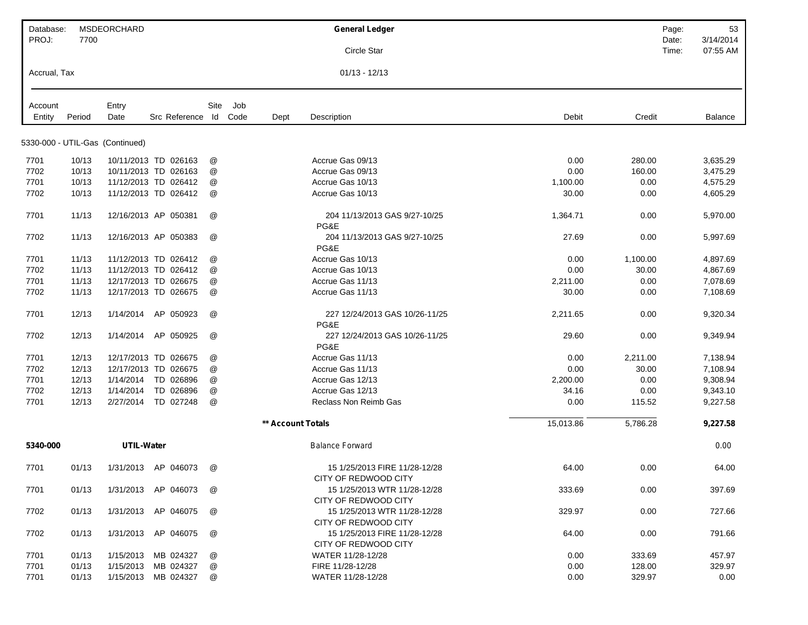| Database:    |        | <b>MSDEORCHARD</b>              |                       |      |     |                          | <b>General Ledger</b>                                                        |           | Page:    | 53        |
|--------------|--------|---------------------------------|-----------------------|------|-----|--------------------------|------------------------------------------------------------------------------|-----------|----------|-----------|
| PROJ:        | 7700   |                                 |                       |      |     |                          |                                                                              |           | Date:    | 3/14/2014 |
|              |        |                                 |                       |      |     |                          | Circle Star                                                                  |           | Time:    | 07:55 AM  |
| Accrual, Tax |        |                                 |                       |      |     |                          | $01/13 - 12/13$                                                              |           |          |           |
| Account      |        | Entry                           |                       | Site | Job |                          |                                                                              |           |          |           |
| Entity       | Period | Date                            | Src Reference Id Code |      |     | Dept                     | Description                                                                  | Debit     | Credit   | Balance   |
|              |        |                                 |                       |      |     |                          |                                                                              |           |          |           |
|              |        | 5330-000 - UTIL-Gas (Continued) |                       |      |     |                          |                                                                              |           |          |           |
| 7701         | 10/13  |                                 | 10/11/2013 TD 026163  | @    |     |                          | Accrue Gas 09/13                                                             | 0.00      | 280.00   | 3,635.29  |
| 7702         | 10/13  |                                 | 10/11/2013 TD 026163  | @    |     |                          | Accrue Gas 09/13                                                             | 0.00      | 160.00   | 3,475.29  |
| 7701         | 10/13  |                                 | 11/12/2013 TD 026412  | @    |     |                          | Accrue Gas 10/13                                                             | 1,100.00  | 0.00     | 4,575.29  |
| 7702         | 10/13  |                                 | 11/12/2013 TD 026412  | @    |     |                          | Accrue Gas 10/13                                                             | 30.00     | 0.00     | 4,605.29  |
| 7701         | 11/13  |                                 | 12/16/2013 AP 050381  | @    |     |                          | 204 11/13/2013 GAS 9/27-10/25<br>PG&E                                        | 1,364.71  | 0.00     | 5,970.00  |
| 7702         | 11/13  |                                 | 12/16/2013 AP 050383  | @    |     |                          | 204 11/13/2013 GAS 9/27-10/25<br>PG&E                                        | 27.69     | 0.00     | 5,997.69  |
| 7701         | 11/13  |                                 | 11/12/2013 TD 026412  | @    |     |                          | Accrue Gas 10/13                                                             | 0.00      | 1,100.00 | 4,897.69  |
| 7702         | 11/13  |                                 | 11/12/2013 TD 026412  | @    |     |                          | Accrue Gas 10/13                                                             | 0.00      | 30.00    | 4,867.69  |
| 7701         | 11/13  |                                 | 12/17/2013 TD 026675  | @    |     |                          | Accrue Gas 11/13                                                             | 2,211.00  | 0.00     | 7,078.69  |
| 7702         | 11/13  |                                 | 12/17/2013 TD 026675  | @    |     |                          | Accrue Gas 11/13                                                             | 30.00     | 0.00     | 7,108.69  |
| 7701         | 12/13  | 1/14/2014                       | AP 050923             | @    |     |                          | 227 12/24/2013 GAS 10/26-11/25<br>PG&E                                       | 2,211.65  | 0.00     | 9,320.34  |
| 7702         | 12/13  | 1/14/2014                       | AP 050925             | @    |     |                          | 227 12/24/2013 GAS 10/26-11/25<br>PG&E                                       | 29.60     | 0.00     | 9,349.94  |
| 7701         | 12/13  |                                 | 12/17/2013 TD 026675  | @    |     |                          | Accrue Gas 11/13                                                             | 0.00      | 2,211.00 | 7,138.94  |
| 7702         | 12/13  |                                 | 12/17/2013 TD 026675  | @    |     |                          | Accrue Gas 11/13                                                             | 0.00      | 30.00    | 7,108.94  |
| 7701         | 12/13  | 1/14/2014                       | TD 026896             | @    |     |                          | Accrue Gas 12/13                                                             | 2,200.00  | 0.00     | 9,308.94  |
| 7702         | 12/13  | 1/14/2014                       | TD 026896             | @    |     |                          | Accrue Gas 12/13                                                             | 34.16     | 0.00     | 9,343.10  |
| 7701         | 12/13  |                                 | 2/27/2014 TD 027248   | @    |     |                          | <b>Reclass Non Reimb Gas</b>                                                 | 0.00      | 115.52   | 9,227.58  |
|              |        |                                 |                       |      |     | <b>** Account Totals</b> |                                                                              | 15,013.86 | 5,786.28 | 9,227.58  |
| 5340-000     |        | <b>UTIL-Water</b>               |                       |      |     |                          | <b>Balance Forward</b>                                                       |           |          | 0.00      |
| 7701         | 01/13  |                                 | 1/31/2013 AP 046073   | @    |     |                          | 15 1/25/2013 FIRE 11/28-12/28                                                | 64.00     | 0.00     | 64.00     |
| 7701         | 01/13  |                                 | 1/31/2013 AP 046073   | @    |     |                          | CITY OF REDWOOD CITY<br>15 1/25/2013 WTR 11/28-12/28<br>CITY OF REDWOOD CITY | 333.69    | 0.00     | 397.69    |
| 7702         | 01/13  |                                 | 1/31/2013 AP 046075   | @    |     |                          | 15 1/25/2013 WTR 11/28-12/28<br>CITY OF REDWOOD CITY                         | 329.97    | 0.00     | 727.66    |
| 7702         | 01/13  |                                 | 1/31/2013 AP 046075   | @    |     |                          | 15 1/25/2013 FIRE 11/28-12/28<br>CITY OF REDWOOD CITY                        | 64.00     | 0.00     | 791.66    |
| 7701         | 01/13  |                                 | 1/15/2013 MB 024327   | @    |     |                          | WATER 11/28-12/28                                                            | 0.00      | 333.69   | 457.97    |
| 7701         | 01/13  | 1/15/2013                       | MB 024327             | @    |     |                          | FIRE 11/28-12/28                                                             | 0.00      | 128.00   | 329.97    |
| 7701         | 01/13  |                                 | 1/15/2013 MB 024327   | @    |     |                          | WATER 11/28-12/28                                                            | 0.00      | 329.97   | 0.00      |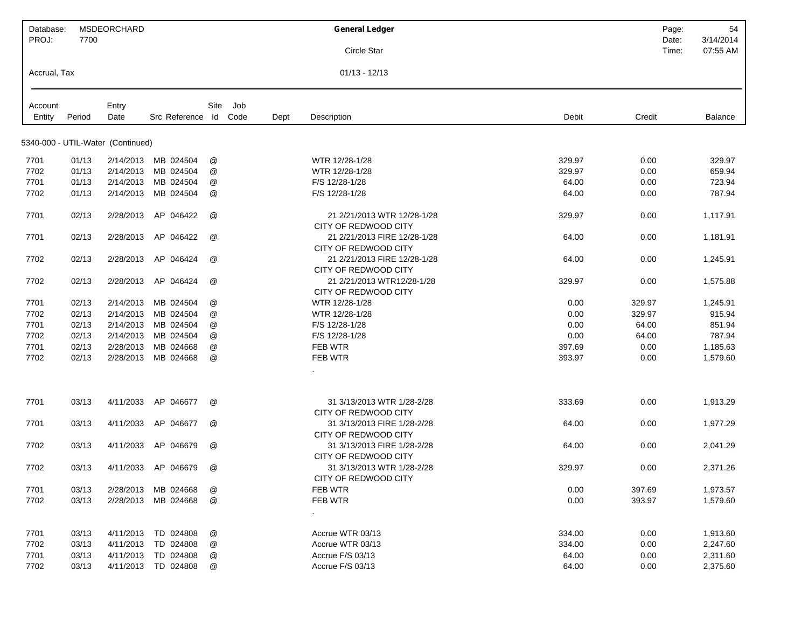| Database:<br>PROJ: | 7700   | MSDEORCHARD                       |                     |               |      |      | <b>General Ledger</b>                                                       |        | Page:<br>Date: | 54<br>3/14/2014 |
|--------------------|--------|-----------------------------------|---------------------|---------------|------|------|-----------------------------------------------------------------------------|--------|----------------|-----------------|
|                    |        |                                   |                     |               |      |      | Circle Star                                                                 |        | Time:          | 07:55 AM        |
| Accrual, Tax       |        |                                   |                     |               |      |      | $01/13 - 12/13$                                                             |        |                |                 |
| Account            |        | Entry                             |                     | Site          | Job  |      |                                                                             |        |                |                 |
| Entity             | Period | Date                              | Src Reference Id    |               | Code | Dept | Description                                                                 | Debit  | Credit         | Balance         |
|                    |        | 5340-000 - UTIL-Water (Continued) |                     |               |      |      |                                                                             |        |                |                 |
| 7701               | 01/13  | 2/14/2013                         | MB 024504           | @             |      |      | WTR 12/28-1/28                                                              | 329.97 | 0.00           | 329.97          |
| 7702               | 01/13  | 2/14/2013                         | MB 024504           | @             |      |      | WTR 12/28-1/28                                                              | 329.97 | 0.00           | 659.94          |
| 7701               | 01/13  | 2/14/2013                         | MB 024504           | @             |      |      | F/S 12/28-1/28                                                              | 64.00  | 0.00           | 723.94          |
| 7702               | 01/13  | 2/14/2013                         | MB 024504           | @             |      |      | F/S 12/28-1/28                                                              | 64.00  | 0.00           | 787.94          |
| 7701               | 02/13  | 2/28/2013                         | AP 046422           | @             |      |      | 21 2/21/2013 WTR 12/28-1/28<br>CITY OF REDWOOD CITY                         | 329.97 | 0.00           | 1,117.91        |
| 7701               | 02/13  | 2/28/2013                         | AP 046422           | @             |      |      | 21 2/21/2013 FIRE 12/28-1/28<br>CITY OF REDWOOD CITY                        | 64.00  | 0.00           | 1,181.91        |
| 7702               | 02/13  | 2/28/2013                         | AP 046424           | @             |      |      | 21 2/21/2013 FIRE 12/28-1/28<br>CITY OF REDWOOD CITY                        | 64.00  | 0.00           | 1,245.91        |
| 7702               | 02/13  | 2/28/2013                         | AP 046424           | @             |      |      | 21 2/21/2013 WTR12/28-1/28<br>CITY OF REDWOOD CITY                          | 329.97 | 0.00           | 1,575.88        |
| 7701               | 02/13  | 2/14/2013                         | MB 024504           | @             |      |      | WTR 12/28-1/28                                                              | 0.00   | 329.97         | 1,245.91        |
| 7702               | 02/13  | 2/14/2013                         | MB 024504           | @             |      |      | WTR 12/28-1/28                                                              | 0.00   | 329.97         | 915.94          |
| 7701               | 02/13  | 2/14/2013                         | MB 024504           | @             |      |      | F/S 12/28-1/28                                                              | 0.00   | 64.00          | 851.94          |
| 7702               | 02/13  | 2/14/2013                         | MB 024504           | @             |      |      | F/S 12/28-1/28                                                              | 0.00   | 64.00          | 787.94          |
| 7701               | 02/13  | 2/28/2013                         | MB 024668           | @             |      |      | FEB WTR                                                                     | 397.69 | 0.00           | 1,185.63        |
| 7702               | 02/13  | 2/28/2013                         | MB 024668           | @             |      |      | FEB WTR                                                                     | 393.97 | 0.00           | 1,579.60        |
| 7701               | 03/13  | 4/11/2033                         | AP 046677           | @             |      |      | 31 3/13/2013 WTR 1/28-2/28                                                  | 333.69 | 0.00           | 1,913.29        |
| 7701               | 03/13  | 4/11/2033                         | AP 046677           | @             |      |      | CITY OF REDWOOD CITY<br>31 3/13/2013 FIRE 1/28-2/28<br>CITY OF REDWOOD CITY | 64.00  | 0.00           | 1,977.29        |
| 7702               | 03/13  | 4/11/2033                         | AP 046679           | @             |      |      | 31 3/13/2013 FIRE 1/28-2/28<br>CITY OF REDWOOD CITY                         | 64.00  | 0.00           | 2,041.29        |
| 7702               | 03/13  | 4/11/2033                         | AP 046679           | @             |      |      | 31 3/13/2013 WTR 1/28-2/28<br>CITY OF REDWOOD CITY                          | 329.97 | 0.00           | 2,371.26        |
| 7701               | 03/13  | 2/28/2013                         | MB 024668           | @             |      |      | FEB WTR                                                                     | 0.00   | 397.69         | 1,973.57        |
| 7702               | 03/13  | 2/28/2013                         | MB 024668           | @             |      |      | FEB WTR<br>$\sim$                                                           | 0.00   | 393.97         | 1,579.60        |
| 7701               | 03/13  | 4/11/2013                         | TD 024808           | @             |      |      | Accrue WTR 03/13                                                            | 334.00 | 0.00           | 1,913.60        |
| 7702               | 03/13  | 4/11/2013                         | TD 024808           | $^\copyright$ |      |      | Accrue WTR 03/13                                                            | 334.00 | 0.00           | 2,247.60        |
| 7701               | 03/13  | 4/11/2013                         | TD 024808           | @             |      |      | Accrue F/S 03/13                                                            | 64.00  | 0.00           | 2,311.60        |
| 7702               | 03/13  |                                   | 4/11/2013 TD 024808 | $^\copyright$ |      |      | Accrue F/S 03/13                                                            | 64.00  | 0.00           | 2,375.60        |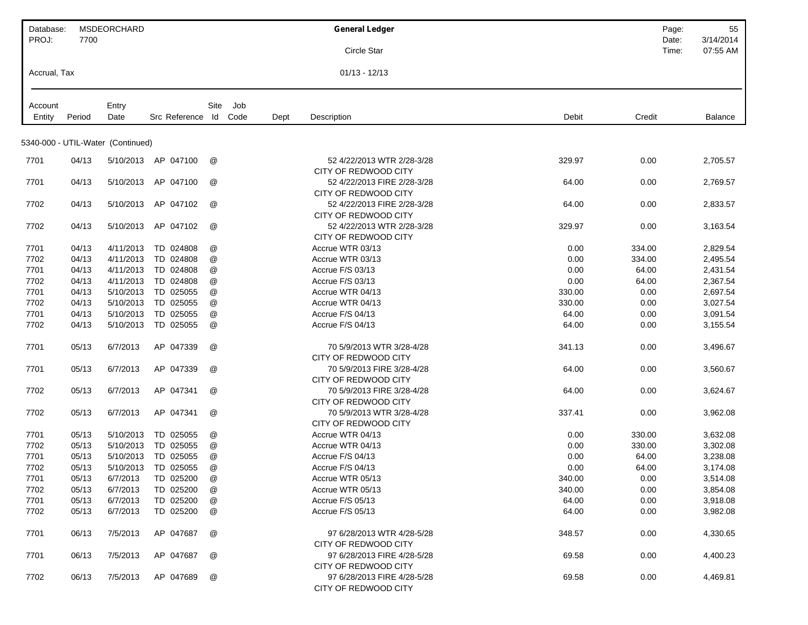| Database:    |        | <b>MSDEORCHARD</b>                |               |               |      |      | <b>General Ledger</b>       |        | Page:  | 55             |
|--------------|--------|-----------------------------------|---------------|---------------|------|------|-----------------------------|--------|--------|----------------|
| PROJ:        | 7700   |                                   |               |               |      |      |                             |        | Date:  | 3/14/2014      |
|              |        |                                   |               |               |      |      | Circle Star                 |        | Time:  | 07:55 AM       |
| Accrual, Tax |        |                                   |               |               |      |      | $01/13 - 12/13$             |        |        |                |
|              |        |                                   |               |               |      |      |                             |        |        |                |
| Account      |        | Entry                             |               | Site          | Job  |      |                             |        |        |                |
| Entity       | Period | Date                              | Src Reference | ld            | Code | Dept | Description                 | Debit  | Credit | <b>Balance</b> |
|              |        | 5340-000 - UTIL-Water (Continued) |               |               |      |      |                             |        |        |                |
| 7701         | 04/13  | 5/10/2013                         | AP 047100     | @             |      |      | 52 4/22/2013 WTR 2/28-3/28  | 329.97 | 0.00   | 2,705.57       |
|              |        |                                   |               |               |      |      | CITY OF REDWOOD CITY        |        |        |                |
| 7701         | 04/13  | 5/10/2013                         | AP 047100     | @             |      |      | 52 4/22/2013 FIRE 2/28-3/28 | 64.00  | 0.00   | 2,769.57       |
|              |        |                                   |               |               |      |      | CITY OF REDWOOD CITY        |        |        |                |
| 7702         | 04/13  | 5/10/2013                         | AP 047102     | @             |      |      | 52 4/22/2013 FIRE 2/28-3/28 | 64.00  | 0.00   | 2,833.57       |
|              |        |                                   |               |               |      |      | CITY OF REDWOOD CITY        |        |        |                |
| 7702         | 04/13  | 5/10/2013                         | AP 047102     | @             |      |      | 52 4/22/2013 WTR 2/28-3/28  | 329.97 | 0.00   | 3,163.54       |
|              |        |                                   |               |               |      |      | CITY OF REDWOOD CITY        |        |        |                |
| 7701         | 04/13  | 4/11/2013                         | TD 024808     | @             |      |      | Accrue WTR 03/13            | 0.00   | 334.00 | 2,829.54       |
| 7702         | 04/13  | 4/11/2013                         | TD 024808     | @             |      |      | Accrue WTR 03/13            | 0.00   | 334.00 | 2,495.54       |
| 7701         | 04/13  | 4/11/2013                         | TD 024808     | @             |      |      | Accrue F/S 03/13            | 0.00   | 64.00  | 2,431.54       |
| 7702         | 04/13  | 4/11/2013                         | TD 024808     | $^\copyright$ |      |      | Accrue F/S 03/13            | 0.00   | 64.00  | 2.367.54       |
| 7701         | 04/13  | 5/10/2013                         | TD 025055     | $^\copyright$ |      |      | Accrue WTR 04/13            | 330.00 | 0.00   | 2,697.54       |
| 7702         | 04/13  | 5/10/2013                         | TD 025055     | @             |      |      | Accrue WTR 04/13            | 330.00 | 0.00   | 3,027.54       |
| 7701         | 04/13  | 5/10/2013                         | TD 025055     | @             |      |      | Accrue F/S 04/13            | 64.00  | 0.00   | 3,091.54       |
| 7702         | 04/13  | 5/10/2013                         | TD 025055     | @             |      |      | Accrue F/S 04/13            | 64.00  | 0.00   | 3,155.54       |
| 7701         | 05/13  | 6/7/2013                          | AP 047339     | @             |      |      | 70 5/9/2013 WTR 3/28-4/28   | 341.13 | 0.00   | 3,496.67       |
|              |        |                                   |               |               |      |      | CITY OF REDWOOD CITY        |        |        |                |
| 7701         | 05/13  | 6/7/2013                          | AP 047339     | @             |      |      | 70 5/9/2013 FIRE 3/28-4/28  | 64.00  | 0.00   | 3,560.67       |
|              |        |                                   |               |               |      |      | CITY OF REDWOOD CITY        |        |        |                |
| 7702         | 05/13  | 6/7/2013                          | AP 047341     | @             |      |      | 70 5/9/2013 FIRE 3/28-4/28  | 64.00  | 0.00   | 3,624.67       |
|              |        |                                   |               |               |      |      | CITY OF REDWOOD CITY        |        |        |                |
| 7702         | 05/13  | 6/7/2013                          | AP 047341     | @             |      |      | 70 5/9/2013 WTR 3/28-4/28   | 337.41 | 0.00   | 3,962.08       |
|              |        |                                   |               |               |      |      | CITY OF REDWOOD CITY        |        |        |                |
| 7701         | 05/13  | 5/10/2013                         | TD 025055     | @             |      |      | Accrue WTR 04/13            | 0.00   | 330.00 | 3,632.08       |
| 7702         | 05/13  | 5/10/2013                         | TD 025055     | $^\copyright$ |      |      | Accrue WTR 04/13            | 0.00   | 330.00 | 3,302.08       |
| 7701         | 05/13  | 5/10/2013                         | TD 025055     | @             |      |      | Accrue F/S 04/13            | 0.00   | 64.00  | 3,238.08       |
| 7702         | 05/13  | 5/10/2013                         | TD 025055     | $^\copyright$ |      |      | Accrue F/S 04/13            | 0.00   | 64.00  | 3,174.08       |
| 7701         | 05/13  | 6/7/2013                          | TD 025200     | @             |      |      | Accrue WTR 05/13            | 340.00 | 0.00   | 3,514.08       |
| 7702         | 05/13  | 6/7/2013                          | TD 025200     | @             |      |      | Accrue WTR 05/13            | 340.00 | 0.00   | 3,854.08       |
| 7701         | 05/13  | 6/7/2013                          | TD 025200     | @             |      |      | Accrue F/S 05/13            | 64.00  | 0.00   | 3,918.08       |
| 7702         | 05/13  | 6/7/2013                          | TD 025200     | @             |      |      | Accrue F/S 05/13            | 64.00  | 0.00   | 3,982.08       |
| 7701         | 06/13  | 7/5/2013                          | AP 047687     | @             |      |      | 97 6/28/2013 WTR 4/28-5/28  | 348.57 | 0.00   | 4,330.65       |
|              |        |                                   |               |               |      |      | CITY OF REDWOOD CITY        |        |        |                |
| 7701         | 06/13  | 7/5/2013                          | AP 047687     | @             |      |      | 97 6/28/2013 FIRE 4/28-5/28 | 69.58  | 0.00   | 4,400.23       |
|              |        |                                   |               |               |      |      | CITY OF REDWOOD CITY        |        |        |                |
| 7702         | 06/13  | 7/5/2013                          | AP 047689     | @             |      |      | 97 6/28/2013 FIRE 4/28-5/28 | 69.58  | 0.00   | 4,469.81       |
|              |        |                                   |               |               |      |      | CITY OF REDWOOD CITY        |        |        |                |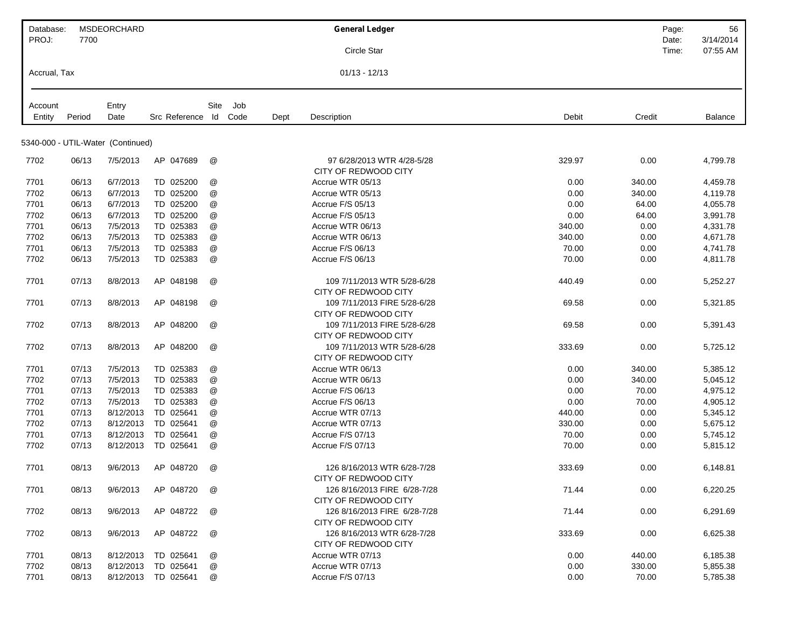| Database:         |        | <b>MSDEORCHARD</b>                |               |                           |             |      | <b>General Ledger</b>        |        | Page:  | 56        |
|-------------------|--------|-----------------------------------|---------------|---------------------------|-------------|------|------------------------------|--------|--------|-----------|
| PROJ:             | 7700   |                                   |               |                           |             |      |                              |        | Date:  | 3/14/2014 |
|                   |        |                                   |               |                           |             |      | Circle Star                  |        | Time:  | 07:55 AM  |
| Accrual, Tax      |        |                                   |               |                           |             |      | $01/13 - 12/13$              |        |        |           |
|                   |        |                                   |               |                           |             |      |                              |        |        |           |
| Account<br>Entity | Period | Entry<br>Date                     | Src Reference | Site<br>ld                | Job<br>Code | Dept | Description                  | Debit  | Credit | Balance   |
|                   |        |                                   |               |                           |             |      |                              |        |        |           |
|                   |        | 5340-000 - UTIL-Water (Continued) |               |                           |             |      |                              |        |        |           |
| 7702              | 06/13  | 7/5/2013                          | AP 047689     | @                         |             |      | 97 6/28/2013 WTR 4/28-5/28   | 329.97 | 0.00   | 4,799.78  |
|                   |        |                                   |               |                           |             |      | CITY OF REDWOOD CITY         |        |        |           |
| 7701              | 06/13  | 6/7/2013                          | TD 025200     | @                         |             |      | Accrue WTR 05/13             | 0.00   | 340.00 | 4,459.78  |
| 7702              | 06/13  | 6/7/2013                          | TD 025200     | @                         |             |      | Accrue WTR 05/13             | 0.00   | 340.00 | 4,119.78  |
| 7701              | 06/13  | 6/7/2013                          | TD 025200     | @                         |             |      | Accrue F/S 05/13             | 0.00   | 64.00  | 4,055.78  |
| 7702              | 06/13  | 6/7/2013                          | TD 025200     | @                         |             |      | Accrue F/S 05/13             | 0.00   | 64.00  | 3,991.78  |
| 7701              | 06/13  | 7/5/2013                          | TD 025383     | @                         |             |      | Accrue WTR 06/13             | 340.00 | 0.00   | 4,331.78  |
| 7702              | 06/13  | 7/5/2013                          | TD 025383     | @                         |             |      | Accrue WTR 06/13             | 340.00 | 0.00   | 4,671.78  |
| 7701              | 06/13  | 7/5/2013                          | TD 025383     | $^\text{\textregistered}$ |             |      | Accrue F/S 06/13             | 70.00  | 0.00   | 4,741.78  |
| 7702              | 06/13  | 7/5/2013                          | TD 025383     | @                         |             |      | Accrue F/S 06/13             | 70.00  | 0.00   | 4,811.78  |
| 7701              | 07/13  | 8/8/2013                          | AP 048198     | @                         |             |      | 109 7/11/2013 WTR 5/28-6/28  | 440.49 | 0.00   | 5,252.27  |
|                   |        |                                   |               |                           |             |      | CITY OF REDWOOD CITY         |        |        |           |
| 7701              | 07/13  | 8/8/2013                          | AP 048198     | @                         |             |      | 109 7/11/2013 FIRE 5/28-6/28 | 69.58  | 0.00   | 5,321.85  |
|                   |        |                                   |               |                           |             |      | CITY OF REDWOOD CITY         |        |        |           |
| 7702              | 07/13  | 8/8/2013                          | AP 048200     | @                         |             |      | 109 7/11/2013 FIRE 5/28-6/28 | 69.58  | 0.00   | 5,391.43  |
|                   |        |                                   |               |                           |             |      | CITY OF REDWOOD CITY         |        |        |           |
| 7702              | 07/13  | 8/8/2013                          | AP 048200     | @                         |             |      | 109 7/11/2013 WTR 5/28-6/28  | 333.69 | 0.00   | 5,725.12  |
|                   |        |                                   |               |                           |             |      | CITY OF REDWOOD CITY         |        |        |           |
| 7701              | 07/13  | 7/5/2013                          | TD 025383     | @                         |             |      | Accrue WTR 06/13             | 0.00   | 340.00 | 5,385.12  |
| 7702              | 07/13  | 7/5/2013                          | TD 025383     | @                         |             |      | Accrue WTR 06/13             | 0.00   | 340.00 | 5,045.12  |
| 7701              | 07/13  | 7/5/2013                          | TD 025383     | @                         |             |      | Accrue F/S 06/13             | 0.00   | 70.00  | 4,975.12  |
| 7702              | 07/13  | 7/5/2013                          | TD 025383     | @                         |             |      | Accrue F/S 06/13             | 0.00   | 70.00  | 4,905.12  |
| 7701              | 07/13  | 8/12/2013                         | TD 025641     | @                         |             |      | Accrue WTR 07/13             | 440.00 | 0.00   | 5,345.12  |
| 7702              | 07/13  | 8/12/2013                         | TD 025641     | @                         |             |      | Accrue WTR 07/13             | 330.00 | 0.00   | 5,675.12  |
| 7701              | 07/13  | 8/12/2013                         | TD 025641     | @                         |             |      | Accrue F/S 07/13             | 70.00  | 0.00   | 5,745.12  |
| 7702              | 07/13  | 8/12/2013                         | TD 025641     | @                         |             |      | Accrue F/S 07/13             | 70.00  | 0.00   | 5,815.12  |
| 7701              | 08/13  | 9/6/2013                          | AP 048720     | @                         |             |      | 126 8/16/2013 WTR 6/28-7/28  | 333.69 | 0.00   | 6,148.81  |
|                   |        |                                   |               |                           |             |      | CITY OF REDWOOD CITY         |        |        |           |
| 7701              | 08/13  | 9/6/2013                          | AP 048720     | @                         |             |      | 126 8/16/2013 FIRE 6/28-7/28 | 71.44  | 0.00   | 6,220.25  |
|                   |        |                                   |               |                           |             |      | CITY OF REDWOOD CITY         |        |        |           |
| 7702              | 08/13  | 9/6/2013                          | AP 048722     | @                         |             |      | 126 8/16/2013 FIRE 6/28-7/28 | 71.44  | 0.00   | 6,291.69  |
|                   |        |                                   |               |                           |             |      | CITY OF REDWOOD CITY         |        |        |           |
| 7702              | 08/13  | 9/6/2013                          | AP 048722     | @                         |             |      | 126 8/16/2013 WTR 6/28-7/28  | 333.69 | 0.00   | 6,625.38  |
|                   |        |                                   |               |                           |             |      | CITY OF REDWOOD CITY         |        |        |           |
| 7701              | 08/13  | 8/12/2013                         | TD 025641     | @                         |             |      | Accrue WTR 07/13             | 0.00   | 440.00 | 6,185.38  |
| 7702              | 08/13  | 8/12/2013                         | TD 025641     | @                         |             |      | Accrue WTR 07/13             | 0.00   | 330.00 | 5,855.38  |
| 7701              | 08/13  | 8/12/2013                         | TD 025641     | @                         |             |      | Accrue F/S 07/13             | 0.00   | 70.00  | 5,785.38  |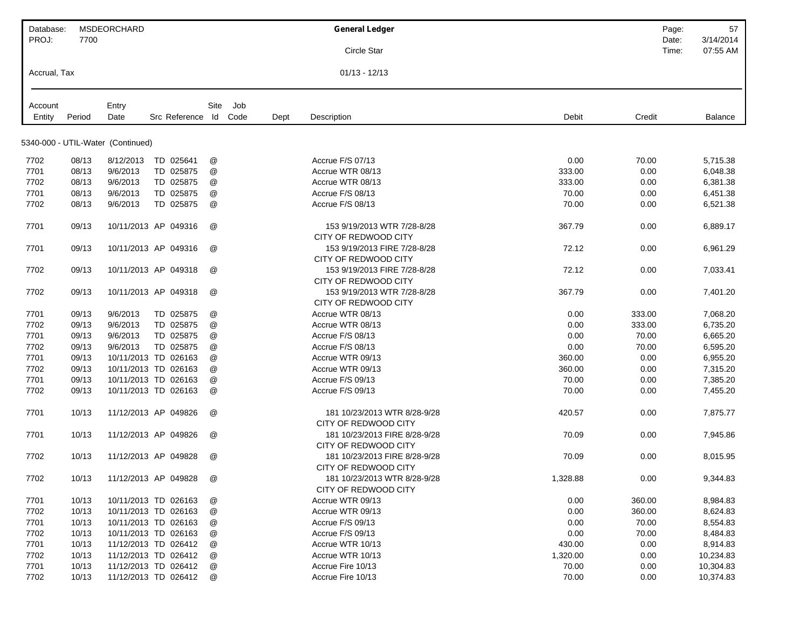| Database:         |        | <b>MSDEORCHARD</b>                |               |                      |             | <b>General Ledger</b>                                 |          | Page:          | 57                    |
|-------------------|--------|-----------------------------------|---------------|----------------------|-------------|-------------------------------------------------------|----------|----------------|-----------------------|
| PROJ:             | 7700   |                                   |               |                      |             | <b>Circle Star</b>                                    |          | Date:<br>Time: | 3/14/2014<br>07:55 AM |
| Accrual, Tax      |        |                                   |               |                      |             | $01/13 - 12/13$                                       |          |                |                       |
|                   |        |                                   |               |                      |             |                                                       |          |                |                       |
| Account<br>Entity | Period | Entry<br>Date                     | Src Reference | Site<br>Id Code      | Job<br>Dept | Description                                           | Debit    | Credit         | Balance               |
|                   |        | 5340-000 - UTIL-Water (Continued) |               |                      |             |                                                       |          |                |                       |
| 7702              | 08/13  | 8/12/2013                         | TD 025641     | @                    |             | Accrue F/S 07/13                                      | 0.00     | 70.00          | 5,715.38              |
| 7701              | 08/13  | 9/6/2013                          | TD 025875     | @                    |             | Accrue WTR 08/13                                      | 333.00   | 0.00           | 6,048.38              |
| 7702              | 08/13  | 9/6/2013                          | TD 025875     | @                    |             | Accrue WTR 08/13                                      | 333.00   | 0.00           | 6,381.38              |
| 7701              | 08/13  | 9/6/2013                          | TD 025875     | @                    |             | Accrue F/S 08/13                                      | 70.00    | 0.00           | 6,451.38              |
| 7702              | 08/13  | 9/6/2013                          | TD 025875     | @                    |             | Accrue F/S 08/13                                      | 70.00    | 0.00           | 6,521.38              |
| 7701              | 09/13  | 10/11/2013 AP 049316              |               | @                    |             | 153 9/19/2013 WTR 7/28-8/28<br>CITY OF REDWOOD CITY   | 367.79   | 0.00           | 6,889.17              |
| 7701              | 09/13  | 10/11/2013 AP 049316              |               | @                    |             | 153 9/19/2013 FIRE 7/28-8/28<br>CITY OF REDWOOD CITY  | 72.12    | 0.00           | 6,961.29              |
| 7702              | 09/13  | 10/11/2013 AP 049318              |               | @                    |             | 153 9/19/2013 FIRE 7/28-8/28<br>CITY OF REDWOOD CITY  | 72.12    | 0.00           | 7,033.41              |
| 7702              | 09/13  | 10/11/2013 AP 049318              |               | @                    |             | 153 9/19/2013 WTR 7/28-8/28<br>CITY OF REDWOOD CITY   | 367.79   | 0.00           | 7,401.20              |
| 7701              | 09/13  | 9/6/2013                          | TD 025875     | @                    |             | Accrue WTR 08/13                                      | 0.00     | 333.00         | 7,068.20              |
| 7702              | 09/13  | 9/6/2013                          | TD 025875     | @                    |             | Accrue WTR 08/13                                      | 0.00     | 333.00         | 6,735.20              |
| 7701              | 09/13  | 9/6/2013                          | TD 025875     | @                    |             | Accrue F/S 08/13                                      | 0.00     | 70.00          | 6,665.20              |
| 7702              | 09/13  | 9/6/2013                          | TD 025875     | @                    |             | Accrue F/S 08/13                                      | 0.00     | 70.00          | 6,595.20              |
| 7701              | 09/13  | 10/11/2013 TD 026163              |               | @                    |             | Accrue WTR 09/13                                      | 360.00   | 0.00           | 6,955.20              |
| 7702              | 09/13  | 10/11/2013 TD 026163              |               | @                    |             | Accrue WTR 09/13                                      | 360.00   | 0.00           | 7,315.20              |
| 7701              | 09/13  | 10/11/2013 TD 026163              |               | @                    |             | Accrue F/S 09/13                                      | 70.00    | 0.00           | 7,385.20              |
| 7702              | 09/13  | 10/11/2013 TD 026163              |               | @                    |             | Accrue F/S 09/13                                      | 70.00    | 0.00           | 7,455.20              |
| 7701              | 10/13  | 11/12/2013 AP 049826              |               | @                    |             | 181 10/23/2013 WTR 8/28-9/28<br>CITY OF REDWOOD CITY  | 420.57   | 0.00           | 7,875.77              |
| 7701              | 10/13  | 11/12/2013 AP 049826              |               | @                    |             | 181 10/23/2013 FIRE 8/28-9/28<br>CITY OF REDWOOD CITY | 70.09    | 0.00           | 7,945.86              |
| 7702              | 10/13  | 11/12/2013 AP 049828              |               | $^{\textregistered}$ |             | 181 10/23/2013 FIRE 8/28-9/28<br>CITY OF REDWOOD CITY | 70.09    | 0.00           | 8,015.95              |
| 7702              | 10/13  | 11/12/2013 AP 049828              |               | @                    |             | 181 10/23/2013 WTR 8/28-9/28<br>CITY OF REDWOOD CITY  | 1,328.88 | 0.00           | 9,344.83              |
| 7701              | 10/13  | 10/11/2013 TD 026163              |               | @                    |             | Accrue WTR 09/13                                      | 0.00     | 360.00         | 8,984.83              |
| 7702              | 10/13  | 10/11/2013 TD 026163              |               | @                    |             | Accrue WTR 09/13                                      | 0.00     | 360.00         | 8,624.83              |
| 7701              | 10/13  | 10/11/2013 TD 026163              |               | @                    |             | Accrue F/S 09/13                                      | 0.00     | 70.00          | 8,554.83              |
| 7702              | 10/13  | 10/11/2013 TD 026163              |               | @                    |             | Accrue F/S 09/13                                      | 0.00     | 70.00          | 8,484.83              |
| 7701              | 10/13  | 11/12/2013 TD 026412              |               | @                    |             | Accrue WTR 10/13                                      | 430.00   | 0.00           | 8,914.83              |
| 7702              | 10/13  | 11/12/2013 TD 026412              |               | @                    |             | Accrue WTR 10/13                                      | 1,320.00 | 0.00           | 10,234.83             |
| 7701              | 10/13  | 11/12/2013 TD 026412              |               | @                    |             | Accrue Fire 10/13                                     | 70.00    | 0.00           | 10,304.83             |
| 7702              | 10/13  | 11/12/2013 TD 026412              |               | @                    |             | Accrue Fire 10/13                                     | 70.00    | 0.00           | 10,374.83             |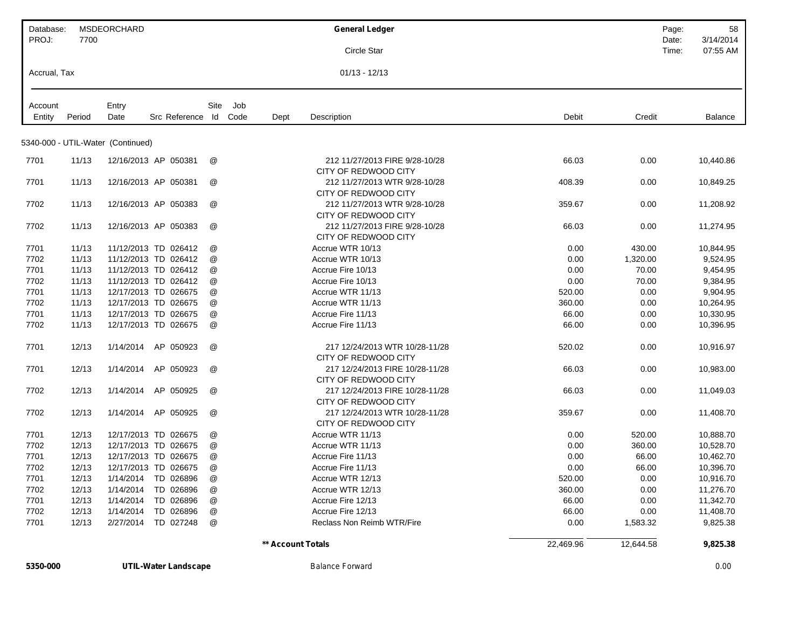| Database:    |        | <b>MSDEORCHARD</b>                |                      |             |                   | <b>General Ledger</b>                                   |           | Page:          | 58                    |
|--------------|--------|-----------------------------------|----------------------|-------------|-------------------|---------------------------------------------------------|-----------|----------------|-----------------------|
| PROJ:        | 7700   |                                   |                      |             |                   | Circle Star                                             |           | Date:<br>Time: | 3/14/2014<br>07:55 AM |
| Accrual, Tax |        |                                   |                      |             |                   | $01/13 - 12/13$                                         |           |                |                       |
| Account      |        | Entry                             |                      | Site<br>Job |                   |                                                         |           |                |                       |
| Entity       | Period | Date                              | Src Reference        | ld<br>Code  | Dept              | Description                                             | Debit     | Credit         | Balance               |
|              |        | 5340-000 - UTIL-Water (Continued) |                      |             |                   |                                                         |           |                |                       |
| 7701         | 11/13  |                                   | 12/16/2013 AP 050381 | @           |                   | 212 11/27/2013 FIRE 9/28-10/28<br>CITY OF REDWOOD CITY  | 66.03     | 0.00           | 10,440.86             |
| 7701         | 11/13  |                                   | 12/16/2013 AP 050381 | @           |                   | 212 11/27/2013 WTR 9/28-10/28<br>CITY OF REDWOOD CITY   | 408.39    | 0.00           | 10,849.25             |
| 7702         | 11/13  |                                   | 12/16/2013 AP 050383 | @           |                   | 212 11/27/2013 WTR 9/28-10/28<br>CITY OF REDWOOD CITY   | 359.67    | 0.00           | 11,208.92             |
| 7702         | 11/13  |                                   | 12/16/2013 AP 050383 | @           |                   | 212 11/27/2013 FIRE 9/28-10/28<br>CITY OF REDWOOD CITY  | 66.03     | 0.00           | 11,274.95             |
| 7701         | 11/13  |                                   | 11/12/2013 TD 026412 | @           |                   | Accrue WTR 10/13                                        | 0.00      | 430.00         | 10,844.95             |
| 7702         | 11/13  |                                   | 11/12/2013 TD 026412 | @           |                   | Accrue WTR 10/13                                        | 0.00      | 1,320.00       | 9,524.95              |
| 7701         | 11/13  |                                   | 11/12/2013 TD 026412 | @           |                   | Accrue Fire 10/13                                       | 0.00      | 70.00          | 9,454.95              |
| 7702         | 11/13  |                                   | 11/12/2013 TD 026412 | @           |                   | Accrue Fire 10/13                                       | 0.00      | 70.00          | 9,384.95              |
| 7701         | 11/13  |                                   | 12/17/2013 TD 026675 | @           |                   | Accrue WTR 11/13                                        | 520.00    | 0.00           | 9,904.95              |
| 7702         | 11/13  |                                   | 12/17/2013 TD 026675 | @           |                   | Accrue WTR 11/13                                        | 360.00    | 0.00           | 10,264.95             |
| 7701         | 11/13  |                                   | 12/17/2013 TD 026675 | @           |                   | Accrue Fire 11/13                                       | 66.00     | 0.00           | 10,330.95             |
| 7702         | 11/13  |                                   | 12/17/2013 TD 026675 | @           |                   | Accrue Fire 11/13                                       | 66.00     | 0.00           | 10,396.95             |
| 7701         | 12/13  | 1/14/2014                         | AP 050923            | @           |                   | 217 12/24/2013 WTR 10/28-11/28<br>CITY OF REDWOOD CITY  | 520.02    | 0.00           | 10,916.97             |
| 7701         | 12/13  | 1/14/2014                         | AP 050923            | @           |                   | 217 12/24/2013 FIRE 10/28-11/28<br>CITY OF REDWOOD CITY | 66.03     | 0.00           | 10,983.00             |
| 7702         | 12/13  | 1/14/2014                         | AP 050925            | @           |                   | 217 12/24/2013 FIRE 10/28-11/28<br>CITY OF REDWOOD CITY | 66.03     | 0.00           | 11,049.03             |
| 7702         | 12/13  | 1/14/2014                         | AP 050925            | @           |                   | 217 12/24/2013 WTR 10/28-11/28<br>CITY OF REDWOOD CITY  | 359.67    | 0.00           | 11,408.70             |
| 7701         | 12/13  |                                   | 12/17/2013 TD 026675 | @           |                   | Accrue WTR 11/13                                        | 0.00      | 520.00         | 10,888.70             |
| 7702         | 12/13  |                                   | 12/17/2013 TD 026675 | @           |                   | Accrue WTR 11/13                                        | 0.00      | 360.00         | 10,528.70             |
| 7701         | 12/13  |                                   | 12/17/2013 TD 026675 | @           |                   | Accrue Fire 11/13                                       | 0.00      | 66.00          | 10,462.70             |
| 7702         | 12/13  |                                   | 12/17/2013 TD 026675 | @           |                   | Accrue Fire 11/13                                       | 0.00      | 66.00          | 10,396.70             |
| 7701         | 12/13  |                                   | 1/14/2014 TD 026896  | @           |                   | Accrue WTR 12/13                                        | 520.00    | 0.00           | 10,916.70             |
| 7702         | 12/13  | 1/14/2014                         | TD 026896            | @           |                   | Accrue WTR 12/13                                        | 360.00    | 0.00           | 11,276.70             |
| 7701         | 12/13  | 1/14/2014                         | TD 026896            | @           |                   | Accrue Fire 12/13                                       | 66.00     | 0.00           | 11,342.70             |
| 7702         | 12/13  | 1/14/2014                         | TD 026896            | @           |                   | Accrue Fire 12/13                                       | 66.00     | 0.00           | 11,408.70             |
| 7701         | 12/13  | 2/27/2014                         | TD 027248            | @           |                   | Reclass Non Reimb WTR/Fire                              | 0.00      | 1,583.32       | 9,825.38              |
|              |        |                                   |                      |             | ** Account Totals |                                                         | 22,469.96 | 12,644.58      | 9,825.38              |

**5350-000 UTIL-Water Landscape** *Balance Forward 0.00*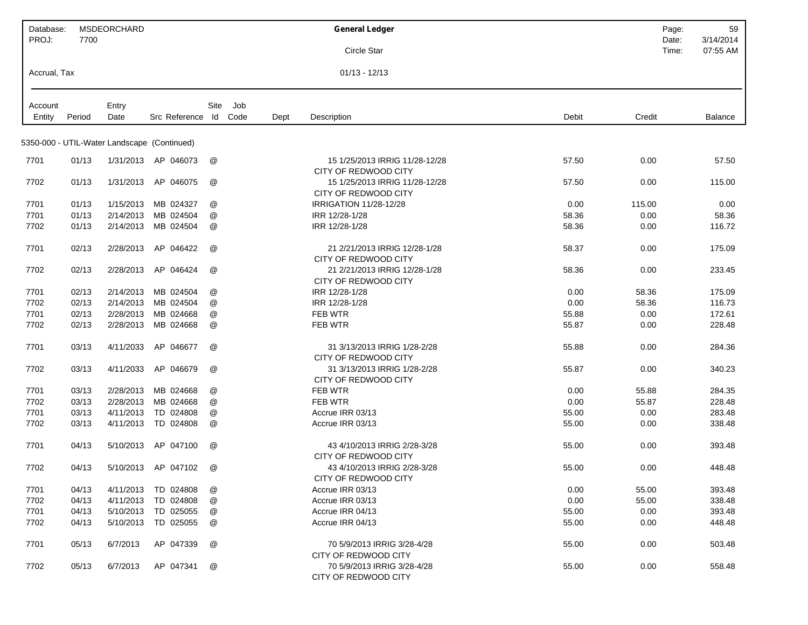| Database:<br>PROJ: | 7700   | <b>MSDEORCHARD</b> |                                             |               |      |      | <b>General Ledger</b>                                  |       |        | Page:<br>Date: | 59<br>3/14/2014 |
|--------------------|--------|--------------------|---------------------------------------------|---------------|------|------|--------------------------------------------------------|-------|--------|----------------|-----------------|
|                    |        |                    |                                             |               |      |      | Circle Star                                            |       |        | Time:          | 07:55 AM        |
| Accrual, Tax       |        |                    |                                             |               |      |      | $01/13 - 12/13$                                        |       |        |                |                 |
| Account            |        | Entry              |                                             | Site          | Job  |      |                                                        |       |        |                |                 |
| Entity             | Period | Date               | Src Reference Id                            |               | Code | Dept | Description                                            | Debit | Credit |                | Balance         |
|                    |        |                    |                                             |               |      |      |                                                        |       |        |                |                 |
|                    |        |                    | 5350-000 - UTIL-Water Landscape (Continued) |               |      |      |                                                        |       |        |                |                 |
| 7701               | 01/13  |                    | 1/31/2013 AP 046073                         | @             |      |      | 15 1/25/2013 IRRIG 11/28-12/28<br>CITY OF REDWOOD CITY | 57.50 | 0.00   |                | 57.50           |
| 7702               | 01/13  | 1/31/2013          | AP 046075                                   | @             |      |      | 15 1/25/2013 IRRIG 11/28-12/28<br>CITY OF REDWOOD CITY | 57.50 | 0.00   |                | 115.00          |
| 7701               | 01/13  | 1/15/2013          | MB 024327                                   | @             |      |      | IRRIGATION 11/28-12/28                                 | 0.00  | 115.00 |                | 0.00            |
| 7701               | 01/13  | 2/14/2013          | MB 024504                                   | @             |      |      | IRR 12/28-1/28                                         | 58.36 | 0.00   |                | 58.36           |
| 7702               | 01/13  | 2/14/2013          | MB 024504                                   | @             |      |      | IRR 12/28-1/28                                         | 58.36 | 0.00   |                | 116.72          |
| 7701               | 02/13  | 2/28/2013          | AP 046422                                   | @             |      |      | 21 2/21/2013 IRRIG 12/28-1/28<br>CITY OF REDWOOD CITY  | 58.37 | 0.00   |                | 175.09          |
| 7702               | 02/13  | 2/28/2013          | AP 046424                                   | @             |      |      | 21 2/21/2013 IRRIG 12/28-1/28<br>CITY OF REDWOOD CITY  | 58.36 | 0.00   |                | 233.45          |
| 7701               | 02/13  | 2/14/2013          | MB 024504                                   | @             |      |      | IRR 12/28-1/28                                         | 0.00  | 58.36  |                | 175.09          |
| 7702               | 02/13  | 2/14/2013          | MB 024504                                   | @             |      |      | IRR 12/28-1/28                                         | 0.00  | 58.36  |                | 116.73          |
| 7701               | 02/13  | 2/28/2013          | MB 024668                                   | @             |      |      | FEB WTR                                                | 55.88 | 0.00   |                | 172.61          |
| 7702               | 02/13  | 2/28/2013          | MB 024668                                   | @             |      |      | FEB WTR                                                | 55.87 | 0.00   |                | 228.48          |
| 7701               | 03/13  | 4/11/2033          | AP 046677                                   | @             |      |      | 31 3/13/2013 IRRIG 1/28-2/28<br>CITY OF REDWOOD CITY   | 55.88 | 0.00   |                | 284.36          |
| 7702               | 03/13  | 4/11/2033          | AP 046679                                   | @             |      |      | 31 3/13/2013 IRRIG 1/28-2/28<br>CITY OF REDWOOD CITY   | 55.87 | 0.00   |                | 340.23          |
| 7701               | 03/13  | 2/28/2013          | MB 024668                                   | @             |      |      | <b>FEB WTR</b>                                         | 0.00  | 55.88  |                | 284.35          |
| 7702               | 03/13  | 2/28/2013          | MB 024668                                   | @             |      |      | FEB WTR                                                | 0.00  | 55.87  |                | 228.48          |
| 7701               | 03/13  | 4/11/2013          | TD 024808                                   | @             |      |      | Accrue IRR 03/13                                       | 55.00 | 0.00   |                | 283.48          |
| 7702               | 03/13  | 4/11/2013          | TD 024808                                   | @             |      |      | Accrue IRR 03/13                                       | 55.00 | 0.00   |                | 338.48          |
| 7701               | 04/13  | 5/10/2013          | AP 047100                                   | @             |      |      | 43 4/10/2013 IRRIG 2/28-3/28<br>CITY OF REDWOOD CITY   | 55.00 | 0.00   |                | 393.48          |
| 7702               | 04/13  | 5/10/2013          | AP 047102                                   | @             |      |      | 43 4/10/2013 IRRIG 2/28-3/28<br>CITY OF REDWOOD CITY   | 55.00 | 0.00   |                | 448.48          |
| 7701               | 04/13  | 4/11/2013          | TD 024808                                   | @             |      |      | Accrue IRR 03/13                                       | 0.00  | 55.00  |                | 393.48          |
| 7702               | 04/13  | 4/11/2013          | TD 024808                                   | @             |      |      | Accrue IRR 03/13                                       | 0.00  | 55.00  |                | 338.48          |
| 7701               | 04/13  | 5/10/2013          | TD 025055                                   | @             |      |      | Accrue IRR 04/13                                       | 55.00 | 0.00   |                | 393.48          |
| 7702               | 04/13  | 5/10/2013          | TD 025055                                   | @             |      |      | Accrue IRR 04/13                                       | 55.00 | 0.00   |                | 448.48          |
| 7701               | 05/13  | 6/7/2013           | AP 047339                                   | $^\copyright$ |      |      | 70 5/9/2013 IRRIG 3/28-4/28<br>CITY OF REDWOOD CITY    | 55.00 | 0.00   |                | 503.48          |
| 7702               | 05/13  | 6/7/2013           | AP 047341                                   | @             |      |      | 70 5/9/2013 IRRIG 3/28-4/28<br>CITY OF REDWOOD CITY    | 55.00 | 0.00   |                | 558.48          |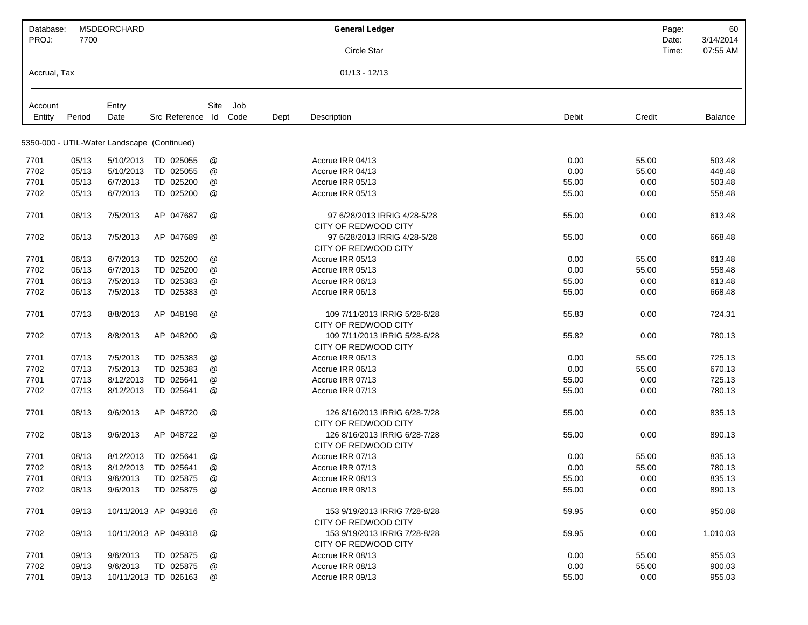| Database:         |                | <b>MSDEORCHARD</b> |                                             |               |             | <b>General Ledger</b>                                 |               | Page:         | 60               |
|-------------------|----------------|--------------------|---------------------------------------------|---------------|-------------|-------------------------------------------------------|---------------|---------------|------------------|
| PROJ:             | 7700           |                    |                                             |               |             |                                                       |               | Date:         | 3/14/2014        |
|                   |                |                    |                                             |               |             | <b>Circle Star</b>                                    |               | Time:         | 07:55 AM         |
| Accrual, Tax      |                |                    |                                             |               |             | $01/13 - 12/13$                                       |               |               |                  |
|                   |                |                    |                                             | Site          |             |                                                       |               |               |                  |
| Account<br>Entity | Period         | Entry<br>Date      | Src Reference                               | Code<br>ld    | Job<br>Dept | Description                                           | Debit         | Credit        | Balance          |
|                   |                |                    |                                             |               |             |                                                       |               |               |                  |
|                   |                |                    | 5350-000 - UTIL-Water Landscape (Continued) |               |             |                                                       |               |               |                  |
| 7701              | 05/13          | 5/10/2013          | TD 025055                                   | @             |             | Accrue IRR 04/13                                      | 0.00          | 55.00         | 503.48           |
| 7702              | 05/13          | 5/10/2013          | TD 025055                                   | @             |             | Accrue IRR 04/13                                      | 0.00          | 55.00         | 448.48           |
| 7701              | 05/13          | 6/7/2013           | TD 025200                                   | @             |             | Accrue IRR 05/13                                      | 55.00         | 0.00          | 503.48           |
| 7702              | 05/13          | 6/7/2013           | TD 025200                                   | @             |             | Accrue IRR 05/13                                      | 55.00         | 0.00          | 558.48           |
|                   |                |                    |                                             |               |             |                                                       |               |               |                  |
| 7701              | 06/13          | 7/5/2013           | AP 047687                                   | @             |             | 97 6/28/2013 IRRIG 4/28-5/28                          | 55.00         | 0.00          | 613.48           |
|                   |                |                    |                                             |               |             | CITY OF REDWOOD CITY                                  |               |               |                  |
| 7702              | 06/13          | 7/5/2013           | AP 047689                                   | @             |             | 97 6/28/2013 IRRIG 4/28-5/28<br>CITY OF REDWOOD CITY  | 55.00         | 0.00          | 668.48           |
| 7701              | 06/13          | 6/7/2013           | TD 025200                                   | @             |             | Accrue IRR 05/13                                      | 0.00          | 55.00         | 613.48           |
| 7702              | 06/13          | 6/7/2013           | TD 025200                                   | @             |             | Accrue IRR 05/13                                      | 0.00          | 55.00         | 558.48           |
| 7701              | 06/13          | 7/5/2013           | TD 025383                                   | $^\copyright$ |             | Accrue IRR 06/13                                      | 55.00         | 0.00          | 613.48           |
| 7702              | 06/13          | 7/5/2013           | TD 025383                                   | @             |             | Accrue IRR 06/13                                      | 55.00         | 0.00          | 668.48           |
| 7701              | 07/13          | 8/8/2013           | AP 048198                                   | @             |             | 109 7/11/2013 IRRIG 5/28-6/28<br>CITY OF REDWOOD CITY | 55.83         | 0.00          | 724.31           |
| 7702              | 07/13          | 8/8/2013           | AP 048200                                   | @             |             | 109 7/11/2013 IRRIG 5/28-6/28<br>CITY OF REDWOOD CITY | 55.82         | 0.00          | 780.13           |
| 7701              | 07/13          | 7/5/2013           | TD 025383                                   | @             |             | Accrue IRR 06/13                                      | 0.00          | 55.00         | 725.13           |
| 7702              | 07/13          | 7/5/2013           | TD 025383                                   | @             |             | Accrue IRR 06/13                                      | 0.00          | 55.00         | 670.13           |
| 7701              | 07/13          | 8/12/2013          | TD 025641                                   | @             |             | Accrue IRR 07/13                                      | 55.00         | 0.00          | 725.13           |
| 7702              | 07/13          | 8/12/2013          | TD 025641                                   | @             |             | Accrue IRR 07/13                                      | 55.00         | 0.00          | 780.13           |
|                   |                |                    |                                             |               |             |                                                       |               |               |                  |
| 7701              | 08/13          | 9/6/2013           | AP 048720                                   | @             |             | 126 8/16/2013 IRRIG 6/28-7/28<br>CITY OF REDWOOD CITY | 55.00         | 0.00          | 835.13           |
| 7702              | 08/13          | 9/6/2013           | AP 048722                                   | @             |             | 126 8/16/2013 IRRIG 6/28-7/28<br>CITY OF REDWOOD CITY | 55.00         | 0.00          | 890.13           |
| 7701              | 08/13          | 8/12/2013          | TD 025641                                   | @             |             | Accrue IRR 07/13                                      | 0.00          | 55.00         | 835.13           |
| 7702              | 08/13          | 8/12/2013          | TD 025641                                   | @             |             | Accrue IRR 07/13                                      | 0.00          | 55.00         | 780.13           |
| 7701              | 08/13          | 9/6/2013           | TD 025875                                   | @             |             | Accrue IRR 08/13                                      | 55.00         | 0.00          | 835.13           |
| 7702              | 08/13          | 9/6/2013           | TD 025875                                   | @             |             | Accrue IRR 08/13                                      | 55.00         | 0.00          | 890.13           |
|                   |                |                    |                                             |               |             |                                                       |               |               |                  |
| 7701              | 09/13          |                    | 10/11/2013 AP 049316                        | @             |             | 153 9/19/2013 IRRIG 7/28-8/28<br>CITY OF REDWOOD CITY | 59.95         | 0.00          | 950.08           |
| 7702              | 09/13          |                    | 10/11/2013 AP 049318                        | @             |             | 153 9/19/2013 IRRIG 7/28-8/28<br>CITY OF REDWOOD CITY | 59.95         | 0.00          | 1,010.03         |
|                   |                |                    | TD 025875                                   |               |             | Accrue IRR 08/13                                      |               | 55.00         | 955.03           |
| 7701              | 09/13          | 9/6/2013           |                                             | @             |             |                                                       | 0.00          |               |                  |
| 7702<br>7701      | 09/13<br>09/13 | 9/6/2013           | TD 025875<br>10/11/2013 TD 026163           | @             |             | Accrue IRR 08/13<br>Accrue IRR 09/13                  | 0.00<br>55.00 | 55.00<br>0.00 | 900.03<br>955.03 |
|                   |                |                    |                                             | @             |             |                                                       |               |               |                  |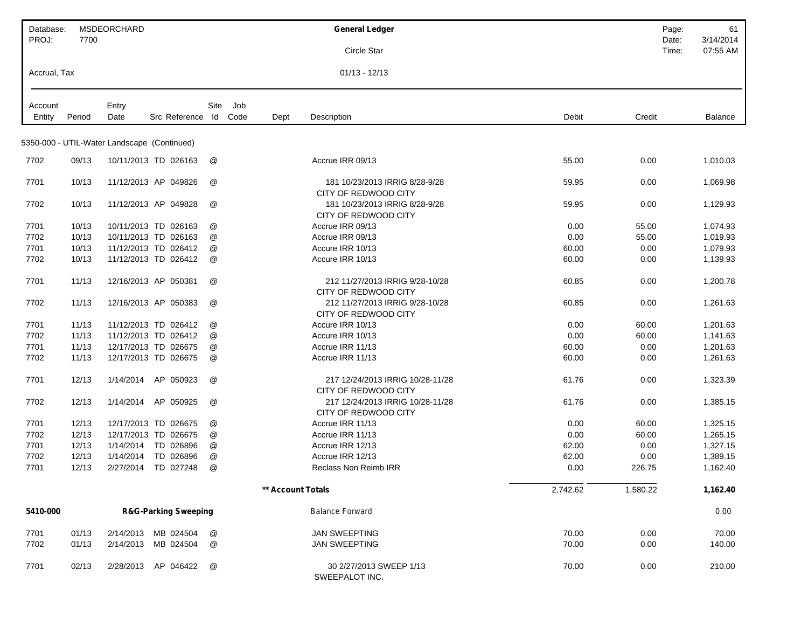| Database:         |        | MSDEORCHARD                                 |                                 |      |             |                   | <b>General Ledger</b>                                    |          | Page:          | 61                    |
|-------------------|--------|---------------------------------------------|---------------------------------|------|-------------|-------------------|----------------------------------------------------------|----------|----------------|-----------------------|
| PROJ:             | 7700   |                                             |                                 |      |             |                   | Circle Star                                              |          | Date:<br>Time: | 3/14/2014<br>07:55 AM |
| Accrual, Tax      |        |                                             |                                 |      |             |                   | $01/13 - 12/13$                                          |          |                |                       |
|                   |        |                                             |                                 |      |             |                   |                                                          |          |                |                       |
| Account<br>Entity | Period | Entry<br>Date                               | Src Reference Id                | Site | Job<br>Code | Dept              | Description                                              | Debit    | Credit         | Balance               |
|                   |        |                                             |                                 |      |             |                   |                                                          |          |                |                       |
|                   |        | 5350-000 - UTIL-Water Landscape (Continued) |                                 |      |             |                   |                                                          |          |                |                       |
| 7702              | 09/13  |                                             | 10/11/2013 TD 026163            | @    |             |                   | Accrue IRR 09/13                                         | 55.00    | 0.00           | 1,010.03              |
| 7701              | 10/13  |                                             | 11/12/2013 AP 049826            | @    |             |                   | 181 10/23/2013 IRRIG 8/28-9/28                           | 59.95    | 0.00           | 1,069.98              |
| 7702              | 10/13  |                                             | 11/12/2013 AP 049828            | @    |             |                   | CITY OF REDWOOD CITY<br>181 10/23/2013 IRRIG 8/28-9/28   | 59.95    | 0.00           | 1,129.93              |
|                   |        |                                             |                                 |      |             |                   | CITY OF REDWOOD CITY                                     |          |                |                       |
| 7701              | 10/13  |                                             | 10/11/2013 TD 026163            | @    |             |                   | Accrue IRR 09/13                                         | 0.00     | 55.00          | 1,074.93              |
| 7702              | 10/13  |                                             | 10/11/2013 TD 026163            | @    |             |                   | Accrue IRR 09/13                                         | 0.00     | 55.00          | 1,019.93              |
| 7701              | 10/13  |                                             | 11/12/2013 TD 026412            | @    |             |                   | Accure IRR 10/13                                         | 60.00    | 0.00           | 1,079.93              |
| 7702              | 10/13  |                                             | 11/12/2013 TD 026412            | @    |             |                   | Accure IRR 10/13                                         | 60.00    | 0.00           | 1,139.93              |
| 7701              | 11/13  |                                             | 12/16/2013 AP 050381            | @    |             |                   | 212 11/27/2013 IRRIG 9/28-10/28<br>CITY OF REDWOOD CITY  | 60.85    | 0.00           | 1,200.78              |
| 7702              | 11/13  |                                             | 12/16/2013 AP 050383            | @    |             |                   | 212 11/27/2013 IRRIG 9/28-10/28<br>CITY OF REDWOOD CITY  | 60.85    | 0.00           | 1,261.63              |
| 7701              | 11/13  |                                             | 11/12/2013 TD 026412            | @    |             |                   | Accure IRR 10/13                                         | 0.00     | 60.00          | 1,201.63              |
| 7702              | 11/13  |                                             | 11/12/2013 TD 026412            | @    |             |                   | Accure IRR 10/13                                         | 0.00     | 60.00          | 1,141.63              |
| 7701              | 11/13  |                                             | 12/17/2013 TD 026675            | @    |             |                   | Accrue IRR 11/13                                         | 60.00    | 0.00           | 1,201.63              |
| 7702              | 11/13  |                                             | 12/17/2013 TD 026675            | @    |             |                   | Accrue IRR 11/13                                         | 60.00    | 0.00           | 1,261.63              |
| 7701              | 12/13  | 1/14/2014                                   | AP 050923                       | @    |             |                   | 217 12/24/2013 IRRIG 10/28-11/28<br>CITY OF REDWOOD CITY | 61.76    | 0.00           | 1,323.39              |
| 7702              | 12/13  | 1/14/2014                                   | AP 050925                       | @    |             |                   | 217 12/24/2013 IRRIG 10/28-11/28<br>CITY OF REDWOOD CITY | 61.76    | 0.00           | 1,385.15              |
| 7701              | 12/13  |                                             | 12/17/2013 TD 026675            | @    |             |                   | Accrue IRR 11/13                                         | 0.00     | 60.00          | 1,325.15              |
| 7702              | 12/13  |                                             | 12/17/2013 TD 026675            | @    |             |                   | Accrue IRR 11/13                                         | 0.00     | 60.00          | 1,265.15              |
| 7701              | 12/13  | 1/14/2014                                   | TD 026896                       | @    |             |                   | Accrue IRR 12/13                                         | 62.00    | 0.00           | 1,327.15              |
| 7702              | 12/13  | 1/14/2014                                   | TD 026896                       | @    |             |                   | Accrue IRR 12/13                                         | 62.00    | 0.00           | 1,389.15              |
| 7701              | 12/13  | 2/27/2014                                   | TD 027248                       | @    |             |                   | <b>Reclass Non Reimb IRR</b>                             | 0.00     | 226.75         | 1,162.40              |
|                   |        |                                             |                                 |      |             | ** Account Totals |                                                          | 2,742.62 | 1,580.22       | 1,162.40              |
| 5410-000          |        |                                             | <b>R&amp;G-Parking Sweeping</b> |      |             |                   | <b>Balance Forward</b>                                   |          |                | 0.00                  |
| 7701              | 01/13  | 2/14/2013                                   | MB 024504                       | @    |             |                   | <b>JAN SWEEPTING</b>                                     | 70.00    | 0.00           | 70.00                 |
| 7702              | 01/13  | 2/14/2013                                   | MB 024504                       | @    |             |                   | <b>JAN SWEEPTING</b>                                     | 70.00    | 0.00           | 140.00                |
| 7701              | 02/13  | 2/28/2013                                   | AP 046422                       | @    |             |                   | 30 2/27/2013 SWEEP 1/13<br>SWEEPALOT INC.                | 70.00    | 0.00           | 210.00                |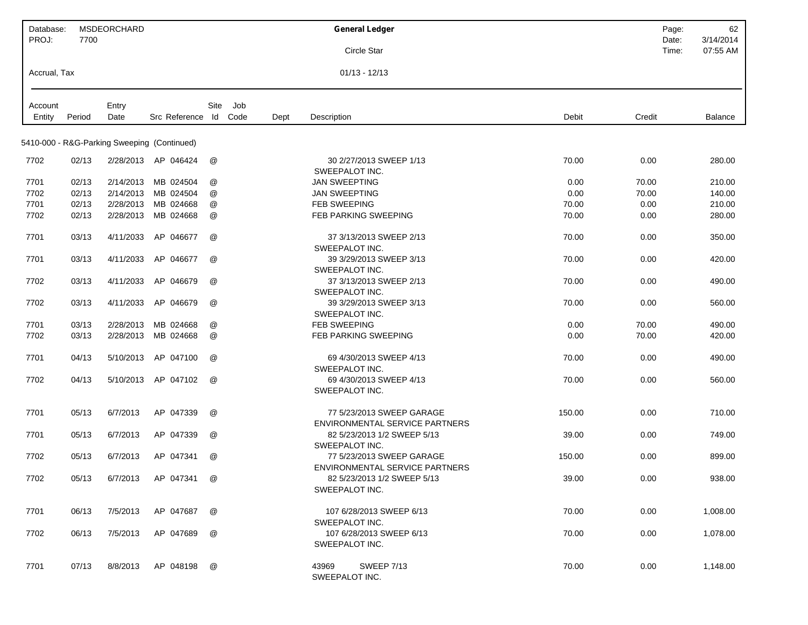| Database:<br>PROJ: | 7700   | <b>MSDEORCHARD</b> |                                             |      |      |      | <b>General Ledger</b>                                                                                   | Page:<br>Date: | 62<br>3/14/2014 |
|--------------------|--------|--------------------|---------------------------------------------|------|------|------|---------------------------------------------------------------------------------------------------------|----------------|-----------------|
|                    |        |                    |                                             |      |      |      | Circle Star                                                                                             | Time:          | 07:55 AM        |
| Accrual, Tax       |        |                    |                                             |      |      |      | $01/13 - 12/13$                                                                                         |                |                 |
| Account            |        | Entry              |                                             | Site | Job  |      |                                                                                                         |                |                 |
| Entity             | Period | Date               | Src Reference Id                            |      | Code | Dept | Credit<br>Debit<br>Description                                                                          |                | Balance         |
|                    |        |                    |                                             |      |      |      |                                                                                                         |                |                 |
|                    |        |                    | 5410-000 - R&G-Parking Sweeping (Continued) |      |      |      |                                                                                                         |                |                 |
| 7702               | 02/13  |                    | 2/28/2013 AP 046424                         | @    |      |      | 30 2/27/2013 SWEEP 1/13<br>70.00<br>0.00<br>SWEEPALOT INC.                                              |                | 280.00          |
| 7701               | 02/13  | 2/14/2013          | MB 024504                                   | @    |      |      | <b>JAN SWEEPTING</b><br>0.00<br>70.00                                                                   |                | 210.00          |
| 7702               | 02/13  | 2/14/2013          | MB 024504                                   | @    |      |      | <b>JAN SWEEPTING</b><br>0.00<br>70.00                                                                   |                | 140.00          |
| 7701               | 02/13  | 2/28/2013          | MB 024668                                   | @    |      |      | FEB SWEEPING<br>0.00<br>70.00                                                                           |                | 210.00          |
| 7702               | 02/13  | 2/28/2013          | MB 024668                                   | @    |      |      | <b>FEB PARKING SWEEPING</b><br>70.00<br>0.00                                                            |                | 280.00          |
| 7701               | 03/13  | 4/11/2033          | AP 046677                                   | @    |      |      | 37 3/13/2013 SWEEP 2/13<br>70.00<br>0.00<br>SWEEPALOT INC.                                              |                | 350.00          |
| 7701               | 03/13  | 4/11/2033          | AP 046677                                   | @    |      |      | 39 3/29/2013 SWEEP 3/13<br>70.00<br>0.00<br>SWEEPALOT INC.                                              |                | 420.00          |
| 7702               | 03/13  | 4/11/2033          | AP 046679                                   | @    |      |      | 37 3/13/2013 SWEEP 2/13<br>70.00<br>0.00<br>SWEEPALOT INC.                                              |                | 490.00          |
| 7702               | 03/13  | 4/11/2033          | AP 046679                                   | @    |      |      | 39 3/29/2013 SWEEP 3/13<br>70.00<br>0.00<br>SWEEPALOT INC.                                              |                | 560.00          |
| 7701               | 03/13  | 2/28/2013          | MB 024668                                   | @    |      |      | FEB SWEEPING<br>70.00<br>0.00                                                                           |                | 490.00          |
| 7702               | 03/13  | 2/28/2013          | MB 024668                                   | @    |      |      | FEB PARKING SWEEPING<br>0.00<br>70.00                                                                   |                | 420.00          |
| 7701               | 04/13  | 5/10/2013          | AP 047100                                   | @    |      |      | 69 4/30/2013 SWEEP 4/13<br>70.00<br>0.00                                                                |                | 490.00          |
| 7702               | 04/13  | 5/10/2013          | AP 047102                                   | @    |      |      | SWEEPALOT INC.<br>69 4/30/2013 SWEEP 4/13<br>70.00<br>0.00<br>SWEEPALOT INC.                            |                | 560.00          |
| 7701               | 05/13  | 6/7/2013           | AP 047339                                   | @    |      |      | 77 5/23/2013 SWEEP GARAGE<br>150.00<br>0.00<br>ENVIRONMENTAL SERVICE PARTNERS                           |                | 710.00          |
| 7701               | 05/13  | 6/7/2013           | AP 047339                                   | @    |      |      | 82 5/23/2013 1/2 SWEEP 5/13<br>39.00<br>0.00<br>SWEEPALOT INC.                                          |                | 749.00          |
| 7702               | 05/13  | 6/7/2013           | AP 047341                                   | @    |      |      | 77 5/23/2013 SWEEP GARAGE<br>150.00<br>0.00                                                             |                | 899.00          |
| 7702               | 05/13  | 6/7/2013           | AP 047341                                   | @    |      |      | <b>ENVIRONMENTAL SERVICE PARTNERS</b><br>82 5/23/2013 1/2 SWEEP 5/13<br>39.00<br>0.00<br>SWEEPALOT INC. |                | 938.00          |
| 7701               | 06/13  | 7/5/2013           | AP 047687                                   | @    |      |      | 70.00<br>107 6/28/2013 SWEEP 6/13<br>0.00                                                               |                | 1,008.00        |
| 7702               | 06/13  | 7/5/2013           | AP 047689                                   | @    |      |      | SWEEPALOT INC.<br>107 6/28/2013 SWEEP 6/13<br>70.00<br>0.00<br>SWEEPALOT INC.                           |                | 1,078.00        |
| 7701               | 07/13  | 8/8/2013           | AP 048198                                   | @    |      |      | 43969<br><b>SWEEP 7/13</b><br>70.00<br>0.00<br>SWEEPALOT INC.                                           |                | 1,148.00        |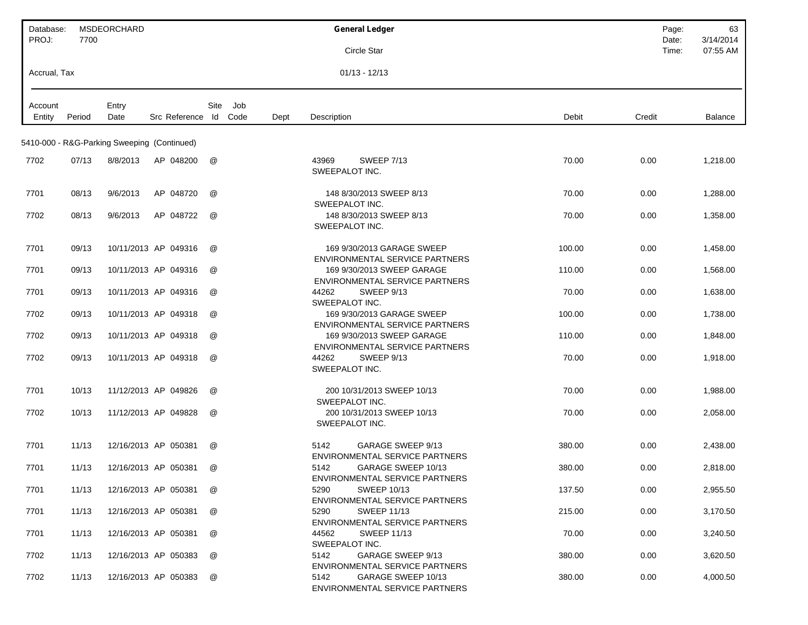| Database:<br>PROJ: | 7700   | <b>MSDEORCHARD</b>                          |                      |      |      |      | <b>General Ledger</b>                                                                 | Page:<br>Date: | 63<br>3/14/2014 |
|--------------------|--------|---------------------------------------------|----------------------|------|------|------|---------------------------------------------------------------------------------------|----------------|-----------------|
|                    |        |                                             |                      |      |      |      | Circle Star                                                                           | Time:          | 07:55 AM        |
| Accrual, Tax       |        |                                             |                      |      |      |      | $01/13 - 12/13$                                                                       |                |                 |
| Account            |        | Entry                                       |                      | Site | Job  |      |                                                                                       |                |                 |
| Entity             | Period | Date                                        | Src Reference Id     |      | Code | Dept | Description<br>Debit<br>Credit                                                        |                | <b>Balance</b>  |
|                    |        | 5410-000 - R&G-Parking Sweeping (Continued) |                      |      |      |      |                                                                                       |                |                 |
| 7702               | 07/13  | 8/8/2013                                    | AP 048200            | @    |      |      | 43969<br><b>SWEEP 7/13</b><br>70.00<br>0.00<br>SWEEPALOT INC.                         |                | 1,218.00        |
| 7701               | 08/13  | 9/6/2013                                    | AP 048720            | @    |      |      | 148 8/30/2013 SWEEP 8/13<br>70.00<br>0.00<br>SWEEPALOT INC.                           |                | 1,288.00        |
| 7702               | 08/13  | 9/6/2013                                    | AP 048722            | @    |      |      | 148 8/30/2013 SWEEP 8/13<br>70.00<br>0.00<br>SWEEPALOT INC.                           |                | 1,358.00        |
| 7701               | 09/13  |                                             | 10/11/2013 AP 049316 | @    |      |      | 169 9/30/2013 GARAGE SWEEP<br>100.00<br>0.00<br><b>ENVIRONMENTAL SERVICE PARTNERS</b> |                | 1,458.00        |
| 7701               | 09/13  |                                             | 10/11/2013 AP 049316 | @    |      |      | 169 9/30/2013 SWEEP GARAGE<br>110.00<br>0.00<br><b>ENVIRONMENTAL SERVICE PARTNERS</b> |                | 1.568.00        |
| 7701               | 09/13  |                                             | 10/11/2013 AP 049316 | @    |      |      | 44262<br>SWEEP 9/13<br>70.00<br>0.00<br>SWEEPALOT INC.                                |                | 1,638.00        |
| 7702               | 09/13  |                                             | 10/11/2013 AP 049318 | @    |      |      | 169 9/30/2013 GARAGE SWEEP<br>100.00<br>0.00<br><b>ENVIRONMENTAL SERVICE PARTNERS</b> |                | 1,738.00        |
| 7702               | 09/13  |                                             | 10/11/2013 AP 049318 | @    |      |      | 169 9/30/2013 SWEEP GARAGE<br>110.00<br>0.00<br><b>ENVIRONMENTAL SERVICE PARTNERS</b> |                | 1,848.00        |
| 7702               | 09/13  |                                             | 10/11/2013 AP 049318 | @    |      |      | SWEEP 9/13<br>44262<br>70.00<br>0.00<br>SWEEPALOT INC.                                |                | 1,918.00        |
| 7701               | 10/13  |                                             | 11/12/2013 AP 049826 | @    |      |      | 200 10/31/2013 SWEEP 10/13<br>70.00<br>0.00<br>SWEEPALOT INC.                         |                | 1,988.00        |
| 7702               | 10/13  |                                             | 11/12/2013 AP 049828 | @    |      |      | 200 10/31/2013 SWEEP 10/13<br>70.00<br>0.00<br>SWEEPALOT INC.                         |                | 2,058.00        |
| 7701               | 11/13  |                                             | 12/16/2013 AP 050381 | @    |      |      | GARAGE SWEEP 9/13<br>5142<br>380.00<br>0.00<br><b>ENVIRONMENTAL SERVICE PARTNERS</b>  |                | 2,438.00        |
| 7701               | 11/13  |                                             | 12/16/2013 AP 050381 | @    |      |      | 5142<br>GARAGE SWEEP 10/13<br>380.00<br>0.00<br>ENVIRONMENTAL SERVICE PARTNERS        |                | 2,818.00        |
| 7701               | 11/13  |                                             | 12/16/2013 AP 050381 | @    |      |      | <b>SWEEP 10/13</b><br>137.50<br>0.00<br>5290<br>ENVIRONMENTAL SERVICE PARTNERS        |                | 2,955.50        |
| 7701               | 11/13  |                                             | 12/16/2013 AP 050381 | @    |      |      | <b>SWEEP 11/13</b><br>215.00<br>0.00<br>5290<br>ENVIRONMENTAL SERVICE PARTNERS        |                | 3,170.50        |
| 7701               | 11/13  |                                             | 12/16/2013 AP 050381 | @    |      |      | 44562<br><b>SWEEP 11/13</b><br>70.00<br>0.00<br>SWEEPALOT INC.                        |                | 3,240.50        |
| 7702               | 11/13  |                                             | 12/16/2013 AP 050383 | @    |      |      | 5142<br>GARAGE SWEEP 9/13<br>380.00<br>0.00<br>ENVIRONMENTAL SERVICE PARTNERS         |                | 3,620.50        |
| 7702               | 11/13  |                                             | 12/16/2013 AP 050383 | @    |      |      | 5142<br>GARAGE SWEEP 10/13<br>380.00<br>0.00<br>ENVIRONMENTAL SERVICE PARTNERS        |                | 4,000.50        |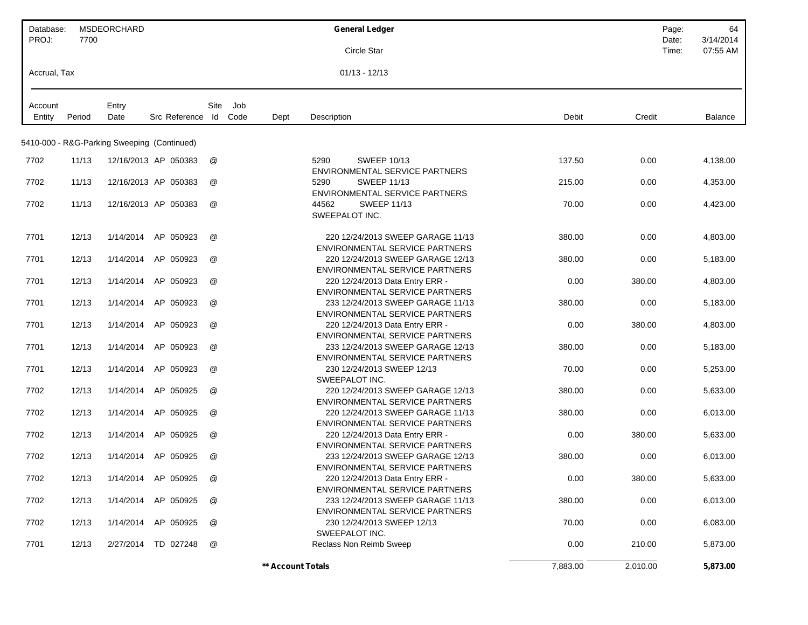| Database:<br>PROJ: | 7700   | MSDEORCHARD                                 |                      |                      |      |                   | <b>General Ledger</b>                                                                                        |          |          | Page:<br>Date: | 64<br>3/14/2014 |
|--------------------|--------|---------------------------------------------|----------------------|----------------------|------|-------------------|--------------------------------------------------------------------------------------------------------------|----------|----------|----------------|-----------------|
|                    |        |                                             |                      |                      |      |                   | Circle Star                                                                                                  |          |          | Time:          | 07:55 AM        |
| Accrual, Tax       |        |                                             |                      |                      |      |                   | $01/13 - 12/13$                                                                                              |          |          |                |                 |
| Account            |        | Entry                                       |                      | Site                 | Job  |                   |                                                                                                              |          |          |                |                 |
| Entity             | Period | Date                                        | Src Reference Id     |                      | Code | Dept              | Description                                                                                                  | Debit    | Credit   |                | Balance         |
|                    |        | 5410-000 - R&G-Parking Sweeping (Continued) |                      |                      |      |                   |                                                                                                              |          |          |                |                 |
| 7702               | 11/13  |                                             | 12/16/2013 AP 050383 | @                    |      |                   | 5290<br><b>SWEEP 10/13</b><br><b>ENVIRONMENTAL SERVICE PARTNERS</b>                                          | 137.50   | 0.00     |                | 4,138.00        |
| 7702               | 11/13  |                                             | 12/16/2013 AP 050383 | @                    |      |                   | <b>SWEEP 11/13</b><br>5290<br><b>ENVIRONMENTAL SERVICE PARTNERS</b>                                          | 215.00   | 0.00     |                | 4,353.00        |
| 7702               | 11/13  |                                             | 12/16/2013 AP 050383 | @                    |      |                   | 44562<br><b>SWEEP 11/13</b><br>SWEEPALOT INC.                                                                | 70.00    | 0.00     |                | 4,423.00        |
| 7701               | 12/13  | 1/14/2014                                   | AP 050923            | @                    |      |                   | 220 12/24/2013 SWEEP GARAGE 11/13<br>ENVIRONMENTAL SERVICE PARTNERS                                          | 380.00   | 0.00     |                | 4,803.00        |
| 7701               | 12/13  | 1/14/2014                                   | AP 050923            | @                    |      |                   | 220 12/24/2013 SWEEP GARAGE 12/13<br>ENVIRONMENTAL SERVICE PARTNERS                                          | 380.00   | 0.00     |                | 5,183.00        |
| 7701               | 12/13  | 1/14/2014                                   | AP 050923            | @                    |      |                   | 220 12/24/2013 Data Entry ERR -<br><b>ENVIRONMENTAL SERVICE PARTNERS</b>                                     | 0.00     | 380.00   |                | 4,803.00        |
| 7701               | 12/13  | 1/14/2014                                   | AP 050923            | @                    |      |                   | 233 12/24/2013 SWEEP GARAGE 11/13<br>ENVIRONMENTAL SERVICE PARTNERS                                          | 380.00   | 0.00     |                | 5,183.00        |
| 7701               | 12/13  | 1/14/2014                                   | AP 050923            | @                    |      |                   | 220 12/24/2013 Data Entry ERR -<br><b>ENVIRONMENTAL SERVICE PARTNERS</b>                                     | 0.00     | 380.00   |                | 4,803.00        |
| 7701               | 12/13  | 1/14/2014                                   | AP 050923            | @                    |      |                   | 233 12/24/2013 SWEEP GARAGE 12/13<br><b>ENVIRONMENTAL SERVICE PARTNERS</b>                                   | 380.00   | 0.00     |                | 5,183.00        |
| 7701               | 12/13  | 1/14/2014                                   | AP 050923            | @                    |      |                   | 230 12/24/2013 SWEEP 12/13<br>SWEEPALOT INC.                                                                 | 70.00    | 0.00     |                | 5,253.00        |
| 7702               | 12/13  | 1/14/2014                                   | AP 050925            | @                    |      |                   | 220 12/24/2013 SWEEP GARAGE 12/13                                                                            | 380.00   | 0.00     |                | 5,633.00        |
| 7702               | 12/13  | 1/14/2014                                   | AP 050925            | @                    |      |                   | ENVIRONMENTAL SERVICE PARTNERS<br>220 12/24/2013 SWEEP GARAGE 11/13<br><b>ENVIRONMENTAL SERVICE PARTNERS</b> | 380.00   | 0.00     |                | 6,013.00        |
| 7702               | 12/13  | 1/14/2014                                   | AP<br>050925         | @                    |      |                   | 220 12/24/2013 Data Entry ERR -                                                                              | 0.00     | 380.00   |                | 5,633.00        |
| 7702               | 12/13  | 1/14/2014                                   | AP 050925            | $^{\textregistered}$ |      |                   | <b>ENVIRONMENTAL SERVICE PARTNERS</b><br>233 12/24/2013 SWEEP GARAGE 12/13                                   | 380.00   | 0.00     |                | 6,013.00        |
| 7702               | 12/13  |                                             | 1/14/2014 AP 050925  | @                    |      |                   | ENVIRONMENTAL SERVICE PARTNERS<br>220 12/24/2013 Data Entry ERR -                                            | 0.00     | 380.00   |                | 5,633.00        |
| 7702               | 12/13  |                                             | 1/14/2014 AP 050925  | @                    |      |                   | <b>ENVIRONMENTAL SERVICE PARTNERS</b><br>233 12/24/2013 SWEEP GARAGE 11/13                                   | 380.00   | 0.00     |                | 6,013.00        |
| 7702               | 12/13  |                                             | 1/14/2014 AP 050925  | @                    |      |                   | ENVIRONMENTAL SERVICE PARTNERS<br>230 12/24/2013 SWEEP 12/13                                                 | 70.00    | 0.00     |                | 6,083.00        |
| 7701               | 12/13  |                                             | 2/27/2014 TD 027248  | @                    |      |                   | SWEEPALOT INC.<br>Reclass Non Reimb Sweep                                                                    | 0.00     | 210.00   |                | 5,873.00        |
|                    |        |                                             |                      |                      |      | ** Account Totals |                                                                                                              | 7,883.00 | 2,010.00 |                | 5,873.00        |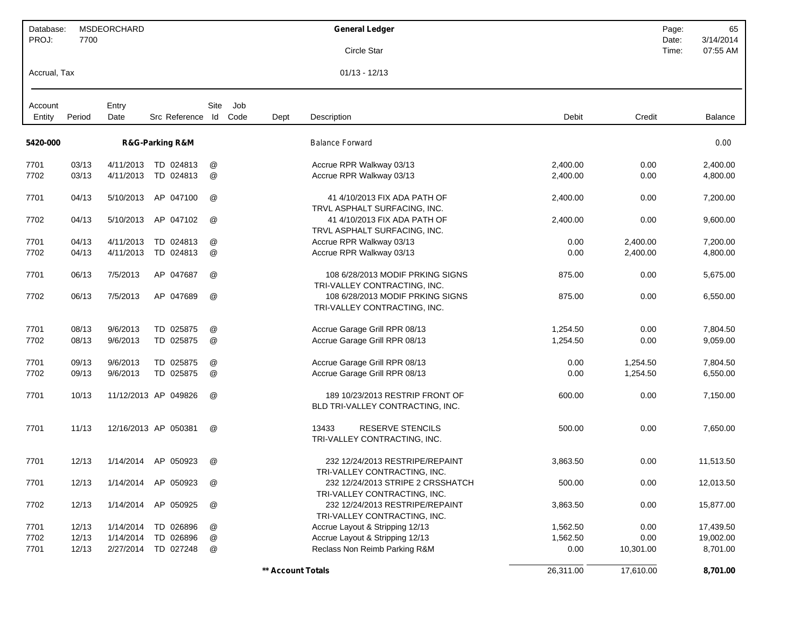| Database:         |        | MSDEORCHARD   |                      |                           |             |                   | <b>General Ledger</b>                                               |           |           | Page:          | 65                    |
|-------------------|--------|---------------|----------------------|---------------------------|-------------|-------------------|---------------------------------------------------------------------|-----------|-----------|----------------|-----------------------|
| PROJ:             | 7700   |               |                      |                           |             |                   | Circle Star                                                         |           |           | Date:<br>Time: | 3/14/2014<br>07:55 AM |
| Accrual, Tax      |        |               |                      |                           |             |                   | $01/13 - 12/13$                                                     |           |           |                |                       |
| Account<br>Entity | Period | Entry<br>Date | Src Reference Id     | Site                      | Job<br>Code | Dept              | Description                                                         | Debit     | Credit    |                | <b>Balance</b>        |
|                   |        |               |                      |                           |             |                   |                                                                     |           |           |                |                       |
| 5420-000          |        |               | R&G-Parking R&M      |                           |             |                   | <b>Balance Forward</b>                                              |           |           |                | 0.00                  |
| 7701              | 03/13  | 4/11/2013     | TD 024813            | @                         |             |                   | Accrue RPR Walkway 03/13                                            | 2,400.00  | 0.00      |                | 2,400.00              |
| 7702              | 03/13  | 4/11/2013     | TD 024813            | @                         |             |                   | Accrue RPR Walkway 03/13                                            | 2,400.00  | 0.00      |                | 4,800.00              |
| 7701              | 04/13  | 5/10/2013     | AP 047100            | @                         |             |                   | 41 4/10/2013 FIX ADA PATH OF<br>TRVL ASPHALT SURFACING, INC.        | 2,400.00  | 0.00      |                | 7,200.00              |
| 7702              | 04/13  | 5/10/2013     | AP 047102            | @                         |             |                   | 41 4/10/2013 FIX ADA PATH OF<br>TRVL ASPHALT SURFACING. INC.        | 2,400.00  | 0.00      |                | 9,600.00              |
| 7701              | 04/13  | 4/11/2013     | TD 024813            | @                         |             |                   | Accrue RPR Walkway 03/13                                            | 0.00      | 2,400.00  |                | 7,200.00              |
| 7702              | 04/13  | 4/11/2013     | TD 024813            | $^\text{\textregistered}$ |             |                   | Accrue RPR Walkway 03/13                                            | 0.00      | 2,400.00  |                | 4,800.00              |
| 7701              | 06/13  | 7/5/2013      | AP 047687            | @                         |             |                   | 108 6/28/2013 MODIF PRKING SIGNS<br>TRI-VALLEY CONTRACTING, INC.    | 875.00    | 0.00      |                | 5,675.00              |
| 7702              | 06/13  | 7/5/2013      | AP 047689            | @                         |             |                   | 108 6/28/2013 MODIF PRKING SIGNS<br>TRI-VALLEY CONTRACTING, INC.    | 875.00    | 0.00      |                | 6,550.00              |
| 7701              | 08/13  | 9/6/2013      | TD 025875            | @                         |             |                   | Accrue Garage Grill RPR 08/13                                       | 1,254.50  | 0.00      |                | 7,804.50              |
| 7702              | 08/13  | 9/6/2013      | TD 025875            | @                         |             |                   | Accrue Garage Grill RPR 08/13                                       | 1,254.50  | 0.00      |                | 9,059.00              |
| 7701              | 09/13  | 9/6/2013      | TD 025875            | @                         |             |                   | Accrue Garage Grill RPR 08/13                                       | 0.00      | 1,254.50  |                | 7,804.50              |
| 7702              | 09/13  | 9/6/2013      | TD 025875            | @                         |             |                   | Accrue Garage Grill RPR 08/13                                       | 0.00      | 1,254.50  |                | 6,550.00              |
| 7701              | 10/13  |               | 11/12/2013 AP 049826 | @                         |             |                   | 189 10/23/2013 RESTRIP FRONT OF<br>BLD TRI-VALLEY CONTRACTING, INC. | 600.00    | 0.00      |                | 7,150.00              |
| 7701              | 11/13  |               | 12/16/2013 AP 050381 | @                         |             |                   | 13433<br><b>RESERVE STENCILS</b><br>TRI-VALLEY CONTRACTING, INC.    | 500.00    | 0.00      |                | 7,650.00              |
| 7701              | 12/13  | 1/14/2014     | AP 050923            | @                         |             |                   | 232 12/24/2013 RESTRIPE/REPAINT<br>TRI-VALLEY CONTRACTING, INC.     | 3,863.50  | 0.00      |                | 11,513.50             |
| 7701              | 12/13  |               | 1/14/2014 AP 050923  | @                         |             |                   | 232 12/24/2013 STRIPE 2 CRSSHATCH<br>TRI-VALLEY CONTRACTING, INC.   | 500.00    | 0.00      |                | 12,013.50             |
| 7702              | 12/13  | 1/14/2014     | AP 050925            | @                         |             |                   | 232 12/24/2013 RESTRIPE/REPAINT<br>TRI-VALLEY CONTRACTING, INC.     | 3,863.50  | 0.00      |                | 15,877.00             |
| 7701              | 12/13  | 1/14/2014     | TD 026896            | @                         |             |                   | Accrue Layout & Stripping 12/13                                     | 1,562.50  | 0.00      |                | 17,439.50             |
| 7702              | 12/13  | 1/14/2014     | TD 026896            | $^\copyright$             |             |                   | Accrue Layout & Stripping 12/13                                     | 1,562.50  | 0.00      |                | 19,002.00             |
| 7701              | 12/13  |               | 2/27/2014 TD 027248  | @                         |             |                   | Reclass Non Reimb Parking R&M                                       | 0.00      | 10,301.00 |                | 8,701.00              |
|                   |        |               |                      |                           |             | ** Account Totals |                                                                     | 26,311.00 | 17,610.00 |                | 8,701.00              |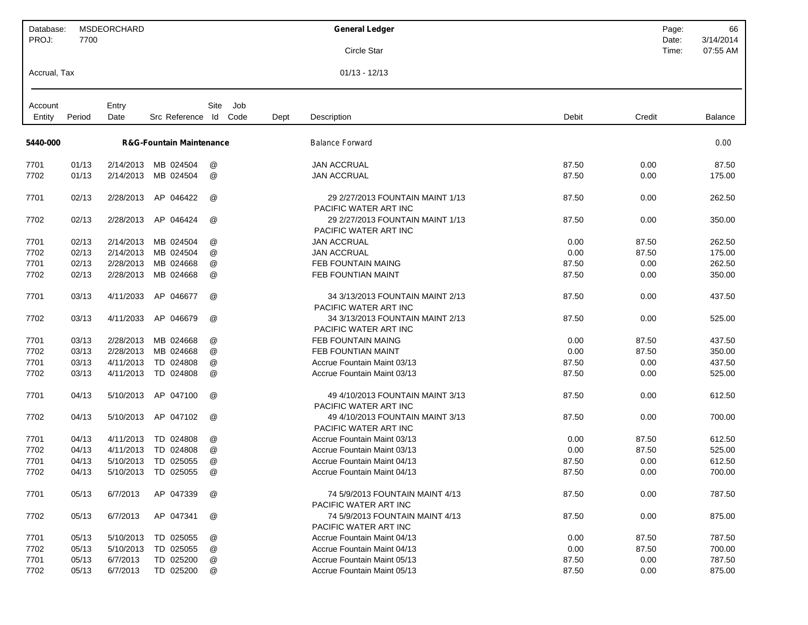| Database:         |        | <b>MSDEORCHARD</b> |                                     |               |             |      | <b>General Ledger</b>                                                     |        | Page:          | 66                    |
|-------------------|--------|--------------------|-------------------------------------|---------------|-------------|------|---------------------------------------------------------------------------|--------|----------------|-----------------------|
| PROJ:             | 7700   |                    |                                     |               |             |      | Circle Star                                                               |        | Date:<br>Time: | 3/14/2014<br>07:55 AM |
| Accrual, Tax      |        |                    |                                     |               |             |      | $01/13 - 12/13$                                                           |        |                |                       |
|                   |        |                    |                                     |               |             |      |                                                                           |        |                |                       |
| Account<br>Entity | Period | Entry<br>Date      | Src Reference Id                    | Site          | Job<br>Code | Dept | Debit<br>Description                                                      | Credit |                | <b>Balance</b>        |
| 5440-000          |        |                    | <b>R&amp;G-Fountain Maintenance</b> |               |             |      | <b>Balance Forward</b>                                                    |        |                | 0.00                  |
|                   |        |                    |                                     |               |             |      |                                                                           |        |                |                       |
| 7701              | 01/13  | 2/14/2013          | MB 024504                           | @             |             |      | <b>JAN ACCRUAL</b><br>87.50                                               | 0.00   |                | 87.50                 |
| 7702              | 01/13  | 2/14/2013          | MB 024504                           | @             |             |      | <b>JAN ACCRUAL</b><br>87.50                                               | 0.00   |                | 175.00                |
| 7701              | 02/13  | 2/28/2013          | AP 046422                           | @             |             |      | 29 2/27/2013 FOUNTAIN MAINT 1/13<br>87.50<br>PACIFIC WATER ART INC        | 0.00   |                | 262.50                |
| 7702              | 02/13  | 2/28/2013          | AP 046424                           | @             |             |      | 29 2/27/2013 FOUNTAIN MAINT 1/13<br>87.50<br>PACIFIC WATER ART INC        | 0.00   |                | 350.00                |
| 7701              | 02/13  | 2/14/2013          | MB 024504                           | @             |             |      | <b>JAN ACCRUAL</b><br>0.00                                                | 87.50  |                | 262.50                |
| 7702              | 02/13  | 2/14/2013          | MB 024504                           | @             |             |      | <b>JAN ACCRUAL</b><br>0.00                                                | 87.50  |                | 175.00                |
| 7701              | 02/13  | 2/28/2013          | MB 024668                           | @             |             |      | <b>FEB FOUNTAIN MAING</b><br>87.50                                        | 0.00   |                | 262.50                |
| 7702              | 02/13  | 2/28/2013          | MB 024668                           | @             |             |      | FEB FOUNTIAN MAINT<br>87.50                                               | 0.00   |                | 350.00                |
| 7701              | 03/13  | 4/11/2033          | AP 046677                           | @             |             |      | 34 3/13/2013 FOUNTAIN MAINT 2/13<br>87.50<br>PACIFIC WATER ART INC        | 0.00   |                | 437.50                |
| 7702              | 03/13  | 4/11/2033          | AP 046679                           | @             |             |      | 34 3/13/2013 FOUNTAIN MAINT 2/13<br>87.50<br><b>PACIFIC WATER ART INC</b> | 0.00   |                | 525.00                |
| 7701              | 03/13  | 2/28/2013          | MB 024668                           | @             |             |      | <b>FEB FOUNTAIN MAING</b><br>0.00                                         | 87.50  |                | 437.50                |
| 7702              | 03/13  | 2/28/2013          | MB 024668                           | @             |             |      | FEB FOUNTIAN MAINT<br>0.00                                                | 87.50  |                | 350.00                |
| 7701              | 03/13  | 4/11/2013          | TD 024808                           | @             |             |      | 87.50<br>Accrue Fountain Maint 03/13                                      | 0.00   |                | 437.50                |
| 7702              | 03/13  | 4/11/2013          | TD 024808                           | @             |             |      | 87.50<br>Accrue Fountain Maint 03/13                                      | 0.00   |                | 525.00                |
| 7701              | 04/13  | 5/10/2013          | AP 047100                           | @             |             |      | 49 4/10/2013 FOUNTAIN MAINT 3/13<br>87.50<br>PACIFIC WATER ART INC        | 0.00   |                | 612.50                |
| 7702              | 04/13  | 5/10/2013          | AP 047102                           | @             |             |      | 49 4/10/2013 FOUNTAIN MAINT 3/13<br>87.50<br>PACIFIC WATER ART INC        | 0.00   |                | 700.00                |
| 7701              | 04/13  | 4/11/2013          | TD 024808                           | @             |             |      | Accrue Fountain Maint 03/13<br>0.00                                       | 87.50  |                | 612.50                |
| 7702              | 04/13  | 4/11/2013          | TD 024808                           | @             |             |      | 0.00<br>Accrue Fountain Maint 03/13                                       | 87.50  |                | 525.00                |
| 7701              | 04/13  | 5/10/2013          | TD 025055                           | @             |             |      | Accrue Fountain Maint 04/13<br>87.50                                      | 0.00   |                | 612.50                |
| 7702              | 04/13  | 5/10/2013          | TD 025055                           | @             |             |      | Accrue Fountain Maint 04/13<br>87.50                                      | 0.00   |                | 700.00                |
| 7701              | 05/13  | 6/7/2013           | AP 047339                           | @             |             |      | 87.50<br>74 5/9/2013 FOUNTAIN MAINT 4/13<br>PACIFIC WATER ART INC         | 0.00   |                | 787.50                |
| 7702              | 05/13  | 6/7/2013           | AP 047341                           | @             |             |      | 74 5/9/2013 FOUNTAIN MAINT 4/13<br>87.50<br>PACIFIC WATER ART INC         | 0.00   |                | 875.00                |
| 7701              | 05/13  | 5/10/2013          | TD 025055                           | @             |             |      | Accrue Fountain Maint 04/13<br>0.00                                       | 87.50  |                | 787.50                |
| 7702              | 05/13  | 5/10/2013          | TD 025055                           | @             |             |      | 0.00<br>Accrue Fountain Maint 04/13                                       | 87.50  |                | 700.00                |
| 7701              | 05/13  | 6/7/2013           | TD 025200                           | $^\copyright$ |             |      | 87.50<br>Accrue Fountain Maint 05/13                                      | 0.00   |                | 787.50                |
| 7702              | 05/13  | 6/7/2013           | TD 025200                           | @             |             |      | 87.50<br>Accrue Fountain Maint 05/13                                      | 0.00   |                | 875.00                |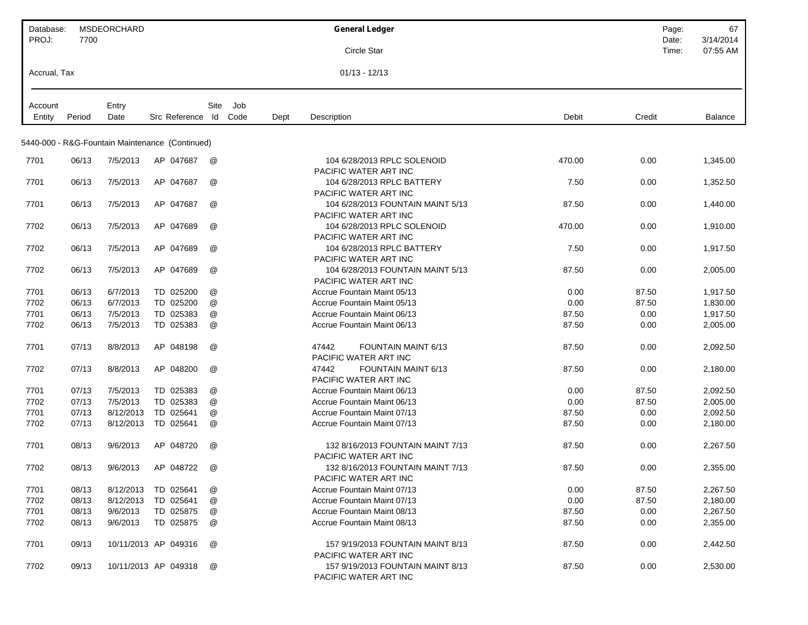| Database:         |        | <b>MSDEORCHARD</b> |                                                 |      |             |      | <b>General Ledger</b>                                                 |        | Page:<br>67                             |
|-------------------|--------|--------------------|-------------------------------------------------|------|-------------|------|-----------------------------------------------------------------------|--------|-----------------------------------------|
| PROJ:             | 7700   |                    |                                                 |      |             |      | Circle Star                                                           |        | 3/14/2014<br>Date:<br>07:55 AM<br>Time: |
| Accrual, Tax      |        |                    |                                                 |      |             |      | $01/13 - 12/13$                                                       |        |                                         |
|                   |        |                    |                                                 |      |             |      |                                                                       |        |                                         |
| Account<br>Entity | Period | Entry<br>Date      | Src Reference Id                                | Site | Job<br>Code | Dept | Description<br>Debit                                                  | Credit | <b>Balance</b>                          |
|                   |        |                    |                                                 |      |             |      |                                                                       |        |                                         |
|                   |        |                    | 5440-000 - R&G-Fountain Maintenance (Continued) |      |             |      |                                                                       |        |                                         |
| 7701              | 06/13  | 7/5/2013           | AP 047687                                       | @    |             |      | 104 6/28/2013 RPLC SOLENOID<br>470.00<br>PACIFIC WATER ART INC        | 0.00   | 1,345.00                                |
| 7701              | 06/13  | 7/5/2013           | AP 047687                                       | @    |             |      | 104 6/28/2013 RPLC BATTERY<br>7.50                                    | 0.00   | 1,352.50                                |
| 7701              | 06/13  | 7/5/2013           | AP 047687                                       | @    |             |      | PACIFIC WATER ART INC<br>104 6/28/2013 FOUNTAIN MAINT 5/13<br>87.50   | 0.00   | 1,440.00                                |
| 7702              | 06/13  | 7/5/2013           | AP 047689                                       | @    |             |      | PACIFIC WATER ART INC<br>104 6/28/2013 RPLC SOLENOID<br>470.00        | 0.00   | 1,910.00                                |
|                   |        |                    |                                                 |      |             |      | PACIFIC WATER ART INC                                                 |        |                                         |
| 7702              | 06/13  | 7/5/2013           | AP 047689                                       | @    |             |      | 104 6/28/2013 RPLC BATTERY<br>7.50<br>PACIFIC WATER ART INC           | 0.00   | 1,917.50                                |
| 7702              | 06/13  | 7/5/2013           | AP 047689                                       | @    |             |      | 104 6/28/2013 FOUNTAIN MAINT 5/13<br>87.50<br>PACIFIC WATER ART INC   | 0.00   | 2,005.00                                |
| 7701              | 06/13  | 6/7/2013           | TD 025200                                       | @    |             |      | Accrue Fountain Maint 05/13<br>0.00                                   | 87.50  | 1,917.50                                |
| 7702              | 06/13  | 6/7/2013           | TD 025200                                       | @    |             |      | 0.00<br>Accrue Fountain Maint 05/13                                   | 87.50  | 1,830.00                                |
| 7701              | 06/13  | 7/5/2013           | TD 025383                                       | @    |             |      | Accrue Fountain Maint 06/13<br>87.50                                  | 0.00   | 1,917.50                                |
| 7702              | 06/13  | 7/5/2013           | TD 025383                                       | @    |             |      | Accrue Fountain Maint 06/13<br>87.50                                  | 0.00   | 2,005.00                                |
| 7701              | 07/13  | 8/8/2013           | AP 048198                                       | @    |             |      | 47442<br><b>FOUNTAIN MAINT 6/13</b><br>87.50<br>PACIFIC WATER ART INC | 0.00   | 2,092.50                                |
| 7702              | 07/13  | 8/8/2013           | AP 048200                                       | @    |             |      | 47442<br><b>FOUNTAIN MAINT 6/13</b><br>87.50<br>PACIFIC WATER ART INC | 0.00   | 2,180.00                                |
| 7701              | 07/13  | 7/5/2013           | TD 025383                                       | @    |             |      | Accrue Fountain Maint 06/13<br>0.00                                   | 87.50  | 2,092.50                                |
| 7702              | 07/13  | 7/5/2013           | TD 025383                                       | @    |             |      | Accrue Fountain Maint 06/13<br>0.00                                   | 87.50  | 2,005.00                                |
| 7701              | 07/13  | 8/12/2013          | TD 025641                                       | @    |             |      | Accrue Fountain Maint 07/13<br>87.50                                  | 0.00   | 2,092.50                                |
| 7702              | 07/13  | 8/12/2013          | TD 025641                                       | @    |             |      | Accrue Fountain Maint 07/13<br>87.50                                  | 0.00   | 2,180.00                                |
| 7701              | 08/13  | 9/6/2013           | AP 048720                                       | @    |             |      | 132 8/16/2013 FOUNTAIN MAINT 7/13<br>87.50<br>PACIFIC WATER ART INC   | 0.00   | 2,267.50                                |
| 7702              | 08/13  | 9/6/2013           | AP 048722                                       | @    |             |      | 132 8/16/2013 FOUNTAIN MAINT 7/13<br>87.50<br>PACIFIC WATER ART INC   | 0.00   | 2,355.00                                |
| 7701              | 08/13  | 8/12/2013          | TD 025641                                       | @    |             |      | 0.00<br>Accrue Fountain Maint 07/13                                   | 87.50  | 2,267.50                                |
| 7702              | 08/13  | 8/12/2013          | TD 025641                                       | @    |             |      | Accrue Fountain Maint 07/13<br>0.00                                   | 87.50  | 2,180.00                                |
| 7701              | 08/13  | 9/6/2013           | TD 025875                                       | @    |             |      | Accrue Fountain Maint 08/13<br>87.50                                  | 0.00   | 2,267.50                                |
| 7702              | 08/13  | 9/6/2013           | TD 025875                                       | @    |             |      | Accrue Fountain Maint 08/13<br>87.50                                  | 0.00   | 2,355.00                                |
| 7701              | 09/13  |                    | 10/11/2013 AP 049316                            | @    |             |      | 87.50<br>157 9/19/2013 FOUNTAIN MAINT 8/13<br>PACIFIC WATER ART INC   | 0.00   | 2,442.50                                |
| 7702              | 09/13  |                    | 10/11/2013 AP 049318                            | @    |             |      | 157 9/19/2013 FOUNTAIN MAINT 8/13<br>87.50<br>PACIFIC WATER ART INC   | 0.00   | 2,530.00                                |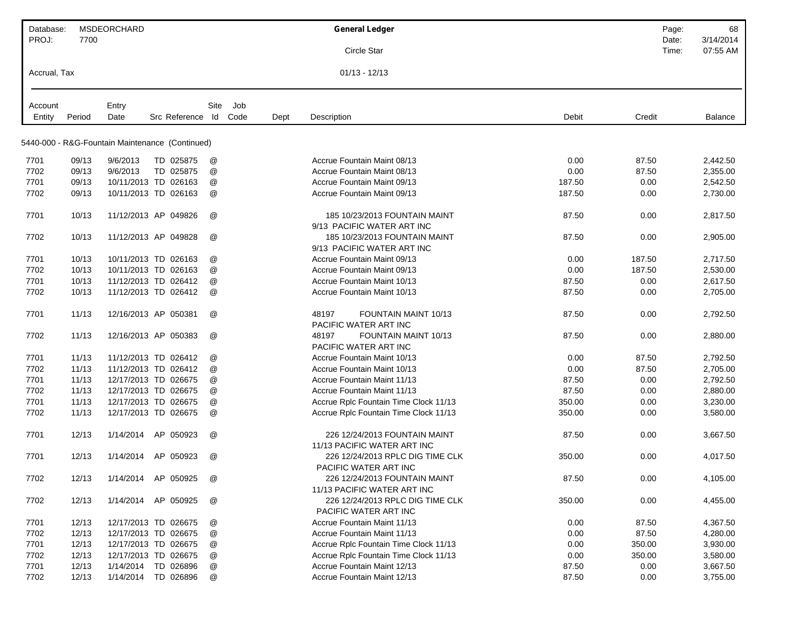| Database:    |        | <b>MSDEORCHARD</b> |                                                 |                      |      |      | <b>General Ledger</b>                                        |        |        | Page:          | 68                    |
|--------------|--------|--------------------|-------------------------------------------------|----------------------|------|------|--------------------------------------------------------------|--------|--------|----------------|-----------------------|
| PROJ:        | 7700   |                    |                                                 |                      |      |      | Circle Star                                                  |        |        | Date:<br>Time: | 3/14/2014<br>07:55 AM |
|              |        |                    |                                                 |                      |      |      |                                                              |        |        |                |                       |
| Accrual, Tax |        |                    |                                                 |                      |      |      | $01/13 - 12/13$                                              |        |        |                |                       |
| Account      |        | Entry              |                                                 | Site                 | Job  |      |                                                              |        |        |                |                       |
| Entity       | Period | Date               | Src Reference Id                                |                      | Code | Dept | Description                                                  | Debit  | Credit |                | Balance               |
|              |        |                    | 5440-000 - R&G-Fountain Maintenance (Continued) |                      |      |      |                                                              |        |        |                |                       |
| 7701         | 09/13  | 9/6/2013           | TD 025875                                       | @                    |      |      | Accrue Fountain Maint 08/13                                  | 0.00   | 87.50  |                | 2,442.50              |
| 7702         | 09/13  | 9/6/2013           | TD 025875                                       | @                    |      |      | Accrue Fountain Maint 08/13                                  | 0.00   | 87.50  |                | 2,355.00              |
| 7701         | 09/13  |                    | 10/11/2013 TD 026163                            | @                    |      |      | Accrue Fountain Maint 09/13                                  | 187.50 | 0.00   |                | 2,542.50              |
|              |        |                    |                                                 |                      |      |      |                                                              |        |        |                |                       |
| 7702         | 09/13  |                    | 10/11/2013 TD 026163                            | @                    |      |      | Accrue Fountain Maint 09/13                                  | 187.50 | 0.00   |                | 2,730.00              |
| 7701         | 10/13  |                    | 11/12/2013 AP 049826                            | @                    |      |      | 185 10/23/2013 FOUNTAIN MAINT<br>9/13 PACIFIC WATER ART INC  | 87.50  | 0.00   |                | 2,817.50              |
| 7702         | 10/13  |                    | 11/12/2013 AP 049828                            | @                    |      |      | 185 10/23/2013 FOUNTAIN MAINT<br>9/13 PACIFIC WATER ART INC  | 87.50  | 0.00   |                | 2,905.00              |
| 7701         | 10/13  |                    | 10/11/2013 TD 026163                            | @                    |      |      | <b>Accrue Fountain Maint 09/13</b>                           | 0.00   | 187.50 |                | 2,717.50              |
| 7702         | 10/13  |                    | 10/11/2013 TD 026163                            | @                    |      |      | Accrue Fountain Maint 09/13                                  | 0.00   | 187.50 |                | 2,530.00              |
| 7701         | 10/13  |                    | 11/12/2013 TD 026412                            | @                    |      |      | Accrue Fountain Maint 10/13                                  | 87.50  | 0.00   |                | 2,617.50              |
| 7702         | 10/13  |                    | 11/12/2013 TD 026412                            | @                    |      |      | Accrue Fountain Maint 10/13                                  | 87.50  | 0.00   |                | 2,705.00              |
|              |        |                    |                                                 |                      |      |      |                                                              |        |        |                |                       |
| 7701         | 11/13  |                    | 12/16/2013 AP 050381                            | @                    |      |      | 48197<br>FOUNTAIN MAINT 10/13<br>PACIFIC WATER ART INC       | 87.50  | 0.00   |                | 2,792.50              |
| 7702         | 11/13  |                    | 12/16/2013 AP 050383                            | @                    |      |      | 48197<br>FOUNTAIN MAINT 10/13<br>PACIFIC WATER ART INC       | 87.50  | 0.00   |                | 2,880.00              |
| 7701         | 11/13  |                    | 11/12/2013 TD 026412                            | @                    |      |      | <b>Accrue Fountain Maint 10/13</b>                           | 0.00   | 87.50  |                | 2,792.50              |
| 7702         | 11/13  |                    | 11/12/2013 TD 026412                            | @                    |      |      | <b>Accrue Fountain Maint 10/13</b>                           | 0.00   | 87.50  |                | 2,705.00              |
| 7701         | 11/13  |                    | 12/17/2013 TD 026675                            | @                    |      |      | Accrue Fountain Maint 11/13                                  | 87.50  | 0.00   |                | 2,792.50              |
| 7702         | 11/13  |                    | 12/17/2013 TD 026675                            | @                    |      |      | <b>Accrue Fountain Maint 11/13</b>                           | 87.50  | 0.00   |                | 2,880.00              |
| 7701         | 11/13  |                    | 12/17/2013 TD 026675                            | @                    |      |      | Accrue Rplc Fountain Time Clock 11/13                        | 350.00 | 0.00   |                | 3,230.00              |
| 7702         | 11/13  |                    | 12/17/2013 TD 026675                            | @                    |      |      | Accrue Rplc Fountain Time Clock 11/13                        | 350.00 | 0.00   |                | 3,580.00              |
|              |        |                    |                                                 |                      |      |      |                                                              |        |        |                |                       |
| 7701         | 12/13  | 1/14/2014          | AP 050923                                       | @                    |      |      | 226 12/24/2013 FOUNTAIN MAINT<br>11/13 PACIFIC WATER ART INC | 87.50  | 0.00   |                | 3,667.50              |
| 7701         | 12/13  | 1/14/2014          | AP 050923                                       | $^{\textregistered}$ |      |      | 226 12/24/2013 RPLC DIG TIME CLK<br>PACIFIC WATER ART INC    | 350.00 | 0.00   |                | 4,017.50              |
| 7702         | 12/13  |                    | 1/14/2014 AP 050925                             | @                    |      |      | 226 12/24/2013 FOUNTAIN MAINT                                | 87.50  | 0.00   |                | 4,105.00              |
|              |        |                    |                                                 |                      |      |      | 11/13 PACIFIC WATER ART INC                                  |        |        |                |                       |
| 7702         | 12/13  |                    | 1/14/2014 AP 050925                             | @                    |      |      | 226 12/24/2013 RPLC DIG TIME CLK<br>PACIFIC WATER ART INC    | 350.00 | 0.00   |                | 4,455.00              |
| 7701         | 12/13  |                    | 12/17/2013 TD 026675                            | @                    |      |      | <b>Accrue Fountain Maint 11/13</b>                           | 0.00   | 87.50  |                | 4,367.50              |
| 7702         | 12/13  |                    | 12/17/2013 TD 026675                            | @                    |      |      | <b>Accrue Fountain Maint 11/13</b>                           | 0.00   | 87.50  |                | 4,280.00              |
| 7701         | 12/13  |                    | 12/17/2013 TD 026675                            | @                    |      |      | Accrue Rplc Fountain Time Clock 11/13                        | 0.00   | 350.00 |                | 3,930.00              |
| 7702         | 12/13  |                    | 12/17/2013 TD 026675                            | @                    |      |      | Accrue Rplc Fountain Time Clock 11/13                        | 0.00   | 350.00 |                | 3,580.00              |
| 7701         | 12/13  |                    | 1/14/2014 TD 026896                             | @                    |      |      | <b>Accrue Fountain Maint 12/13</b>                           | 87.50  | 0.00   |                | 3,667.50              |
| 7702         | 12/13  |                    | 1/14/2014 TD 026896                             | @                    |      |      | <b>Accrue Fountain Maint 12/13</b>                           | 87.50  | 0.00   |                | 3,755.00              |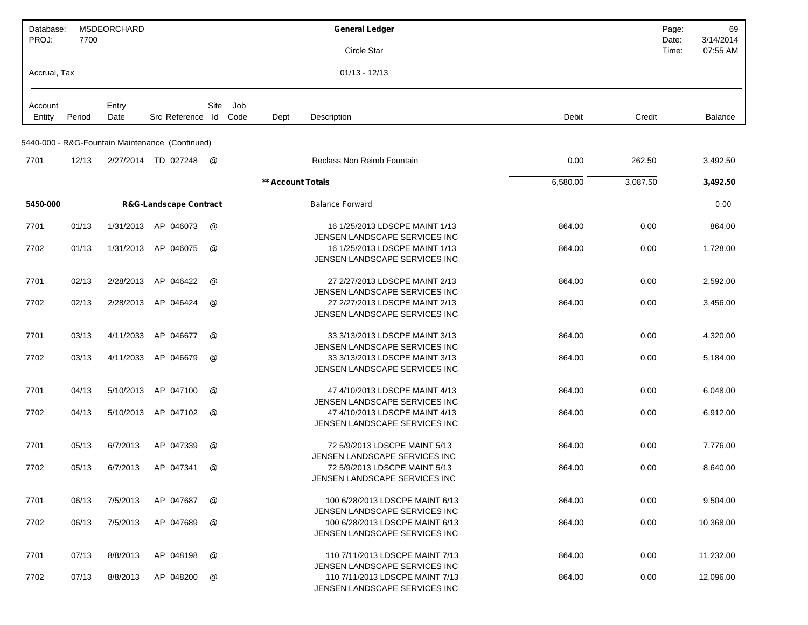| Database:         |        | <b>MSDEORCHARD</b> |                                                 |               |             |                   | <b>General Ledger</b>                                                                             |          |          | Page:          | 69                    |
|-------------------|--------|--------------------|-------------------------------------------------|---------------|-------------|-------------------|---------------------------------------------------------------------------------------------------|----------|----------|----------------|-----------------------|
| PROJ:             | 7700   |                    |                                                 |               |             |                   | Circle Star                                                                                       |          |          | Date:<br>Time: | 3/14/2014<br>07:55 AM |
| Accrual, Tax      |        |                    |                                                 |               |             |                   | $01/13 - 12/13$                                                                                   |          |          |                |                       |
|                   |        |                    |                                                 |               |             |                   |                                                                                                   |          |          |                |                       |
| Account<br>Entity | Period | Entry<br>Date      | Src Reference Id                                | Site          | Job<br>Code | Dept              | Description                                                                                       | Debit    | Credit   |                | Balance               |
|                   |        |                    | 5440-000 - R&G-Fountain Maintenance (Continued) |               |             |                   |                                                                                                   |          |          |                |                       |
| 7701              | 12/13  |                    | 2/27/2014 TD 027248                             | @             |             |                   | <b>Reclass Non Reimb Fountain</b>                                                                 | 0.00     | 262.50   |                | 3,492.50              |
|                   |        |                    |                                                 |               |             | ** Account Totals |                                                                                                   | 6,580.00 | 3,087.50 |                | 3,492.50              |
| 5450-000          |        |                    | <b>R&amp;G-Landscape Contract</b>               |               |             |                   | <b>Balance Forward</b>                                                                            |          |          |                | 0.00                  |
| 7701              | 01/13  | 1/31/2013          | AP 046073                                       | @             |             |                   | 16 1/25/2013 LDSCPE MAINT 1/13                                                                    | 864.00   | 0.00     |                | 864.00                |
| 7702              | 01/13  | 1/31/2013          | AP 046075                                       | @             |             |                   | JENSEN LANDSCAPE SERVICES INC<br>16 1/25/2013 LDSCPE MAINT 1/13<br>JENSEN LANDSCAPE SERVICES INC  | 864.00   | 0.00     |                | 1,728.00              |
| 7701              | 02/13  | 2/28/2013          | AP 046422                                       | @             |             |                   | 27 2/27/2013 LDSCPE MAINT 2/13                                                                    | 864.00   | 0.00     |                | 2,592.00              |
|                   |        |                    |                                                 |               |             |                   | JENSEN LANDSCAPE SERVICES INC                                                                     |          |          |                |                       |
| 7702              | 02/13  | 2/28/2013          | AP 046424                                       | @             |             |                   | 27 2/27/2013 LDSCPE MAINT 2/13<br>JENSEN LANDSCAPE SERVICES INC                                   | 864.00   | 0.00     |                | 3,456.00              |
| 7701              | 03/13  | 4/11/2033          | AP 046677                                       | @             |             |                   | 33 3/13/2013 LDSCPE MAINT 3/13<br>JENSEN LANDSCAPE SERVICES INC                                   | 864.00   | 0.00     |                | 4,320.00              |
| 7702              | 03/13  | 4/11/2033          | AP 046679                                       | @             |             |                   | 33 3/13/2013 LDSCPE MAINT 3/13<br>JENSEN LANDSCAPE SERVICES INC                                   | 864.00   | 0.00     |                | 5,184.00              |
| 7701              | 04/13  | 5/10/2013          | AP 047100                                       | @             |             |                   | 47 4/10/2013 LDSCPE MAINT 4/13                                                                    | 864.00   | 0.00     |                | 6,048.00              |
| 7702              | 04/13  | 5/10/2013          | AP 047102                                       | @             |             |                   | JENSEN LANDSCAPE SERVICES INC<br>47 4/10/2013 LDSCPE MAINT 4/13<br>JENSEN LANDSCAPE SERVICES INC  | 864.00   | 0.00     |                | 6,912.00              |
| 7701              | 05/13  | 6/7/2013           | AP 047339                                       | @             |             |                   | 72 5/9/2013 LDSCPE MAINT 5/13                                                                     | 864.00   | 0.00     |                | 7,776.00              |
| 7702              | 05/13  | 6/7/2013           | AP 047341                                       | @             |             |                   | JENSEN LANDSCAPE SERVICES INC<br>72 5/9/2013 LDSCPE MAINT 5/13<br>JENSEN LANDSCAPE SERVICES INC   | 864.00   | 0.00     |                | 8,640.00              |
| 7701              | 06/13  | 7/5/2013           | AP 047687                                       | @             |             |                   | 100 6/28/2013 LDSCPE MAINT 6/13                                                                   | 864.00   | 0.00     |                | 9,504.00              |
| 7702              | 06/13  | 7/5/2013           | AP 047689                                       | $^\copyright$ |             |                   | JENSEN LANDSCAPE SERVICES INC<br>100 6/28/2013 LDSCPE MAINT 6/13<br>JENSEN LANDSCAPE SERVICES INC | 864.00   | 0.00     |                | 10,368.00             |
| 7701              | 07/13  | 8/8/2013           | AP 048198                                       | @             |             |                   | 110 7/11/2013 LDSCPE MAINT 7/13                                                                   | 864.00   | 0.00     |                | 11,232.00             |
| 7702              | 07/13  | 8/8/2013           | AP 048200                                       | @             |             |                   | JENSEN LANDSCAPE SERVICES INC<br>110 7/11/2013 LDSCPE MAINT 7/13<br>JENSEN LANDSCAPE SERVICES INC | 864.00   | 0.00     |                | 12,096.00             |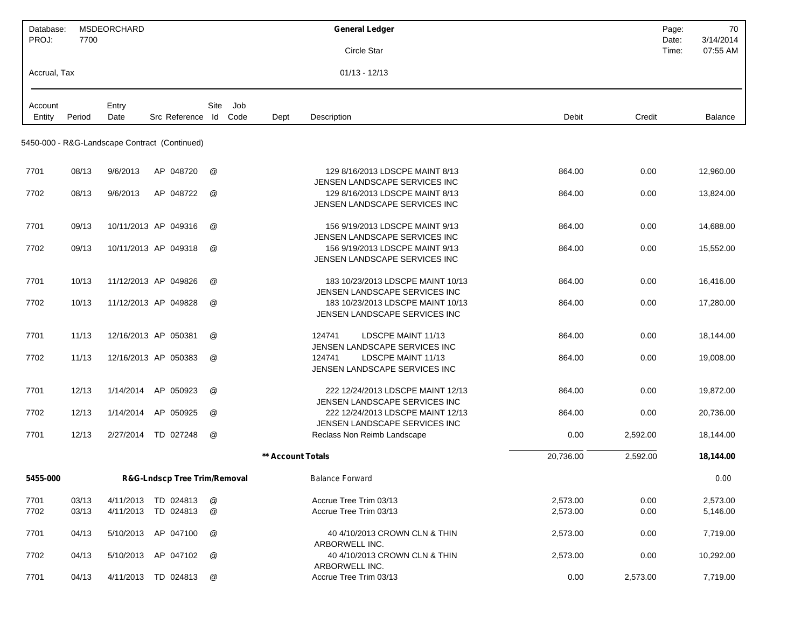| Database:    |                | MSDEORCHARD |                                               |        |      |                          | <b>General Ledger</b>                                                        |              | Page:          | 70                    |
|--------------|----------------|-------------|-----------------------------------------------|--------|------|--------------------------|------------------------------------------------------------------------------|--------------|----------------|-----------------------|
| PROJ:        | 7700           |             |                                               |        |      |                          | Circle Star                                                                  |              | Date:<br>Time: | 3/14/2014<br>07:55 AM |
| Accrual, Tax |                |             |                                               |        |      |                          | $01/13 - 12/13$                                                              |              |                |                       |
| Account      |                | Entry       |                                               | Site   | Job  |                          |                                                                              |              |                |                       |
| Entity       | Period         | Date        | Src Reference                                 | ld     | Code | Dept                     | Description<br>Debit                                                         | Credit       |                | Balance               |
|              |                |             | 5450-000 - R&G-Landscape Contract (Continued) |        |      |                          |                                                                              |              |                |                       |
| 7701         | 08/13          | 9/6/2013    | AP 048720                                     | @      |      |                          | 129 8/16/2013 LDSCPE MAINT 8/13<br>864.00<br>JENSEN LANDSCAPE SERVICES INC   | 0.00         |                | 12,960.00             |
| 7702         | 08/13          | 9/6/2013    | AP 048722                                     | @      |      |                          | 129 8/16/2013 LDSCPE MAINT 8/13<br>864.00<br>JENSEN LANDSCAPE SERVICES INC   | 0.00         |                | 13,824.00             |
| 7701         | 09/13          |             | 10/11/2013 AP 049316                          | @      |      |                          | 156 9/19/2013 LDSCPE MAINT 9/13<br>864.00<br>JENSEN LANDSCAPE SERVICES INC   | 0.00         |                | 14,688.00             |
| 7702         | 09/13          |             | 10/11/2013 AP 049318                          | @      |      |                          | 156 9/19/2013 LDSCPE MAINT 9/13<br>864.00<br>JENSEN LANDSCAPE SERVICES INC   | 0.00         |                | 15,552.00             |
| 7701         | 10/13          |             | 11/12/2013 AP 049826                          | @      |      |                          | 183 10/23/2013 LDSCPE MAINT 10/13<br>864.00<br>JENSEN LANDSCAPE SERVICES INC | 0.00         |                | 16,416.00             |
| 7702         | 10/13          |             | 11/12/2013 AP 049828                          | @      |      |                          | 183 10/23/2013 LDSCPE MAINT 10/13<br>864.00<br>JENSEN LANDSCAPE SERVICES INC | 0.00         |                | 17,280.00             |
| 7701         | 11/13          |             | 12/16/2013 AP 050381                          | @      |      |                          | LDSCPE MAINT 11/13<br>124741<br>864.00<br>JENSEN LANDSCAPE SERVICES INC      | 0.00         |                | 18,144.00             |
| 7702         | 11/13          |             | 12/16/2013 AP 050383                          | @      |      |                          | LDSCPE MAINT 11/13<br>124741<br>864.00<br>JENSEN LANDSCAPE SERVICES INC      | 0.00         |                | 19,008.00             |
| 7701         | 12/13          | 1/14/2014   | AP 050923                                     | @      |      |                          | 222 12/24/2013 LDSCPE MAINT 12/13<br>864.00<br>JENSEN LANDSCAPE SERVICES INC | 0.00         |                | 19,872.00             |
| 7702         | 12/13          | 1/14/2014   | AP 050925                                     | @      |      |                          | 222 12/24/2013 LDSCPE MAINT 12/13<br>864.00<br>JENSEN LANDSCAPE SERVICES INC | 0.00         |                | 20,736.00             |
| 7701         | 12/13          | 2/27/2014   | TD 027248                                     | @      |      |                          | 0.00<br>Reclass Non Reimb Landscape                                          | 2,592.00     |                | 18,144.00             |
|              |                |             |                                               |        |      | <b>** Account Totals</b> | 20,736.00                                                                    | 2,592.00     |                | 18,144.00             |
| 5455-000     |                |             | R&G-Lndscp Tree Trim/Removal                  |        |      |                          | <b>Balance Forward</b>                                                       |              |                | 0.00                  |
| 7701<br>7702 | 03/13<br>03/13 |             | 4/11/2013 TD 024813<br>4/11/2013 TD 024813    | @<br>@ |      |                          | 2,573.00<br>Accrue Tree Trim 03/13<br>2,573.00<br>Accrue Tree Trim 03/13     | 0.00<br>0.00 |                | 2,573.00<br>5,146.00  |
| 7701         | 04/13          | 5/10/2013   | AP 047100                                     | @      |      |                          | 40 4/10/2013 CROWN CLN & THIN<br>2,573.00<br>ARBORWELL INC.                  | 0.00         |                | 7,719.00              |
| 7702         | 04/13          |             | 5/10/2013 AP 047102                           | @      |      |                          | 40 4/10/2013 CROWN CLN & THIN<br>2,573.00                                    | 0.00         |                | 10,292.00             |
| 7701         | 04/13          |             | 4/11/2013 TD 024813                           | @      |      |                          | ARBORWELL INC.<br>0.00<br>Accrue Tree Trim 03/13                             | 2,573.00     |                | 7,719.00              |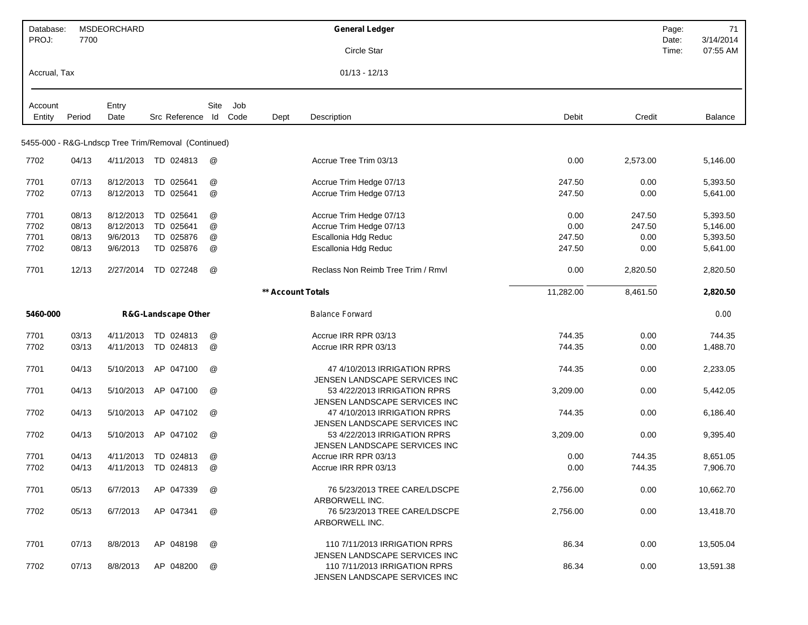| Database:<br>PROJ: | 7700   | <b>MSDEORCHARD</b> |                                                     |               |      |                   | <b>General Ledger</b>                                          |           |          | Page:<br>Date: | 71<br>3/14/2014 |
|--------------------|--------|--------------------|-----------------------------------------------------|---------------|------|-------------------|----------------------------------------------------------------|-----------|----------|----------------|-----------------|
|                    |        |                    |                                                     |               |      |                   | Circle Star                                                    |           |          | Time:          | 07:55 AM        |
| Accrual, Tax       |        |                    |                                                     |               |      |                   | $01/13 - 12/13$                                                |           |          |                |                 |
| Account            |        | Entry              |                                                     | Site          | Job  |                   |                                                                |           |          |                |                 |
| Entity             | Period | Date               | Src Reference Id                                    |               | Code | Dept              | Description                                                    | Debit     | Credit   |                | Balance         |
|                    |        |                    | 5455-000 - R&G-Lndscp Tree Trim/Removal (Continued) |               |      |                   |                                                                |           |          |                |                 |
| 7702               | 04/13  | 4/11/2013          | TD 024813                                           | @             |      |                   | Accrue Tree Trim 03/13                                         | 0.00      | 2,573.00 |                | 5,146.00        |
| 7701               | 07/13  | 8/12/2013          | TD 025641                                           | @             |      |                   | Accrue Trim Hedge 07/13                                        | 247.50    | 0.00     |                | 5,393.50        |
| 7702               | 07/13  | 8/12/2013          | TD 025641                                           | @             |      |                   | Accrue Trim Hedge 07/13                                        | 247.50    | 0.00     |                | 5,641.00        |
| 7701               | 08/13  | 8/12/2013          | TD 025641                                           | @             |      |                   | Accrue Trim Hedge 07/13                                        | 0.00      | 247.50   |                | 5,393.50        |
| 7702               | 08/13  | 8/12/2013          | TD 025641                                           | @             |      |                   | Accrue Trim Hedge 07/13                                        | 0.00      | 247.50   |                | 5,146.00        |
| 7701               | 08/13  | 9/6/2013           | TD 025876                                           | $^\copyright$ |      |                   | Escallonia Hdg Reduc                                           | 247.50    | 0.00     |                | 5,393.50        |
| 7702               | 08/13  | 9/6/2013           | TD 025876                                           | @             |      |                   | Escallonia Hdg Reduc                                           | 247.50    | 0.00     |                | 5,641.00        |
| 7701               | 12/13  | 2/27/2014          | TD 027248                                           | @             |      |                   | Reclass Non Reimb Tree Trim / Rmyl                             | 0.00      | 2,820.50 |                | 2,820.50        |
|                    |        |                    |                                                     |               |      | ** Account Totals |                                                                | 11,282.00 | 8,461.50 |                | 2,820.50        |
| 5460-000           |        |                    | <b>R&amp;G-Landscape Other</b>                      |               |      |                   | <b>Balance Forward</b>                                         |           |          |                | 0.00            |
| 7701               | 03/13  | 4/11/2013          | TD 024813                                           | @             |      |                   | Accrue IRR RPR 03/13                                           | 744.35    | 0.00     |                | 744.35          |
| 7702               | 03/13  | 4/11/2013          | TD 024813                                           | @             |      |                   | Accrue IRR RPR 03/13                                           | 744.35    | 0.00     |                | 1,488.70        |
| 7701               | 04/13  | 5/10/2013          | AP 047100                                           | @             |      |                   | 47 4/10/2013 IRRIGATION RPRS<br>JENSEN LANDSCAPE SERVICES INC  | 744.35    | 0.00     |                | 2,233.05        |
| 7701               | 04/13  | 5/10/2013          | AP 047100                                           | @             |      |                   | 53 4/22/2013 IRRIGATION RPRS                                   | 3,209.00  | 0.00     |                | 5,442.05        |
| 7702               | 04/13  | 5/10/2013          | AP 047102                                           | @             |      |                   | JENSEN LANDSCAPE SERVICES INC<br>47 4/10/2013 IRRIGATION RPRS  | 744.35    | 0.00     |                | 6,186.40        |
| 7702               | 04/13  | 5/10/2013          | AP 047102                                           | @             |      |                   | JENSEN LANDSCAPE SERVICES INC<br>53 4/22/2013 IRRIGATION RPRS  | 3,209.00  | 0.00     |                | 9,395.40        |
|                    |        |                    |                                                     |               |      |                   | JENSEN LANDSCAPE SERVICES INC                                  |           |          |                |                 |
| 7701               | 04/13  | 4/11/2013          | TD 024813                                           | @             |      |                   | Accrue IRR RPR 03/13                                           | 0.00      | 744.35   |                | 8,651.05        |
| 7702               | 04/13  | 4/11/2013          | TD 024813                                           | @             |      |                   | Accrue IRR RPR 03/13                                           | 0.00      | 744.35   |                | 7,906.70        |
| 7701               | 05/13  | 6/7/2013           | AP 047339                                           | @             |      |                   | 76 5/23/2013 TREE CARE/LDSCPE<br>ARBORWELL INC.                | 2,756.00  | 0.00     |                | 10,662.70       |
| 7702               | 05/13  | 6/7/2013           | AP 047341                                           | @             |      |                   | 76 5/23/2013 TREE CARE/LDSCPE<br>ARBORWELL INC.                | 2,756.00  | 0.00     |                | 13,418.70       |
| 7701               | 07/13  | 8/8/2013           | AP 048198                                           | @             |      |                   | 110 7/11/2013 IRRIGATION RPRS<br>JENSEN LANDSCAPE SERVICES INC | 86.34     | 0.00     |                | 13,505.04       |
| 7702               | 07/13  | 8/8/2013           | AP 048200                                           | @             |      |                   | 110 7/11/2013 IRRIGATION RPRS<br>JENSEN LANDSCAPE SERVICES INC | 86.34     | 0.00     |                | 13,591.38       |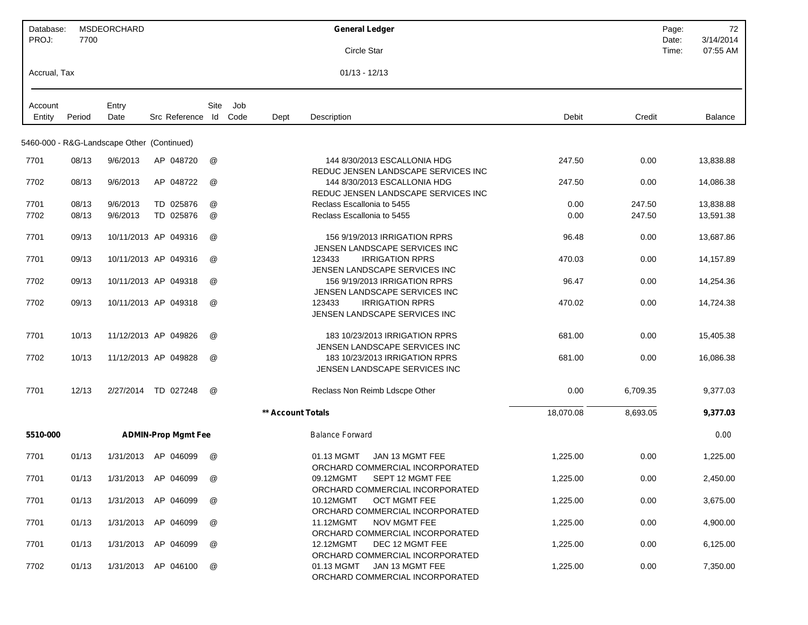| Database:<br>PROJ: | 7700   | MSDEORCHARD                                |                            |                      |     |                   | <b>General Ledger</b>                                                                                  |           |          | Page:<br>Date: | 72<br>3/14/2014 |
|--------------------|--------|--------------------------------------------|----------------------------|----------------------|-----|-------------------|--------------------------------------------------------------------------------------------------------|-----------|----------|----------------|-----------------|
|                    |        |                                            |                            |                      |     |                   | Circle Star                                                                                            |           |          | Time:          | 07:55 AM        |
| Accrual, Tax       |        |                                            |                            |                      |     |                   | $01/13 - 12/13$                                                                                        |           |          |                |                 |
| Account            |        | Entry                                      |                            | Site                 | Job |                   |                                                                                                        |           |          |                |                 |
| Entity             | Period | Date                                       | Src Reference Id Code      |                      |     | Dept              | Description                                                                                            | Debit     | Credit   |                | Balance         |
|                    |        | 5460-000 - R&G-Landscape Other (Continued) |                            |                      |     |                   |                                                                                                        |           |          |                |                 |
| 7701               | 08/13  | 9/6/2013                                   | AP 048720                  | @                    |     |                   | 144 8/30/2013 ESCALLONIA HDG<br>REDUC JENSEN LANDSCAPE SERVICES INC                                    | 247.50    | 0.00     |                | 13,838.88       |
| 7702               | 08/13  | 9/6/2013                                   | AP 048722                  | @                    |     |                   | 144 8/30/2013 ESCALLONIA HDG<br>REDUC JENSEN LANDSCAPE SERVICES INC                                    | 247.50    | 0.00     |                | 14,086.38       |
| 7701               | 08/13  | 9/6/2013                                   | TD 025876                  | @                    |     |                   | Reclass Escallonia to 5455                                                                             | 0.00      | 247.50   |                | 13,838.88       |
| 7702               | 08/13  | 9/6/2013                                   | TD 025876                  | @                    |     |                   | Reclass Escallonia to 5455                                                                             | 0.00      | 247.50   |                | 13,591.38       |
| 7701               | 09/13  |                                            | 10/11/2013 AP 049316       | @                    |     |                   | 156 9/19/2013 IRRIGATION RPRS<br>JENSEN LANDSCAPE SERVICES INC                                         | 96.48     | 0.00     |                | 13,687.86       |
| 7701               | 09/13  |                                            | 10/11/2013 AP 049316       | $^{\textregistered}$ |     |                   | <b>IRRIGATION RPRS</b><br>123433<br>JENSEN LANDSCAPE SERVICES INC                                      | 470.03    | 0.00     |                | 14,157.89       |
| 7702               | 09/13  |                                            | 10/11/2013 AP 049318       | @                    |     |                   | 156 9/19/2013 IRRIGATION RPRS<br>JENSEN LANDSCAPE SERVICES INC                                         | 96.47     | 0.00     |                | 14,254.36       |
| 7702               | 09/13  |                                            | 10/11/2013 AP 049318       | @                    |     |                   | <b>IRRIGATION RPRS</b><br>123433<br>JENSEN LANDSCAPE SERVICES INC                                      | 470.02    | 0.00     |                | 14,724.38       |
| 7701               | 10/13  |                                            | 11/12/2013 AP 049826       | @                    |     |                   | 183 10/23/2013 IRRIGATION RPRS<br>JENSEN LANDSCAPE SERVICES INC                                        | 681.00    | 0.00     |                | 15,405.38       |
| 7702               | 10/13  |                                            | 11/12/2013 AP 049828       | @                    |     |                   | 183 10/23/2013 IRRIGATION RPRS<br>JENSEN LANDSCAPE SERVICES INC                                        | 681.00    | 0.00     |                | 16,086.38       |
| 7701               | 12/13  |                                            | 2/27/2014 TD 027248        | @                    |     |                   | Reclass Non Reimb Ldscpe Other                                                                         | 0.00      | 6,709.35 |                | 9,377.03        |
|                    |        |                                            |                            |                      |     | ** Account Totals |                                                                                                        | 18,070.08 | 8,693.05 |                | 9,377.03        |
| 5510-000           |        |                                            | <b>ADMIN-Prop Mgmt Fee</b> |                      |     |                   | <b>Balance Forward</b>                                                                                 |           |          |                | 0.00            |
| 7701               | 01/13  |                                            | 1/31/2013 AP 046099        | $^{\textregistered}$ |     |                   | 01.13 MGMT<br>JAN 13 MGMT FEE                                                                          | 1,225.00  | 0.00     |                | 1,225.00        |
| 7701               | 01/13  |                                            | 1/31/2013 AP 046099        | @                    |     |                   | ORCHARD COMMERCIAL INCORPORATED<br>09.12MGMT<br>SEPT 12 MGMT FEE                                       | 1,225.00  | 0.00     |                | 2,450.00        |
| 7701               | 01/13  |                                            | 1/31/2013 AP 046099        | @                    |     |                   | ORCHARD COMMERCIAL INCORPORATED<br><b>OCT MGMT FEE</b><br>10.12MGMT<br>ORCHARD COMMERCIAL INCORPORATED | 1,225.00  | 0.00     |                | 3,675.00        |
| 7701               | 01/13  |                                            | 1/31/2013 AP 046099        | @                    |     |                   | 11.12MGMT<br>NOV MGMT FEE<br>ORCHARD COMMERCIAL INCORPORATED                                           | 1,225.00  | 0.00     |                | 4,900.00        |
| 7701               | 01/13  |                                            | 1/31/2013 AP 046099        | @                    |     |                   | 12.12MGMT<br>DEC 12 MGMT FEE<br>ORCHARD COMMERCIAL INCORPORATED                                        | 1,225.00  | 0.00     |                | 6,125.00        |
| 7702               | 01/13  |                                            | 1/31/2013 AP 046100        | @                    |     |                   | 01.13 MGMT JAN 13 MGMT FEE<br>ORCHARD COMMERCIAL INCORPORATED                                          | 1,225.00  | 0.00     |                | 7,350.00        |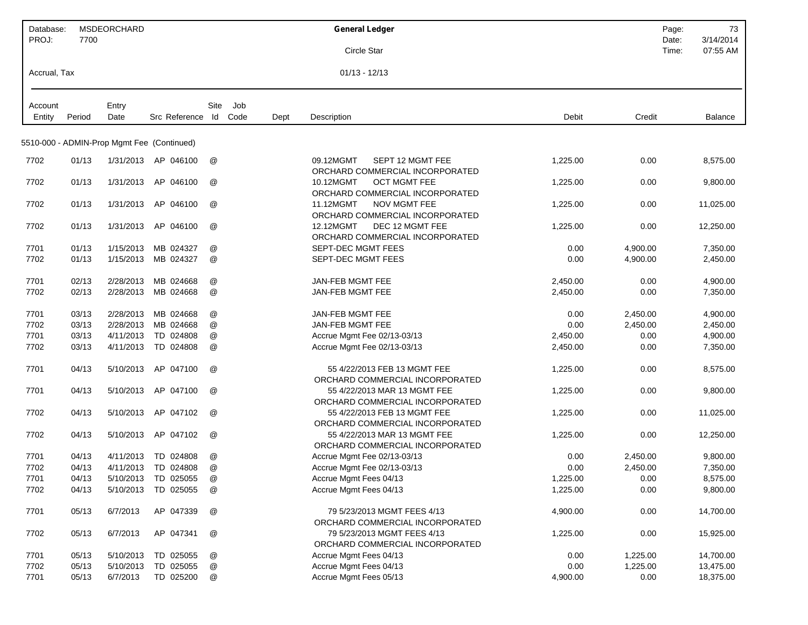| Database:    |                | <b>MSDEORCHARD</b>     |                                            |                      |      | <b>General Ledger</b>                                            |              |                      | Page:          | 73                    |
|--------------|----------------|------------------------|--------------------------------------------|----------------------|------|------------------------------------------------------------------|--------------|----------------------|----------------|-----------------------|
| PROJ:        | 7700           |                        |                                            |                      |      | Circle Star                                                      |              |                      | Date:<br>Time: | 3/14/2014<br>07:55 AM |
|              |                |                        |                                            |                      |      |                                                                  |              |                      |                |                       |
| Accrual, Tax |                |                        |                                            |                      |      | $01/13 - 12/13$                                                  |              |                      |                |                       |
| Account      |                | Entry                  |                                            | Site<br>Job          |      |                                                                  |              |                      |                |                       |
| Entity       | Period         | Date                   | Src Reference Id                           | Code                 | Dept | Description                                                      | Debit        | Credit               |                | Balance               |
|              |                |                        |                                            |                      |      |                                                                  |              |                      |                |                       |
|              |                |                        | 5510-000 - ADMIN-Prop Mgmt Fee (Continued) |                      |      |                                                                  |              |                      |                |                       |
| 7702         | 01/13          |                        | 1/31/2013 AP 046100                        | @                    |      | 09.12MGMT<br>SEPT 12 MGMT FEE<br>ORCHARD COMMERCIAL INCORPORATED | 1.225.00     | 0.00                 |                | 8,575.00              |
| 7702         | 01/13          | 1/31/2013              | AP 046100                                  | @                    |      | 10.12MGMT<br><b>OCT MGMT FEE</b>                                 | 1,225.00     | 0.00                 |                | 9,800.00              |
| 7702         | 01/13          | 1/31/2013              | AP 046100                                  | @                    |      | ORCHARD COMMERCIAL INCORPORATED<br>11.12MGMT<br>NOV MGMT FEE     | 1,225.00     | 0.00                 |                | 11,025.00             |
| 7702         | 01/13          | 1/31/2013              | AP 046100                                  | @                    |      | ORCHARD COMMERCIAL INCORPORATED<br>DEC 12 MGMT FEE<br>12.12MGMT  | 1,225.00     | 0.00                 |                | 12,250.00             |
|              |                |                        |                                            | @                    |      | ORCHARD COMMERCIAL INCORPORATED                                  |              |                      |                |                       |
| 7701<br>7702 | 01/13<br>01/13 | 1/15/2013<br>1/15/2013 | MB 024327<br>MB 024327                     | @                    |      | SEPT-DEC MGMT FEES<br><b>SEPT-DEC MGMT FEES</b>                  | 0.00<br>0.00 | 4,900.00<br>4,900.00 |                | 7,350.00<br>2,450.00  |
|              |                |                        |                                            |                      |      |                                                                  |              |                      |                |                       |
| 7701         | 02/13          | 2/28/2013              | MB 024668                                  | @                    |      | JAN-FEB MGMT FEE                                                 | 2,450.00     | 0.00                 |                | 4,900.00              |
| 7702         | 02/13          | 2/28/2013              | MB 024668                                  | @                    |      | <b>JAN-FEB MGMT FEE</b>                                          | 2,450.00     | 0.00                 |                | 7,350.00              |
| 7701         | 03/13          | 2/28/2013              | MB 024668                                  | @                    |      | <b>JAN-FEB MGMT FEE</b>                                          | 0.00         | 2,450.00             |                | 4,900.00              |
| 7702         | 03/13          | 2/28/2013              | MB 024668                                  | @                    |      | JAN-FEB MGMT FEE                                                 | 0.00         | 2,450.00             |                | 2,450.00              |
| 7701         | 03/13          | 4/11/2013              | TD 024808                                  | @                    |      | Accrue Mgmt Fee 02/13-03/13                                      | 2,450.00     | 0.00                 |                | 4,900.00              |
| 7702         | 03/13          | 4/11/2013              | TD 024808                                  | @                    |      | Accrue Mgmt Fee 02/13-03/13                                      | 2,450.00     | 0.00                 |                | 7,350.00              |
| 7701         | 04/13          | 5/10/2013              | AP 047100                                  | @                    |      | 55 4/22/2013 FEB 13 MGMT FEE<br>ORCHARD COMMERCIAL INCORPORATED  | 1,225.00     | 0.00                 |                | 8,575.00              |
| 7701         | 04/13          | 5/10/2013              | AP 047100                                  | @                    |      | 55 4/22/2013 MAR 13 MGMT FEE                                     | 1,225.00     | 0.00                 |                | 9,800.00              |
| 7702         | 04/13          | 5/10/2013              | AP 047102                                  | @                    |      | ORCHARD COMMERCIAL INCORPORATED<br>55 4/22/2013 FEB 13 MGMT FEE  | 1,225.00     | 0.00                 |                | 11,025.00             |
|              |                |                        |                                            |                      |      | ORCHARD COMMERCIAL INCORPORATED                                  |              |                      |                |                       |
| 7702         | 04/13          | 5/10/2013              | AP 047102                                  | @                    |      | 55 4/22/2013 MAR 13 MGMT FEE<br>ORCHARD COMMERCIAL INCORPORATED  | 1,225.00     | 0.00                 |                | 12,250.00             |
| 7701         | 04/13          | 4/11/2013              | TD 024808                                  | $^{\textregistered}$ |      | Accrue Mgmt Fee 02/13-03/13                                      | 0.00         | 2,450.00             |                | 9,800.00              |
| 7702         | 04/13          | 4/11/2013              | TD 024808                                  | @                    |      | Accrue Mgmt Fee 02/13-03/13                                      | 0.00         | 2,450.00             |                | 7,350.00              |
| 7701         | 04/13          |                        | 5/10/2013 TD 025055                        | @                    |      | Accrue Mgmt Fees 04/13                                           | 1,225.00     | 0.00                 |                | 8,575.00              |
| 7702         | 04/13          |                        | 5/10/2013 TD 025055                        | @                    |      | Accrue Mgmt Fees 04/13                                           | 1,225.00     | 0.00                 |                | 9,800.00              |
| 7701         | 05/13          | 6/7/2013               | AP 047339                                  | @                    |      | 79 5/23/2013 MGMT FEES 4/13<br>ORCHARD COMMERCIAL INCORPORATED   | 4,900.00     | 0.00                 |                | 14,700.00             |
| 7702         | 05/13          | 6/7/2013               | AP 047341                                  | @                    |      | 79 5/23/2013 MGMT FEES 4/13                                      | 1,225.00     | 0.00                 |                | 15,925.00             |
|              | 05/13          | 5/10/2013              | TD 025055                                  | @                    |      | ORCHARD COMMERCIAL INCORPORATED                                  |              |                      |                | 14,700.00             |
| 7701<br>7702 | 05/13          | 5/10/2013              | TD 025055                                  | @                    |      | Accrue Mgmt Fees 04/13<br>Accrue Mgmt Fees 04/13                 | 0.00<br>0.00 | 1,225.00<br>1,225.00 |                | 13,475.00             |
| 7701         | 05/13          | 6/7/2013               | TD 025200                                  | @                    |      | Accrue Mgmt Fees 05/13                                           | 4,900.00     | 0.00                 |                | 18,375.00             |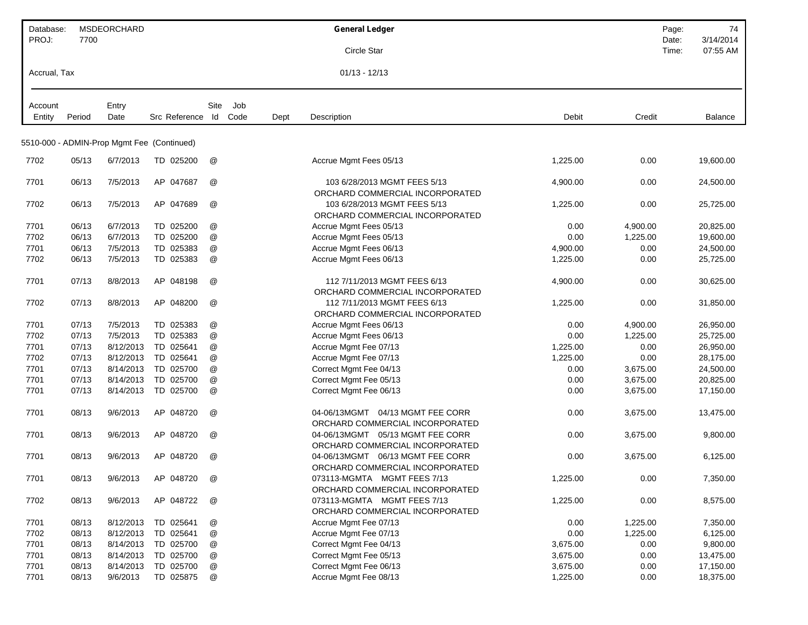| Database:    |                | <b>MSDEORCHARD</b> |                                            |                           |             |      | <b>General Ledger</b>                                                |              |                      | Page: | 74                     |
|--------------|----------------|--------------------|--------------------------------------------|---------------------------|-------------|------|----------------------------------------------------------------------|--------------|----------------------|-------|------------------------|
| PROJ:        | 7700           |                    |                                            |                           |             |      |                                                                      |              |                      | Date: | 3/14/2014              |
|              |                |                    |                                            |                           |             |      | Circle Star                                                          |              |                      | Time: | 07:55 AM               |
| Accrual, Tax |                |                    |                                            |                           |             |      | $01/13 - 12/13$                                                      |              |                      |       |                        |
|              |                |                    |                                            |                           |             |      |                                                                      |              |                      |       |                        |
| Account      |                | Entry              |                                            | Site                      | Job<br>Code |      |                                                                      |              | Credit               |       |                        |
| Entity       | Period         | Date               | Src Reference Id                           |                           |             | Dept | Description                                                          | Debit        |                      |       | Balance                |
|              |                |                    | 5510-000 - ADMIN-Prop Mgmt Fee (Continued) |                           |             |      |                                                                      |              |                      |       |                        |
| 7702         | 05/13          | 6/7/2013           | TD 025200                                  | @                         |             |      | Accrue Mgmt Fees 05/13                                               | 1,225.00     | 0.00                 |       | 19,600.00              |
| 7701         | 06/13          | 7/5/2013           | AP 047687                                  | @                         |             |      | 103 6/28/2013 MGMT FEES 5/13                                         | 4,900.00     | 0.00                 |       | 24,500.00              |
|              |                |                    |                                            |                           |             |      | ORCHARD COMMERCIAL INCORPORATED                                      |              |                      |       |                        |
| 7702         | 06/13          | 7/5/2013           | AP 047689                                  | @                         |             |      | 103 6/28/2013 MGMT FEES 5/13                                         | 1,225.00     | 0.00                 |       | 25,725.00              |
|              |                | 6/7/2013           | TD 025200                                  |                           |             |      | ORCHARD COMMERCIAL INCORPORATED                                      |              |                      |       |                        |
| 7701<br>7702 | 06/13<br>06/13 | 6/7/2013           | TD 025200                                  | @<br>@                    |             |      | Accrue Mgmt Fees 05/13<br>Accrue Mgmt Fees 05/13                     | 0.00<br>0.00 | 4,900.00<br>1,225.00 |       | 20,825.00<br>19,600.00 |
| 7701         | 06/13          | 7/5/2013           | TD 025383                                  | @                         |             |      | Accrue Mgmt Fees 06/13                                               | 4,900.00     | 0.00                 |       | 24,500.00              |
| 7702         | 06/13          | 7/5/2013           | TD 025383                                  | @                         |             |      | Accrue Mgmt Fees 06/13                                               | 1,225.00     | 0.00                 |       | 25,725.00              |
|              |                |                    |                                            |                           |             |      |                                                                      |              |                      |       |                        |
| 7701         | 07/13          | 8/8/2013           | AP 048198                                  | @                         |             |      | 112 7/11/2013 MGMT FEES 6/13<br>ORCHARD COMMERCIAL INCORPORATED      | 4,900.00     | 0.00                 |       | 30,625.00              |
| 7702         | 07/13          | 8/8/2013           | AP 048200                                  | @                         |             |      | 112 7/11/2013 MGMT FEES 6/13                                         | 1,225.00     | 0.00                 |       | 31,850.00              |
|              |                |                    |                                            |                           |             |      | ORCHARD COMMERCIAL INCORPORATED                                      |              |                      |       |                        |
| 7701         | 07/13          | 7/5/2013           | TD 025383                                  | @                         |             |      | Accrue Mgmt Fees 06/13                                               | 0.00         | 4,900.00             |       | 26,950.00              |
| 7702         | 07/13          | 7/5/2013           | TD 025383                                  | @                         |             |      | Accrue Mgmt Fees 06/13                                               | 0.00         | 1,225.00             |       | 25,725.00              |
| 7701         | 07/13          | 8/12/2013          | TD 025641                                  | @                         |             |      | Accrue Mgmt Fee 07/13                                                | 1,225.00     | 0.00                 |       | 26,950.00              |
| 7702         | 07/13          | 8/12/2013          | TD 025641                                  | @                         |             |      | Accrue Mgmt Fee 07/13                                                | 1,225.00     | 0.00                 |       | 28,175.00              |
| 7701         | 07/13          | 8/14/2013          | TD 025700                                  | $^{\copyright}$           |             |      | Correct Mgmt Fee 04/13                                               | 0.00         | 3,675.00             |       | 24,500.00              |
| 7701         | 07/13          | 8/14/2013          | TD 025700                                  | @                         |             |      | Correct Mgmt Fee 05/13                                               | 0.00         | 3,675.00             |       | 20,825.00              |
| 7701         | 07/13          | 8/14/2013          | TD 025700                                  | @                         |             |      | Correct Mgmt Fee 06/13                                               | 0.00         | 3,675.00             |       | 17,150.00              |
|              |                |                    |                                            |                           |             |      |                                                                      |              |                      |       |                        |
| 7701         | 08/13          | 9/6/2013           | AP 048720                                  | @                         |             |      | 04-06/13MGMT  04/13 MGMT FEE CORR<br>ORCHARD COMMERCIAL INCORPORATED | 0.00         | 3,675.00             |       | 13,475.00              |
| 7701         | 08/13          | 9/6/2013           | AP 048720                                  | @                         |             |      | 04-06/13MGMT  05/13 MGMT FEE CORR                                    | 0.00         | 3,675.00             |       | 9,800.00               |
|              |                |                    |                                            |                           |             |      | ORCHARD COMMERCIAL INCORPORATED                                      |              |                      |       |                        |
| 7701         | 08/13          | 9/6/2013           | AP 048720                                  | $^{\textregistered}$      |             |      |                                                                      | 0.00         | 3,675.00             |       | 6,125.00               |
|              |                |                    |                                            |                           |             |      | ORCHARD COMMERCIAL INCORPORATED                                      |              |                      |       |                        |
| 7701         | 08/13          | 9/6/2013           | AP 048720                                  | @                         |             |      | 073113-MGMTA MGMT FEES 7/13                                          | 1,225.00     | 0.00                 |       | 7,350.00               |
|              |                |                    |                                            |                           |             |      | ORCHARD COMMERCIAL INCORPORATED                                      |              |                      |       |                        |
| 7702         | 08/13          | 9/6/2013           | AP 048722                                  | @                         |             |      | 073113-MGMTA MGMT FEES 7/13<br>ORCHARD COMMERCIAL INCORPORATED       | 1,225.00     | 0.00                 |       | 8,575.00               |
| 7701         | 08/13          | 8/12/2013          | TD 025641                                  | @                         |             |      | Accrue Mgmt Fee 07/13                                                | 0.00         | 1,225.00             |       | 7,350.00               |
| 7702         | 08/13          | 8/12/2013          | TD 025641                                  | $^\text{\textregistered}$ |             |      | Accrue Mgmt Fee 07/13                                                | 0.00         | 1,225.00             |       | 6,125.00               |
| 7701         | 08/13          | 8/14/2013          | TD 025700                                  | @                         |             |      | Correct Mgmt Fee 04/13                                               | 3,675.00     | 0.00                 |       | 9,800.00               |
| 7701         | 08/13          | 8/14/2013          | TD 025700                                  | @                         |             |      | Correct Mgmt Fee 05/13                                               | 3,675.00     | 0.00                 |       | 13,475.00              |
| 7701         | 08/13          | 8/14/2013          | TD 025700                                  | @                         |             |      | Correct Mgmt Fee 06/13                                               | 3,675.00     | 0.00                 |       | 17,150.00              |
| 7701         | 08/13          | 9/6/2013           | TD 025875                                  | @                         |             |      | Accrue Mgmt Fee 08/13                                                | 1,225.00     | 0.00                 |       | 18,375.00              |
|              |                |                    |                                            |                           |             |      |                                                                      |              |                      |       |                        |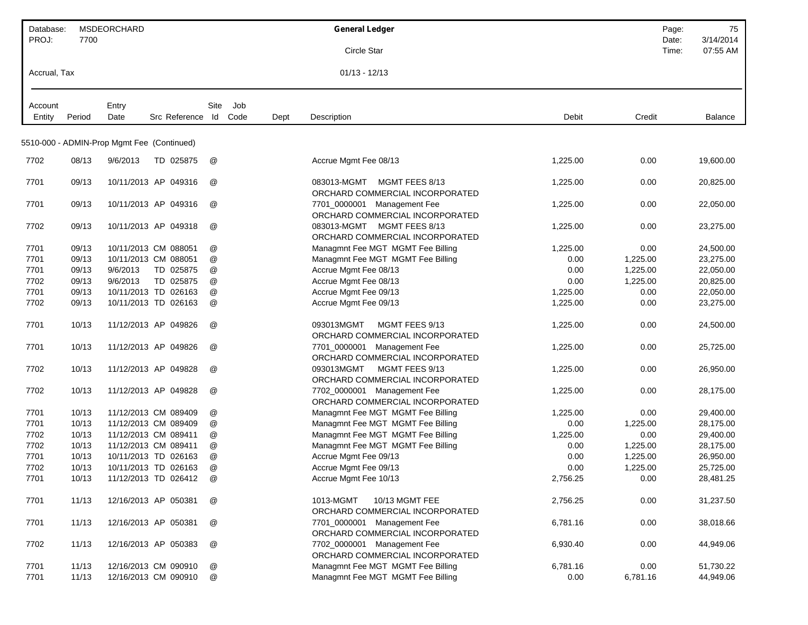| Database:    |        | MSDEORCHARD                                |                       |      | <b>General Ledger</b>                                                |          | Page:    | 75        |
|--------------|--------|--------------------------------------------|-----------------------|------|----------------------------------------------------------------------|----------|----------|-----------|
| PROJ:        | 7700   |                                            |                       |      |                                                                      |          | Date:    | 3/14/2014 |
|              |        |                                            |                       |      | Circle Star                                                          |          | Time:    | 07:55 AM  |
| Accrual, Tax |        |                                            |                       |      | $01/13 - 12/13$                                                      |          |          |           |
| Account      |        | Entry                                      | Site<br>Job           |      |                                                                      |          |          |           |
| Entity       | Period | Date                                       | Src Reference Id Code | Dept | Description                                                          | Debit    | Credit   | Balance   |
|              |        |                                            |                       |      |                                                                      |          |          |           |
|              |        | 5510-000 - ADMIN-Prop Mgmt Fee (Continued) |                       |      |                                                                      |          |          |           |
| 7702         | 08/13  | 9/6/2013<br>TD 025875                      | @                     |      | Accrue Mgmt Fee 08/13                                                | 1,225.00 | 0.00     | 19,600.00 |
| 7701         | 09/13  | 10/11/2013 AP 049316                       | @                     |      | 083013-MGMT<br>MGMT FEES 8/13<br>ORCHARD COMMERCIAL INCORPORATED     | 1,225.00 | 0.00     | 20,825.00 |
| 7701         | 09/13  | 10/11/2013 AP 049316                       | @                     |      | 7701_0000001 Management Fee                                          | 1,225.00 | 0.00     | 22,050.00 |
| 7702         | 09/13  | 10/11/2013 AP 049318                       | @                     |      | ORCHARD COMMERCIAL INCORPORATED<br>083013-MGMT MGMT FEES 8/13        | 1,225.00 | 0.00     | 23,275.00 |
| 7701         | 09/13  | 10/11/2013 CM 088051                       | @                     |      | ORCHARD COMMERCIAL INCORPORATED<br>Managmnt Fee MGT MGMT Fee Billing | 1,225.00 | 0.00     | 24,500.00 |
| 7701         | 09/13  | 10/11/2013 CM 088051                       | @                     |      | Managmnt Fee MGT MGMT Fee Billing                                    | 0.00     | 1,225.00 | 23,275.00 |
| 7701         | 09/13  | 9/6/2013<br>TD 025875                      | @                     |      | Accrue Mgmt Fee 08/13                                                | 0.00     | 1,225.00 | 22,050.00 |
| 7702         | 09/13  | 9/6/2013<br>TD 025875                      | @                     |      | Accrue Mgmt Fee 08/13                                                | 0.00     | 1,225.00 | 20,825.00 |
| 7701         | 09/13  | 10/11/2013 TD 026163                       | @                     |      | Accrue Mgmt Fee 09/13                                                | 1,225.00 | 0.00     | 22,050.00 |
| 7702         | 09/13  | 10/11/2013 TD 026163                       | @                     |      | Accrue Mgmt Fee 09/13                                                | 1,225.00 | 0.00     | 23,275.00 |
| 7701         | 10/13  | 11/12/2013 AP 049826                       | @                     |      | MGMT FEES 9/13<br>093013MGMT<br>ORCHARD COMMERCIAL INCORPORATED      | 1,225.00 | 0.00     | 24,500.00 |
| 7701         | 10/13  | 11/12/2013 AP 049826                       | @                     |      | 7701_0000001 Management Fee<br>ORCHARD COMMERCIAL INCORPORATED       | 1,225.00 | 0.00     | 25,725.00 |
| 7702         | 10/13  | 11/12/2013 AP 049828                       | @                     |      | 093013MGMT<br>MGMT FEES 9/13<br>ORCHARD COMMERCIAL INCORPORATED      | 1,225.00 | 0.00     | 26,950.00 |
| 7702         | 10/13  | 11/12/2013 AP 049828                       | @                     |      | 7702_0000001 Management Fee<br>ORCHARD COMMERCIAL INCORPORATED       | 1,225.00 | 0.00     | 28,175.00 |
| 7701         | 10/13  | 11/12/2013 CM 089409                       | @                     |      | Managmnt Fee MGT MGMT Fee Billing                                    | 1,225.00 | 0.00     | 29,400.00 |
| 7701         | 10/13  | 11/12/2013 CM 089409                       | @                     |      | Managmnt Fee MGT MGMT Fee Billing                                    | 0.00     | 1,225.00 | 28,175.00 |
| 7702         | 10/13  | 11/12/2013 CM 089411                       | @                     |      | Managmnt Fee MGT MGMT Fee Billing                                    | 1,225.00 | 0.00     | 29,400.00 |
| 7702         | 10/13  | 11/12/2013 CM 089411                       | @                     |      | Managmnt Fee MGT MGMT Fee Billing                                    | 0.00     | 1,225.00 | 28,175.00 |
| 7701         | 10/13  | 10/11/2013 TD 026163                       | $^{\circledR}$        |      | Accrue Mgmt Fee 09/13                                                | 0.00     | 1,225.00 | 26,950.00 |
| 7702         | 10/13  | 10/11/2013 TD 026163                       | @                     |      | Accrue Mgmt Fee 09/13                                                | 0.00     | 1,225.00 | 25,725.00 |
| 7701         | 10/13  | 11/12/2013 TD 026412                       | @                     |      | Accrue Mgmt Fee 10/13                                                | 2,756.25 | 0.00     | 28,481.25 |
| 7701         | 11/13  | 12/16/2013 AP 050381                       | @                     |      | 1013-MGMT<br>10/13 MGMT FEE<br>ORCHARD COMMERCIAL INCORPORATED       | 2,756.25 | 0.00     | 31,237.50 |
| 7701         | 11/13  | 12/16/2013 AP 050381                       | @                     |      | 7701_0000001 Management Fee<br>ORCHARD COMMERCIAL INCORPORATED       | 6,781.16 | 0.00     | 38,018.66 |
| 7702         | 11/13  | 12/16/2013 AP 050383                       | @                     |      | 7702_0000001 Management Fee<br>ORCHARD COMMERCIAL INCORPORATED       | 6,930.40 | 0.00     | 44,949.06 |
| 7701         | 11/13  | 12/16/2013 CM 090910                       | @                     |      | Managmnt Fee MGT MGMT Fee Billing                                    | 6,781.16 | 0.00     | 51,730.22 |
| 7701         | 11/13  | 12/16/2013 CM 090910                       | @                     |      | Managmnt Fee MGT MGMT Fee Billing                                    | 0.00     | 6,781.16 | 44,949.06 |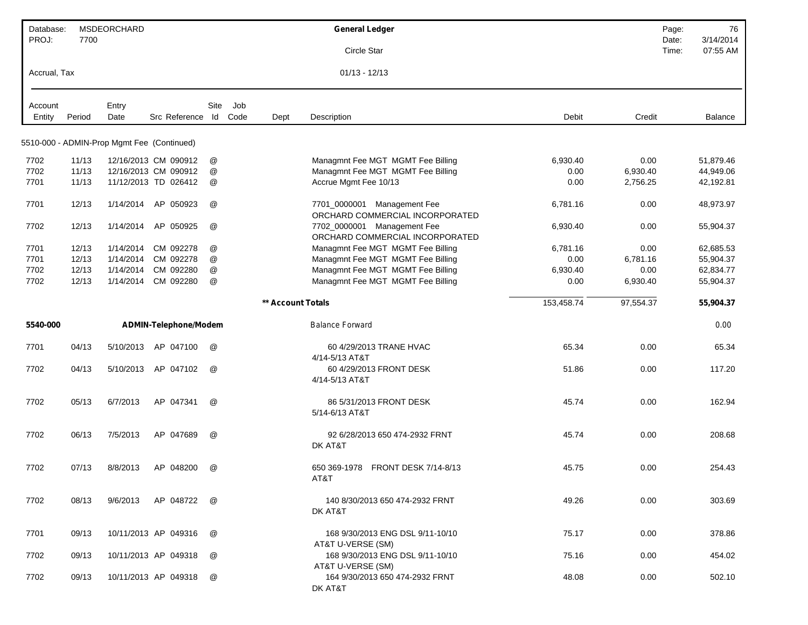| Database:<br>PROJ: | 7700   | MSDEORCHARD                                |                       |                           |      |                   | <b>General Ledger</b>                                          |            |           | Page:          | 76                    |
|--------------------|--------|--------------------------------------------|-----------------------|---------------------------|------|-------------------|----------------------------------------------------------------|------------|-----------|----------------|-----------------------|
|                    |        |                                            |                       |                           |      |                   | Circle Star                                                    |            |           | Date:<br>Time: | 3/14/2014<br>07:55 AM |
| Accrual, Tax       |        |                                            |                       |                           |      |                   | $01/13 - 12/13$                                                |            |           |                |                       |
| Account            |        | Entry                                      |                       | Site                      | Job  |                   |                                                                |            |           |                |                       |
| Entity             | Period | Date                                       | Src Reference Id      |                           | Code | Dept              | Description                                                    | Debit      | Credit    |                | Balance               |
|                    |        | 5510-000 - ADMIN-Prop Mgmt Fee (Continued) |                       |                           |      |                   |                                                                |            |           |                |                       |
| 7702               | 11/13  |                                            | 12/16/2013 CM 090912  | @                         |      |                   | Managmnt Fee MGT MGMT Fee Billing                              | 6,930.40   | 0.00      |                | 51,879.46             |
| 7702               | 11/13  |                                            | 12/16/2013 CM 090912  | @                         |      |                   | Managmnt Fee MGT MGMT Fee Billing                              | 0.00       | 6,930.40  |                | 44,949.06             |
| 7701               | 11/13  |                                            | 11/12/2013 TD 026412  | @                         |      |                   | Accrue Mgmt Fee 10/13                                          | 0.00       | 2,756.25  |                | 42,192.81             |
| 7701               | 12/13  | 1/14/2014                                  | AP 050923             | @                         |      |                   | 7701_0000001 Management Fee<br>ORCHARD COMMERCIAL INCORPORATED | 6,781.16   | 0.00      |                | 48,973.97             |
| 7702               | 12/13  | 1/14/2014                                  | AP 050925             | @                         |      |                   | 7702_0000001 Management Fee<br>ORCHARD COMMERCIAL INCORPORATED | 6,930.40   | 0.00      |                | 55,904.37             |
| 7701               | 12/13  | 1/14/2014                                  | CM 092278             | @                         |      |                   | Managmnt Fee MGT MGMT Fee Billing                              | 6,781.16   | 0.00      |                | 62,685.53             |
| 7701               | 12/13  | 1/14/2014                                  | CM 092278             | @                         |      |                   | Managmnt Fee MGT MGMT Fee Billing                              | 0.00       | 6,781.16  |                | 55,904.37             |
| 7702               | 12/13  | 1/14/2014                                  | CM 092280             | $^\text{\textregistered}$ |      |                   | Managmnt Fee MGT MGMT Fee Billing                              | 6,930.40   | 0.00      |                | 62,834.77             |
| 7702               | 12/13  | 1/14/2014                                  | CM 092280             | @                         |      |                   | Managmnt Fee MGT MGMT Fee Billing                              | 0.00       | 6,930.40  |                | 55,904.37             |
|                    |        |                                            |                       |                           |      | ** Account Totals |                                                                | 153,458.74 | 97,554.37 |                | 55,904.37             |
| 5540-000           |        |                                            | ADMIN-Telephone/Modem |                           |      |                   | <b>Balance Forward</b>                                         |            |           |                | 0.00                  |
| 7701               | 04/13  | 5/10/2013                                  | AP 047100             | $^{\textregistered}$      |      |                   | 60 4/29/2013 TRANE HVAC<br>4/14-5/13 AT&T                      | 65.34      | 0.00      |                | 65.34                 |
| 7702               | 04/13  | 5/10/2013                                  | AP 047102             | @                         |      |                   | 60 4/29/2013 FRONT DESK<br>4/14-5/13 AT&T                      | 51.86      | 0.00      |                | 117.20                |
| 7702               | 05/13  | 6/7/2013                                   | AP 047341             | @                         |      |                   | 86 5/31/2013 FRONT DESK<br>5/14-6/13 AT&T                      | 45.74      | 0.00      |                | 162.94                |
| 7702               | 06/13  | 7/5/2013                                   | AP 047689             | @                         |      |                   | 92 6/28/2013 650 474-2932 FRNT<br>DK AT&T                      | 45.74      | 0.00      |                | 208.68                |
| 7702               | 07/13  | 8/8/2013                                   | AP 048200             | @                         |      |                   | 650 369-1978 FRONT DESK 7/14-8/13<br>AT&T                      | 45.75      | 0.00      |                | 254.43                |
| 7702               | 08/13  | 9/6/2013                                   | AP 048722             | @                         |      |                   | 140 8/30/2013 650 474-2932 FRNT<br>DK AT&T                     | 49.26      | 0.00      |                | 303.69                |
| 7701               | 09/13  |                                            | 10/11/2013 AP 049316  | @                         |      |                   | 168 9/30/2013 ENG DSL 9/11-10/10<br>AT&T U-VERSE (SM)          | 75.17      | 0.00      |                | 378.86                |
| 7702               | 09/13  |                                            | 10/11/2013 AP 049318  | @                         |      |                   | 168 9/30/2013 ENG DSL 9/11-10/10<br>AT&T U-VERSE (SM)          | 75.16      | 0.00      |                | 454.02                |
| 7702               | 09/13  |                                            | 10/11/2013 AP 049318  | @                         |      |                   | 164 9/30/2013 650 474-2932 FRNT<br>DK AT&T                     | 48.08      | 0.00      |                | 502.10                |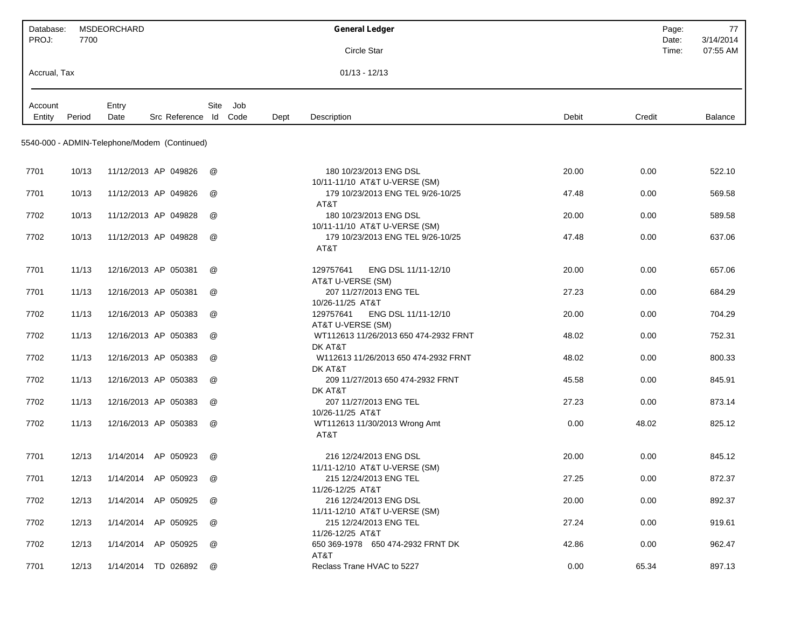| Database:    |        | <b>MSDEORCHARD</b>                           |                       |                      |     |      | <b>General Ledger</b>                                                       | Page:          | 77                    |
|--------------|--------|----------------------------------------------|-----------------------|----------------------|-----|------|-----------------------------------------------------------------------------|----------------|-----------------------|
| PROJ:        | 7700   |                                              |                       |                      |     |      | Circle Star                                                                 | Date:<br>Time: | 3/14/2014<br>07:55 AM |
| Accrual, Tax |        |                                              |                       |                      |     |      | $01/13 - 12/13$                                                             |                |                       |
|              |        |                                              |                       |                      |     |      |                                                                             |                |                       |
| Account      |        | Entry                                        |                       | Site                 | Job |      |                                                                             |                |                       |
| Entity       | Period | Date                                         | Src Reference Id Code |                      |     | Dept | Description<br>Debit                                                        | Credit         | Balance               |
|              |        | 5540-000 - ADMIN-Telephone/Modem (Continued) |                       |                      |     |      |                                                                             |                |                       |
|              |        |                                              |                       |                      |     |      |                                                                             |                |                       |
| 7701         | 10/13  | 11/12/2013 AP 049826                         |                       | @                    |     |      | 180 10/23/2013 ENG DSL<br>20.00                                             | 0.00           | 522.10                |
| 7701         | 10/13  | 11/12/2013 AP 049826                         |                       | $^{\textregistered}$ |     |      | 10/11-11/10 AT&T U-VERSE (SM)<br>179 10/23/2013 ENG TEL 9/26-10/25<br>47.48 | 0.00           | 569.58                |
|              |        |                                              |                       |                      |     |      | AT&T                                                                        |                |                       |
| 7702         | 10/13  | 11/12/2013 AP 049828                         |                       | @                    |     |      | 180 10/23/2013 ENG DSL<br>20.00                                             | 0.00           | 589.58                |
| 7702         | 10/13  | 11/12/2013 AP 049828                         |                       | $^{\textregistered}$ |     |      | 10/11-11/10 AT&T U-VERSE (SM)<br>179 10/23/2013 ENG TEL 9/26-10/25<br>47.48 | 0.00           | 637.06                |
|              |        |                                              |                       |                      |     |      | AT&T                                                                        |                |                       |
| 7701         | 11/13  | 12/16/2013 AP 050381                         |                       | @                    |     |      | 129757641<br>ENG DSL 11/11-12/10<br>20.00                                   | 0.00           | 657.06                |
|              |        |                                              |                       |                      |     |      | AT&T U-VERSE (SM)                                                           |                |                       |
| 7701         | 11/13  | 12/16/2013 AP 050381                         |                       | @                    |     |      | 207 11/27/2013 ENG TEL<br>27.23<br>10/26-11/25 AT&T                         | 0.00           | 684.29                |
| 7702         | 11/13  | 12/16/2013 AP 050383                         |                       | @                    |     |      | 129757641<br>ENG DSL 11/11-12/10<br>20.00                                   | 0.00           | 704.29                |
|              |        |                                              |                       |                      |     |      | AT&T U-VERSE (SM)                                                           |                |                       |
| 7702         | 11/13  | 12/16/2013 AP 050383                         |                       | @                    |     |      | WT112613 11/26/2013 650 474-2932 FRNT<br>48.02<br>DK AT&T                   | 0.00           | 752.31                |
| 7702         | 11/13  | 12/16/2013 AP 050383                         |                       | @                    |     |      | W112613 11/26/2013 650 474-2932 FRNT<br>48.02                               | 0.00           | 800.33                |
|              |        |                                              |                       |                      |     |      | DK AT&T                                                                     |                |                       |
| 7702         | 11/13  | 12/16/2013 AP 050383                         |                       | @                    |     |      | 209 11/27/2013 650 474-2932 FRNT<br>45.58<br>DK AT&T                        | 0.00           | 845.91                |
| 7702         | 11/13  | 12/16/2013 AP 050383                         |                       | @                    |     |      | 207 11/27/2013 ENG TEL<br>27.23                                             | 0.00           | 873.14                |
|              |        |                                              |                       |                      |     |      | 10/26-11/25 AT&T                                                            |                |                       |
| 7702         | 11/13  | 12/16/2013 AP 050383                         |                       | @                    |     |      | WT112613 11/30/2013 Wrong Amt<br>0.00                                       | 48.02          | 825.12                |
|              |        |                                              |                       |                      |     |      | AT&T                                                                        |                |                       |
| 7701         | 12/13  | 1/14/2014 AP 050923                          |                       | $^{\textregistered}$ |     |      | 216 12/24/2013 ENG DSL<br>20.00                                             | 0.00           | 845.12                |
|              |        |                                              |                       |                      |     |      | 11/11-12/10 AT&T U-VERSE (SM)                                               |                |                       |
| 7701         | 12/13  | 1/14/2014 AP 050923                          |                       | @                    |     |      | 27.25<br>215 12/24/2013 ENG TEL<br>11/26-12/25 AT&T                         | 0.00           | 872.37                |
| 7702         | 12/13  | 1/14/2014 AP 050925                          |                       | @                    |     |      | 216 12/24/2013 ENG DSL<br>20.00                                             | 0.00           | 892.37                |
|              |        |                                              |                       |                      |     |      | 11/11-12/10 AT&T U-VERSE (SM)                                               |                |                       |
| 7702         | 12/13  | 1/14/2014 AP 050925                          |                       | @                    |     |      | 215 12/24/2013 ENG TEL<br>27.24<br>11/26-12/25 AT&T                         | 0.00           | 919.61                |
| 7702         | 12/13  | 1/14/2014 AP 050925                          |                       | @                    |     |      | 650 369-1978    650 474-2932 FRNT DK<br>42.86                               | 0.00           | 962.47                |
|              |        |                                              |                       |                      |     |      | AT&T                                                                        |                |                       |
| 7701         | 12/13  | 1/14/2014 TD 026892                          |                       | @                    |     |      | Reclass Trane HVAC to 5227<br>0.00                                          | 65.34          | 897.13                |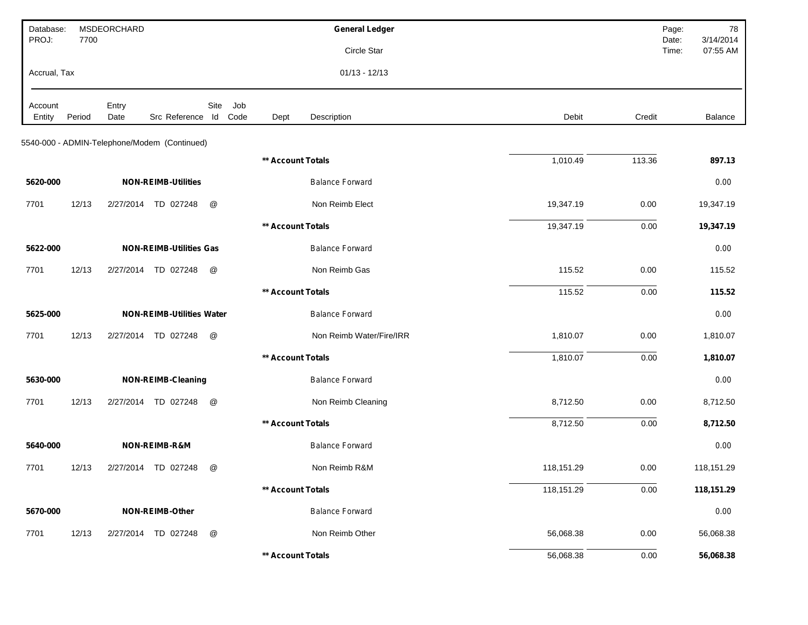| Database:<br>PROJ: | 7700   | MSDEORCHARD   |                                              |               |                   | <b>General Ledger</b>    |            |          | Page:<br>78<br>3/14/2014<br>Date: |
|--------------------|--------|---------------|----------------------------------------------|---------------|-------------------|--------------------------|------------|----------|-----------------------------------|
|                    |        |               |                                              |               |                   | Circle Star              |            |          | 07:55 AM<br>Time:                 |
| Accrual, Tax       |        |               |                                              |               |                   | $01/13 - 12/13$          |            |          |                                   |
| Account<br>Entity  | Period | Entry<br>Date | Src Reference Id Code                        | Site<br>Job   | Dept              | Description              | Debit      | Credit   | Balance                           |
|                    |        |               |                                              |               |                   |                          |            |          |                                   |
|                    |        |               | 5540-000 - ADMIN-Telephone/Modem (Continued) |               |                   |                          |            |          |                                   |
|                    |        |               |                                              |               | ** Account Totals |                          | 1,010.49   | 113.36   | 897.13                            |
| 5620-000           |        |               | <b>NON-REIMB-Utilities</b>                   |               |                   | <b>Balance Forward</b>   |            |          | 0.00                              |
| 7701               | 12/13  |               | 2/27/2014 TD 027248                          | @             |                   | Non Reimb Elect          | 19,347.19  | 0.00     | 19,347.19                         |
|                    |        |               |                                              |               | ** Account Totals |                          | 19,347.19  | 0.00     | 19,347.19                         |
| 5622-000           |        |               | <b>NON-REIMB-Utilities Gas</b>               |               |                   | <b>Balance Forward</b>   |            |          | 0.00                              |
| 7701               | 12/13  | 2/27/2014     | TD 027248                                    | @             |                   | Non Reimb Gas            | 115.52     | 0.00     | 115.52                            |
|                    |        |               |                                              |               | ** Account Totals |                          | 115.52     | 0.00     | 115.52                            |
| 5625-000           |        |               | <b>NON-REIMB-Utilities Water</b>             |               |                   | <b>Balance Forward</b>   |            |          | 0.00                              |
| 7701               | 12/13  |               | 2/27/2014 TD 027248                          | @             |                   | Non Reimb Water/Fire/IRR | 1,810.07   | 0.00     | 1,810.07                          |
|                    |        |               |                                              |               | ** Account Totals |                          | 1,810.07   | 0.00     | 1,810.07                          |
| 5630-000           |        |               | <b>NON-REIMB-Cleaning</b>                    |               |                   | <b>Balance Forward</b>   |            |          | 0.00                              |
| 7701               | 12/13  |               | 2/27/2014 TD 027248                          | @             |                   | Non Reimb Cleaning       | 8,712.50   | 0.00     | 8,712.50                          |
|                    |        |               |                                              |               | ** Account Totals |                          | 8,712.50   | 0.00     | 8,712.50                          |
| 5640-000           |        |               | NON-REIMB-R&M                                |               |                   | <b>Balance Forward</b>   |            |          | 0.00                              |
| 7701               | 12/13  |               | 2/27/2014 TD 027248                          | @             |                   | Non Reimb R&M            | 118,151.29 | 0.00     | 118,151.29                        |
|                    |        |               |                                              |               | ** Account Totals |                          | 118,151.29 | 0.00     | 118,151.29                        |
| 5670-000           |        |               | NON-REIMB-Other                              |               |                   | <b>Balance Forward</b>   |            |          | 0.00                              |
| 7701               | 12/13  |               | 2/27/2014 TD 027248                          | $^\copyright$ |                   | Non Reimb Other          | 56,068.38  | $0.00\,$ | 56,068.38                         |
|                    |        |               |                                              |               | ** Account Totals |                          | 56,068.38  | 0.00     | 56,068.38                         |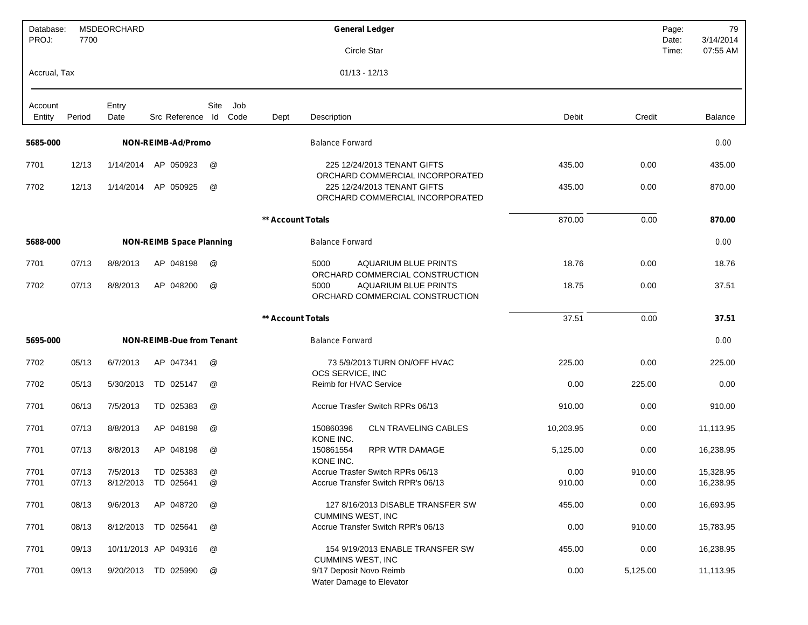| Database:<br>PROJ: | 7700   | MSDEORCHARD   |                                  |                     |                   | <b>General Ledger</b>                                                  |           |          | Page:<br>79<br>3/14/2014<br>Date: |
|--------------------|--------|---------------|----------------------------------|---------------------|-------------------|------------------------------------------------------------------------|-----------|----------|-----------------------------------|
|                    |        |               |                                  |                     |                   | Circle Star                                                            |           |          | 07:55 AM<br>Time:                 |
| Accrual, Tax       |        |               |                                  |                     |                   | $01/13 - 12/13$                                                        |           |          |                                   |
| Account<br>Entity  | Period | Entry<br>Date | Src Reference Id                 | Site<br>Job<br>Code | Dept              | Description                                                            | Debit     | Credit   | Balance                           |
| 5685-000           |        |               | NON-REIMB-Ad/Promo               |                     |                   | <b>Balance Forward</b>                                                 |           |          | 0.00                              |
| 7701               | 12/13  | 1/14/2014     | AP 050923                        | @                   |                   | 225 12/24/2013 TENANT GIFTS<br>ORCHARD COMMERCIAL INCORPORATED         | 435.00    | 0.00     | 435.00                            |
| 7702               | 12/13  | 1/14/2014     | AP 050925                        | @                   |                   | 225 12/24/2013 TENANT GIFTS<br>ORCHARD COMMERCIAL INCORPORATED         | 435.00    | 0.00     | 870.00                            |
|                    |        |               |                                  |                     | ** Account Totals |                                                                        | 870.00    | 0.00     | 870.00                            |
| 5688-000           |        |               | <b>NON-REIMB Space Planning</b>  |                     |                   | <b>Balance Forward</b>                                                 |           |          | 0.00                              |
| 7701               | 07/13  | 8/8/2013      | AP 048198                        | @                   |                   | 5000<br><b>AQUARIUM BLUE PRINTS</b><br>ORCHARD COMMERCIAL CONSTRUCTION | 18.76     | 0.00     | 18.76                             |
| 7702               | 07/13  | 8/8/2013      | AP 048200                        | @                   |                   | <b>AQUARIUM BLUE PRINTS</b><br>5000<br>ORCHARD COMMERCIAL CONSTRUCTION | 18.75     | 0.00     | 37.51                             |
|                    |        |               |                                  |                     | ** Account Totals |                                                                        | 37.51     | 0.00     | 37.51                             |
| 5695-000           |        |               | <b>NON-REIMB-Due from Tenant</b> |                     |                   | <b>Balance Forward</b>                                                 |           |          | 0.00                              |
| 7702               | 05/13  | 6/7/2013      | AP 047341                        | @                   |                   | 73 5/9/2013 TURN ON/OFF HVAC<br>OCS SERVICE, INC                       | 225.00    | 0.00     | 225.00                            |
| 7702               | 05/13  | 5/30/2013     | TD 025147                        | @                   |                   | Reimb for HVAC Service                                                 | 0.00      | 225.00   | 0.00                              |
| 7701               | 06/13  | 7/5/2013      | TD 025383                        | @                   |                   | Accrue Trasfer Switch RPRs 06/13                                       | 910.00    | 0.00     | 910.00                            |
| 7701               | 07/13  | 8/8/2013      | AP 048198                        | @                   |                   | 150860396<br><b>CLN TRAVELING CABLES</b><br>KONE INC.                  | 10,203.95 | 0.00     | 11,113.95                         |
| 7701               | 07/13  | 8/8/2013      | AP 048198                        | @                   |                   | <b>RPR WTR DAMAGE</b><br>150861554<br>KONE INC.                        | 5,125.00  | 0.00     | 16,238.95                         |
| 7701               | 07/13  | 7/5/2013      | TD 025383                        | @                   |                   | Accrue Trasfer Switch RPRs 06/13                                       | 0.00      | 910.00   | 15,328.95                         |
| 7701               | 07/13  |               | 8/12/2013 TD 025641              | @                   |                   | Accrue Transfer Switch RPR's 06/13                                     | 910.00    | 0.00     | 16,238.95                         |
| 7701               | 08/13  | 9/6/2013      | AP 048720                        | @                   |                   | 127 8/16/2013 DISABLE TRANSFER SW<br><b>CUMMINS WEST, INC</b>          | 455.00    | 0.00     | 16,693.95                         |
| 7701               | 08/13  |               | 8/12/2013 TD 025641              | @                   |                   | Accrue Transfer Switch RPR's 06/13                                     | 0.00      | 910.00   | 15,783.95                         |
| 7701               | 09/13  |               | 10/11/2013 AP 049316             | @                   |                   | 154 9/19/2013 ENABLE TRANSFER SW<br><b>CUMMINS WEST, INC</b>           | 455.00    | 0.00     | 16,238.95                         |
| 7701               | 09/13  |               | 9/20/2013 TD 025990              | @                   |                   | 9/17 Deposit Novo Reimb<br>Water Damage to Elevator                    | 0.00      | 5,125.00 | 11,113.95                         |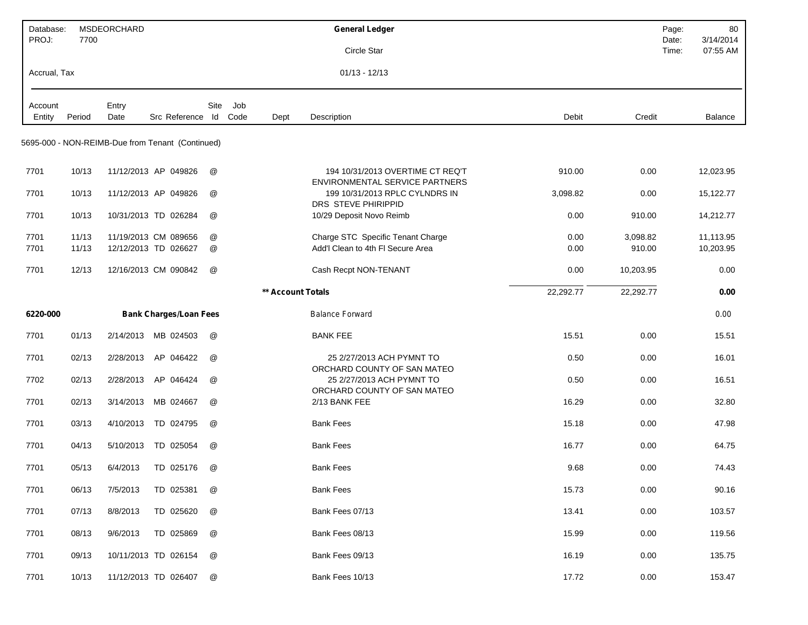| Database:<br>PROJ: | 7700           | MSDEORCHARD   |                                                  |        |                     | <b>General Ledger</b>                                                  |              |                    | Page:<br>Date: | 80<br>3/14/2014        |
|--------------------|----------------|---------------|--------------------------------------------------|--------|---------------------|------------------------------------------------------------------------|--------------|--------------------|----------------|------------------------|
|                    |                |               |                                                  |        |                     | Circle Star                                                            |              |                    | Time:          | 07:55 AM               |
| Accrual, Tax       |                |               |                                                  |        |                     | $01/13 - 12/13$                                                        |              |                    |                |                        |
| Account<br>Entity  | Period         | Entry<br>Date | Src Reference Id                                 | Site   | Job<br>Code<br>Dept | Description                                                            | Debit        | Credit             |                | Balance                |
|                    |                |               |                                                  |        |                     |                                                                        |              |                    |                |                        |
|                    |                |               | 5695-000 - NON-REIMB-Due from Tenant (Continued) |        |                     |                                                                        |              |                    |                |                        |
| 7701               | 10/13          |               | 11/12/2013 AP 049826                             | @      |                     | 194 10/31/2013 OVERTIME CT REQ'T<br>ENVIRONMENTAL SERVICE PARTNERS     | 910.00       | 0.00               |                | 12,023.95              |
| 7701               | 10/13          |               | 11/12/2013 AP 049826                             | @      |                     | 199 10/31/2013 RPLC CYLNDRS IN<br>DRS STEVE PHIRIPPID                  | 3,098.82     | 0.00               |                | 15,122.77              |
| 7701               | 10/13          |               | 10/31/2013 TD 026284                             | @      |                     | 10/29 Deposit Novo Reimb                                               | 0.00         | 910.00             |                | 14,212.77              |
| 7701<br>7701       | 11/13<br>11/13 |               | 11/19/2013 CM 089656<br>12/12/2013 TD 026627     | @<br>@ |                     | Charge STC Specific Tenant Charge<br>Add'l Clean to 4th FI Secure Area | 0.00<br>0.00 | 3,098.82<br>910.00 |                | 11,113.95<br>10,203.95 |
| 7701               | 12/13          |               | 12/16/2013 CM 090842                             | @      |                     | Cash Recpt NON-TENANT                                                  | 0.00         | 10,203.95          |                | 0.00                   |
|                    |                |               |                                                  |        | ** Account Totals   |                                                                        | 22,292.77    | 22,292.77          |                | 0.00                   |
| 6220-000           |                |               | <b>Bank Charges/Loan Fees</b>                    |        |                     | <b>Balance Forward</b>                                                 |              |                    |                | 0.00                   |
| 7701               | 01/13          | 2/14/2013     | MB 024503                                        | @      |                     | <b>BANK FEE</b>                                                        | 15.51        | 0.00               |                | 15.51                  |
| 7701               | 02/13          | 2/28/2013     | AP 046422                                        | @      |                     | 25 2/27/2013 ACH PYMNT TO<br>ORCHARD COUNTY OF SAN MATEO               | 0.50         | 0.00               |                | 16.01                  |
| 7702               | 02/13          | 2/28/2013     | AP 046424                                        | @      |                     | 25 2/27/2013 ACH PYMNT TO<br>ORCHARD COUNTY OF SAN MATEO               | 0.50         | 0.00               |                | 16.51                  |
| 7701               | 02/13          | 3/14/2013     | MB 024667                                        | @      |                     | 2/13 BANK FEE                                                          | 16.29        | 0.00               |                | 32.80                  |
| 7701               | 03/13          | 4/10/2013     | TD 024795                                        | @      |                     | <b>Bank Fees</b>                                                       | 15.18        | 0.00               |                | 47.98                  |
| 7701               | 04/13          | 5/10/2013     | TD 025054                                        | @      |                     | <b>Bank Fees</b>                                                       | 16.77        | 0.00               |                | 64.75                  |
| 7701               | 05/13          | 6/4/2013      | TD 025176                                        | @      |                     | <b>Bank Fees</b>                                                       | 9.68         | 0.00               |                | 74.43                  |
| 7701               | 06/13          | 7/5/2013      | TD 025381                                        | @      |                     | <b>Bank Fees</b>                                                       | 15.73        | 0.00               |                | 90.16                  |
| 7701               | 07/13          | 8/8/2013      | TD 025620                                        | @      |                     | Bank Fees 07/13                                                        | 13.41        | 0.00               |                | 103.57                 |
| 7701               | 08/13          | 9/6/2013      | TD 025869                                        | @      |                     | Bank Fees 08/13                                                        | 15.99        | 0.00               |                | 119.56                 |
| 7701               | 09/13          |               | 10/11/2013 TD 026154                             | @      |                     | Bank Fees 09/13                                                        | 16.19        | 0.00               |                | 135.75                 |
| 7701               | 10/13          |               | 11/12/2013 TD 026407                             | @      |                     | Bank Fees 10/13                                                        | 17.72        | 0.00               |                | 153.47                 |